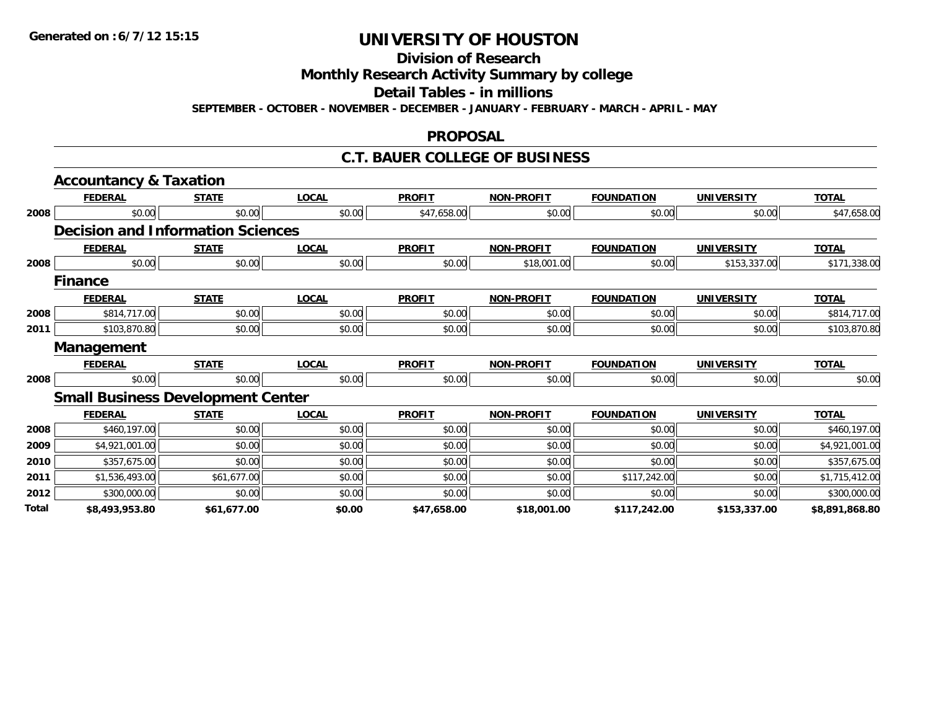**Division of Research**

**Monthly Research Activity Summary by college**

**Detail Tables - in millions**

**SEPTEMBER - OCTOBER - NOVEMBER - DECEMBER - JANUARY - FEBRUARY - MARCH - APRIL - MAY**

#### **PROPOSAL**

#### **C.T. BAUER COLLEGE OF BUSINESS**

|       | <b>Accountancy &amp; Taxation</b>        |              |              |               |                   |                   |                   |                |
|-------|------------------------------------------|--------------|--------------|---------------|-------------------|-------------------|-------------------|----------------|
|       | <b>FEDERAL</b>                           | <b>STATE</b> | <b>LOCAL</b> | <b>PROFIT</b> | <b>NON-PROFIT</b> | <b>FOUNDATION</b> | <b>UNIVERSITY</b> | <b>TOTAL</b>   |
| 2008  | \$0.00                                   | \$0.00       | \$0.00       | \$47,658.00   | \$0.00            | \$0.00            | \$0.00            | \$47,658.00    |
|       | <b>Decision and Information Sciences</b> |              |              |               |                   |                   |                   |                |
|       | <b>FEDERAL</b>                           | <b>STATE</b> | <b>LOCAL</b> | <b>PROFIT</b> | <b>NON-PROFIT</b> | <b>FOUNDATION</b> | <b>UNIVERSITY</b> | <b>TOTAL</b>   |
| 2008  | \$0.00                                   | \$0.00       | \$0.00       | \$0.00        | \$18,001.00       | \$0.00            | \$153,337.00      | \$171,338.00   |
|       | <b>Finance</b>                           |              |              |               |                   |                   |                   |                |
|       | <b>FEDERAL</b>                           | <b>STATE</b> | <b>LOCAL</b> | <b>PROFIT</b> | <b>NON-PROFIT</b> | <b>FOUNDATION</b> | <b>UNIVERSITY</b> | <b>TOTAL</b>   |
| 2008  | \$814,717.00                             | \$0.00       | \$0.00       | \$0.00        | \$0.00            | \$0.00            | \$0.00            | \$814,717.00   |
| 2011  | \$103,870.80                             | \$0.00       | \$0.00       | \$0.00        | \$0.00            | \$0.00            | \$0.00            | \$103,870.80   |
|       | <b>Management</b>                        |              |              |               |                   |                   |                   |                |
|       | <b>FEDERAL</b>                           | <b>STATE</b> | <b>LOCAL</b> | <b>PROFIT</b> | <b>NON-PROFIT</b> | <b>FOUNDATION</b> | <b>UNIVERSITY</b> | <b>TOTAL</b>   |
| 2008  | \$0.00                                   | \$0.00       | \$0.00       | \$0.00        | \$0.00            | \$0.00            | \$0.00            | \$0.00         |
|       | <b>Small Business Development Center</b> |              |              |               |                   |                   |                   |                |
|       | <b>FEDERAL</b>                           | <b>STATE</b> | <b>LOCAL</b> | <b>PROFIT</b> | <b>NON-PROFIT</b> | <b>FOUNDATION</b> | <b>UNIVERSITY</b> | <b>TOTAL</b>   |
| 2008  | \$460,197.00                             | \$0.00       | \$0.00       | \$0.00        | \$0.00            | \$0.00            | \$0.00            | \$460,197.00   |
| 2009  | \$4,921,001.00                           | \$0.00       | \$0.00       | \$0.00        | \$0.00            | \$0.00            | \$0.00            | \$4,921,001.00 |
| 2010  | \$357,675.00                             | \$0.00       | \$0.00       | \$0.00        | \$0.00            | \$0.00            | \$0.00            | \$357,675.00   |
| 2011  | \$1,536,493.00                           | \$61,677.00  | \$0.00       | \$0.00        | \$0.00            | \$117,242.00      | \$0.00            | \$1,715,412.00 |
| 2012  | \$300,000.00                             | \$0.00       | \$0.00       | \$0.00        | \$0.00            | \$0.00            | \$0.00            | \$300,000.00   |
| Total | \$8,493,953.80                           | \$61,677.00  | \$0.00       | \$47,658.00   | \$18,001.00       | \$117,242.00      | \$153,337.00      | \$8,891,868.80 |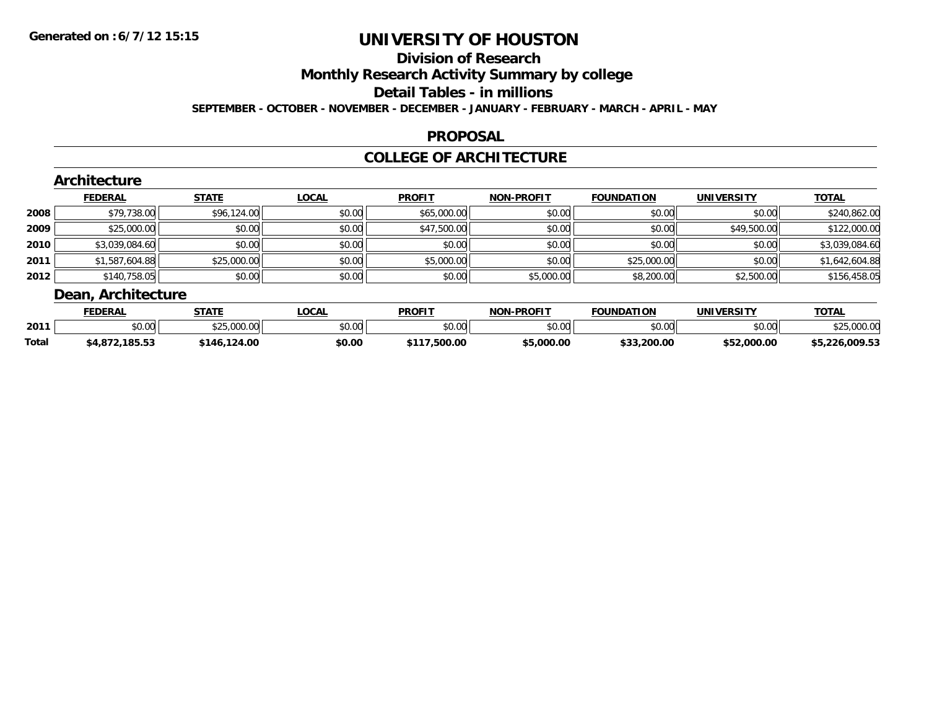### **Division of Research**

**Monthly Research Activity Summary by college**

**Detail Tables - in millions**

**SEPTEMBER - OCTOBER - NOVEMBER - DECEMBER - JANUARY - FEBRUARY - MARCH - APRIL - MAY**

#### **PROPOSAL**

### **COLLEGE OF ARCHITECTURE**

|        | Architecture       |              |              |               |                   |                   |                   |                |  |  |  |
|--------|--------------------|--------------|--------------|---------------|-------------------|-------------------|-------------------|----------------|--|--|--|
|        | <b>FEDERAL</b>     | <b>STATE</b> | <b>LOCAL</b> | <b>PROFIT</b> | <b>NON-PROFIT</b> | <b>FOUNDATION</b> | <b>UNIVERSITY</b> | <b>TOTAL</b>   |  |  |  |
| 2008   | \$79,738.00        | \$96,124.00  | \$0.00       | \$65,000.00   | \$0.00            | \$0.00            | \$0.00            | \$240,862.00   |  |  |  |
| 2009   | \$25,000.00        | \$0.00       | \$0.00       | \$47,500.00   | \$0.00            | \$0.00            | \$49,500.00       | \$122,000.00   |  |  |  |
| ا 2010 | \$3,039,084.60     | \$0.00       | \$0.00       | \$0.00        | \$0.00            | \$0.00            | \$0.00            | \$3,039,084.60 |  |  |  |
| 2011   | \$1,587,604.88     | \$25,000.00  | \$0.00       | \$5,000.00    | \$0.00            | \$25,000.00       | \$0.00            | \$1,642,604.88 |  |  |  |
| 2012   | \$140,758.05       | \$0.00       | \$0.00       | \$0.00        | \$5,000.00        | \$8,200.00        | \$2,500.00        | \$156,458.05   |  |  |  |
|        | Dean, Architecture |              |              |               |                   |                   |                   |                |  |  |  |

|              | <b>EDERAL</b>             | <b>STATE</b>                                           | .OCA             | <b>PROFIT</b>                   | J-PROFIT<br>חממ | <b>FOUNDATION</b>                  | <b>UNIVERSITY</b> | $T$ $T$ $F$ $F$   |
|--------------|---------------------------|--------------------------------------------------------|------------------|---------------------------------|-----------------|------------------------------------|-------------------|-------------------|
| 2011         | JU.UU                     | $A^{\wedge}$ $A^{\wedge}$ $A^{\wedge}$<br>,,,,,,,,,,,, | $\sim$ 00<br>,uu | \$0.00                          | 0000<br>JU.UU   | \$0.00                             | \$0.00            | 0.0000            |
| <b>Total</b> | 185.53<br>. 071<br>-94, O | 124.00<br>146                                          | \$0.00           | $\mathbf{r}$ can an<br>, JUU.UU | \$5,000.00      | חח חחר<br>$\sim$ $\sim$<br>zuu.uu. | 000.00.           | 20.009.5<br>ے . ب |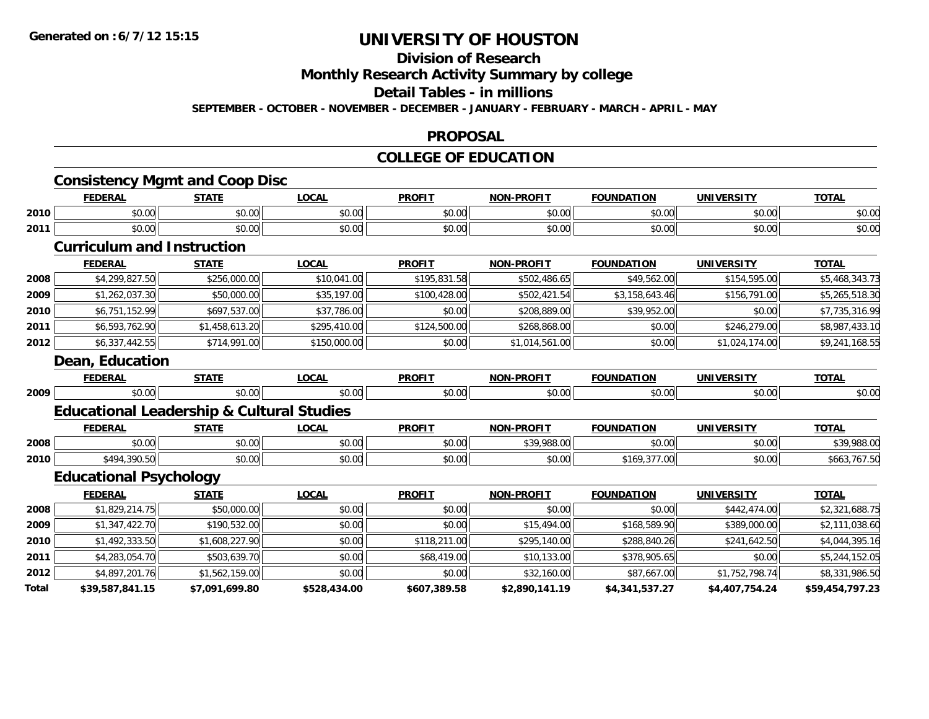#### **Division of Research**

**Monthly Research Activity Summary by college**

**Detail Tables - in millions**

**SEPTEMBER - OCTOBER - NOVEMBER - DECEMBER - JANUARY - FEBRUARY - MARCH - APRIL - MAY**

#### **PROPOSAL**

#### **COLLEGE OF EDUCATION**

|       | <b>Consistency Mgmt and Coop Disc</b>                |                |              |               |                   |                   |                   |                 |
|-------|------------------------------------------------------|----------------|--------------|---------------|-------------------|-------------------|-------------------|-----------------|
|       | <b>FEDERAL</b>                                       | <b>STATE</b>   | <b>LOCAL</b> | <b>PROFIT</b> | <b>NON-PROFIT</b> | <b>FOUNDATION</b> | <b>UNIVERSITY</b> | <b>TOTAL</b>    |
| 2010  | \$0.00                                               | \$0.00         | \$0.00       | \$0.00        | \$0.00            | \$0.00            | \$0.00            | \$0.00          |
| 2011  | \$0.00                                               | \$0.00         | \$0.00       | \$0.00        | \$0.00            | \$0.00            | \$0.00            | \$0.00          |
|       | <b>Curriculum and Instruction</b>                    |                |              |               |                   |                   |                   |                 |
|       | <b>FEDERAL</b>                                       | <b>STATE</b>   | <b>LOCAL</b> | <b>PROFIT</b> | <b>NON-PROFIT</b> | <b>FOUNDATION</b> | <b>UNIVERSITY</b> | <b>TOTAL</b>    |
| 2008  | \$4,299,827.50                                       | \$256,000.00   | \$10,041.00  | \$195,831.58  | \$502,486.65      | \$49,562.00       | \$154,595.00      | \$5,468,343.73  |
| 2009  | \$1,262,037.30                                       | \$50,000.00    | \$35,197.00  | \$100,428.00  | \$502,421.54      | \$3,158,643.46    | \$156,791.00      | \$5,265,518.30  |
| 2010  | \$6,751,152.99                                       | \$697,537.00   | \$37,786.00  | \$0.00        | \$208,889.00      | \$39,952.00       | \$0.00            | \$7,735,316.99  |
| 2011  | \$6,593,762.90                                       | \$1,458,613.20 | \$295,410.00 | \$124,500.00  | \$268,868.00      | \$0.00            | \$246,279.00      | \$8,987,433.10  |
| 2012  | \$6,337,442.55                                       | \$714,991.00   | \$150,000.00 | \$0.00        | \$1,014,561.00    | \$0.00            | \$1,024,174.00    | \$9,241,168.55  |
|       | Dean, Education                                      |                |              |               |                   |                   |                   |                 |
|       | <b>FEDERAL</b>                                       | <b>STATE</b>   | <b>LOCAL</b> | <b>PROFIT</b> | <b>NON-PROFIT</b> | <b>FOUNDATION</b> | <b>UNIVERSITY</b> | <b>TOTAL</b>    |
| 2009  | \$0.00                                               | \$0.00         | \$0.00       | \$0.00        | \$0.00            | \$0.00            | \$0.00            | \$0.00          |
|       | <b>Educational Leadership &amp; Cultural Studies</b> |                |              |               |                   |                   |                   |                 |
|       | <b>FEDERAL</b>                                       | <b>STATE</b>   | <b>LOCAL</b> | <b>PROFIT</b> | <b>NON-PROFIT</b> | <b>FOUNDATION</b> | <b>UNIVERSITY</b> | <b>TOTAL</b>    |
| 2008  | \$0.00                                               | \$0.00         | \$0.00       | \$0.00        | \$39,988.00       | \$0.00            | \$0.00            | \$39,988.00     |
| 2010  | \$494,390.50                                         | \$0.00         | \$0.00       | \$0.00        | \$0.00            | \$169,377.00      | \$0.00            | \$663,767.50    |
|       | <b>Educational Psychology</b>                        |                |              |               |                   |                   |                   |                 |
|       | <b>FEDERAL</b>                                       | <b>STATE</b>   | <b>LOCAL</b> | <b>PROFIT</b> | <b>NON-PROFIT</b> | <b>FOUNDATION</b> | <b>UNIVERSITY</b> | <b>TOTAL</b>    |
| 2008  | \$1,829,214.75                                       | \$50,000.00    | \$0.00       | \$0.00        | \$0.00            | \$0.00            | \$442,474.00      | \$2,321,688.75  |
| 2009  | \$1,347,422.70                                       | \$190,532.00   | \$0.00       | \$0.00        | \$15,494.00       | \$168,589.90      | \$389,000.00      | \$2,111,038.60  |
| 2010  | \$1,492,333.50                                       | \$1,608,227.90 | \$0.00       | \$118,211.00  | \$295,140.00      | \$288,840.26      | \$241,642.50      | \$4,044,395.16  |
| 2011  | \$4,283,054.70                                       | \$503,639.70   | \$0.00       | \$68,419.00   | \$10,133.00       | \$378,905.65      | \$0.00            | \$5,244,152.05  |
| 2012  | \$4,897,201.76                                       | \$1,562,159.00 | \$0.00       | \$0.00        | \$32,160.00       | \$87,667.00       | \$1,752,798.74    | \$8,331,986.50  |
| Total | \$39,587,841.15                                      | \$7,091,699.80 | \$528,434.00 | \$607,389.58  | \$2,890,141.19    | \$4,341,537.27    | \$4,407,754.24    | \$59,454,797.23 |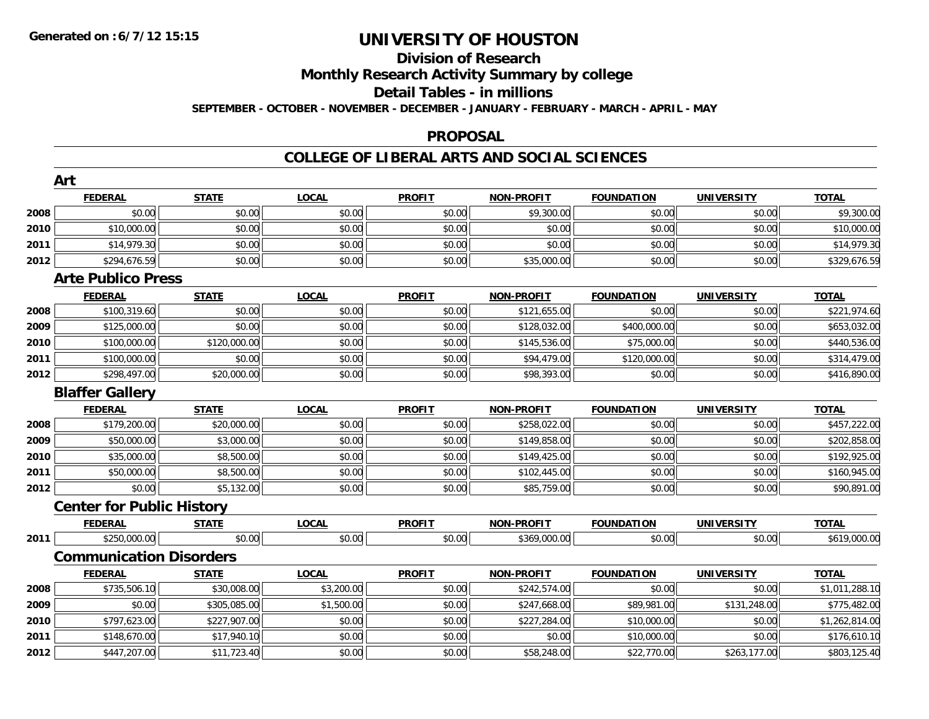### **Division of ResearchMonthly Research Activity Summary by college**

#### **Detail Tables - in millions**

**SEPTEMBER - OCTOBER - NOVEMBER - DECEMBER - JANUARY - FEBRUARY - MARCH - APRIL - MAY**

#### **PROPOSAL**

|      | Art                              |              |              |               |                   |                   |                   |                |
|------|----------------------------------|--------------|--------------|---------------|-------------------|-------------------|-------------------|----------------|
|      | <b>FEDERAL</b>                   | <b>STATE</b> | <b>LOCAL</b> | <b>PROFIT</b> | NON-PROFIT        | <b>FOUNDATION</b> | <b>UNIVERSITY</b> | <b>TOTAL</b>   |
| 2008 | \$0.00                           | \$0.00       | \$0.00       | \$0.00        | \$9,300.00        | \$0.00            | \$0.00            | \$9,300.00     |
| 2010 | \$10,000.00                      | \$0.00       | \$0.00       | \$0.00        | \$0.00            | \$0.00            | \$0.00            | \$10,000.00    |
| 2011 | \$14,979.30                      | \$0.00       | \$0.00       | \$0.00        | \$0.00            | \$0.00            | \$0.00            | \$14,979.30    |
| 2012 | \$294,676.59                     | \$0.00       | \$0.00       | \$0.00        | \$35,000.00       | \$0.00            | \$0.00            | \$329,676.59   |
|      | <b>Arte Publico Press</b>        |              |              |               |                   |                   |                   |                |
|      | <b>FEDERAL</b>                   | <b>STATE</b> | <b>LOCAL</b> | <b>PROFIT</b> | <b>NON-PROFIT</b> | <b>FOUNDATION</b> | <b>UNIVERSITY</b> | <b>TOTAL</b>   |
| 2008 | \$100,319.60                     | \$0.00       | \$0.00       | \$0.00        | \$121,655.00      | \$0.00            | \$0.00            | \$221,974.60   |
| 2009 | \$125,000.00                     | \$0.00       | \$0.00       | \$0.00        | \$128,032.00      | \$400,000.00      | \$0.00            | \$653,032.00   |
| 2010 | \$100,000.00                     | \$120,000.00 | \$0.00       | \$0.00        | \$145,536.00      | \$75,000.00       | \$0.00            | \$440,536.00   |
| 2011 | \$100,000.00                     | \$0.00       | \$0.00       | \$0.00        | \$94,479.00       | \$120,000.00      | \$0.00            | \$314,479.00   |
| 2012 | \$298,497.00                     | \$20,000.00  | \$0.00       | \$0.00        | \$98,393.00       | \$0.00            | \$0.00            | \$416,890.00   |
|      | <b>Blaffer Gallery</b>           |              |              |               |                   |                   |                   |                |
|      | <b>FEDERAL</b>                   | <b>STATE</b> | <b>LOCAL</b> | <b>PROFIT</b> | <b>NON-PROFIT</b> | <b>FOUNDATION</b> | <b>UNIVERSITY</b> | <b>TOTAL</b>   |
| 2008 | \$179,200.00                     | \$20,000.00  | \$0.00       | \$0.00        | \$258,022.00      | \$0.00            | \$0.00            | \$457,222.00   |
| 2009 | \$50,000.00                      | \$3,000.00   | \$0.00       | \$0.00        | \$149,858.00      | \$0.00            | \$0.00            | \$202,858.00   |
| 2010 | \$35,000.00                      | \$8,500.00   | \$0.00       | \$0.00        | \$149,425.00      | \$0.00            | \$0.00            | \$192,925.00   |
| 2011 | \$50,000.00                      | \$8,500.00   | \$0.00       | \$0.00        | \$102,445.00      | \$0.00            | \$0.00            | \$160,945.00   |
| 2012 | \$0.00                           | \$5,132.00   | \$0.00       | \$0.00        | \$85,759.00       | \$0.00            | \$0.00            | \$90,891.00    |
|      | <b>Center for Public History</b> |              |              |               |                   |                   |                   |                |
|      | <b>FEDERAL</b>                   | <b>STATE</b> | <b>LOCAL</b> | <b>PROFIT</b> | <b>NON-PROFIT</b> | <b>FOUNDATION</b> | <b>UNIVERSITY</b> | <b>TOTAL</b>   |
| 2011 | \$250,000.00                     | \$0.00       | \$0.00       | \$0.00        | \$369,000.00      | \$0.00            | \$0.00            | \$619,000.00   |
|      | <b>Communication Disorders</b>   |              |              |               |                   |                   |                   |                |
|      | <b>FEDERAL</b>                   | <b>STATE</b> | <b>LOCAL</b> | <b>PROFIT</b> | <b>NON-PROFIT</b> | <b>FOUNDATION</b> | <b>UNIVERSITY</b> | <b>TOTAL</b>   |
| 2008 | \$735,506.10                     | \$30,008.00  | \$3,200.00   | \$0.00        | \$242,574.00      | \$0.00            | \$0.00            | \$1,011,288.10 |
| 2009 | \$0.00                           | \$305,085.00 | \$1,500.00   | \$0.00        | \$247,668.00      | \$89,981.00       | \$131,248.00      | \$775,482.00   |
| 2010 | \$797,623.00                     | \$227,907.00 | \$0.00       | \$0.00        | \$227,284.00      | \$10,000.00       | \$0.00            | \$1,262,814.00 |
| 2011 | \$148,670.00                     | \$17,940.10  | \$0.00       | \$0.00        | \$0.00            | \$10,000.00       | \$0.00            | \$176,610.10   |
| 2012 | \$447,207.00                     | \$11,723.40  | \$0.00       | \$0.00        | \$58,248.00       | \$22,770.00       | \$263,177.00      | \$803,125.40   |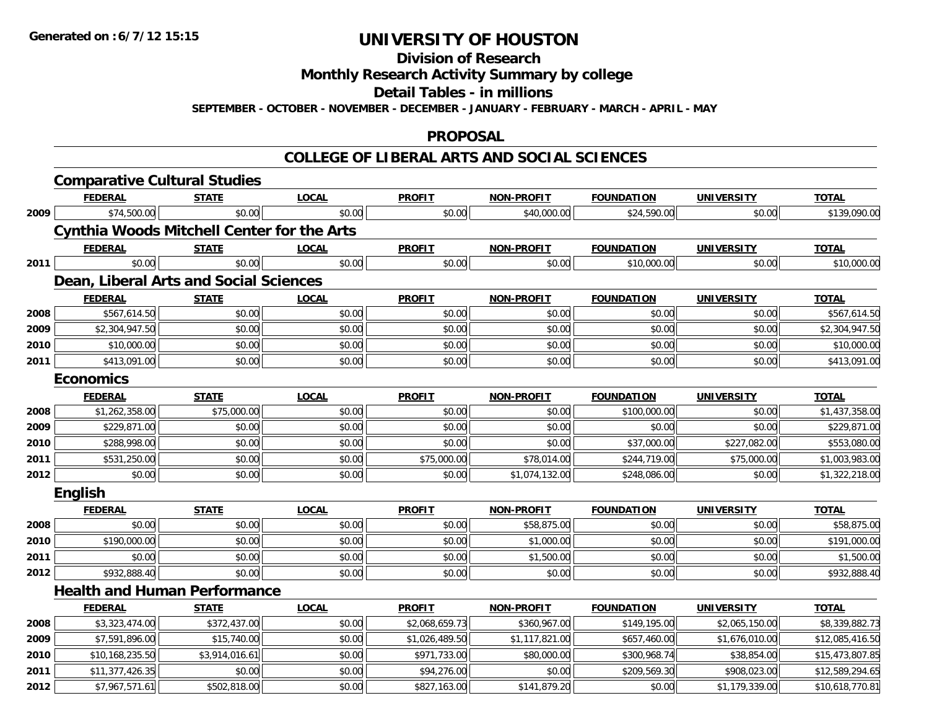**Division of Research**

**Monthly Research Activity Summary by college**

**Detail Tables - in millions**

**SEPTEMBER - OCTOBER - NOVEMBER - DECEMBER - JANUARY - FEBRUARY - MARCH - APRIL - MAY**

### **PROPOSAL**

|      | <b>Comparative Cultural Studies</b>               |                |              |                |                   |                   |                   |                 |
|------|---------------------------------------------------|----------------|--------------|----------------|-------------------|-------------------|-------------------|-----------------|
|      | <b>FEDERAL</b>                                    | <b>STATE</b>   | <b>LOCAL</b> | <b>PROFIT</b>  | <b>NON-PROFIT</b> | <b>FOUNDATION</b> | <b>UNIVERSITY</b> | <b>TOTAL</b>    |
| 2009 | \$74,500.00                                       | \$0.00         | \$0.00       | \$0.00         | \$40,000.00       | \$24,590.00       | \$0.00            | \$139,090.00    |
|      | <b>Cynthia Woods Mitchell Center for the Arts</b> |                |              |                |                   |                   |                   |                 |
|      | <b>FEDERAL</b>                                    | <b>STATE</b>   | <b>LOCAL</b> | <b>PROFIT</b>  | <b>NON-PROFIT</b> | <b>FOUNDATION</b> | <b>UNIVERSITY</b> | <b>TOTAL</b>    |
| 2011 | \$0.00                                            | \$0.00         | \$0.00       | \$0.00         | \$0.00            | \$10,000.00       | \$0.00            | \$10,000.00     |
|      | Dean, Liberal Arts and Social Sciences            |                |              |                |                   |                   |                   |                 |
|      | <b>FEDERAL</b>                                    | <b>STATE</b>   | <b>LOCAL</b> | <b>PROFIT</b>  | <b>NON-PROFIT</b> | <b>FOUNDATION</b> | <b>UNIVERSITY</b> | <b>TOTAL</b>    |
| 2008 | \$567,614.50                                      | \$0.00         | \$0.00       | \$0.00         | \$0.00            | \$0.00            | \$0.00            | \$567,614.50    |
| 2009 | \$2,304,947.50                                    | \$0.00         | \$0.00       | \$0.00         | \$0.00            | \$0.00            | \$0.00            | \$2,304,947.50  |
| 2010 | \$10,000.00                                       | \$0.00         | \$0.00       | \$0.00         | \$0.00            | \$0.00            | \$0.00            | \$10,000.00     |
| 2011 | \$413,091.00                                      | \$0.00         | \$0.00       | \$0.00         | \$0.00            | \$0.00            | \$0.00            | \$413,091.00    |
|      | <b>Economics</b>                                  |                |              |                |                   |                   |                   |                 |
|      | <b>FEDERAL</b>                                    | <b>STATE</b>   | <b>LOCAL</b> | <b>PROFIT</b>  | <b>NON-PROFIT</b> | <b>FOUNDATION</b> | <b>UNIVERSITY</b> | <b>TOTAL</b>    |
| 2008 | \$1,262,358.00                                    | \$75,000.00    | \$0.00       | \$0.00         | \$0.00            | \$100,000.00      | \$0.00            | \$1,437,358.00  |
| 2009 | \$229,871.00                                      | \$0.00         | \$0.00       | \$0.00         | \$0.00            | \$0.00            | \$0.00            | \$229,871.00    |
| 2010 | \$288,998.00                                      | \$0.00         | \$0.00       | \$0.00         | \$0.00            | \$37,000.00       | \$227,082.00      | \$553,080.00    |
| 2011 | \$531,250.00                                      | \$0.00         | \$0.00       | \$75,000.00    | \$78,014.00       | \$244,719.00      | \$75,000.00       | \$1,003,983.00  |
| 2012 | \$0.00                                            | \$0.00         | \$0.00       | \$0.00         | \$1,074,132.00    | \$248,086.00      | \$0.00            | \$1,322,218.00  |
|      | English                                           |                |              |                |                   |                   |                   |                 |
|      | <b>FEDERAL</b>                                    | <b>STATE</b>   | <b>LOCAL</b> | <b>PROFIT</b>  | <b>NON-PROFIT</b> | <b>FOUNDATION</b> | <b>UNIVERSITY</b> | <b>TOTAL</b>    |
| 2008 | \$0.00                                            | \$0.00         | \$0.00       | \$0.00         | \$58,875.00       | \$0.00            | \$0.00            | \$58,875.00     |
| 2010 | \$190,000.00                                      | \$0.00         | \$0.00       | \$0.00         | \$1,000.00        | \$0.00            | \$0.00            | \$191,000.00    |
| 2011 | \$0.00                                            | \$0.00         | \$0.00       | \$0.00         | \$1,500.00        | \$0.00            | \$0.00            | \$1,500.00      |
| 2012 | \$932,888.40                                      | \$0.00         | \$0.00       | \$0.00         | \$0.00            | \$0.00            | \$0.00            | \$932,888.40    |
|      | <b>Health and Human Performance</b>               |                |              |                |                   |                   |                   |                 |
|      | <b>FEDERAL</b>                                    | <b>STATE</b>   | <b>LOCAL</b> | <b>PROFIT</b>  | <b>NON-PROFIT</b> | <b>FOUNDATION</b> | <b>UNIVERSITY</b> | <b>TOTAL</b>    |
| 2008 | \$3,323,474.00                                    | \$372,437.00   | \$0.00       | \$2,068,659.73 | \$360,967.00      | \$149,195.00      | \$2,065,150.00    | \$8,339,882.73  |
| 2009 | \$7,591,896.00                                    | \$15,740.00    | \$0.00       | \$1,026,489.50 | \$1,117,821.00    | \$657,460.00      | \$1,676,010.00    | \$12,085,416.50 |
| 2010 | \$10,168,235.50                                   | \$3,914,016.61 | \$0.00       | \$971,733.00   | \$80,000.00       | \$300,968.74      | \$38,854.00       | \$15,473,807.85 |
| 2011 | \$11,377,426.35                                   | \$0.00         | \$0.00       | \$94,276.00    | \$0.00            | \$209,569.30      | \$908,023.00      | \$12,589,294.65 |
| 2012 | \$7,967,571.61                                    | \$502,818.00   | \$0.00       | \$827,163.00   | \$141,879.20      | \$0.00            | \$1,179,339.00    | \$10,618,770.81 |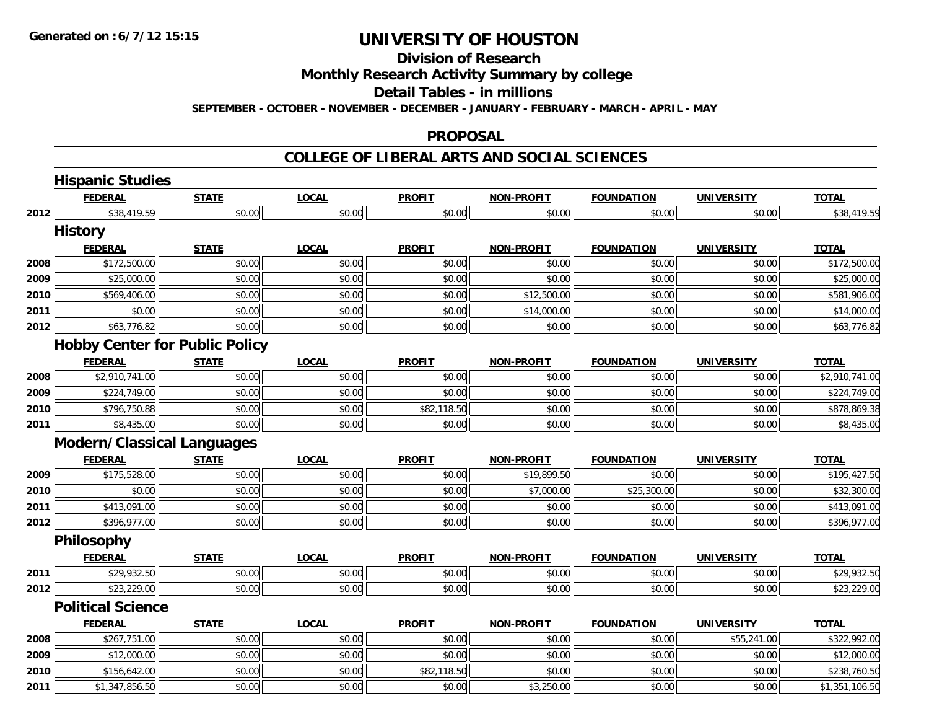### **Division of Research**

**Monthly Research Activity Summary by college**

**Detail Tables - in millions**

**SEPTEMBER - OCTOBER - NOVEMBER - DECEMBER - JANUARY - FEBRUARY - MARCH - APRIL - MAY**

#### **PROPOSAL**

|      | <b>Hispanic Studies</b>               |              |              |               |                   |                   |                   |                |
|------|---------------------------------------|--------------|--------------|---------------|-------------------|-------------------|-------------------|----------------|
|      | <b>FEDERAL</b>                        | <b>STATE</b> | <b>LOCAL</b> | <b>PROFIT</b> | <b>NON-PROFIT</b> | <b>FOUNDATION</b> | <b>UNIVERSITY</b> | <b>TOTAL</b>   |
| 2012 | \$38,419.59                           | \$0.00       | \$0.00       | \$0.00        | \$0.00            | \$0.00            | \$0.00            | \$38,419.59    |
|      | <b>History</b>                        |              |              |               |                   |                   |                   |                |
|      | <b>FEDERAL</b>                        | <b>STATE</b> | <b>LOCAL</b> | <b>PROFIT</b> | <b>NON-PROFIT</b> | <b>FOUNDATION</b> | <b>UNIVERSITY</b> | <b>TOTAL</b>   |
| 2008 | \$172,500.00                          | \$0.00       | \$0.00       | \$0.00        | \$0.00            | \$0.00            | \$0.00            | \$172,500.00   |
| 2009 | \$25,000.00                           | \$0.00       | \$0.00       | \$0.00        | \$0.00            | \$0.00            | \$0.00            | \$25,000.00    |
| 2010 | \$569,406.00                          | \$0.00       | \$0.00       | \$0.00        | \$12,500.00       | \$0.00            | \$0.00            | \$581,906.00   |
| 2011 | \$0.00                                | \$0.00       | \$0.00       | \$0.00        | \$14,000.00       | \$0.00            | \$0.00            | \$14,000.00    |
| 2012 | \$63,776.82                           | \$0.00       | \$0.00       | \$0.00        | \$0.00            | \$0.00            | \$0.00            | \$63,776.82    |
|      | <b>Hobby Center for Public Policy</b> |              |              |               |                   |                   |                   |                |
|      | <b>FEDERAL</b>                        | <b>STATE</b> | <b>LOCAL</b> | <b>PROFIT</b> | <b>NON-PROFIT</b> | <b>FOUNDATION</b> | <b>UNIVERSITY</b> | <b>TOTAL</b>   |
| 2008 | \$2,910,741.00                        | \$0.00       | \$0.00       | \$0.00        | \$0.00            | \$0.00            | \$0.00            | \$2,910,741.00 |
| 2009 | \$224,749.00                          | \$0.00       | \$0.00       | \$0.00        | \$0.00            | \$0.00            | \$0.00            | \$224,749.00   |
| 2010 | \$796,750.88                          | \$0.00       | \$0.00       | \$82,118.50   | \$0.00            | \$0.00            | \$0.00            | \$878,869.38   |
| 2011 | \$8,435.00                            | \$0.00       | \$0.00       | \$0.00        | \$0.00            | \$0.00            | \$0.00            | \$8,435.00     |
|      | <b>Modern/Classical Languages</b>     |              |              |               |                   |                   |                   |                |
|      | <b>FEDERAL</b>                        | <b>STATE</b> | <b>LOCAL</b> | <b>PROFIT</b> | <b>NON-PROFIT</b> | <b>FOUNDATION</b> | <b>UNIVERSITY</b> | <b>TOTAL</b>   |
| 2009 | \$175,528.00                          | \$0.00       | \$0.00       | \$0.00        | \$19,899.50       | \$0.00            | \$0.00            | \$195,427.50   |
| 2010 | \$0.00                                | \$0.00       | \$0.00       | \$0.00        | \$7,000.00        | \$25,300.00       | \$0.00            | \$32,300.00    |
| 2011 | \$413,091.00                          | \$0.00       | \$0.00       | \$0.00        | \$0.00            | \$0.00            | \$0.00            | \$413,091.00   |
| 2012 | \$396,977.00                          | \$0.00       | \$0.00       | \$0.00        | \$0.00            | \$0.00            | \$0.00            | \$396,977.00   |
|      | <b>Philosophy</b>                     |              |              |               |                   |                   |                   |                |
|      | <b>FEDERAL</b>                        | <b>STATE</b> | <b>LOCAL</b> | <b>PROFIT</b> | <b>NON-PROFIT</b> | <b>FOUNDATION</b> | <b>UNIVERSITY</b> | <b>TOTAL</b>   |
| 2011 | \$29,932.50                           | \$0.00       | \$0.00       | \$0.00        | \$0.00            | \$0.00            | \$0.00            | \$29,932.50    |
| 2012 | \$23,229.00                           | \$0.00       | \$0.00       | \$0.00        | \$0.00            | \$0.00            | \$0.00            | \$23,229.00    |
|      | <b>Political Science</b>              |              |              |               |                   |                   |                   |                |
|      | <b>FEDERAL</b>                        | <b>STATE</b> | <b>LOCAL</b> | <b>PROFIT</b> | <b>NON-PROFIT</b> | <b>FOUNDATION</b> | <b>UNIVERSITY</b> | <b>TOTAL</b>   |
| 2008 | \$267,751.00                          | \$0.00       | \$0.00       | \$0.00        | \$0.00            | \$0.00            | \$55,241.00       | \$322,992.00   |
| 2009 | \$12,000.00                           | \$0.00       | \$0.00       | \$0.00        | \$0.00            | \$0.00            | \$0.00            | \$12,000.00    |
| 2010 | \$156,642.00                          | \$0.00       | \$0.00       | \$82,118.50   | \$0.00            | \$0.00            | \$0.00            | \$238,760.50   |
| 2011 | \$1,347,856.50                        | \$0.00       | \$0.00       | \$0.00        | \$3,250.00        | \$0.00            | \$0.00            | \$1,351,106.50 |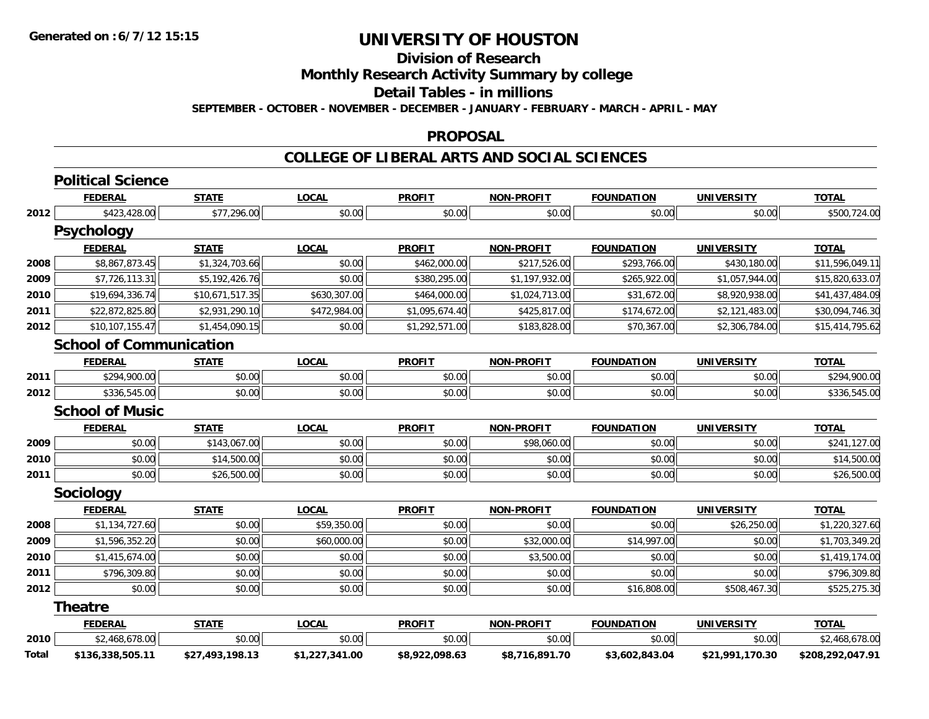### **Division of Research**

**Monthly Research Activity Summary by college**

**Detail Tables - in millions**

**SEPTEMBER - OCTOBER - NOVEMBER - DECEMBER - JANUARY - FEBRUARY - MARCH - APRIL - MAY**

#### **PROPOSAL**

|       | <b>Political Science</b>       |                 |                |                |                   |                   |                   |                  |
|-------|--------------------------------|-----------------|----------------|----------------|-------------------|-------------------|-------------------|------------------|
|       | <b>FEDERAL</b>                 | <b>STATE</b>    | <b>LOCAL</b>   | <b>PROFIT</b>  | <b>NON-PROFIT</b> | <b>FOUNDATION</b> | <b>UNIVERSITY</b> | <b>TOTAL</b>     |
| 2012  | \$423,428.00                   | \$77,296.00     | \$0.00         | \$0.00         | \$0.00            | \$0.00            | \$0.00            | \$500,724.00     |
|       | <b>Psychology</b>              |                 |                |                |                   |                   |                   |                  |
|       | <b>FEDERAL</b>                 | <b>STATE</b>    | <b>LOCAL</b>   | <b>PROFIT</b>  | <b>NON-PROFIT</b> | <b>FOUNDATION</b> | <b>UNIVERSITY</b> | <b>TOTAL</b>     |
| 2008  | \$8,867,873.45                 | \$1,324,703.66  | \$0.00         | \$462,000.00   | \$217,526.00      | \$293,766.00      | \$430,180.00      | \$11,596,049.11  |
| 2009  | \$7,726,113.31                 | \$5,192,426.76  | \$0.00         | \$380,295.00   | \$1,197,932.00    | \$265,922.00      | \$1,057,944.00    | \$15,820,633.07  |
| 2010  | \$19,694,336.74                | \$10,671,517.35 | \$630,307.00   | \$464,000.00   | \$1,024,713.00    | \$31,672.00       | \$8,920,938.00    | \$41,437,484.09  |
| 2011  | \$22,872,825.80                | \$2,931,290.10  | \$472,984.00   | \$1,095,674.40 | \$425,817.00      | \$174,672.00      | \$2,121,483.00    | \$30,094,746.30  |
| 2012  | \$10,107,155.47                | \$1,454,090.15  | \$0.00         | \$1,292,571.00 | \$183,828.00      | \$70,367.00       | \$2,306,784.00    | \$15,414,795.62  |
|       | <b>School of Communication</b> |                 |                |                |                   |                   |                   |                  |
|       | <b>FEDERAL</b>                 | <b>STATE</b>    | <b>LOCAL</b>   | <b>PROFIT</b>  | <b>NON-PROFIT</b> | <b>FOUNDATION</b> | <b>UNIVERSITY</b> | <b>TOTAL</b>     |
| 2011  | \$294,900.00                   | \$0.00          | \$0.00         | \$0.00         | \$0.00            | \$0.00            | \$0.00            | \$294,900.00     |
| 2012  | \$336,545.00                   | \$0.00          | \$0.00         | \$0.00         | \$0.00            | \$0.00            | \$0.00            | \$336,545.00     |
|       | <b>School of Music</b>         |                 |                |                |                   |                   |                   |                  |
|       | <b>FEDERAL</b>                 | <b>STATE</b>    | <b>LOCAL</b>   | <b>PROFIT</b>  | <b>NON-PROFIT</b> | <b>FOUNDATION</b> | <b>UNIVERSITY</b> | <b>TOTAL</b>     |
| 2009  | \$0.00                         | \$143,067.00    | \$0.00         | \$0.00         | \$98,060.00       | \$0.00            | \$0.00            | \$241,127.00     |
| 2010  | \$0.00                         | \$14,500.00     | \$0.00         | \$0.00         | \$0.00            | \$0.00            | \$0.00            | \$14,500.00      |
| 2011  | \$0.00                         | \$26,500.00     | \$0.00         | \$0.00         | \$0.00            | \$0.00            | \$0.00            | \$26,500.00      |
|       | Sociology                      |                 |                |                |                   |                   |                   |                  |
|       | <b>FEDERAL</b>                 | <b>STATE</b>    | <b>LOCAL</b>   | <b>PROFIT</b>  | <b>NON-PROFIT</b> | <b>FOUNDATION</b> | <b>UNIVERSITY</b> | <b>TOTAL</b>     |
| 2008  | \$1,134,727.60                 | \$0.00          | \$59,350.00    | \$0.00         | \$0.00            | \$0.00            | \$26,250.00       | \$1,220,327.60   |
| 2009  | \$1,596,352.20                 | \$0.00          | \$60,000.00    | \$0.00         | \$32,000.00       | \$14,997.00       | \$0.00            | \$1,703,349.20   |
| 2010  | \$1,415,674.00                 | \$0.00          | \$0.00         | \$0.00         | \$3,500.00        | \$0.00            | \$0.00            | \$1,419,174.00   |
| 2011  | \$796,309.80                   | \$0.00          | \$0.00         | \$0.00         | \$0.00            | \$0.00            | \$0.00            | \$796,309.80     |
| 2012  | \$0.00                         | \$0.00          | \$0.00         | \$0.00         | \$0.00            | \$16,808.00       | \$508,467.30      | \$525,275.30     |
|       | <b>Theatre</b>                 |                 |                |                |                   |                   |                   |                  |
|       | <b>FEDERAL</b>                 | <b>STATE</b>    | <b>LOCAL</b>   | <b>PROFIT</b>  | <b>NON-PROFIT</b> | <b>FOUNDATION</b> | <b>UNIVERSITY</b> | <b>TOTAL</b>     |
| 2010  | \$2,468,678.00                 | \$0.00          | \$0.00         | \$0.00         | \$0.00            | \$0.00            | \$0.00            | \$2,468,678.00   |
| Total | \$136,338,505.11               | \$27,493,198.13 | \$1,227,341.00 | \$8,922,098.63 | \$8,716,891.70    | \$3,602,843.04    | \$21,991,170.30   | \$208,292,047.91 |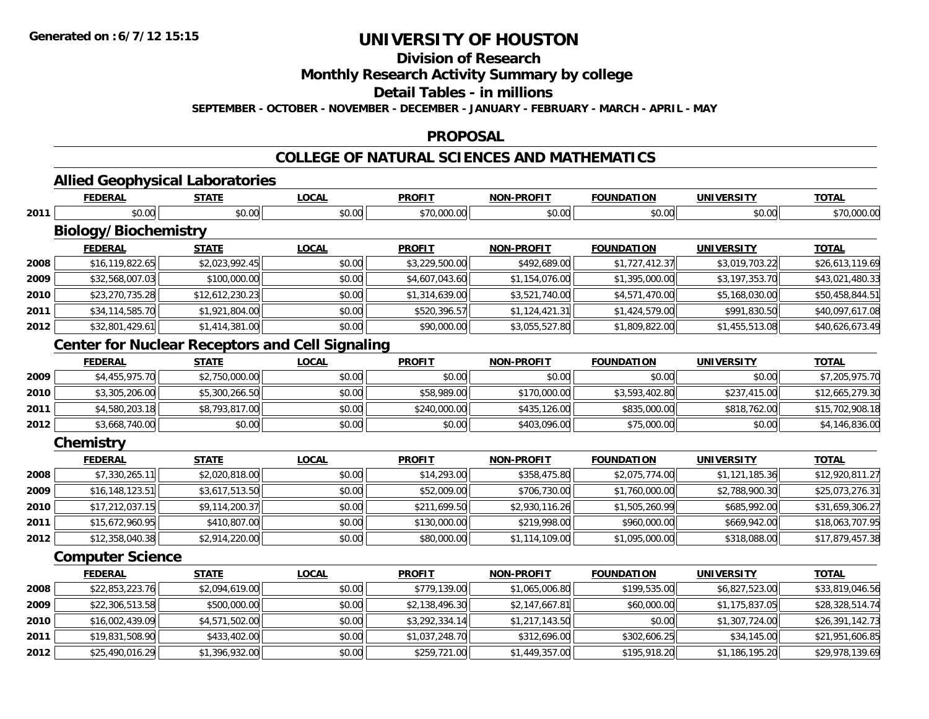**Division of Research**

**Monthly Research Activity Summary by college**

**Detail Tables - in millions**

**SEPTEMBER - OCTOBER - NOVEMBER - DECEMBER - JANUARY - FEBRUARY - MARCH - APRIL - MAY**

#### **PROPOSAL**

### **COLLEGE OF NATURAL SCIENCES AND MATHEMATICS**

| --<br>--       | Laboratories<br>ווסטור                |       |               |                   |                  |        |              |
|----------------|---------------------------------------|-------|---------------|-------------------|------------------|--------|--------------|
| <b>FEDERAL</b> | - - - -<br>$\mathbf{T}$<br>$-1.73.17$ | LOCAI | <b>PROFIT</b> | <b>NON-PROFIT</b> | <b>OUNDATION</b> | INIVER | <b>TOTAL</b> |

|      | <b>FEDERAL</b>                                         | <b>STATE</b>    | <b>LOCAL</b> | <b>PROFIT</b>  | <b>NON-PROFIT</b> | <b>FOUNDATION</b> | <b>UNIVERSITY</b> | <b>TOTAL</b>    |
|------|--------------------------------------------------------|-----------------|--------------|----------------|-------------------|-------------------|-------------------|-----------------|
| 2011 | \$0.00                                                 | \$0.00          | \$0.00       | \$70,000.00    | \$0.00            | \$0.00            | \$0.00            | \$70,000.00     |
|      | <b>Biology/Biochemistry</b>                            |                 |              |                |                   |                   |                   |                 |
|      | <b>FEDERAL</b>                                         | <b>STATE</b>    | <b>LOCAL</b> | <b>PROFIT</b>  | <b>NON-PROFIT</b> | <b>FOUNDATION</b> | <b>UNIVERSITY</b> | <b>TOTAL</b>    |
| 2008 | \$16,119,822.65                                        | \$2,023,992.45  | \$0.00       | \$3,229,500.00 | \$492,689.00      | \$1,727,412.37    | \$3,019,703.22    | \$26,613,119.69 |
| 2009 | \$32,568,007.03                                        | \$100,000.00    | \$0.00       | \$4,607,043.60 | \$1,154,076.00    | \$1,395,000.00    | \$3,197,353.70    | \$43,021,480.33 |
| 2010 | \$23,270,735.28                                        | \$12,612,230.23 | \$0.00       | \$1,314,639.00 | \$3,521,740.00    | \$4,571,470.00    | \$5,168,030.00    | \$50,458,844.51 |
| 2011 | \$34,114,585.70                                        | \$1,921,804.00  | \$0.00       | \$520,396.57   | \$1,124,421.31    | \$1,424,579.00    | \$991,830.50      | \$40,097,617.08 |
| 2012 | \$32,801,429.61                                        | \$1,414,381.00  | \$0.00       | \$90,000.00    | \$3,055,527.80    | \$1,809,822.00    | \$1,455,513.08    | \$40,626,673.49 |
|      | <b>Center for Nuclear Receptors and Cell Signaling</b> |                 |              |                |                   |                   |                   |                 |
|      | <b>FEDERAL</b>                                         | <b>STATE</b>    | <b>LOCAL</b> | <b>PROFIT</b>  | <b>NON-PROFIT</b> | <b>FOUNDATION</b> | <b>UNIVERSITY</b> | <b>TOTAL</b>    |
| 2009 | \$4,455,975.70                                         | \$2,750,000.00  | \$0.00       | \$0.00         | \$0.00            | \$0.00            | \$0.00            | \$7,205,975.70  |
| 2010 | \$3,305,206.00                                         | \$5,300,266.50  | \$0.00       | \$58,989.00    | \$170,000.00      | \$3,593,402.80    | \$237,415.00      | \$12,665,279.30 |
| 2011 | \$4,580,203.18                                         | \$8,793,817.00  | \$0.00       | \$240,000.00   | \$435,126.00      | \$835,000.00      | \$818,762.00      | \$15,702,908.18 |
| 2012 | \$3,668,740.00                                         | \$0.00          | \$0.00       | \$0.00         | \$403,096.00      | \$75,000.00       | \$0.00            | \$4,146,836.00  |
|      | Chemistry                                              |                 |              |                |                   |                   |                   |                 |
|      | <b>FEDERAL</b>                                         | <b>STATE</b>    | <b>LOCAL</b> | <b>PROFIT</b>  | <b>NON-PROFIT</b> | <b>FOUNDATION</b> | <b>UNIVERSITY</b> | <b>TOTAL</b>    |
| 2008 | \$7,330,265.11                                         | \$2,020,818.00  | \$0.00       | \$14,293.00    | \$358,475.80      | \$2,075,774.00    | \$1,121,185.36    | \$12,920,811.27 |
| 2009 | \$16,148,123.51                                        | \$3,617,513.50  | \$0.00       | \$52,009.00    | \$706,730.00      | \$1,760,000.00    | \$2,788,900.30    | \$25,073,276.31 |
| 2010 | \$17,212,037.15                                        | \$9,114,200.37  | \$0.00       | \$211,699.50   | \$2,930,116.26    | \$1,505,260.99    | \$685,992.00      | \$31,659,306.27 |
| 2011 | \$15,672,960.95                                        | \$410,807.00    | \$0.00       | \$130,000.00   | \$219,998.00      | \$960,000.00      | \$669,942.00      | \$18,063,707.95 |
| 2012 | \$12,358,040.38                                        | \$2,914,220.00  | \$0.00       | \$80,000.00    | \$1,114,109.00    | \$1,095,000.00    | \$318,088.00      | \$17,879,457.38 |
|      | <b>Computer Science</b>                                |                 |              |                |                   |                   |                   |                 |
|      | <b>FEDERAL</b>                                         | <b>STATE</b>    | <b>LOCAL</b> | <b>PROFIT</b>  | <b>NON-PROFIT</b> | <b>FOUNDATION</b> | <b>UNIVERSITY</b> | <b>TOTAL</b>    |
| 2008 | \$22,853,223.76                                        | \$2,094,619.00  | \$0.00       | \$779,139.00   | \$1,065,006.80    | \$199,535.00      | \$6,827,523.00    | \$33,819,046.56 |
| 2009 | \$22,306,513.58                                        | \$500,000.00    | \$0.00       | \$2,138,496.30 | \$2,147,667.81    | \$60,000.00       | \$1,175,837.05    | \$28,328,514.74 |
| 2010 | \$16,002,439.09                                        | \$4,571,502.00  | \$0.00       | \$3,292,334.14 | \$1,217,143.50    | \$0.00            | \$1,307,724.00    | \$26,391,142.73 |
| 2011 | \$19,831,508.90                                        | \$433,402.00    | \$0.00       | \$1,037,248.70 | \$312,696.00      | \$302,606.25      | \$34,145.00       | \$21,951,606.85 |
| 2012 | \$25,490,016.29                                        | \$1,396,932.00  | \$0.00       | \$259,721.00   | \$1,449,357.00    | \$195,918.20      | \$1,186,195.20    | \$29,978,139.69 |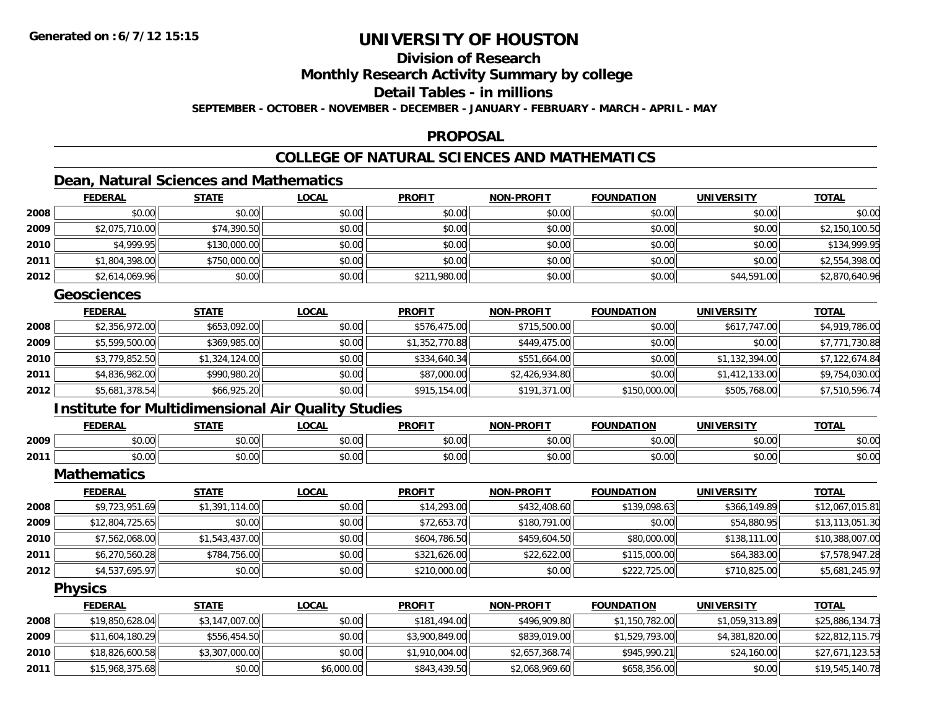### **Division of Research**

**Monthly Research Activity Summary by college**

#### **Detail Tables - in millions**

**SEPTEMBER - OCTOBER - NOVEMBER - DECEMBER - JANUARY - FEBRUARY - MARCH - APRIL - MAY**

#### **PROPOSAL**

### **COLLEGE OF NATURAL SCIENCES AND MATHEMATICS**

### **Dean, Natural Sciences and Mathematics**

|      | <b>FEDERAL</b> | <b>STATE</b> | <u>LOCAL</u> | <b>PROFIT</b> | <b>NON-PROFIT</b> | <b>FOUNDATION</b> | <b>UNIVERSITY</b> | <b>TOTAL</b>   |
|------|----------------|--------------|--------------|---------------|-------------------|-------------------|-------------------|----------------|
| 2008 | \$0.00         | \$0.00       | \$0.00       | \$0.00        | \$0.00            | \$0.00            | \$0.00            | \$0.00         |
| 2009 | \$2,075,710.00 | \$74,390.50  | \$0.00       | \$0.00        | \$0.00            | \$0.00            | \$0.00            | \$2,150,100.50 |
| 2010 | \$4,999.95     | \$130,000.00 | \$0.00       | \$0.00        | \$0.00            | \$0.00            | \$0.00            | \$134,999.95   |
| 2011 | \$1,804,398.00 | \$750,000.00 | \$0.00       | \$0.00        | \$0.00            | \$0.00            | \$0.00            | \$2,554,398.00 |
| 2012 | \$2,614,069.96 | \$0.00       | \$0.00       | \$211,980.00  | \$0.00            | \$0.00            | \$44,591.00       | \$2,870,640.96 |

#### **Geosciences**

|      | <b>FEDERAL</b> | <u>STATE</u>   | <b>LOCAL</b> | <b>PROFIT</b>  | <b>NON-PROFIT</b> | <b>FOUNDATION</b> | <b>UNIVERSITY</b> | <u>TOTAL</u>   |
|------|----------------|----------------|--------------|----------------|-------------------|-------------------|-------------------|----------------|
| 2008 | \$2,356,972.00 | \$653,092.00   | \$0.00       | \$576,475.00   | \$715,500.00      | \$0.00            | \$617,747.00      | \$4,919,786.00 |
| 2009 | \$5,599,500.00 | \$369,985.00   | \$0.00       | \$1,352,770.88 | \$449,475.00      | \$0.00            | \$0.00            | \$7,771,730.88 |
| 2010 | \$3,779,852.50 | \$1,324,124.00 | \$0.00       | \$334,640.34   | \$551,664.00      | \$0.00            | \$1,132,394.00    | \$7,122,674.84 |
| 2011 | \$4,836,982.00 | \$990,980.20   | \$0.00       | \$87,000.00    | \$2,426,934.80    | \$0.00            | \$1,412,133.00    | \$9,754,030.00 |
| 2012 | \$5,681,378.54 | \$66,925.20    | \$0.00       | \$915,154.00   | \$191,371.00      | \$150,000.00      | \$505,768.00      | \$7,510,596.74 |

### **Institute for Multidimensional Air Quality Studies**

|      | <b>FEDERAL</b>                       | <b>CTATI</b> | $\sim$ $\sim$ $\sim$<br>.UUA. | <b>PROFIT</b>   | <b>-PROFIT</b><br>NON   | <b>FOUNDATION</b> | <b>UNIVERSITY</b>         | <b>TOTAL</b>   |
|------|--------------------------------------|--------------|-------------------------------|-----------------|-------------------------|-------------------|---------------------------|----------------|
| 2009 | $\cdots$<br>,,,,,                    | ሖጣ<br>טע.טע  | $\sim$ 00<br>JU.UU            | 0.00<br>JU.UU   | 0000<br>JU.UU           | 0000<br>ט.טע      | 0000<br>⊸∪.∪∪⊫            | \$0.00         |
| 2011 | $\mathbf{A} \cap \mathbf{B}$<br>ט.טי | ტი იი<br>ט.ט | $\sim$ $\sim$<br>vu.vu        | 0.00<br>- JU.UU | 0 <sub>n</sub><br>PU.UU | $+ - - -$<br>u.uu | $n \cap \Omega$<br>→∪.UUI | ልስ ስስ<br>DU.UG |

**Mathematics**

|      | <u>FEDERAL</u>  | <b>STATE</b>   | <b>LOCAL</b> | <b>PROFIT</b> | <b>NON-PROFIT</b> | <b>FOUNDATION</b> | <b>UNIVERSITY</b> | <b>TOTAL</b>    |
|------|-----------------|----------------|--------------|---------------|-------------------|-------------------|-------------------|-----------------|
| 2008 | \$9,723,951.69  | \$1,391,114.00 | \$0.00       | \$14,293.00   | \$432,408.60      | \$139,098.63      | \$366,149.89      | \$12,067,015.81 |
| 2009 | \$12,804,725.65 | \$0.00         | \$0.00       | \$72,653.70   | \$180,791.00      | \$0.00            | \$54,880.95       | \$13,113,051.30 |
| 2010 | \$7,562,068.00  | \$1,543,437.00 | \$0.00       | \$604,786.50  | \$459,604.50      | \$80,000.00       | \$138,111.00      | \$10,388,007.00 |
| 2011 | \$6,270,560.28  | \$784,756.00   | \$0.00       | \$321,626.00  | \$22,622.00       | \$115,000.00      | \$64,383.00       | \$7,578,947.28  |
| 2012 | \$4,537,695.97  | \$0.00         | \$0.00       | \$210,000.00  | \$0.00            | \$222,725.00      | \$710,825.00      | \$5,681,245.97  |

**Physics**

|      | <b>FEDERAL</b>  | <b>STATE</b>   | <u>LOCAL</u> | <b>PROFIT</b>  | <b>NON-PROFIT</b> | <b>FOUNDATION</b> | <b>UNIVERSITY</b> | <u>TOTAL</u>    |
|------|-----------------|----------------|--------------|----------------|-------------------|-------------------|-------------------|-----------------|
| 2008 | \$19,850,628.04 | \$3,147,007.00 | \$0.00       | \$181,494.00   | \$496,909.80      | \$1,150,782.00    | \$1,059,313.89    | \$25,886,134.73 |
| 2009 | \$11,604,180.29 | \$556,454.50   | \$0.00       | \$3,900,849.00 | \$839,019,00      | \$1,529,793.00    | \$4,381,820.00    | \$22,812,115.79 |
| 2010 | \$18,826,600.58 | \$3,307,000.00 | \$0.00       | \$1,910,004.00 | \$2,657,368.74    | \$945,990.21      | \$24,160.00       | \$27,671,123.53 |
| 2011 | \$15,968,375.68 | \$0.00         | \$6,000.00   | \$843,439.50   | \$2,068,969.60    | \$658,356.00      | \$0.00            | \$19,545,140.78 |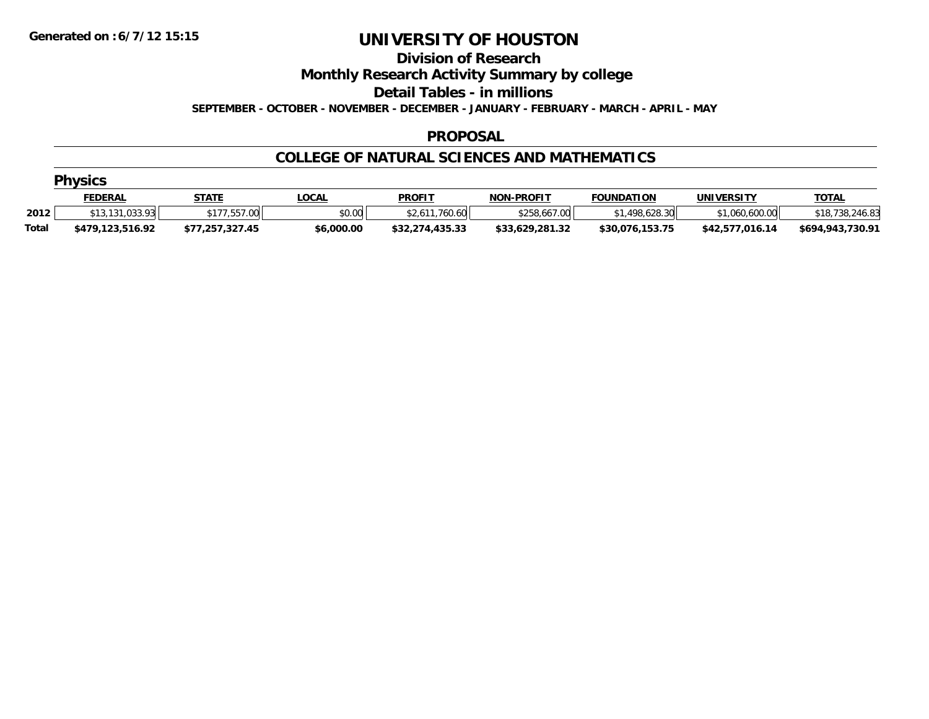#### **Division of Research**

**Monthly Research Activity Summary by college**

**Detail Tables - in millions**

**SEPTEMBER - OCTOBER - NOVEMBER - DECEMBER - JANUARY - FEBRUARY - MARCH - APRIL - MAY**

#### **PROPOSAL**

#### **COLLEGE OF NATURAL SCIENCES AND MATHEMATICS**

|              | <b>Physics</b>   |                 |              |                 |                   |                   |                   |                      |  |  |  |  |
|--------------|------------------|-----------------|--------------|-----------------|-------------------|-------------------|-------------------|----------------------|--|--|--|--|
|              | <u>FEDERAL</u>   | <b>STATE</b>    | <u>LOCAL</u> | <b>PROFIT</b>   | <b>NON-PROFIT</b> | <b>FOUNDATION</b> | <b>UNIVERSITY</b> | <u>TOTAL</u>         |  |  |  |  |
| 2012         | \$13,131,033.93  | 7.557.00        | \$0.00       | \$2,611,760.60  | \$258,667.00      | 1.498.628.30      | \$1,060,600.00    | 3,738,246.83<br>\$18 |  |  |  |  |
| <b>Total</b> | \$479.123.516.92 | \$77.257.327.45 | \$6,000.00   | \$32,274,435.33 | \$33.629.281.32   | \$30,076,153.75   | \$42.577.016.14   | \$694,943,730.91     |  |  |  |  |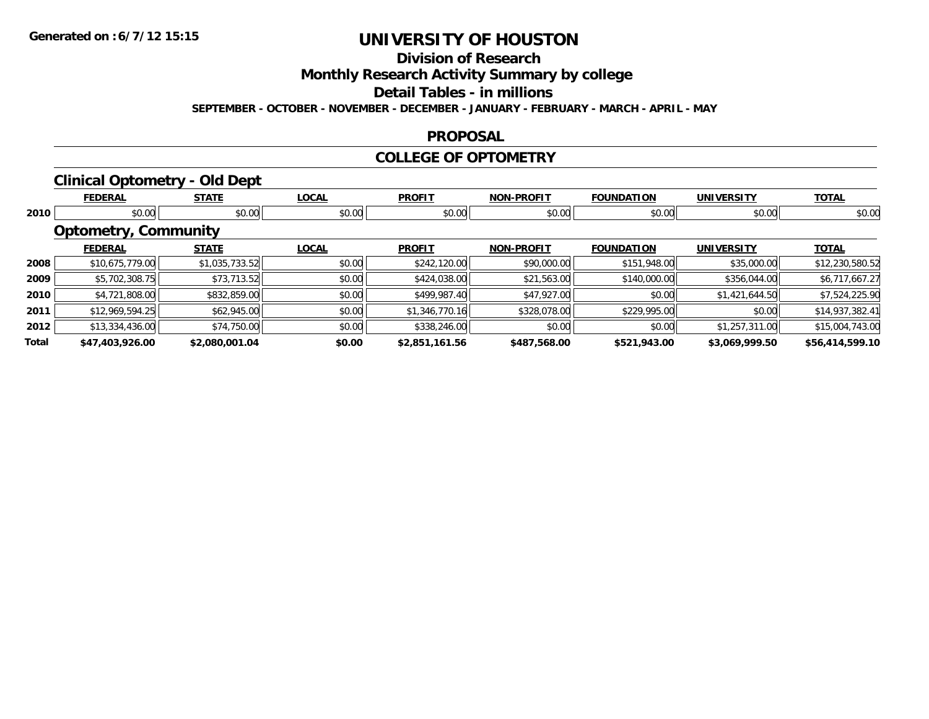### **Division of Research**

**Monthly Research Activity Summary by college**

**Detail Tables - in millions**

**SEPTEMBER - OCTOBER - NOVEMBER - DECEMBER - JANUARY - FEBRUARY - MARCH - APRIL - MAY**

#### **PROPOSAL**

#### **COLLEGE OF OPTOMETRY**

### **Clinical Optometry - Old Dept**

|       | <b>FEDERAL</b>              | <b>STATE</b>   | <b>LOCAL</b> | <b>PROFIT</b>  | <b>NON-PROFIT</b> | <b>FOUNDATION</b> | <b>UNIVERSITY</b> | <b>TOTAL</b>    |
|-------|-----------------------------|----------------|--------------|----------------|-------------------|-------------------|-------------------|-----------------|
| 2010  | \$0.00                      | \$0.00         | \$0.00       | \$0.00         | \$0.00            | \$0.00            | \$0.00            | \$0.00          |
|       | <b>Optometry, Community</b> |                |              |                |                   |                   |                   |                 |
|       | <b>FEDERAL</b>              | <b>STATE</b>   | <b>LOCAL</b> | <b>PROFIT</b>  | <b>NON-PROFIT</b> | <b>FOUNDATION</b> | <b>UNIVERSITY</b> | <b>TOTAL</b>    |
| 2008  | \$10,675,779.00             | \$1,035,733.52 | \$0.00       | \$242,120.00   | \$90,000.00       | \$151,948.00      | \$35,000.00       | \$12,230,580.52 |
| 2009  | \$5,702,308.75              | \$73,713.52    | \$0.00       | \$424,038.00   | \$21,563.00       | \$140,000.00      | \$356,044.00      | \$6,717,667.27  |
| 2010  | \$4,721,808.00              | \$832,859.00   | \$0.00       | \$499,987.40   | \$47,927.00       | \$0.00            | \$1,421,644.50    | \$7,524,225.90  |
| 2011  | \$12,969,594.25             | \$62,945.00    | \$0.00       | \$1,346,770.16 | \$328,078.00      | \$229,995.00      | \$0.00            | \$14,937,382.41 |
| 2012  | \$13,334,436.00             | \$74,750.00    | \$0.00       | \$338,246.00   | \$0.00            | \$0.00            | \$1,257,311.00    | \$15,004,743.00 |
| Total | \$47,403,926.00             | \$2,080,001.04 | \$0.00       | \$2,851,161.56 | \$487,568.00      | \$521,943.00      | \$3,069,999.50    | \$56,414,599.10 |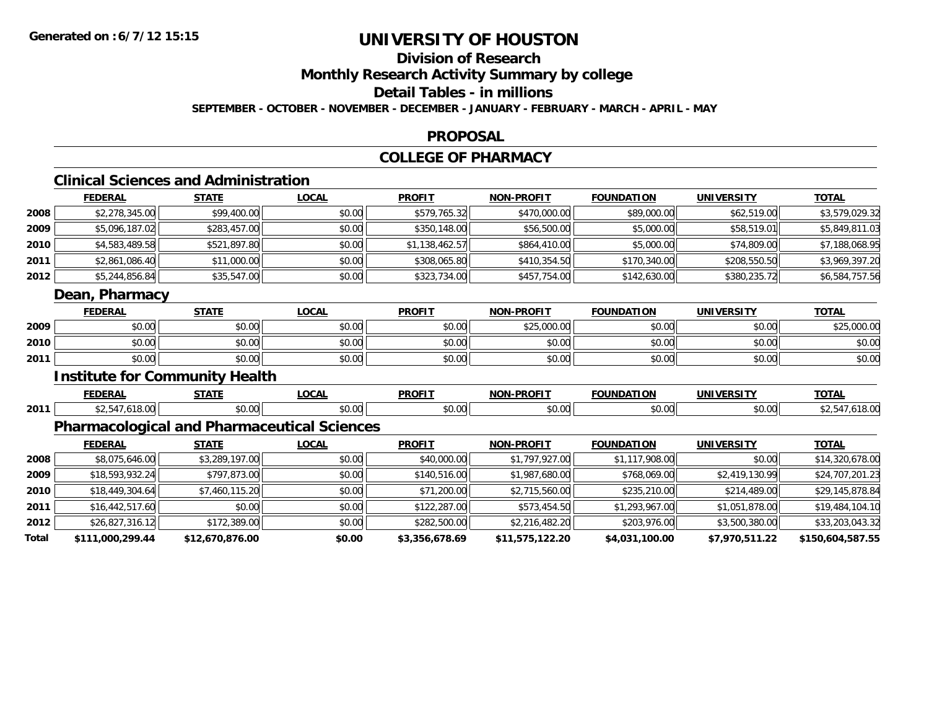### **Division of Research**

**Monthly Research Activity Summary by college**

**Detail Tables - in millions**

**SEPTEMBER - OCTOBER - NOVEMBER - DECEMBER - JANUARY - FEBRUARY - MARCH - APRIL - MAY**

#### **PROPOSAL**

### **COLLEGE OF PHARMACY**

### **Clinical Sciences and Administration**

|      | <b>FEDERAL</b> | <b>STATE</b> | <b>LOCAL</b> | <b>PROFIT</b>  | <b>NON-PROFIT</b> | <b>FOUNDATION</b> | <b>UNIVERSITY</b> | <u>TOTAL</u>   |
|------|----------------|--------------|--------------|----------------|-------------------|-------------------|-------------------|----------------|
| 2008 | \$2,278,345.00 | \$99,400.00  | \$0.00       | \$579,765.32   | \$470,000.00      | \$89,000.00       | \$62,519.00       | \$3,579,029.32 |
| 2009 | \$5,096,187.02 | \$283,457.00 | \$0.00       | \$350,148.00   | \$56,500.00       | \$5,000.00        | \$58,519.01       | \$5,849,811.03 |
| 2010 | \$4,583,489.58 | \$521,897.80 | \$0.00       | \$1,138,462.57 | \$864,410.00      | \$5,000.00        | \$74,809.00       | \$7,188,068.95 |
| 2011 | \$2,861,086.40 | \$11,000.00  | \$0.00       | \$308,065.80   | \$410,354.50      | \$170,340.00      | \$208,550.50      | \$3,969,397.20 |
| 2012 | \$5,244,856.84 | \$35,547.00  | \$0.00       | \$323,734.00   | \$457,754.00      | \$142,630.00      | \$380,235.72      | \$6,584,757.56 |
|      | Dean, Pharmacy |              |              |                |                   |                   |                   |                |
|      | <b>FEDERAL</b> | <b>STATE</b> | <b>LOCAL</b> | <b>PROFIT</b>  | <b>NON-PROFIT</b> | <b>FOUNDATION</b> | <b>UNIVERSITY</b> | <b>TOTAL</b>   |

|      | .             | "             | <u>Loone</u>   | .                      | .                            | .                  |                    | 10111                             |
|------|---------------|---------------|----------------|------------------------|------------------------------|--------------------|--------------------|-----------------------------------|
| 2009 | 0000<br>,u.uu | 0000<br>JU.UU | nn nn<br>DU.UU | $n \cap \neg$<br>JU.UU | $0.25$ 0.00 0.0<br>⊸∠ບບບ.ບບ⊪ | $\sim$ 00<br>JU.UU | $\sim$ 00<br>JU.UU | $\uparrow$ 25 000 00<br>DU.UUU.CS |
| 2010 | \$0.00        | 0000<br>DU.UU | \$0.00         | 40.00<br>JU.UU         | mn n¢<br>JU.UU               | 0000<br>JU.UU      | \$0.00             | \$0.00                            |
| 2011 | \$0.00        | \$0.00        | \$0.00         | \$0.00                 | \$0.00                       | \$0.00             | \$0.00             | \$0.00                            |

#### **Institute for Community Health**

|      | --- | ---- | $\sim$ $\sim$ $\sim$ | $- - - - - -$<br>יחה | .<br>ורות |      | $-2 - 1$ |
|------|-----|------|----------------------|----------------------|-----------|------|----------|
| 2011 |     |      | $\sim$ 00<br>v.vv    | - - -<br>^^<br>,,,,  | $ -$      | $ -$ |          |

### **Pharmacological and Pharmaceutical Sciences**

|       | <b>FEDERAL</b>   | <b>STATE</b>    | <b>LOCAL</b> | <b>PROFIT</b>  | <b>NON-PROFIT</b> | <b>FOUNDATION</b> | <b>UNIVERSITY</b> | <u>TOTAL</u>     |
|-------|------------------|-----------------|--------------|----------------|-------------------|-------------------|-------------------|------------------|
| 2008  | \$8,075,646.00   | \$3,289,197.00  | \$0.00       | \$40,000.00    | \$1,797,927.00    | \$1,117,908.00    | \$0.00            | \$14,320,678.00  |
| 2009  | \$18,593,932.24  | \$797,873.00    | \$0.00       | \$140,516.00   | \$1,987,680.00    | \$768,069.00      | \$2,419,130.99    | \$24,707,201.23  |
| 2010  | \$18,449,304.64  | \$7,460,115.20  | \$0.00       | \$71,200.00    | \$2,715,560.00    | \$235,210.00      | \$214,489.00      | \$29,145,878.84  |
| 2011  | \$16,442,517.60  | \$0.00          | \$0.00       | \$122,287.00   | \$573,454.50      | \$1,293,967.00    | \$1,051,878.00    | \$19,484,104.10  |
| 2012  | \$26,827,316.12  | \$172,389.00    | \$0.00       | \$282,500.00   | \$2,216,482.20    | \$203,976.00      | \$3,500,380.00    | \$33,203,043.32  |
| Total | \$111,000,299.44 | \$12,670,876.00 | \$0.00       | \$3,356,678.69 | \$11,575,122.20   | \$4,031,100.00    | \$7,970,511.22    | \$150,604,587.55 |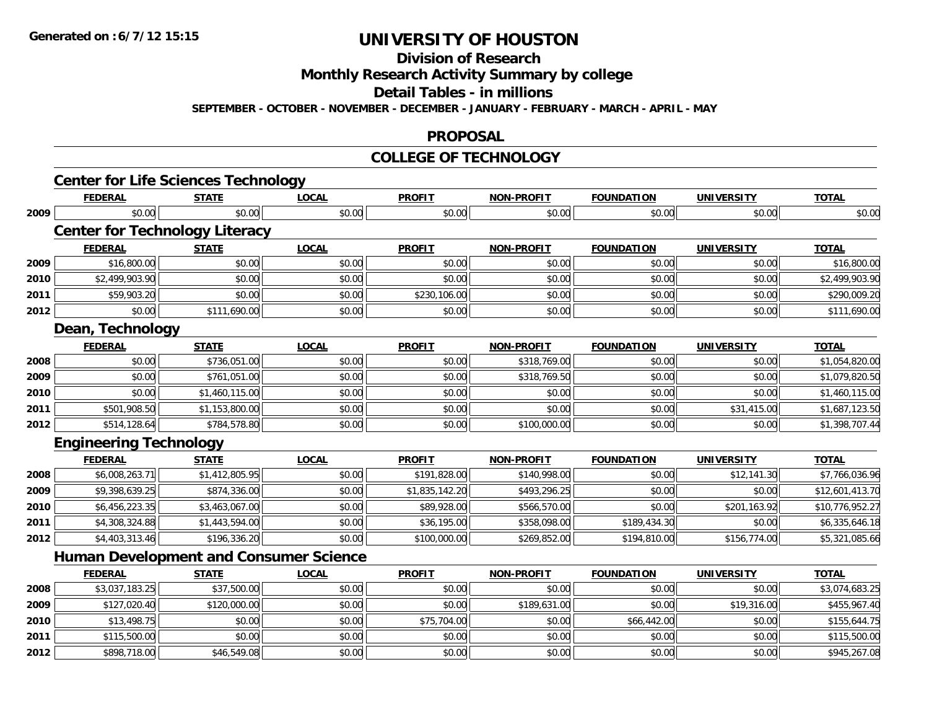**Division of Research**

**Monthly Research Activity Summary by college**

**Detail Tables - in millions**

**SEPTEMBER - OCTOBER - NOVEMBER - DECEMBER - JANUARY - FEBRUARY - MARCH - APRIL - MAY**

#### **PROPOSAL**

#### **COLLEGE OF TECHNOLOGY**

|      | <b>FEDERAL</b>                                | <b>STATE</b>   | <b>LOCAL</b> | <b>PROFIT</b>  | <b>NON-PROFIT</b> | <b>FOUNDATION</b> | <b>UNIVERSITY</b> | <b>TOTAL</b>    |
|------|-----------------------------------------------|----------------|--------------|----------------|-------------------|-------------------|-------------------|-----------------|
| 2009 | \$0.00                                        | \$0.00         | \$0.00       | \$0.00         | \$0.00            | \$0.00            | \$0.00            | \$0.00          |
|      | <b>Center for Technology Literacy</b>         |                |              |                |                   |                   |                   |                 |
|      | <b>FEDERAL</b>                                | <b>STATE</b>   | <b>LOCAL</b> | <b>PROFIT</b>  | <b>NON-PROFIT</b> | <b>FOUNDATION</b> | <b>UNIVERSITY</b> | <b>TOTAL</b>    |
| 2009 | \$16,800.00                                   | \$0.00         | \$0.00       | \$0.00         | \$0.00            | \$0.00            | \$0.00            | \$16,800.00     |
| 2010 | \$2,499,903.90                                | \$0.00         | \$0.00       | \$0.00         | \$0.00            | \$0.00            | \$0.00            | \$2,499,903.90  |
| 2011 | \$59,903.20                                   | \$0.00         | \$0.00       | \$230,106.00   | \$0.00            | \$0.00            | \$0.00            | \$290,009.20    |
| 2012 | \$0.00                                        | \$111,690.00   | \$0.00       | \$0.00         | \$0.00            | \$0.00            | \$0.00            | \$111,690.00    |
|      | Dean, Technology                              |                |              |                |                   |                   |                   |                 |
|      | <b>FEDERAL</b>                                | <b>STATE</b>   | <b>LOCAL</b> | <b>PROFIT</b>  | <b>NON-PROFIT</b> | <b>FOUNDATION</b> | <b>UNIVERSITY</b> | <b>TOTAL</b>    |
| 2008 | \$0.00                                        | \$736,051.00   | \$0.00       | \$0.00         | \$318,769.00      | \$0.00            | \$0.00            | \$1,054,820.00  |
| 2009 | \$0.00                                        | \$761,051.00   | \$0.00       | \$0.00         | \$318,769.50      | \$0.00            | \$0.00            | \$1,079,820.50  |
| 2010 | \$0.00                                        | \$1,460,115.00 | \$0.00       | \$0.00         | \$0.00            | \$0.00            | \$0.00            | \$1,460,115.00  |
| 2011 | \$501,908.50                                  | \$1,153,800.00 | \$0.00       | \$0.00         | \$0.00            | \$0.00            | \$31,415.00       | \$1,687,123.50  |
| 2012 | \$514,128.64                                  | \$784,578.80   | \$0.00       | \$0.00         | \$100,000.00      | \$0.00            | \$0.00            | \$1,398,707.44  |
|      | <b>Engineering Technology</b>                 |                |              |                |                   |                   |                   |                 |
|      | <b>FEDERAL</b>                                | <b>STATE</b>   | <b>LOCAL</b> | <b>PROFIT</b>  | <b>NON-PROFIT</b> | <b>FOUNDATION</b> | <b>UNIVERSITY</b> | <b>TOTAL</b>    |
| 2008 | \$6,008,263.71                                | \$1,412,805.95 | \$0.00       | \$191,828.00   | \$140,998.00      | \$0.00            | \$12,141.30       | \$7,766,036.96  |
| 2009 | \$9,398,639.25                                | \$874,336.00   | \$0.00       | \$1,835,142.20 | \$493,296.25      | \$0.00            | \$0.00            | \$12,601,413.70 |
| 2010 | \$6,456,223.35                                | \$3,463,067.00 | \$0.00       | \$89,928.00    | \$566,570.00      | \$0.00            | \$201,163.92      | \$10,776,952.27 |
| 2011 | \$4,308,324.88                                | \$1,443,594.00 | \$0.00       | \$36,195.00    | \$358,098.00      | \$189,434.30      | \$0.00            | \$6,335,646.18  |
| 2012 | \$4,403,313.46                                | \$196,336.20   | \$0.00       | \$100,000.00   | \$269,852.00      | \$194,810.00      | \$156,774.00      | \$5,321,085.66  |
|      | <b>Human Development and Consumer Science</b> |                |              |                |                   |                   |                   |                 |
|      | <b>FEDERAL</b>                                | <b>STATE</b>   | <b>LOCAL</b> | <b>PROFIT</b>  | <b>NON-PROFIT</b> | <b>FOUNDATION</b> | <b>UNIVERSITY</b> | <b>TOTAL</b>    |
| 2008 | \$3,037,183.25                                | \$37,500.00    | \$0.00       | \$0.00         | \$0.00            | \$0.00            | \$0.00            | \$3,074,683.25  |
| 2009 | \$127,020.40                                  | \$120,000.00   | \$0.00       | \$0.00         | \$189,631.00      | \$0.00            | \$19,316.00       | \$455,967.40    |
| 2010 | \$13,498.75                                   | \$0.00         | \$0.00       | \$75,704.00    | \$0.00            | \$66,442.00       | \$0.00            | \$155,644.75    |
| 2011 | \$115,500.00                                  | \$0.00         | \$0.00       | \$0.00         | \$0.00            | \$0.00            | \$0.00            | \$115,500.00    |
| 2012 | \$898,718.00                                  | \$46,549.08    | \$0.00       | \$0.00         | \$0.00            | \$0.00            | \$0.00            | \$945,267.08    |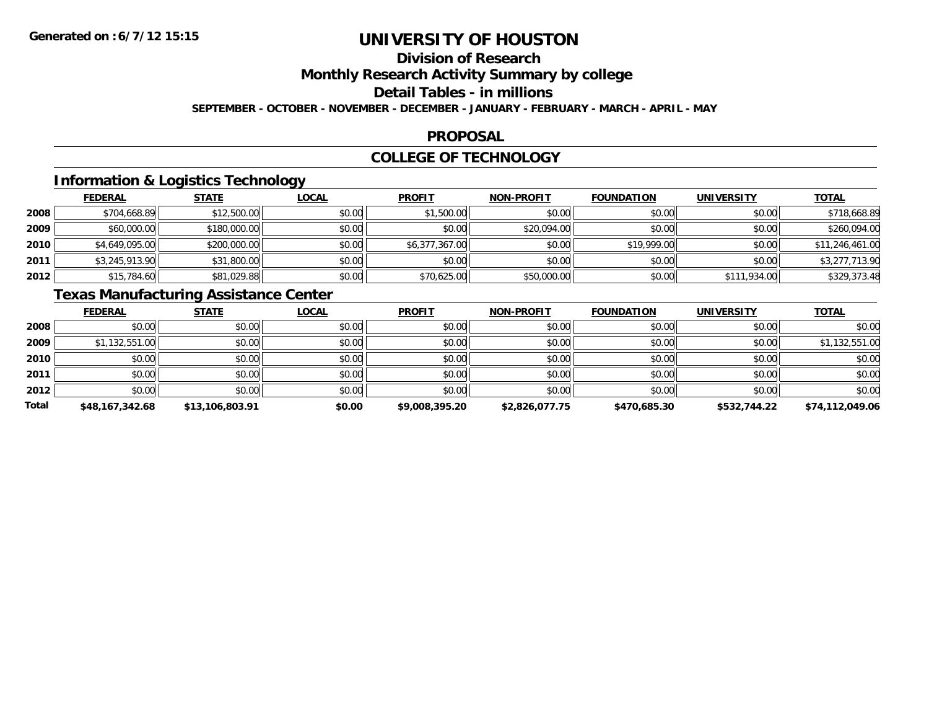### **Division of Research**

**Monthly Research Activity Summary by college**

**Detail Tables - in millions**

**SEPTEMBER - OCTOBER - NOVEMBER - DECEMBER - JANUARY - FEBRUARY - MARCH - APRIL - MAY**

#### **PROPOSAL**

#### **COLLEGE OF TECHNOLOGY**

### **Information & Logistics Technology**

|      | <b>FEDERAL</b> | <b>STATE</b> | <u>LOCAL</u> | <b>PROFIT</b>  | <b>NON-PROFIT</b> | <b>FOUNDATION</b> | <b>UNIVERSITY</b> | <b>TOTAL</b>    |
|------|----------------|--------------|--------------|----------------|-------------------|-------------------|-------------------|-----------------|
| 2008 | \$704,668.89   | \$12,500.00  | \$0.00       | \$1,500.00     | \$0.00            | \$0.00            | \$0.00            | \$718,668.89    |
| 2009 | \$60,000.00    | \$180,000.00 | \$0.00       | \$0.00         | \$20,094.00       | \$0.00            | \$0.00            | \$260,094.00    |
| 2010 | \$4,649,095.00 | \$200,000.00 | \$0.00       | \$6,377,367.00 | \$0.00            | \$19,999.00       | \$0.00            | \$11,246,461.00 |
| 2011 | \$3,245,913.90 | \$31,800.00  | \$0.00       | \$0.00         | \$0.00            | \$0.00            | \$0.00            | \$3,277,713.90  |
| 2012 | \$15,784.60    | \$81,029.88  | \$0.00       | \$70,625.00    | \$50,000.00       | \$0.00            | \$111,934.00      | \$329,373.48    |

### **Texas Manufacturing Assistance Center**

|       | <b>FEDERAL</b>  | <b>STATE</b>    | <b>LOCAL</b> | <b>PROFIT</b>  | <b>NON-PROFIT</b> | <b>FOUNDATION</b> | <b>UNIVERSITY</b> | <b>TOTAL</b>    |
|-------|-----------------|-----------------|--------------|----------------|-------------------|-------------------|-------------------|-----------------|
| 2008  | \$0.00          | \$0.00          | \$0.00       | \$0.00         | \$0.00            | \$0.00            | \$0.00            | \$0.00          |
| 2009  | \$1,132,551.00  | \$0.00          | \$0.00       | \$0.00         | \$0.00            | \$0.00            | \$0.00            | \$1,132,551.00  |
| 2010  | \$0.00          | \$0.00          | \$0.00       | \$0.00         | \$0.00            | \$0.00            | \$0.00            | \$0.00          |
| 2011  | \$0.00          | \$0.00          | \$0.00       | \$0.00         | \$0.00            | \$0.00            | \$0.00            | \$0.00          |
| 2012  | \$0.00          | \$0.00          | \$0.00       | \$0.00         | \$0.00            | \$0.00            | \$0.00            | \$0.00          |
| Total | \$48,167,342.68 | \$13,106,803.91 | \$0.00       | \$9,008,395.20 | \$2,826,077.75    | \$470,685.30      | \$532,744.22      | \$74,112,049.06 |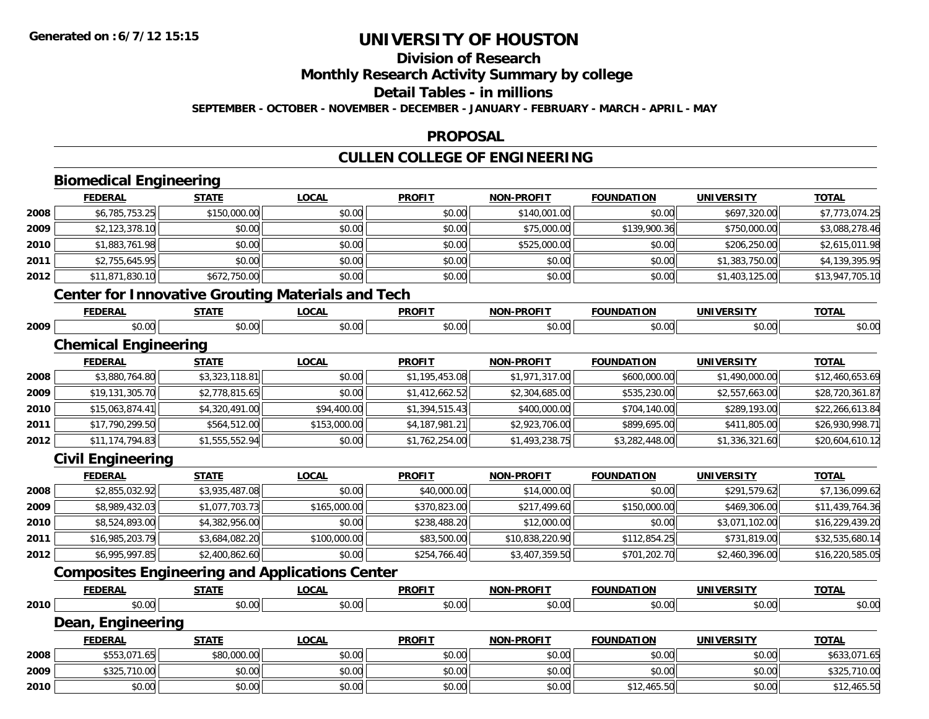#### **Division of Research**

**Monthly Research Activity Summary by college**

**Detail Tables - in millions**

**SEPTEMBER - OCTOBER - NOVEMBER - DECEMBER - JANUARY - FEBRUARY - MARCH - APRIL - MAY**

#### **PROPOSAL**

### **CULLEN COLLEGE OF ENGINEERING**

|      | <b>Biomedical Engineering</b> |                |                                                          |                |                   |                   |                   |                 |
|------|-------------------------------|----------------|----------------------------------------------------------|----------------|-------------------|-------------------|-------------------|-----------------|
|      | <b>FEDERAL</b>                | <b>STATE</b>   | <b>LOCAL</b>                                             | <b>PROFIT</b>  | <b>NON-PROFIT</b> | <b>FOUNDATION</b> | <b>UNIVERSITY</b> | <b>TOTAL</b>    |
| 2008 | \$6,785,753.25                | \$150,000.00   | \$0.00                                                   | \$0.00         | \$140,001.00      | \$0.00            | \$697,320.00      | \$7,773,074.25  |
| 2009 | \$2,123,378.10                | \$0.00         | \$0.00                                                   | \$0.00         | \$75,000.00       | \$139,900.36      | \$750,000.00      | \$3,088,278.46  |
| 2010 | \$1,883,761.98                | \$0.00         | \$0.00                                                   | \$0.00         | \$525,000.00      | \$0.00            | \$206,250.00      | \$2,615,011.98  |
| 2011 | \$2,755,645.95                | \$0.00         | \$0.00                                                   | \$0.00         | \$0.00            | \$0.00            | \$1,383,750.00    | \$4,139,395.95  |
| 2012 | \$11,871,830.10               | \$672,750.00   | \$0.00                                                   | \$0.00         | \$0.00            | \$0.00            | \$1,403,125.00    | \$13,947,705.10 |
|      |                               |                | <b>Center for Innovative Grouting Materials and Tech</b> |                |                   |                   |                   |                 |
|      | <b>FEDERAL</b>                | <b>STATE</b>   | <b>LOCAL</b>                                             | <b>PROFIT</b>  | <b>NON-PROFIT</b> | <b>FOUNDATION</b> | <b>UNIVERSITY</b> | <b>TOTAL</b>    |
| 2009 | \$0.00                        | \$0.00         | \$0.00                                                   | \$0.00         | \$0.00            | \$0.00            | \$0.00            | \$0.00          |
|      | <b>Chemical Engineering</b>   |                |                                                          |                |                   |                   |                   |                 |
|      | <b>FEDERAL</b>                | <b>STATE</b>   | <b>LOCAL</b>                                             | <b>PROFIT</b>  | <b>NON-PROFIT</b> | <b>FOUNDATION</b> | <b>UNIVERSITY</b> | <b>TOTAL</b>    |
| 2008 | \$3,880,764.80                | \$3,323,118.81 | \$0.00                                                   | \$1,195,453.08 | \$1,971,317.00    | \$600,000.00      | \$1,490,000.00    | \$12,460,653.69 |
| 2009 | \$19,131,305.70               | \$2,778,815.65 | \$0.00                                                   | \$1,412,662.52 | \$2,304,685.00    | \$535,230.00      | \$2,557,663.00    | \$28,720,361.87 |
| 2010 | \$15,063,874.41               | \$4,320,491.00 | \$94,400.00                                              | \$1,394,515.43 | \$400,000.00      | \$704,140.00      | \$289,193.00      | \$22,266,613.84 |
| 2011 | \$17,790,299.50               | \$564,512.00   | \$153,000.00                                             | \$4,187,981.21 | \$2,923,706.00    | \$899,695.00      | \$411,805.00      | \$26,930,998.71 |
| 2012 | \$11,174,794.83               | \$1,555,552.94 | \$0.00                                                   | \$1,762,254.00 | \$1,493,238.75    | \$3,282,448.00    | \$1,336,321.60    | \$20,604,610.12 |
|      | <b>Civil Engineering</b>      |                |                                                          |                |                   |                   |                   |                 |
|      | <b>FEDERAL</b>                | <b>STATE</b>   | <b>LOCAL</b>                                             | <b>PROFIT</b>  | <b>NON-PROFIT</b> | <b>FOUNDATION</b> | <b>UNIVERSITY</b> | <b>TOTAL</b>    |
| 2008 | \$2,855,032.92                | \$3,935,487.08 | \$0.00                                                   | \$40,000.00    | \$14,000.00       | \$0.00            | \$291,579.62      | \$7,136,099.62  |
| 2009 | \$8,989,432.03                | \$1,077,703.73 | \$165,000.00                                             | \$370,823.00   | \$217,499.60      | \$150,000.00      | \$469,306.00      | \$11,439,764.36 |
| 2010 | \$8,524,893.00                | \$4,382,956.00 | \$0.00                                                   | \$238,488.20   | \$12,000.00       | \$0.00            | \$3,071,102.00    | \$16,229,439.20 |
| 2011 | \$16,985,203.79               | \$3,684,082.20 | \$100,000.00                                             | \$83,500.00    | \$10,838,220.90   | \$112,854.25      | \$731,819.00      | \$32,535,680.14 |
| 2012 | \$6,995,997.85                | \$2,400,862.60 | \$0.00                                                   | \$254,766.40   | \$3,407,359.50    | \$701,202.70      | \$2,460,396.00    | \$16,220,585.05 |
|      |                               |                | <b>Composites Engineering and Applications Center</b>    |                |                   |                   |                   |                 |
|      | <b>FEDERAL</b>                | <b>STATE</b>   | <b>LOCAL</b>                                             | <b>PROFIT</b>  | <b>NON-PROFIT</b> | <b>FOUNDATION</b> | <b>UNIVERSITY</b> | <b>TOTAL</b>    |
| 2010 | \$0.00                        | \$0.00         | \$0.00                                                   | \$0.00         | \$0.00            | \$0.00            | \$0.00            | \$0.00          |
|      | Dean, Engineering             |                |                                                          |                |                   |                   |                   |                 |
|      | <b>FEDERAL</b>                | <b>STATE</b>   | <b>LOCAL</b>                                             | <b>PROFIT</b>  | <b>NON-PROFIT</b> | <b>FOUNDATION</b> | <b>UNIVERSITY</b> | <b>TOTAL</b>    |
| 2008 | \$553,071.65                  | \$80,000.00    | \$0.00                                                   | \$0.00         | \$0.00            | \$0.00            | \$0.00            | \$633,071.65    |
| 2009 | \$325,710.00                  | \$0.00         | \$0.00                                                   | \$0.00         | \$0.00            | \$0.00            | \$0.00            | \$325,710.00    |
| 2010 | \$0.00                        | \$0.00         | \$0.00                                                   | \$0.00         | \$0.00            | \$12,465.50       | \$0.00            | \$12,465.50     |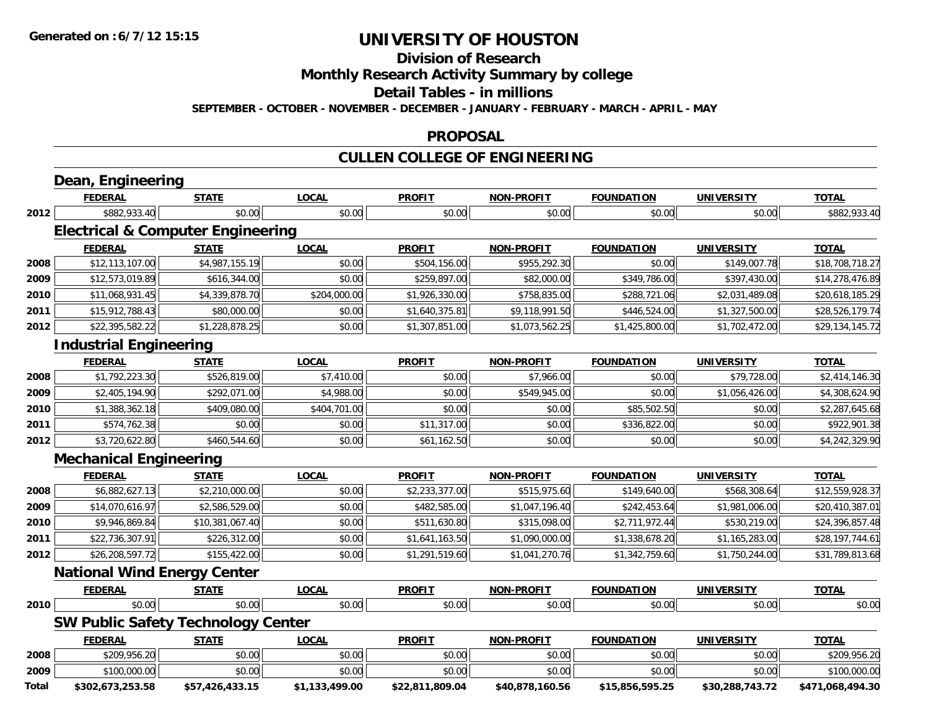**Division of Research**

**Monthly Research Activity Summary by college**

**Detail Tables - in millions**

**SEPTEMBER - OCTOBER - NOVEMBER - DECEMBER - JANUARY - FEBRUARY - MARCH - APRIL - MAY**

#### **PROPOSAL**

### **CULLEN COLLEGE OF ENGINEERING**

|       | Dean, Engineering                            |                 |                |                 |                   |                   |                   |                  |
|-------|----------------------------------------------|-----------------|----------------|-----------------|-------------------|-------------------|-------------------|------------------|
|       | <b>FEDERAL</b>                               | <b>STATE</b>    | <b>LOCAL</b>   | <b>PROFIT</b>   | <b>NON-PROFIT</b> | <b>FOUNDATION</b> | <b>UNIVERSITY</b> | <b>TOTAL</b>     |
| 2012  | \$882,933.40                                 | \$0.00          | \$0.00         | \$0.00          | \$0.00            | \$0.00            | \$0.00            | \$882,933.40     |
|       | <b>Electrical &amp; Computer Engineering</b> |                 |                |                 |                   |                   |                   |                  |
|       | <b>FEDERAL</b>                               | <b>STATE</b>    | <b>LOCAL</b>   | <b>PROFIT</b>   | <b>NON-PROFIT</b> | <b>FOUNDATION</b> | <b>UNIVERSITY</b> | <b>TOTAL</b>     |
| 2008  | \$12,113,107.00                              | \$4,987,155.19  | \$0.00         | \$504,156.00    | \$955,292.30      | \$0.00            | \$149,007.78      | \$18,708,718.27  |
| 2009  | \$12,573,019.89                              | \$616,344.00    | \$0.00         | \$259,897.00    | \$82,000.00       | \$349,786.00      | \$397,430.00      | \$14,278,476.89  |
| 2010  | \$11,068,931.45                              | \$4,339,878.70  | \$204,000.00   | \$1,926,330.00  | \$758,835.00      | \$288,721.06      | \$2,031,489.08    | \$20,618,185.29  |
| 2011  | \$15,912,788.43                              | \$80,000.00     | \$0.00         | \$1,640,375.81  | \$9,118,991.50    | \$446,524.00      | \$1,327,500.00    | \$28,526,179.74  |
| 2012  | \$22,395,582.22                              | \$1,228,878.25  | \$0.00         | \$1,307,851.00  | \$1,073,562.25    | \$1,425,800.00    | \$1,702,472.00    | \$29,134,145.72  |
|       | <b>Industrial Engineering</b>                |                 |                |                 |                   |                   |                   |                  |
|       | <b>FEDERAL</b>                               | <b>STATE</b>    | <b>LOCAL</b>   | <b>PROFIT</b>   | <b>NON-PROFIT</b> | <b>FOUNDATION</b> | <b>UNIVERSITY</b> | <b>TOTAL</b>     |
| 2008  | \$1,792,223.30                               | \$526,819.00    | \$7,410.00     | \$0.00          | \$7,966.00        | \$0.00            | \$79,728.00       | \$2,414,146.30   |
| 2009  | \$2,405,194.90                               | \$292,071.00    | \$4,988.00     | \$0.00          | \$549,945.00      | \$0.00            | \$1,056,426.00    | \$4,308,624.90   |
| 2010  | \$1,388,362.18                               | \$409,080.00    | \$404,701.00   | \$0.00          | \$0.00            | \$85,502.50       | \$0.00            | \$2,287,645.68   |
| 2011  | \$574,762.38                                 | \$0.00          | \$0.00         | \$11,317.00     | \$0.00            | \$336,822.00      | \$0.00            | \$922,901.38     |
| 2012  | \$3,720,622.80                               | \$460,544.60    | \$0.00         | \$61,162.50     | \$0.00            | \$0.00            | \$0.00            | \$4,242,329.90   |
|       | <b>Mechanical Engineering</b>                |                 |                |                 |                   |                   |                   |                  |
|       | <b>FEDERAL</b>                               | <b>STATE</b>    | <b>LOCAL</b>   | <b>PROFIT</b>   | <b>NON-PROFIT</b> | <b>FOUNDATION</b> | <b>UNIVERSITY</b> | <b>TOTAL</b>     |
| 2008  | \$6,882,627.13                               | \$2,210,000.00  | \$0.00         | \$2,233,377.00  | \$515,975.60      | \$149,640.00      | \$568,308.64      | \$12,559,928.37  |
| 2009  | \$14,070,616.97                              | \$2,586,529.00  | \$0.00         | \$482,585.00    | \$1,047,196.40    | \$242,453.64      | \$1,981,006.00    | \$20,410,387.01  |
| 2010  | \$9,946,869.84                               | \$10,381,067.40 | \$0.00         | \$511,630.80    | \$315,098.00      | \$2,711,972.44    | \$530,219.00      | \$24,396,857.48  |
| 2011  | \$22,736,307.91                              | \$226,312.00    | \$0.00         | \$1,641,163.50  | \$1,090,000.00    | \$1,338,678.20    | \$1,165,283.00    | \$28,197,744.61  |
| 2012  | \$26,208,597.72                              | \$155,422.00    | \$0.00         | \$1,291,519.60  | \$1,041,270.76    | \$1,342,759.60    | \$1,750,244.00    | \$31,789,813.68  |
|       | <b>National Wind Energy Center</b>           |                 |                |                 |                   |                   |                   |                  |
|       | <b>FEDERAL</b>                               | <b>STATE</b>    | <b>LOCAL</b>   | <b>PROFIT</b>   | <b>NON-PROFIT</b> | <b>FOUNDATION</b> | <b>UNIVERSITY</b> | <b>TOTAL</b>     |
| 2010  | \$0.00                                       | \$0.00          | \$0.00         | \$0.00          | \$0.00            | \$0.00            | \$0.00            | \$0.00           |
|       | <b>SW Public Safety Technology Center</b>    |                 |                |                 |                   |                   |                   |                  |
|       | <b>FEDERAL</b>                               | <b>STATE</b>    | <b>LOCAL</b>   | <b>PROFIT</b>   | <b>NON-PROFIT</b> | <b>FOUNDATION</b> | <b>UNIVERSITY</b> | <b>TOTAL</b>     |
| 2008  | \$209,956.20                                 | \$0.00          | \$0.00         | \$0.00          | \$0.00            | \$0.00            | \$0.00            | \$209,956.20     |
| 2009  | \$100,000.00                                 | \$0.00          | \$0.00         | \$0.00          | \$0.00            | \$0.00            | \$0.00            | \$100,000.00     |
| Total | \$302,673,253.58                             | \$57,426,433.15 | \$1,133,499.00 | \$22,811,809.04 | \$40,878,160.56   | \$15,856,595.25   | \$30,288,743.72   | \$471,068,494.30 |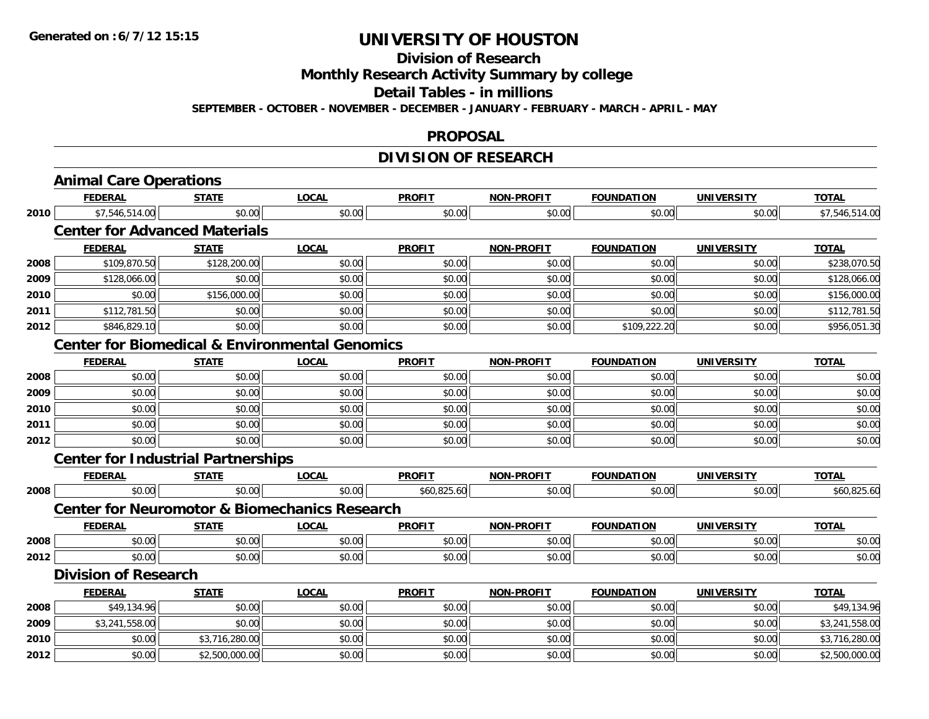### **Division of Research**

**Monthly Research Activity Summary by college**

**Detail Tables - in millions**

**SEPTEMBER - OCTOBER - NOVEMBER - DECEMBER - JANUARY - FEBRUARY - MARCH - APRIL - MAY**

#### **PROPOSAL**

### **DIVISION OF RESEARCH**

|      | <b>Animal Care Operations</b>             |                |                                                           |               |                   |                   |                   |                |
|------|-------------------------------------------|----------------|-----------------------------------------------------------|---------------|-------------------|-------------------|-------------------|----------------|
|      | <b>FEDERAL</b>                            | <b>STATE</b>   | <b>LOCAL</b>                                              | <b>PROFIT</b> | <b>NON-PROFIT</b> | <b>FOUNDATION</b> | <b>UNIVERSITY</b> | <b>TOTAL</b>   |
| 2010 | \$7,546,514.00                            | \$0.00         | \$0.00                                                    | \$0.00        | \$0.00            | \$0.00            | \$0.00            | \$7,546,514.00 |
|      | <b>Center for Advanced Materials</b>      |                |                                                           |               |                   |                   |                   |                |
|      | <b>FEDERAL</b>                            | <b>STATE</b>   | <b>LOCAL</b>                                              | <b>PROFIT</b> | <b>NON-PROFIT</b> | <b>FOUNDATION</b> | <b>UNIVERSITY</b> | <b>TOTAL</b>   |
| 2008 | \$109,870.50                              | \$128,200.00   | \$0.00                                                    | \$0.00        | \$0.00            | \$0.00            | \$0.00            | \$238,070.50   |
| 2009 | \$128,066.00                              | \$0.00         | \$0.00                                                    | \$0.00        | \$0.00            | \$0.00            | \$0.00            | \$128,066.00   |
| 2010 | \$0.00                                    | \$156,000.00   | \$0.00                                                    | \$0.00        | \$0.00            | \$0.00            | \$0.00            | \$156,000.00   |
| 2011 | \$112,781.50                              | \$0.00         | \$0.00                                                    | \$0.00        | \$0.00            | \$0.00            | \$0.00            | \$112,781.50   |
| 2012 | \$846,829.10                              | \$0.00         | \$0.00                                                    | \$0.00        | \$0.00            | \$109,222.20      | \$0.00            | \$956,051.30   |
|      |                                           |                | <b>Center for Biomedical &amp; Environmental Genomics</b> |               |                   |                   |                   |                |
|      | <b>FEDERAL</b>                            | <b>STATE</b>   | <b>LOCAL</b>                                              | <b>PROFIT</b> | <b>NON-PROFIT</b> | <b>FOUNDATION</b> | <b>UNIVERSITY</b> | <b>TOTAL</b>   |
| 2008 | \$0.00                                    | \$0.00         | \$0.00                                                    | \$0.00        | \$0.00            | \$0.00            | \$0.00            | \$0.00         |
| 2009 | \$0.00                                    | \$0.00         | \$0.00                                                    | \$0.00        | \$0.00            | \$0.00            | \$0.00            | \$0.00         |
| 2010 | \$0.00                                    | \$0.00         | \$0.00                                                    | \$0.00        | \$0.00            | \$0.00            | \$0.00            | \$0.00         |
| 2011 | \$0.00                                    | \$0.00         | \$0.00                                                    | \$0.00        | \$0.00            | \$0.00            | \$0.00            | \$0.00         |
| 2012 | \$0.00                                    | \$0.00         | \$0.00                                                    | \$0.00        | \$0.00            | \$0.00            | \$0.00            | \$0.00         |
|      | <b>Center for Industrial Partnerships</b> |                |                                                           |               |                   |                   |                   |                |
|      | <b>FEDERAL</b>                            | <b>STATE</b>   | <b>LOCAL</b>                                              | <b>PROFIT</b> | <b>NON-PROFIT</b> | <b>FOUNDATION</b> | <b>UNIVERSITY</b> | <b>TOTAL</b>   |
| 2008 | \$0.00                                    | \$0.00         | \$0.00                                                    | \$60,825.60   | \$0.00            | \$0.00            | \$0.00            | \$60,825.60    |
|      |                                           |                | <b>Center for Neuromotor &amp; Biomechanics Research</b>  |               |                   |                   |                   |                |
|      | <b>FEDERAL</b>                            | <b>STATE</b>   | <b>LOCAL</b>                                              | <b>PROFIT</b> | <b>NON-PROFIT</b> | <b>FOUNDATION</b> | <b>UNIVERSITY</b> | <b>TOTAL</b>   |
| 2008 | \$0.00                                    | \$0.00         | \$0.00                                                    | \$0.00        | \$0.00            | \$0.00            | \$0.00            | \$0.00         |
| 2012 | \$0.00                                    | \$0.00         | \$0.00                                                    | \$0.00        | \$0.00            | \$0.00            | \$0.00            | \$0.00         |
|      | <b>Division of Research</b>               |                |                                                           |               |                   |                   |                   |                |
|      | <b>FEDERAL</b>                            | <b>STATE</b>   | <b>LOCAL</b>                                              | <b>PROFIT</b> | <b>NON-PROFIT</b> | <b>FOUNDATION</b> | <b>UNIVERSITY</b> | <b>TOTAL</b>   |
| 2008 | \$49,134.96                               | \$0.00         | \$0.00                                                    | \$0.00        | \$0.00            | \$0.00            | \$0.00            | \$49,134.96    |
| 2009 | \$3,241,558.00                            | \$0.00         | \$0.00                                                    | \$0.00        | \$0.00            | \$0.00            | \$0.00            | \$3,241,558.00 |
| 2010 | \$0.00                                    | \$3,716,280.00 | \$0.00                                                    | \$0.00        | \$0.00            | \$0.00            | \$0.00            | \$3,716,280.00 |
| 2012 | \$0.00                                    | \$2,500,000.00 | \$0.00                                                    | \$0.00        | \$0.00            | \$0.00            | \$0.00            | \$2,500,000.00 |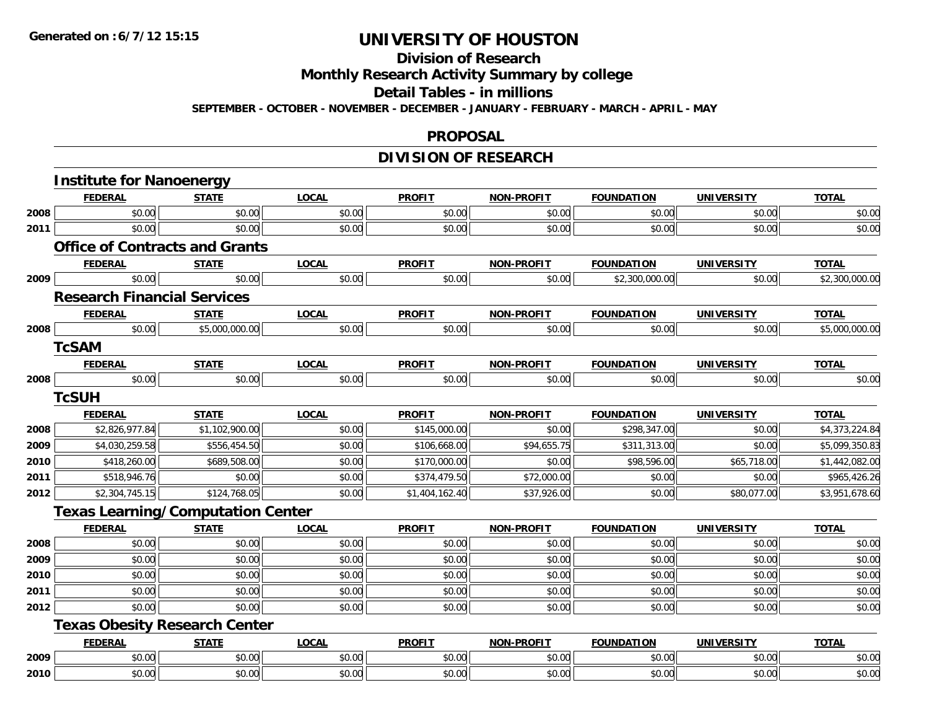#### **Division of Research**

**Monthly Research Activity Summary by college**

**Detail Tables - in millions**

**SEPTEMBER - OCTOBER - NOVEMBER - DECEMBER - JANUARY - FEBRUARY - MARCH - APRIL - MAY**

#### **PROPOSAL**

### **DIVISION OF RESEARCH**

|      | <b>Institute for Nanoenergy</b>          |                |              |                |                   |                   |                   |                |
|------|------------------------------------------|----------------|--------------|----------------|-------------------|-------------------|-------------------|----------------|
|      | <b>FEDERAL</b>                           | <b>STATE</b>   | <b>LOCAL</b> | <b>PROFIT</b>  | NON-PROFIT        | <b>FOUNDATION</b> | <b>UNIVERSITY</b> | <b>TOTAL</b>   |
| 2008 | \$0.00                                   | \$0.00         | \$0.00       | \$0.00         | \$0.00            | \$0.00            | \$0.00            | \$0.00         |
| 2011 | \$0.00                                   | \$0.00         | \$0.00       | \$0.00         | \$0.00            | \$0.00            | \$0.00            | \$0.00         |
|      | <b>Office of Contracts and Grants</b>    |                |              |                |                   |                   |                   |                |
|      | <b>FEDERAL</b>                           | <b>STATE</b>   | <b>LOCAL</b> | <b>PROFIT</b>  | <b>NON-PROFIT</b> | <b>FOUNDATION</b> | <b>UNIVERSITY</b> | <b>TOTAL</b>   |
| 2009 | \$0.00                                   | \$0.00         | \$0.00       | \$0.00         | \$0.00            | \$2,300,000.00    | \$0.00            | \$2,300,000.00 |
|      | <b>Research Financial Services</b>       |                |              |                |                   |                   |                   |                |
|      | <b>FEDERAL</b>                           | <b>STATE</b>   | <b>LOCAL</b> | <b>PROFIT</b>  | NON-PROFIT        | <b>FOUNDATION</b> | <b>UNIVERSITY</b> | <b>TOTAL</b>   |
| 2008 | \$0.00                                   | \$5,000,000.00 | \$0.00       | \$0.00         | \$0.00            | \$0.00            | \$0.00            | \$5,000,000.00 |
|      | <b>TcSAM</b>                             |                |              |                |                   |                   |                   |                |
|      | <b>FEDERAL</b>                           | <b>STATE</b>   | <b>LOCAL</b> | <b>PROFIT</b>  | NON-PROFIT        | <b>FOUNDATION</b> | <b>UNIVERSITY</b> | <b>TOTAL</b>   |
| 2008 | \$0.00                                   | \$0.00         | \$0.00       | \$0.00         | \$0.00            | \$0.00            | \$0.00            | \$0.00         |
|      | <b>TcSUH</b>                             |                |              |                |                   |                   |                   |                |
|      | <b>FEDERAL</b>                           | <b>STATE</b>   | <b>LOCAL</b> | <b>PROFIT</b>  | NON-PROFIT        | <b>FOUNDATION</b> | <b>UNIVERSITY</b> | <b>TOTAL</b>   |
| 2008 | \$2,826,977.84                           | \$1,102,900.00 | \$0.00       | \$145,000.00   | \$0.00            | \$298,347.00      | \$0.00            | \$4,373,224.84 |
| 2009 | \$4,030,259.58                           | \$556,454.50   | \$0.00       | \$106,668.00   | \$94,655.75       | \$311,313.00      | \$0.00            | \$5,099,350.83 |
| 2010 | \$418,260.00                             | \$689,508.00   | \$0.00       | \$170,000.00   | \$0.00            | \$98,596.00       | \$65,718.00       | \$1,442,082.00 |
| 2011 | \$518,946.76                             | \$0.00         | \$0.00       | \$374,479.50   | \$72,000.00       | \$0.00            | \$0.00            | \$965,426.26   |
| 2012 | \$2,304,745.15                           | \$124,768.05   | \$0.00       | \$1,404,162.40 | \$37,926.00       | \$0.00            | \$80,077.00       | \$3,951,678.60 |
|      | <b>Texas Learning/Computation Center</b> |                |              |                |                   |                   |                   |                |
|      | <b>FEDERAL</b>                           | <b>STATE</b>   | <b>LOCAL</b> | <b>PROFIT</b>  | <b>NON-PROFIT</b> | <b>FOUNDATION</b> | <b>UNIVERSITY</b> | <b>TOTAL</b>   |
| 2008 | \$0.00                                   | \$0.00         | \$0.00       | \$0.00         | \$0.00            | \$0.00            | \$0.00            | \$0.00         |
| 2009 | \$0.00                                   | \$0.00         | \$0.00       | \$0.00         | \$0.00            | \$0.00            | \$0.00            | \$0.00         |
| 2010 | \$0.00                                   | \$0.00         | \$0.00       | \$0.00         | \$0.00            | \$0.00            | \$0.00            | \$0.00         |
| 2011 | \$0.00                                   | \$0.00         | \$0.00       | \$0.00         | \$0.00            | \$0.00            | \$0.00            | \$0.00         |
| 2012 | \$0.00                                   | \$0.00         | \$0.00       | \$0.00         | \$0.00            | \$0.00            | \$0.00            | \$0.00         |
|      | <b>Texas Obesity Research Center</b>     |                |              |                |                   |                   |                   |                |
|      | <b>FEDERAL</b>                           | <b>STATE</b>   | <b>LOCAL</b> | <b>PROFIT</b>  | <b>NON-PROFIT</b> | <b>FOUNDATION</b> | <b>UNIVERSITY</b> | <b>TOTAL</b>   |
| 2009 | \$0.00                                   | \$0.00         | \$0.00       | \$0.00         | \$0.00            | \$0.00            | \$0.00            | \$0.00         |
| 2010 | \$0.00                                   | \$0.00         | \$0.00       | \$0.00         | \$0.00            | \$0.00            | \$0.00            | \$0.00         |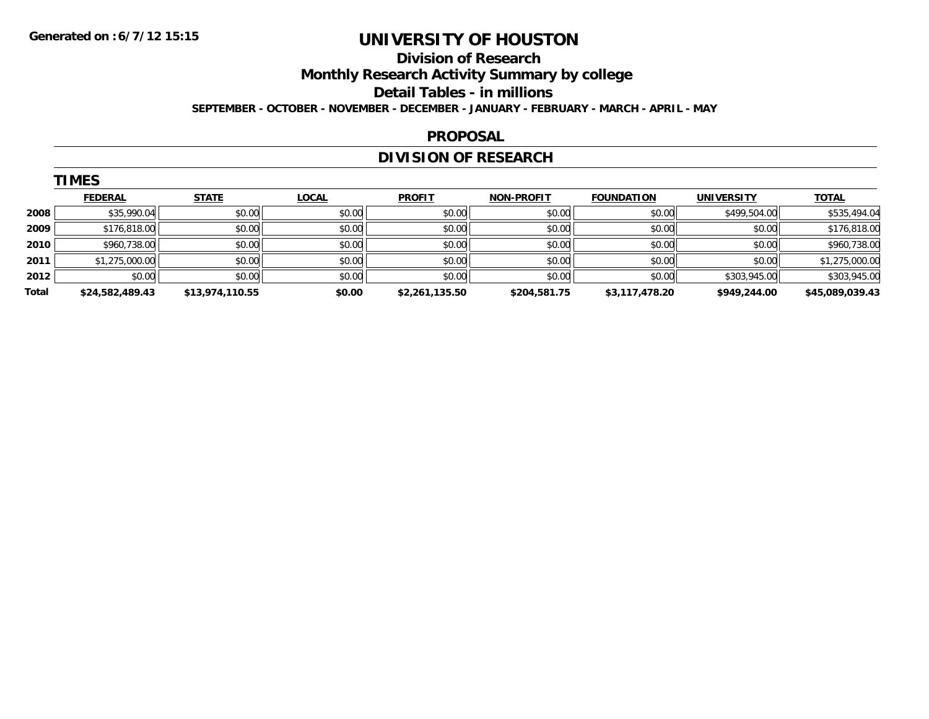#### **Division of Research**

**Monthly Research Activity Summary by college**

**Detail Tables - in millions**

**SEPTEMBER - OCTOBER - NOVEMBER - DECEMBER - JANUARY - FEBRUARY - MARCH - APRIL - MAY**

#### **PROPOSAL**

### **DIVISION OF RESEARCH**

|       | <b>TIMES</b>    |                 |              |                |                   |                   |                   |                 |  |  |  |
|-------|-----------------|-----------------|--------------|----------------|-------------------|-------------------|-------------------|-----------------|--|--|--|
|       | <b>FEDERAL</b>  | <b>STATE</b>    | <b>LOCAL</b> | <b>PROFIT</b>  | <b>NON-PROFIT</b> | <b>FOUNDATION</b> | <b>UNIVERSITY</b> | <b>TOTAL</b>    |  |  |  |
| 2008  | \$35,990.04     | \$0.00          | \$0.00       | \$0.00         | \$0.00            | \$0.00            | \$499,504.00      | \$535,494.04    |  |  |  |
| 2009  | \$176,818.00    | \$0.00          | \$0.00       | \$0.00         | \$0.00            | \$0.00            | \$0.00            | \$176,818.00    |  |  |  |
| 2010  | \$960,738.00    | \$0.00          | \$0.00       | \$0.00         | \$0.00            | \$0.00            | \$0.00            | \$960,738.00    |  |  |  |
| 2011  | \$1,275,000.00  | \$0.00          | \$0.00       | \$0.00         | \$0.00            | \$0.00            | \$0.00            | \$1,275,000.00  |  |  |  |
| 2012  | \$0.00          | \$0.00          | \$0.00       | \$0.00         | \$0.00            | \$0.00            | \$303,945.00      | \$303,945.00    |  |  |  |
| Total | \$24,582,489.43 | \$13,974,110.55 | \$0.00       | \$2,261,135.50 | \$204,581.75      | \$3,117,478.20    | \$949,244.00      | \$45,089,039.43 |  |  |  |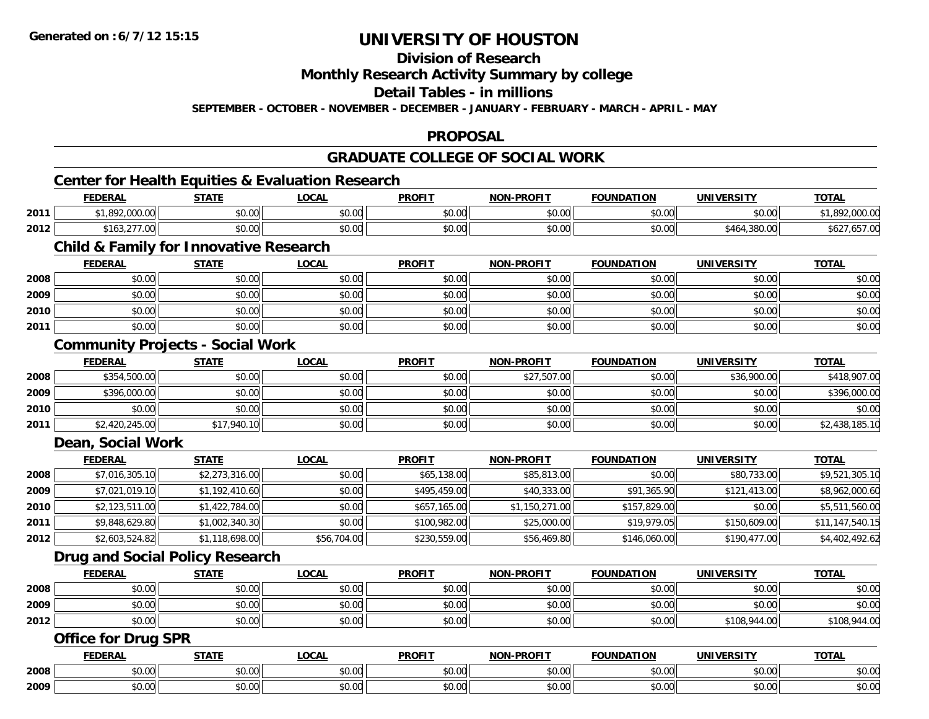**Division of Research**

**Monthly Research Activity Summary by college**

**Detail Tables - in millions**

**SEPTEMBER - OCTOBER - NOVEMBER - DECEMBER - JANUARY - FEBRUARY - MARCH - APRIL - MAY**

### **PROPOSAL**

### **GRADUATE COLLEGE OF SOCIAL WORK**

### **Center for Health Equities & Evaluation Research**

|      | <b>FEDERAL</b>                                     | <b>STATE</b>  | _OCAI         | <b>PROFIT</b> | <b>N-PROFIT</b><br><b>MANI</b> | <b>FOUNDATION</b> | <b>UNIVERSITY</b> | <b>TOTAL</b>                    |
|------|----------------------------------------------------|---------------|---------------|---------------|--------------------------------|-------------------|-------------------|---------------------------------|
| 2011 | 00000<br>nno.<br>1,892,000.00                      | 0000<br>DU.UU | 0000<br>DU.UG | \$0.00        | \$0.00                         | \$0.00            | \$0.00            | 000<br>nnn<br>$\sim$<br>Z.UUU.U |
| 2012 | $\sim$ $\sim$ $\sim$<br>\$163.2]<br>$\sim$<br>7.UU | \$0.00        | \$0.00        | \$0.00        | \$0.00                         | \$0.00            | \$464,380.00      | .00 / CO<br>DOZ.                |

### **Child & Family for Innovative Research**

|      | <b>FEDERAL</b> | <b>STATE</b> | <b>LOCAL</b> | <b>PROFIT</b> | <b>NON-PROFIT</b> | <b>FOUNDATION</b> | <b>UNIVERSITY</b> | <b>TOTAL</b> |
|------|----------------|--------------|--------------|---------------|-------------------|-------------------|-------------------|--------------|
| 2008 | \$0.00         | \$0.00       | \$0.00       | \$0.00        | \$0.00            | \$0.00            | \$0.00            | \$0.00       |
| 2009 | \$0.00         | \$0.00       | \$0.00       | \$0.00        | \$0.00            | \$0.00            | \$0.00            | \$0.00       |
| 2010 | \$0.00         | \$0.00       | \$0.00       | \$0.00        | \$0.00            | \$0.00            | \$0.00            | \$0.00       |
| 2011 | \$0.00         | \$0.00       | \$0.00       | \$0.00        | \$0.00            | \$0.00            | \$0.00            | \$0.00       |

### **Community Projects - Social Work**

|      | <b>FEDERAL</b> | <b>STATE</b> | <u>LOCAL</u> | <b>PROFIT</b> | <b>NON-PROFIT</b> | <b>FOUNDATION</b> | <b>UNIVERSITY</b> | <b>TOTAL</b>   |
|------|----------------|--------------|--------------|---------------|-------------------|-------------------|-------------------|----------------|
| 2008 | \$354,500.00   | \$0.00       | \$0.00       | \$0.00        | \$27,507.00       | \$0.00            | \$36,900.00       | \$418,907.00   |
| 2009 | \$396,000.00   | \$0.00       | \$0.00       | \$0.00        | \$0.00            | \$0.00            | \$0.00            | \$396,000.00   |
| 2010 | \$0.00         | \$0.00       | \$0.00       | \$0.00        | \$0.00            | \$0.00            | \$0.00            | \$0.00         |
| 2011 | \$2,420,245.00 | \$17,940.10  | \$0.00       | \$0.00        | \$0.00            | \$0.00            | \$0.00            | \$2,438,185.10 |

#### **Dean, Social Work**

|      | <b>FEDERAL</b> | <u>STATE</u>   | <u>LOCAL</u> | <b>PROFIT</b> | <b>NON-PROFIT</b> | <b>FOUNDATION</b> | <b>UNIVERSITY</b> | <b>TOTAL</b>    |
|------|----------------|----------------|--------------|---------------|-------------------|-------------------|-------------------|-----------------|
| 2008 | \$7,016,305.10 | \$2,273,316.00 | \$0.00       | \$65,138.00   | \$85,813.00       | \$0.00            | \$80,733,00       | \$9,521,305.10  |
| 2009 | \$7,021,019.10 | \$1,192,410.60 | \$0.00       | \$495,459.00  | \$40,333.00       | \$91,365.90       | \$121,413.00      | \$8,962,000.60  |
| 2010 | \$2,123,511.00 | \$1,422,784.00 | \$0.00       | \$657,165.00  | \$1,150,271.00    | \$157,829.00      | \$0.00            | \$5,511,560.00  |
| 2011 | \$9,848,629.80 | \$1,002,340.30 | \$0.00       | \$100,982.00  | \$25,000.00       | \$19,979.05       | \$150,609.00      | \$11,147,540.15 |
| 2012 | \$2,603,524.82 | \$1,118,698.00 | \$56,704.00  | \$230,559.00  | \$56,469.80       | \$146,060.00      | \$190,477.00      | \$4,402,492.62  |

#### **Drug and Social Policy Research**

|      | <b>FEDERAL</b> | <b>STATE</b> | <u>LOCAL</u> | <b>PROFIT</b> | <b>NON-PROFIT</b> | <b>FOUNDATION</b> | UNIVERSITY   | <b>TOTAL</b> |
|------|----------------|--------------|--------------|---------------|-------------------|-------------------|--------------|--------------|
| 2008 | \$0.00         | \$0.00       | \$0.00       | \$0.00        | \$0.00            | \$0.00            | \$0.00       | \$0.00       |
| 2009 | \$0.00         | \$0.00       | \$0.00       | \$0.00        | \$0.00            | \$0.00            | \$0.00       | \$0.00       |
| 2012 | \$0.00         | \$0.00       | \$0.00       | \$0.00        | \$0.00            | \$0.00            | \$108,944.00 | \$108,944.00 |

#### **Office for Drug SPR**

|      | ≕кн           | ----                              | $\sim$        | <b>DDOEIT</b><br>∽ROF∶ | $\cdots$                                                        | חחו<br><b>SALES</b>               | INIL          | $-2 - 1$                           |
|------|---------------|-----------------------------------|---------------|------------------------|-----------------------------------------------------------------|-----------------------------------|---------------|------------------------------------|
| 2008 | $\sim$ $\sim$ | $\mathsf{A} \cap \mathsf{A} \cap$ | $\triangle$   | ሐሴ ሰሰ                  | $\begin{array}{c} \uparrow \\ \uparrow \\ \uparrow \end{array}$ | $\mathsf{A} \cap \mathsf{A} \cap$ | $\sim$ $\sim$ | $\mathfrak{c}\cap\mathfrak{c}\cap$ |
|      | ,,,,,,        | JU.UU                             | JU.U          | טע. טע                 | JU.UU                                                           | ⊸∪∪∪⊪                             | vu.vu         | <b>JU.UU</b>                       |
| 2009 | $\sim$ $\sim$ | 0000                              | $\sim$ $\sim$ | $\sim$ $\sim$          | $\begin{array}{c} \uparrow \\ \uparrow \\ \uparrow \end{array}$ | $\sim$ 00                         | $\sim$ 00     | $\mathfrak{c}\cap\mathfrak{c}\cap$ |
|      | יש.טי         | JU.UU                             | JU.U          | וש.טע                  | JU.UU                                                           | — ພບ.ປ∪⊪                          | JU.UU         | JU.UU                              |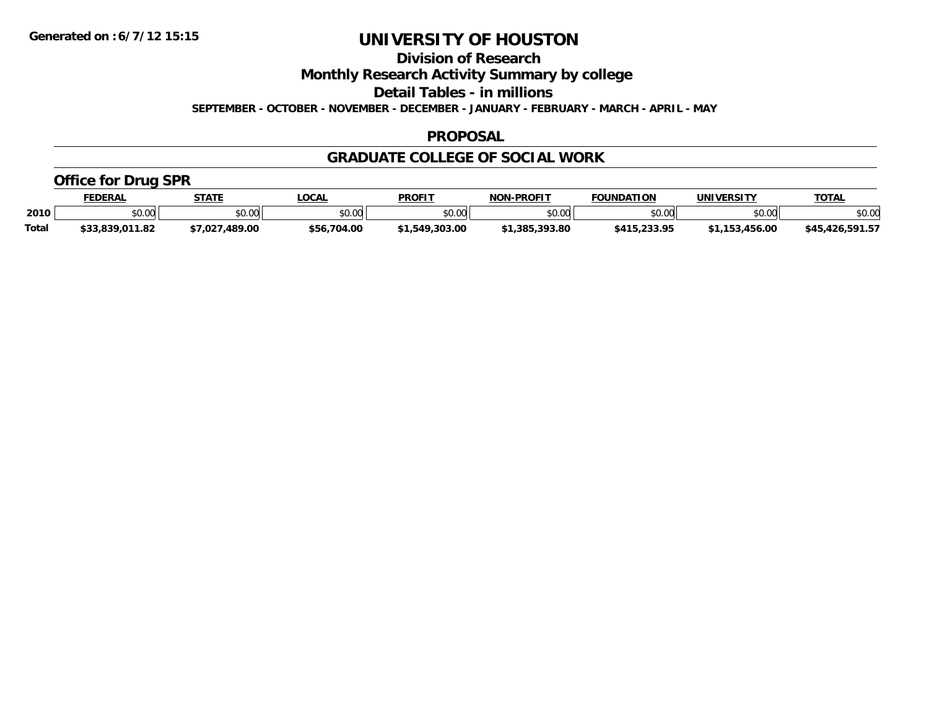**Division of Research**

**Monthly Research Activity Summary by college**

**Detail Tables - in millions**

**SEPTEMBER - OCTOBER - NOVEMBER - DECEMBER - JANUARY - FEBRUARY - MARCH - APRIL - MAY**

#### **PROPOSAL**

### **GRADUATE COLLEGE OF SOCIAL WORK**

### **Office for Drug SPR**

|              | <b>FEDERAL</b>  | <b>STATE</b>   | <b>_OCAL</b>   | <b>PROFIT</b>  | <b>NON-PROFIT</b>                           | <b>FOUNDATION</b> | <b>UNIVERSITY</b> | <b>TOTAL</b>    |
|--------------|-----------------|----------------|----------------|----------------|---------------------------------------------|-------------------|-------------------|-----------------|
| 2010         | nn on<br>DU.UU  | \$0.00         | ሶስ ሰሰ<br>JU.UU | \$0.00         | $\mathfrak{c}\cap\mathfrak{c}\cap$<br>DU.UG | \$0.00            | \$0.00            | \$0.00          |
| <b>Total</b> | \$33,839,011.82 | \$7,027,489.00 | \$56,704.00    | \$1,549,303.00 | .393.80<br>.385.3'                          | \$415,233.95      | 153.456.00<br>152 | \$45,426,591.57 |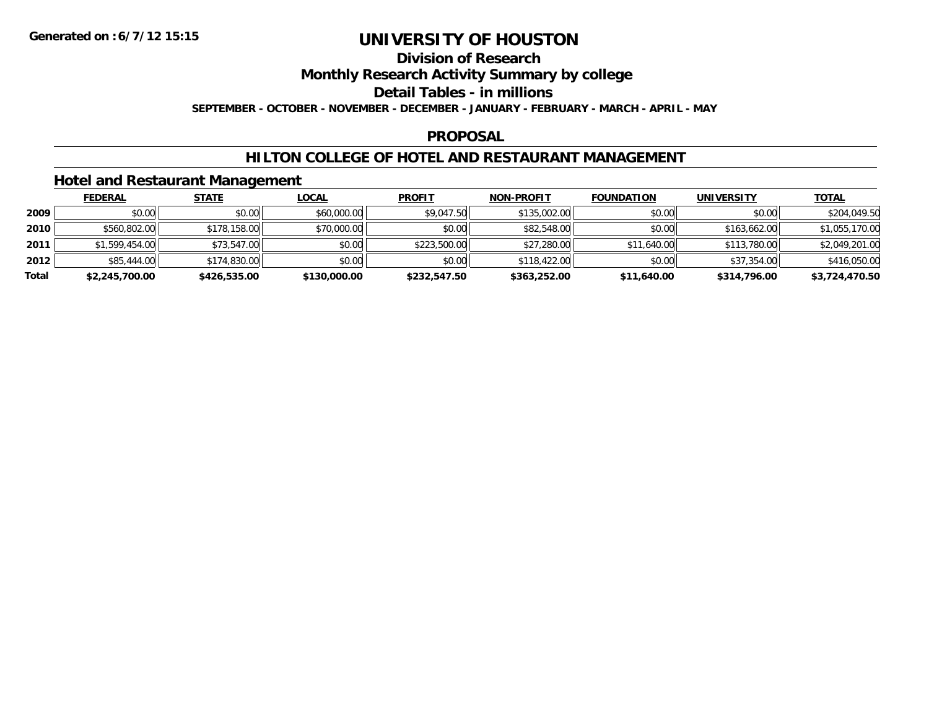### **Division of Research**

**Monthly Research Activity Summary by college**

**Detail Tables - in millions**

**SEPTEMBER - OCTOBER - NOVEMBER - DECEMBER - JANUARY - FEBRUARY - MARCH - APRIL - MAY**

#### **PROPOSAL**

### **HILTON COLLEGE OF HOTEL AND RESTAURANT MANAGEMENT**

### **Hotel and Restaurant Management**

|       | <b>FEDERAL</b> | <b>STATE</b> | <u>LOCAL</u> | <b>PROFIT</b> | <b>NON-PROFIT</b> | <b>FOUNDATION</b> | <b>UNIVERSITY</b> | <b>TOTAL</b>   |
|-------|----------------|--------------|--------------|---------------|-------------------|-------------------|-------------------|----------------|
| 2009  | \$0.00         | \$0.00       | \$60,000.00  | \$9,047.50    | \$135,002.00      | \$0.00            | \$0.00            | \$204,049.50   |
| 2010  | \$560,802.00   | \$178,158.00 | \$70,000.00  | \$0.00        | \$82,548.00       | \$0.00            | \$163,662.00      | \$1,055,170.00 |
| 2011  | \$1,599,454.00 | \$73,547.00  | \$0.00       | \$223,500.00  | \$27,280.00       | \$11,640.00       | \$113,780.00      | \$2,049,201.00 |
| 2012  | \$85,444.00    | \$174,830.00 | \$0.00       | \$0.00        | \$118,422.00      | \$0.00            | \$37,354.00       | \$416,050.00   |
| Total | \$2,245,700.00 | \$426,535.00 | \$130,000.00 | \$232,547.50  | \$363,252.00      | \$11,640.00       | \$314,796.00      | \$3,724,470.50 |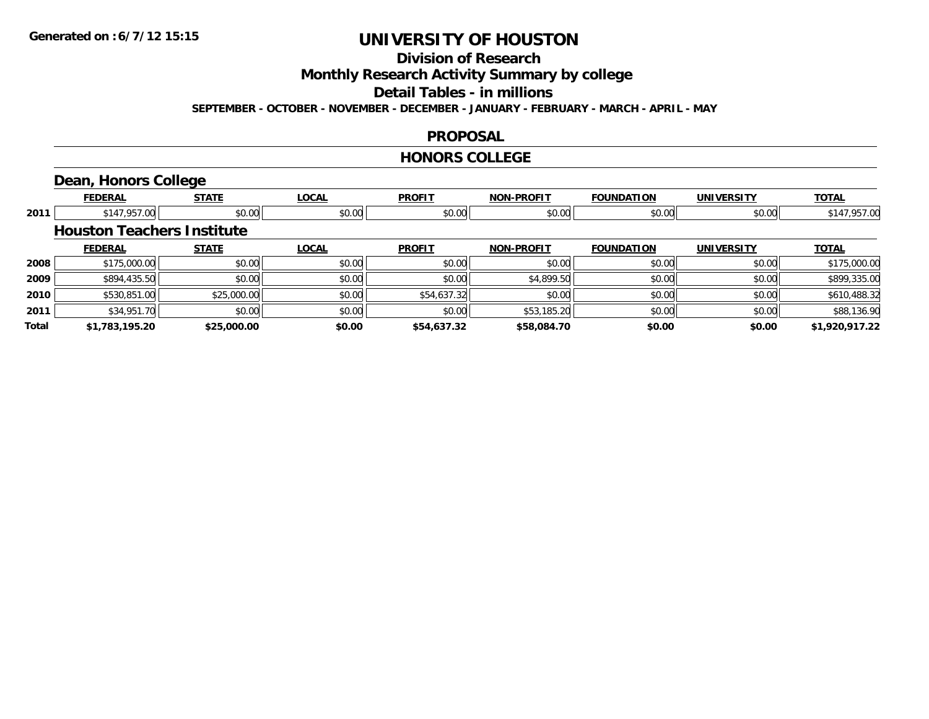### **Division of Research**

**Monthly Research Activity Summary by college**

**Detail Tables - in millions**

**SEPTEMBER - OCTOBER - NOVEMBER - DECEMBER - JANUARY - FEBRUARY - MARCH - APRIL - MAY**

#### **PROPOSAL**

#### **HONORS COLLEGE**

### **Dean, Honors College**

|       | <b>FEDERAL</b>                    | <b>STATE</b> | <b>LOCAL</b> | <b>PROFIT</b> | <b>NON-PROFIT</b> | <b>FOUNDATION</b> | <b>UNIVERSITY</b> | <b>TOTAL</b>   |
|-------|-----------------------------------|--------------|--------------|---------------|-------------------|-------------------|-------------------|----------------|
| 2011  | \$147,957.00                      | \$0.00       | \$0.00       | \$0.00        | \$0.00            | \$0.00            | \$0.00            | \$147,957.00   |
|       | <b>Houston Teachers Institute</b> |              |              |               |                   |                   |                   |                |
|       | <b>FEDERAL</b>                    | <b>STATE</b> | <b>LOCAL</b> | <b>PROFIT</b> | <b>NON-PROFIT</b> | <b>FOUNDATION</b> | <b>UNIVERSITY</b> | <b>TOTAL</b>   |
| 2008  | \$175,000.00                      | \$0.00       | \$0.00       | \$0.00        | \$0.00            | \$0.00            | \$0.00            | \$175,000.00   |
| 2009  | \$894,435.50                      | \$0.00       | \$0.00       | \$0.00        | \$4,899.50        | \$0.00            | \$0.00            | \$899,335.00   |
| 2010  | \$530,851.00                      | \$25,000.00  | \$0.00       | \$54,637.32   | \$0.00            | \$0.00            | \$0.00            | \$610,488.32   |
| 2011  | \$34,951.70                       | \$0.00       | \$0.00       | \$0.00        | \$53,185.20       | \$0.00            | \$0.00            | \$88,136.90    |
| Total | \$1,783,195,20                    | \$25,000.00  | \$0.00       | \$54,637.32   | \$58,084.70       | \$0.00            | \$0.00            | \$1,920,917.22 |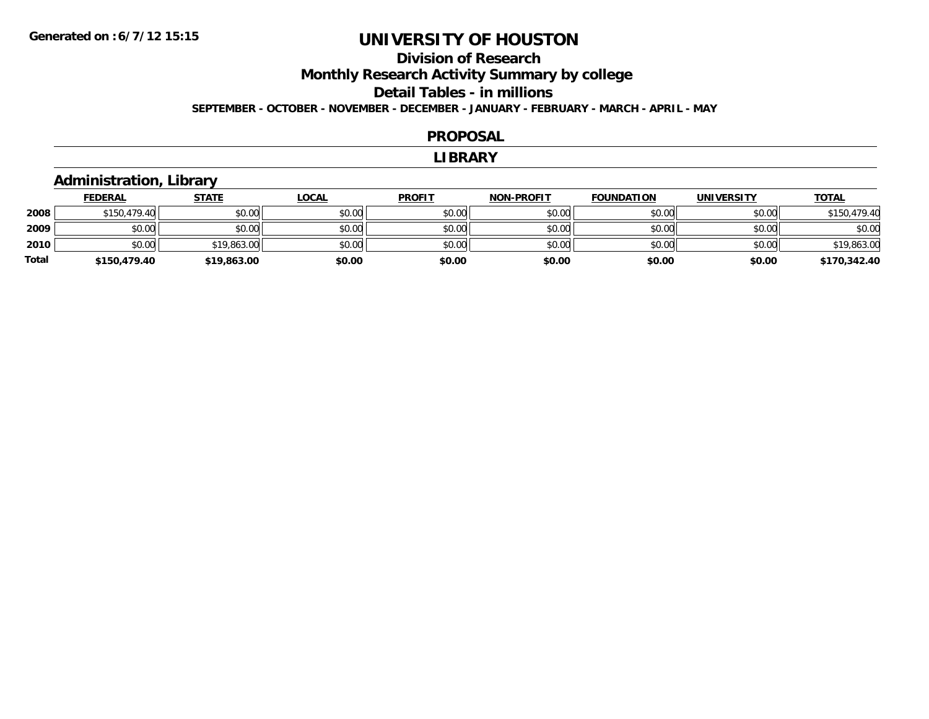### **Division of ResearchMonthly Research Activity Summary by college Detail Tables - in millions SEPTEMBER - OCTOBER - NOVEMBER - DECEMBER - JANUARY - FEBRUARY - MARCH - APRIL - MAY**

#### **PROPOSAL**

#### **LIBRARY**

### **Administration, Library**

|              | <b>FEDERAL</b> | <u>STATE</u> | <u>LOCAL</u> | <b>PROFIT</b> | <b>NON-PROFIT</b> | <b>FOUNDATION</b> | <b>UNIVERSITY</b> | <b>TOTAL</b> |
|--------------|----------------|--------------|--------------|---------------|-------------------|-------------------|-------------------|--------------|
| 2008         | \$150,479.40   | \$0.00       | \$0.00       | \$0.00        | \$0.00            | \$0.00            | \$0.00            | \$150,479.40 |
| 2009         | \$0.00         | \$0.00       | \$0.00       | \$0.00        | \$0.00            | \$0.00            | \$0.00            | \$0.00       |
| 2010         | \$0.00         | \$19,863.00  | \$0.00       | \$0.00        | \$0.00            | \$0.00            | \$0.00            | \$19,863.00  |
| <b>Total</b> | \$150,479.40   | \$19,863.00  | \$0.00       | \$0.00        | \$0.00            | \$0.00            | \$0.00            | \$170,342.40 |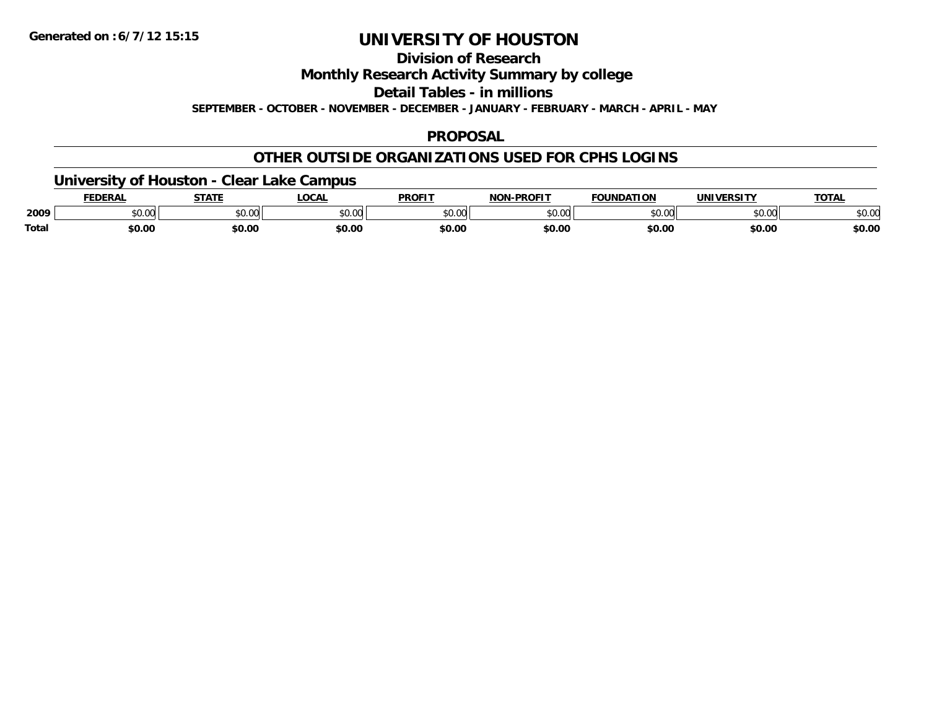**Division of Research**

**Monthly Research Activity Summary by college**

**Detail Tables - in millions**

**SEPTEMBER - OCTOBER - NOVEMBER - DECEMBER - JANUARY - FEBRUARY - MARCH - APRIL - MAY**

### **PROPOSAL**

### **OTHER OUTSIDE ORGANIZATIONS USED FOR CPHS LOGINS**

**University of Houston - Clear Lake Campus**

|       | FEDERAI        | <del>.</del> | <b>LOCAL</b>               | <b>PROFIT</b> | MONLDDOEIT | <b>FOUNDATION</b> | <b>UNIVERSITY</b>                   | ΤΟΤΑ<br>$\mathbf{v}$ |
|-------|----------------|--------------|----------------------------|---------------|------------|-------------------|-------------------------------------|----------------------|
| 2009  | ልስ ሀህ<br>DU.UU | \$0.00       | $*$ $\cap$ $\cap$<br>DU.UG | \$0.00        | \$0.00     | \$0.00            | $\theta$ $\theta$ $\theta$<br>pu.uu | \$0.00               |
| Total | \$0.00         | \$0.00       | \$0.00                     | \$0.00        | \$0.00     | \$0.00            | \$0.00                              | \$0.00               |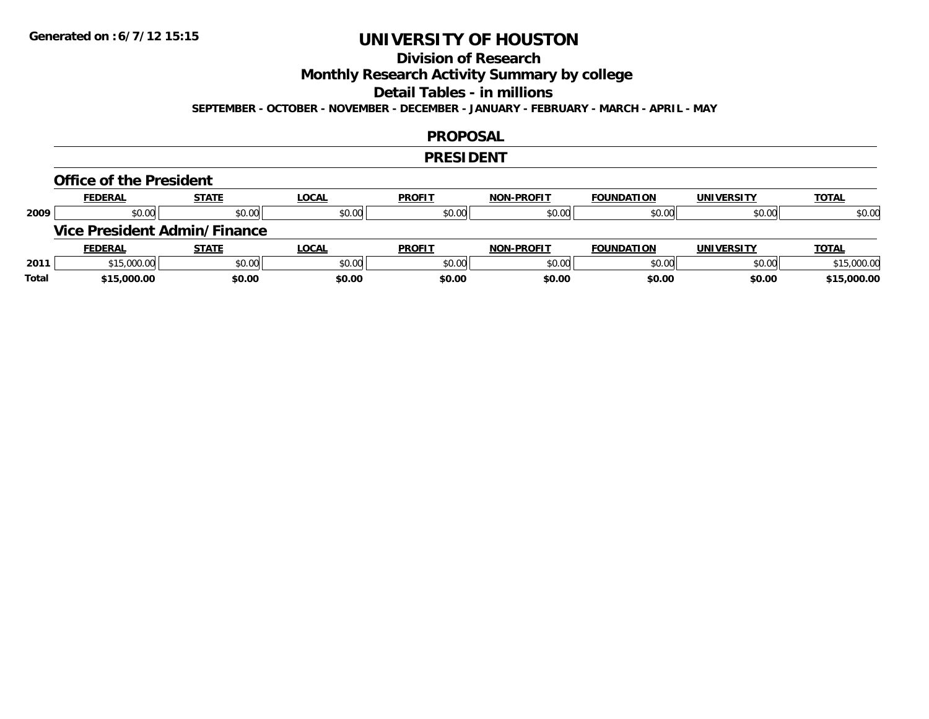### **Division of Research**

**Monthly Research Activity Summary by college**

**Detail Tables - in millions**

**SEPTEMBER - OCTOBER - NOVEMBER - DECEMBER - JANUARY - FEBRUARY - MARCH - APRIL - MAY**

#### **PROPOSAL**

#### **PRESIDENT**

#### **Office of the President**

|      | <b>FEDERAL</b> | <b>STATE</b>                 | <b>LOCAL</b> | <b>PROFIT</b> | <b>NON-PROFIT</b> | <b>FOUNDATION</b> | <b>UNIVERSITY</b> | <b>TOTAL</b> |
|------|----------------|------------------------------|--------------|---------------|-------------------|-------------------|-------------------|--------------|
| 2009 | \$0.00         | \$0.00                       | \$0.00       | \$0.00        | \$0.00            | \$0.00            | \$0.00            | \$0.00       |
|      |                | Vice President Admin/Finance |              |               |                   |                   |                   |              |
|      |                |                              |              |               |                   |                   |                   |              |
|      | <b>FEDERAL</b> | <b>STATE</b>                 | <u>LOCAL</u> | <b>PROFIT</b> | <b>NON-PROFIT</b> | <b>FOUNDATION</b> | <b>UNIVERSITY</b> | <b>TOTAL</b> |
| 2011 | \$15,000.00    | \$0.00                       | \$0.00       | \$0.00        | \$0.00            | \$0.00            | \$0.00            | \$15,000.00  |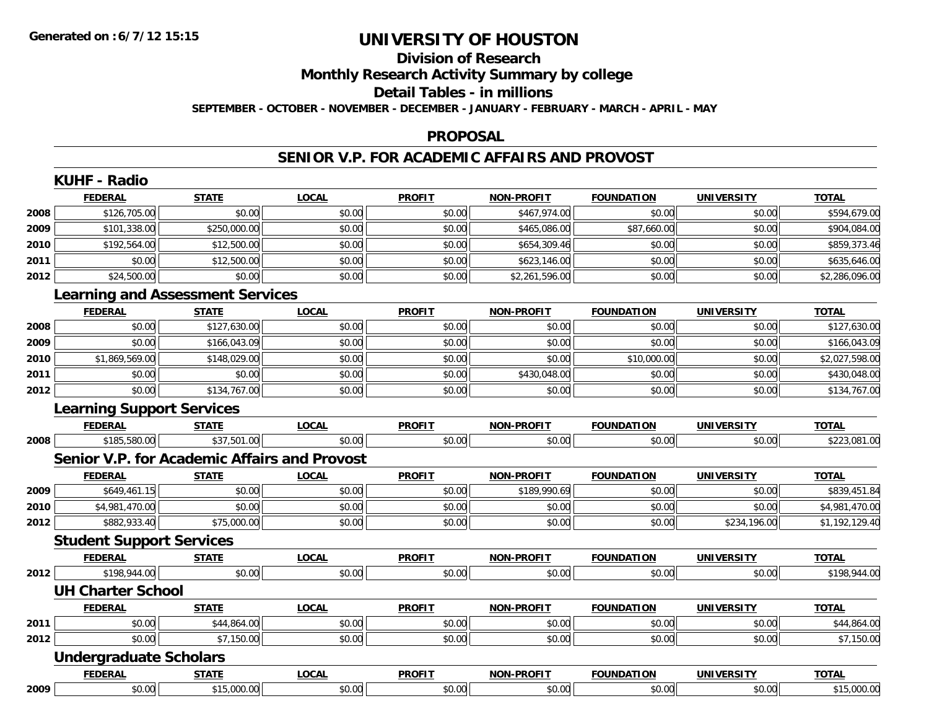# **Division of Research**

**Monthly Research Activity Summary by college**

#### **Detail Tables - in millions**

**SEPTEMBER - OCTOBER - NOVEMBER - DECEMBER - JANUARY - FEBRUARY - MARCH - APRIL - MAY**

#### **PROPOSAL**

### **SENIOR V.P. FOR ACADEMIC AFFAIRS AND PROVOST**

|      | <b>KUHF - Radio</b>              |                                                     |              |               |                   |                   |                   |                |
|------|----------------------------------|-----------------------------------------------------|--------------|---------------|-------------------|-------------------|-------------------|----------------|
|      | <b>FEDERAL</b>                   | <b>STATE</b>                                        | <b>LOCAL</b> | <b>PROFIT</b> | NON-PROFIT        | <b>FOUNDATION</b> | <b>UNIVERSITY</b> | <b>TOTAL</b>   |
| 2008 | \$126,705.00                     | \$0.00                                              | \$0.00       | \$0.00        | \$467,974.00      | \$0.00            | \$0.00            | \$594,679.00   |
| 2009 | \$101,338.00                     | \$250,000.00                                        | \$0.00       | \$0.00        | \$465,086.00      | \$87,660.00       | \$0.00            | \$904,084.00   |
| 2010 | \$192,564.00                     | \$12,500.00                                         | \$0.00       | \$0.00        | \$654,309.46      | \$0.00            | \$0.00            | \$859,373.46   |
| 2011 | \$0.00                           | \$12,500.00                                         | \$0.00       | \$0.00        | \$623,146.00      | \$0.00            | \$0.00            | \$635,646.00   |
| 2012 | \$24,500.00                      | \$0.00                                              | \$0.00       | \$0.00        | \$2,261,596.00    | \$0.00            | \$0.00            | \$2,286,096.00 |
|      |                                  | <b>Learning and Assessment Services</b>             |              |               |                   |                   |                   |                |
|      | <b>FEDERAL</b>                   | <b>STATE</b>                                        | <b>LOCAL</b> | <b>PROFIT</b> | <b>NON-PROFIT</b> | <b>FOUNDATION</b> | <b>UNIVERSITY</b> | <b>TOTAL</b>   |
| 2008 | \$0.00                           | \$127,630.00                                        | \$0.00       | \$0.00        | \$0.00            | \$0.00            | \$0.00            | \$127,630.00   |
| 2009 | \$0.00                           | \$166,043.09                                        | \$0.00       | \$0.00        | \$0.00            | \$0.00            | \$0.00            | \$166,043.09   |
| 2010 | \$1,869,569.00                   | \$148,029.00                                        | \$0.00       | \$0.00        | \$0.00            | \$10,000.00       | \$0.00            | \$2,027,598.00 |
| 2011 | \$0.00                           | \$0.00                                              | \$0.00       | \$0.00        | \$430,048.00      | \$0.00            | \$0.00            | \$430,048.00   |
| 2012 | \$0.00                           | \$134,767.00                                        | \$0.00       | \$0.00        | \$0.00            | \$0.00            | \$0.00            | \$134,767.00   |
|      | <b>Learning Support Services</b> |                                                     |              |               |                   |                   |                   |                |
|      | <b>FEDERAL</b>                   | <b>STATE</b>                                        | <b>LOCAL</b> | <b>PROFIT</b> | <b>NON-PROFIT</b> | <b>FOUNDATION</b> | <b>UNIVERSITY</b> | <b>TOTAL</b>   |
| 2008 | \$185,580.00                     | \$37,501.00                                         | \$0.00       | \$0.00        | \$0.00            | \$0.00            | \$0.00            | \$223,081.00   |
|      |                                  | <b>Senior V.P. for Academic Affairs and Provost</b> |              |               |                   |                   |                   |                |
|      | <b>FEDERAL</b>                   | <b>STATE</b>                                        | <b>LOCAL</b> | <b>PROFIT</b> | NON-PROFIT        | <b>FOUNDATION</b> | <b>UNIVERSITY</b> | <b>TOTAL</b>   |
| 2009 | \$649,461.15                     | \$0.00                                              | \$0.00       | \$0.00        | \$189,990.69      | \$0.00            | \$0.00            | \$839,451.84   |
| 2010 | \$4,981,470.00                   | \$0.00                                              | \$0.00       | \$0.00        | \$0.00            | \$0.00            | \$0.00            | \$4,981,470.00 |
| 2012 | \$882,933.40                     | \$75,000.00                                         | \$0.00       | \$0.00        | \$0.00            | \$0.00            | \$234,196.00      | \$1,192,129.40 |
|      | <b>Student Support Services</b>  |                                                     |              |               |                   |                   |                   |                |
|      | <b>FEDERAL</b>                   | <b>STATE</b>                                        | <b>LOCAL</b> | <b>PROFIT</b> | <b>NON-PROFIT</b> | <b>FOUNDATION</b> | <b>UNIVERSITY</b> | <b>TOTAL</b>   |
| 2012 | \$198,944.00                     | \$0.00                                              | \$0.00       | \$0.00        | \$0.00            | \$0.00            | \$0.00            | \$198,944.00   |
|      | <b>UH Charter School</b>         |                                                     |              |               |                   |                   |                   |                |
|      | <b>FEDERAL</b>                   | <b>STATE</b>                                        | <b>LOCAL</b> | <b>PROFIT</b> | <b>NON-PROFIT</b> | <b>FOUNDATION</b> | <b>UNIVERSITY</b> | <b>TOTAL</b>   |
| 2011 | \$0.00                           | \$44,864.00                                         | \$0.00       | \$0.00        | \$0.00            | \$0.00            | \$0.00            | \$44,864.00    |
| 2012 | \$0.00                           | \$7,150.00                                          | \$0.00       | \$0.00        | \$0.00            | \$0.00            | \$0.00            | \$7,150.00     |
|      | <b>Undergraduate Scholars</b>    |                                                     |              |               |                   |                   |                   |                |
|      | <b>FEDERAL</b>                   | <b>STATE</b>                                        | <b>LOCAL</b> | <b>PROFIT</b> | <b>NON-PROFIT</b> | <b>FOUNDATION</b> | <b>UNIVERSITY</b> | <b>TOTAL</b>   |
| 2009 | \$0.00                           | \$15,000.00                                         | \$0.00       | \$0.00        | \$0.00            | \$0.00            | \$0.00            | \$15,000.00    |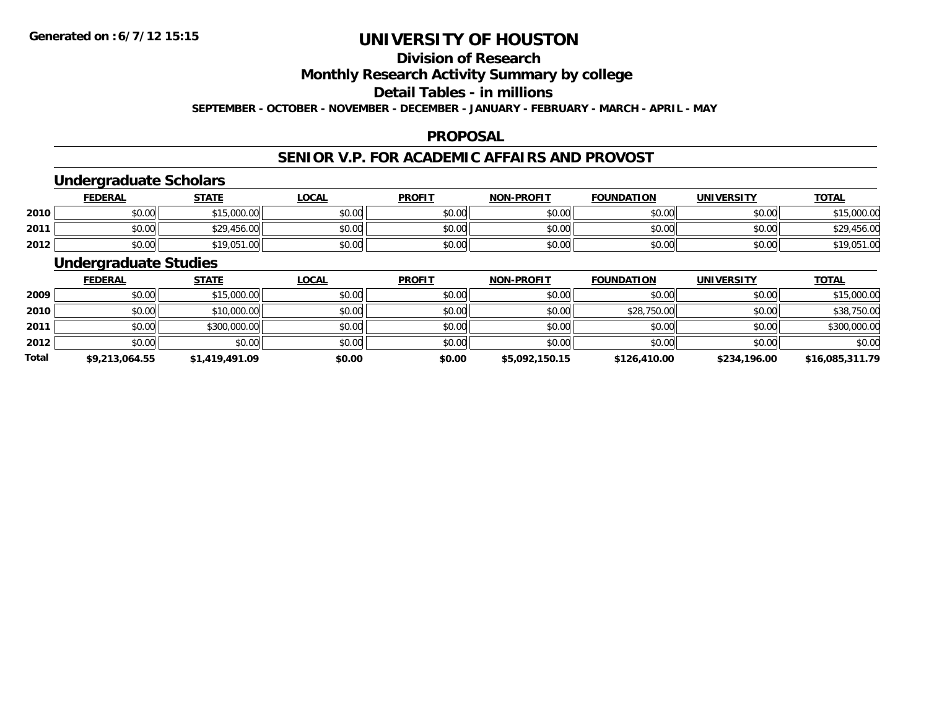### **Division of Research**

**Monthly Research Activity Summary by college**

**Detail Tables - in millions**

**SEPTEMBER - OCTOBER - NOVEMBER - DECEMBER - JANUARY - FEBRUARY - MARCH - APRIL - MAY**

#### **PROPOSAL**

### **SENIOR V.P. FOR ACADEMIC AFFAIRS AND PROVOST**

### **Undergraduate Scholars**

|      | <u>FEDERAL</u> | <b>STATE</b> | <u>LOCAL</u> | <b>PROFIT</b> | <b>NON-PROFIT</b> | <b>FOUNDATION</b> | UNIVERSITY | <b>TOTAL</b> |
|------|----------------|--------------|--------------|---------------|-------------------|-------------------|------------|--------------|
| 2010 | \$0.00         | \$15,000.00  | \$0.00       | \$0.00        | \$0.00            | \$0.00            | \$0.00     | \$15,000.00  |
| 2011 | \$0.00         | \$29,456.00  | \$0.00       | \$0.00        | \$0.00            | \$0.00            | \$0.00     | \$29,456.00  |
| 2012 | \$0.00         | \$19,051.00  | \$0.00       | \$0.00        | \$0.00            | \$0.00            | \$0.00     | \$19,051.00  |

### **Undergraduate Studies**

|              | <b>FEDERAL</b> | <b>STATE</b>   | <u>LOCAL</u> | <b>PROFIT</b> | <b>NON-PROFIT</b> | <b>FOUNDATION</b> | <b>UNIVERSITY</b> | <b>TOTAL</b>    |
|--------------|----------------|----------------|--------------|---------------|-------------------|-------------------|-------------------|-----------------|
| 2009         | \$0.00         | \$15,000.00    | \$0.00       | \$0.00        | \$0.00            | \$0.00            | \$0.00            | \$15,000.00     |
| 2010         | \$0.00         | \$10,000.00    | \$0.00       | \$0.00        | \$0.00            | \$28,750.00       | \$0.00            | \$38,750.00     |
| 2011         | \$0.00         | \$300,000.00   | \$0.00       | \$0.00        | \$0.00            | \$0.00            | \$0.00            | \$300,000.00    |
| 2012         | \$0.00         | \$0.00         | \$0.00       | \$0.00        | \$0.00            | \$0.00            | \$0.00            | \$0.00          |
| <b>Total</b> | \$9,213,064.55 | \$1,419,491.09 | \$0.00       | \$0.00        | \$5,092,150.15    | \$126,410.00      | \$234,196.00      | \$16,085,311.79 |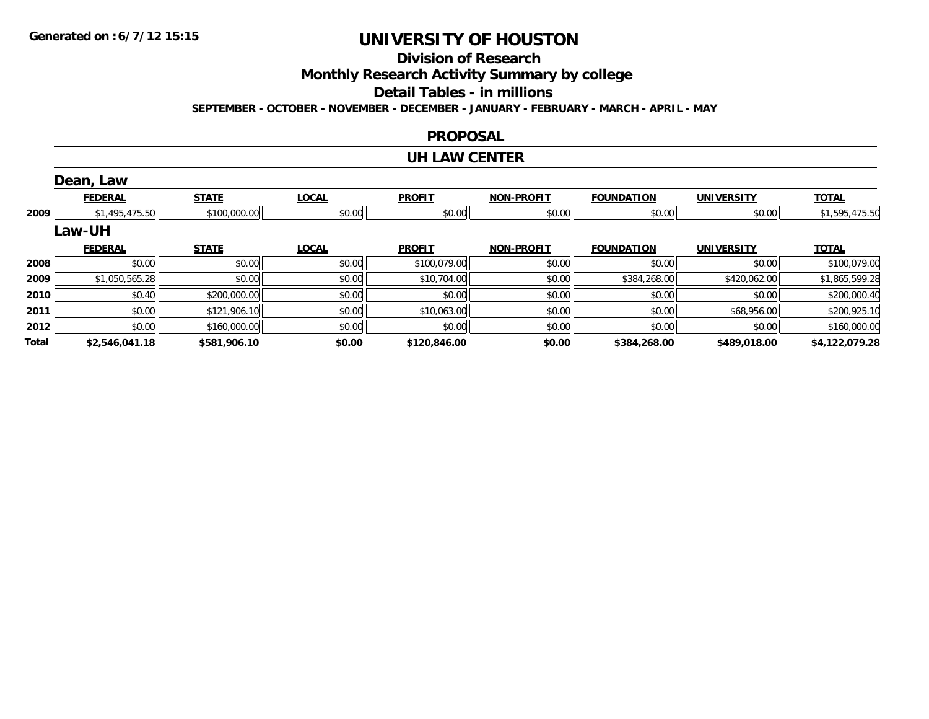### **Division of Research**

**Monthly Research Activity Summary by college**

**Detail Tables - in millions**

**SEPTEMBER - OCTOBER - NOVEMBER - DECEMBER - JANUARY - FEBRUARY - MARCH - APRIL - MAY**

#### **PROPOSAL**

#### **UH LAW CENTER**

|       | Dean, Law      |              |              |               |                   |                   |                   |                |
|-------|----------------|--------------|--------------|---------------|-------------------|-------------------|-------------------|----------------|
|       | <b>FEDERAL</b> | <b>STATE</b> | <b>LOCAL</b> | <b>PROFIT</b> | <b>NON-PROFIT</b> | <b>FOUNDATION</b> | <b>UNIVERSITY</b> | <b>TOTAL</b>   |
| 2009  | \$1,495,475.50 | \$100,000.00 | \$0.00       | \$0.00        | \$0.00            | \$0.00            | \$0.00            | \$1,595,475.50 |
|       | Law-UH         |              |              |               |                   |                   |                   |                |
|       | <b>FEDERAL</b> | <b>STATE</b> | <b>LOCAL</b> | <b>PROFIT</b> | <b>NON-PROFIT</b> | <b>FOUNDATION</b> | <b>UNIVERSITY</b> | <b>TOTAL</b>   |
| 2008  | \$0.00         | \$0.00       | \$0.00       | \$100,079.00  | \$0.00            | \$0.00            | \$0.00            | \$100,079.00   |
| 2009  | \$1,050,565.28 | \$0.00       | \$0.00       | \$10,704.00   | \$0.00            | \$384,268.00      | \$420,062.00      | \$1,865,599.28 |
| 2010  | \$0.40         | \$200,000.00 | \$0.00       | \$0.00        | \$0.00            | \$0.00            | \$0.00            | \$200,000.40   |
| 2011  | \$0.00         | \$121,906.10 | \$0.00       | \$10,063.00   | \$0.00            | \$0.00            | \$68,956.00       | \$200,925.10   |
| 2012  | \$0.00         | \$160,000.00 | \$0.00       | \$0.00        | \$0.00            | \$0.00            | \$0.00            | \$160,000.00   |
| Total | \$2,546,041.18 | \$581,906.10 | \$0.00       | \$120,846.00  | \$0.00            | \$384,268.00      | \$489,018.00      | \$4,122,079.28 |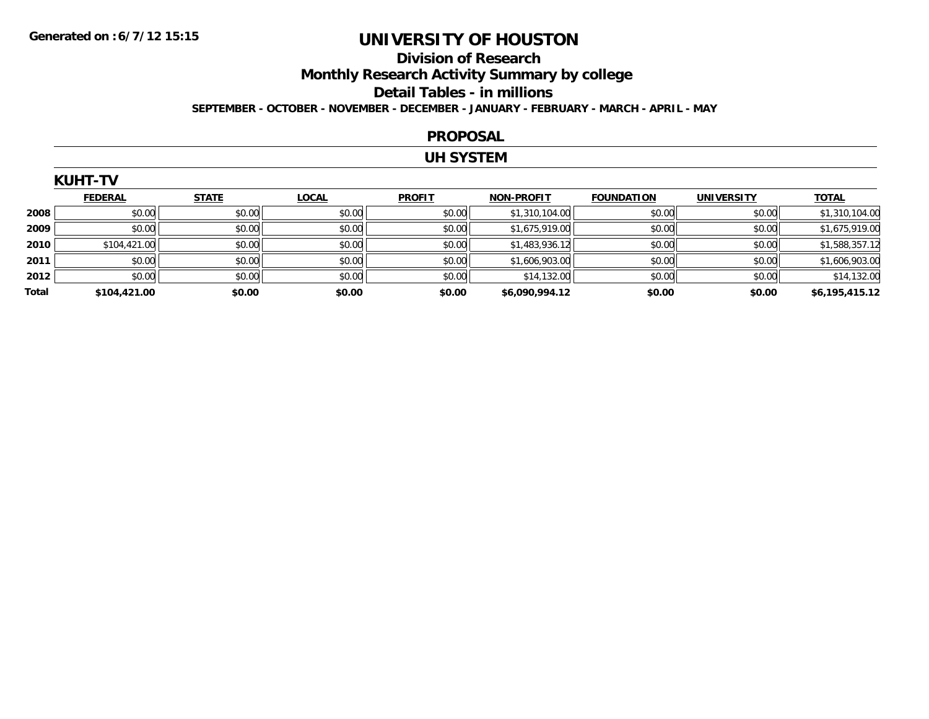### **Division of Research Monthly Research Activity Summary by college Detail Tables - in millions SEPTEMBER - OCTOBER - NOVEMBER - DECEMBER - JANUARY - FEBRUARY - MARCH - APRIL - MAY**

#### **PROPOSAL**

#### **UH SYSTEM**

|       | <b>KUHT-TV</b> |              |              |               |                   |                   |                   |                |  |  |  |
|-------|----------------|--------------|--------------|---------------|-------------------|-------------------|-------------------|----------------|--|--|--|
|       | <b>FEDERAL</b> | <b>STATE</b> | <b>LOCAL</b> | <b>PROFIT</b> | <b>NON-PROFIT</b> | <b>FOUNDATION</b> | <b>UNIVERSITY</b> | <b>TOTAL</b>   |  |  |  |
| 2008  | \$0.00         | \$0.00       | \$0.00       | \$0.00        | \$1,310,104.00    | \$0.00            | \$0.00            | \$1,310,104.00 |  |  |  |
| 2009  | \$0.00         | \$0.00       | \$0.00       | \$0.00        | \$1,675,919.00    | \$0.00            | \$0.00            | \$1,675,919.00 |  |  |  |
| 2010  | \$104,421.00   | \$0.00       | \$0.00       | \$0.00        | \$1,483,936.12    | \$0.00            | \$0.00            | \$1,588,357.12 |  |  |  |
| 2011  | \$0.00         | \$0.00       | \$0.00       | \$0.00        | \$1,606,903.00    | \$0.00            | \$0.00            | \$1,606,903.00 |  |  |  |
| 2012  | \$0.00         | \$0.00       | \$0.00       | \$0.00        | \$14,132.00       | \$0.00            | \$0.00            | \$14,132.00    |  |  |  |
| Total | \$104,421.00   | \$0.00       | \$0.00       | \$0.00        | \$6,090,994.12    | \$0.00            | \$0.00            | \$6,195,415.12 |  |  |  |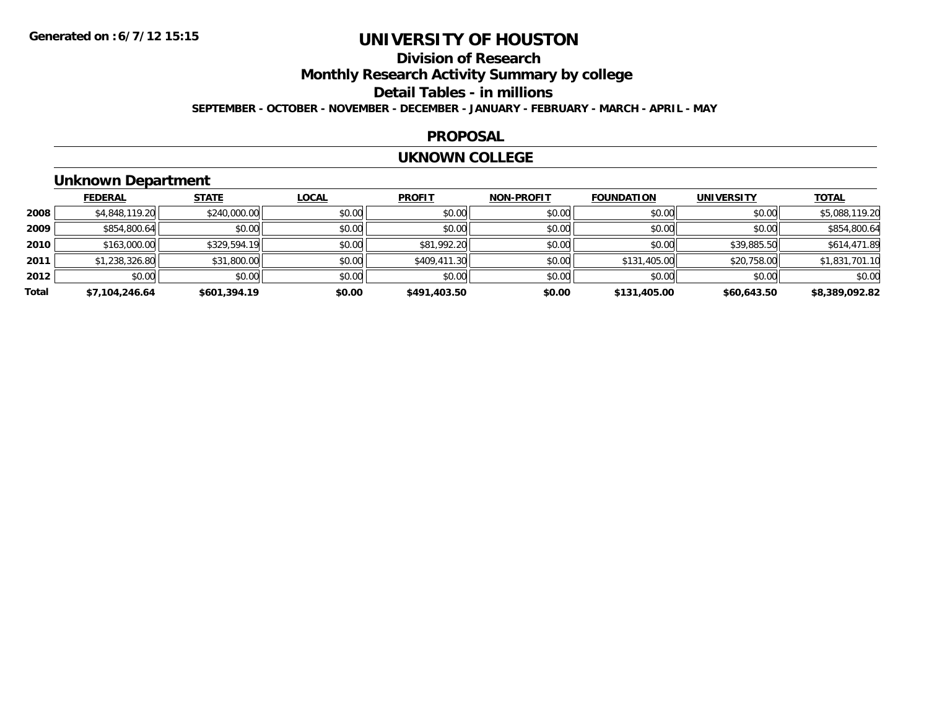### **Division of ResearchMonthly Research Activity Summary by college Detail Tables - in millions SEPTEMBER - OCTOBER - NOVEMBER - DECEMBER - JANUARY - FEBRUARY - MARCH - APRIL - MAY**

#### **PROPOSAL**

#### **UKNOWN COLLEGE**

### **Unknown Department**

|       | <b>FEDERAL</b> | <b>STATE</b> | <b>LOCAL</b> | <b>PROFIT</b> | <b>NON-PROFIT</b> | <b>FOUNDATION</b> | <b>UNIVERSITY</b> | <b>TOTAL</b>   |
|-------|----------------|--------------|--------------|---------------|-------------------|-------------------|-------------------|----------------|
| 2008  | \$4,848,119.20 | \$240,000.00 | \$0.00       | \$0.00        | \$0.00            | \$0.00            | \$0.00            | \$5,088,119.20 |
| 2009  | \$854,800.64   | \$0.00       | \$0.00       | \$0.00        | \$0.00            | \$0.00            | \$0.00            | \$854,800.64   |
| 2010  | \$163,000.00   | \$329,594.19 | \$0.00       | \$81,992.20   | \$0.00            | \$0.00            | \$39,885.50       | \$614,471.89   |
| 2011  | \$1,238,326.80 | \$31,800.00  | \$0.00       | \$409,411.30  | \$0.00            | \$131,405.00      | \$20,758.00       | \$1,831,701.10 |
| 2012  | \$0.00         | \$0.00       | \$0.00       | \$0.00        | \$0.00            | \$0.00            | \$0.00            | \$0.00         |
| Total | \$7,104,246.64 | \$601,394.19 | \$0.00       | \$491,403.50  | \$0.00            | \$131,405.00      | \$60,643.50       | \$8,389,092.82 |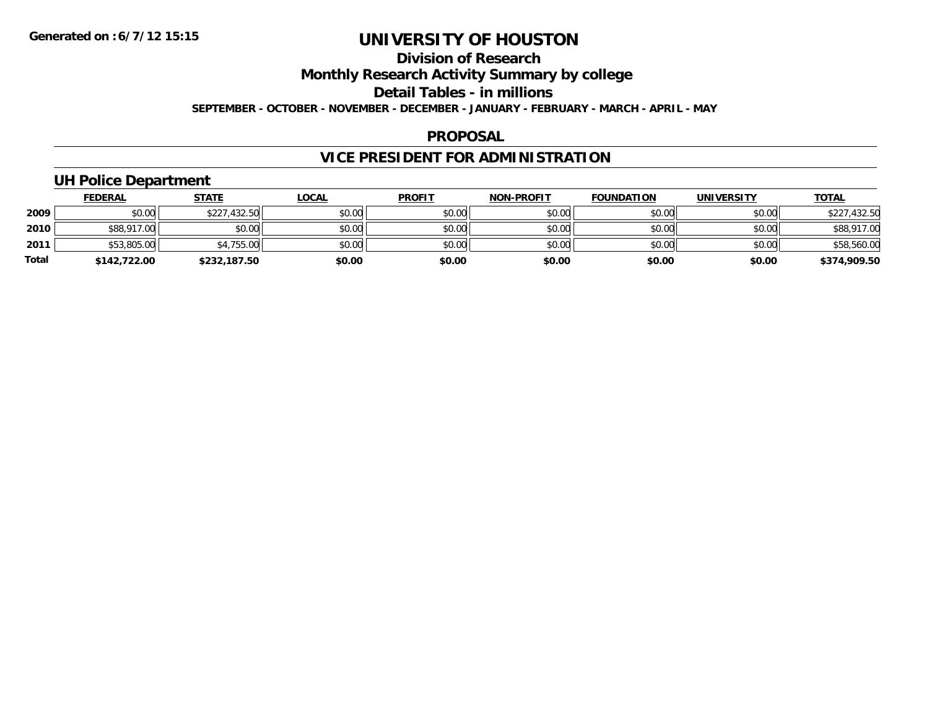### **Division of ResearchMonthly Research Activity Summary by college Detail Tables - in millions SEPTEMBER - OCTOBER - NOVEMBER - DECEMBER - JANUARY - FEBRUARY - MARCH - APRIL - MAY**

#### **PROPOSAL**

### **VICE PRESIDENT FOR ADMINISTRATION**

### **UH Police Department**

|       | <b>FEDERAL</b> | <u>STATE</u> | <b>LOCAL</b> | <b>PROFIT</b> | <b>NON-PROFIT</b> | <b>FOUNDATION</b> | <b>UNIVERSITY</b> | <b>TOTAL</b> |
|-------|----------------|--------------|--------------|---------------|-------------------|-------------------|-------------------|--------------|
| 2009  | \$0.00         | \$227,432.50 | \$0.00       | \$0.00        | \$0.00            | \$0.00            | \$0.00            | \$227,432.50 |
| 2010  | \$88,917.00    | \$0.00       | \$0.00       | \$0.00        | \$0.00            | \$0.00            | \$0.00            | \$88,917.00  |
| 2011  | \$53,805.00    | \$4,755.00   | \$0.00       | \$0.00        | \$0.00            | \$0.00            | \$0.00            | \$58,560.00  |
| Total | \$142,722.00   | \$232,187.50 | \$0.00       | \$0.00        | \$0.00            | \$0.00            | \$0.00            | \$374,909.50 |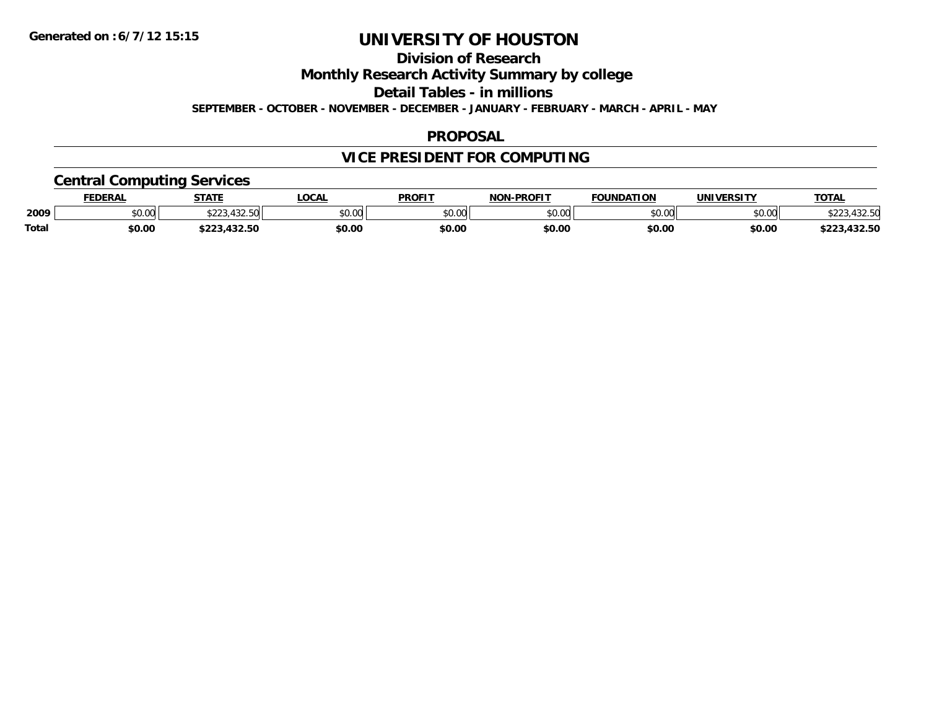**Division of Research**

**Monthly Research Activity Summary by college**

**Detail Tables - in millions**

**SEPTEMBER - OCTOBER - NOVEMBER - DECEMBER - JANUARY - FEBRUARY - MARCH - APRIL - MAY**

#### **PROPOSAL**

### **VICE PRESIDENT FOR COMPUTING**

### **Central Computing Services**

|       | DERAI  | <b>STATE</b>                       | <b>OCAL</b>    | <b>PROFIT</b>           | -PROFIT<br>NON | ΓΙΩΝ<br><b>EQUINDAT</b> | <b><i>INIVERSITY</i></b> | <b>TOTAL</b>             |
|-------|--------|------------------------------------|----------------|-------------------------|----------------|-------------------------|--------------------------|--------------------------|
| 2009  | \$0.00 | $-100-1$<br>ሐ へへ<br>. . <i>. .</i> | ልስ ስሰ<br>JU.UL | 0 <sup>n</sup><br>JU.UU | ልስ ስስ<br>vu.uu | nn on<br>U.UU           | \$0.00                   | +3∠.3U                   |
| Total | \$0.00 |                                    | \$0.00         | \$0.00                  | \$0.00         | \$0.00                  | \$0.0C                   | パクワ にへ<br>$-22$<br>32.OU |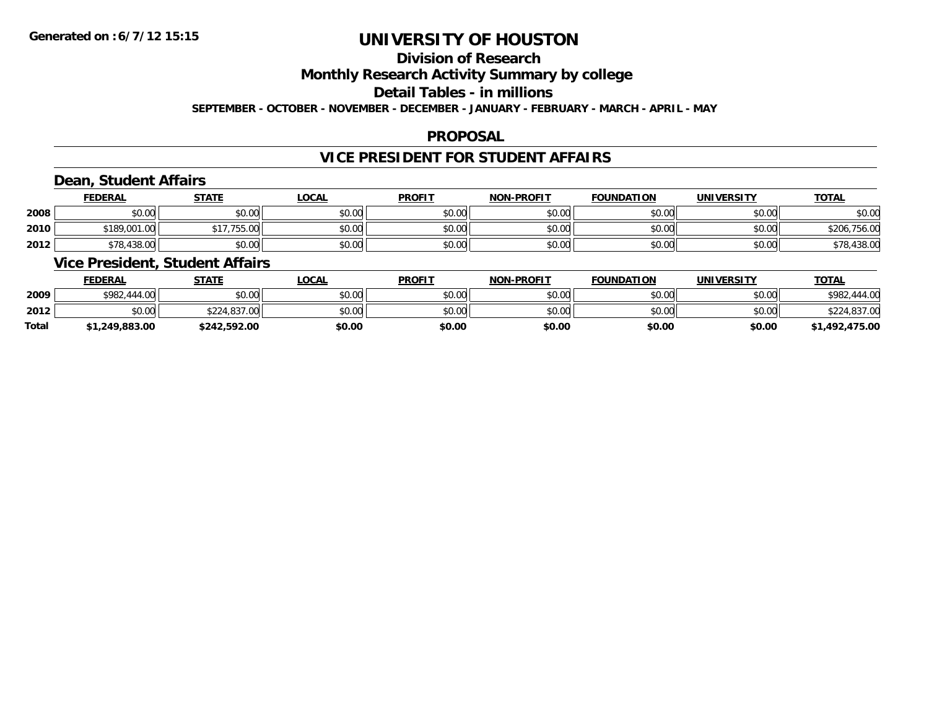### **Division of Research**

**Monthly Research Activity Summary by college**

**Detail Tables - in millions**

**SEPTEMBER - OCTOBER - NOVEMBER - DECEMBER - JANUARY - FEBRUARY - MARCH - APRIL - MAY**

### **PROPOSAL**

### **VICE PRESIDENT FOR STUDENT AFFAIRS**

### **Dean, Student Affairs**

|      | <b>FEDERAL</b> | <b>STATE</b> | <u>_OCAL</u> | <b>PROFIT</b> | <b>NON-PROFIT</b> | <b>FOUNDATION</b> | UNIVERSITY | <b>TOTAL</b> |
|------|----------------|--------------|--------------|---------------|-------------------|-------------------|------------|--------------|
| 2008 | \$0.00         | \$0.00       | \$0.00       | \$0.00        | \$0.00            | \$0.00            | \$0.00     | \$0.00       |
| 2010 | \$189,001.00   | 755.00       | \$0.00       | \$0.00        | \$0.00            | \$0.00            | \$0.00     | \$206,756.00 |
| 2012 | \$78,438.00    | \$0.00       | \$0.00       | \$0.00        | \$0.00            | \$0.00            | \$0.00     | \$78,438.00  |

### **Vice President, Student Affairs**

|              | <b>FEDERAL</b> | <u>STATE</u> | <u>LOCAL</u> | <b>PROFIT</b> | <b>NON-PROFIT</b> | <b>FOUNDATION</b> | UNIVERSITY | <b>TOTAL</b>   |
|--------------|----------------|--------------|--------------|---------------|-------------------|-------------------|------------|----------------|
| 2009         | \$982,444.00   | \$0.00       | \$0.00       | \$0.00        | \$0.00            | \$0.00            | \$0.00     | \$982,444.00   |
| 2012         | \$0.00         | \$224,837.00 | \$0.00       | \$0.00        | \$0.00            | \$0.00            | \$0.00     | \$224,837.00   |
| <b>Total</b> | \$1,249,883.00 | \$242,592.00 | \$0.00       | \$0.00        | \$0.00            | \$0.00            | \$0.00     | \$1,492,475.00 |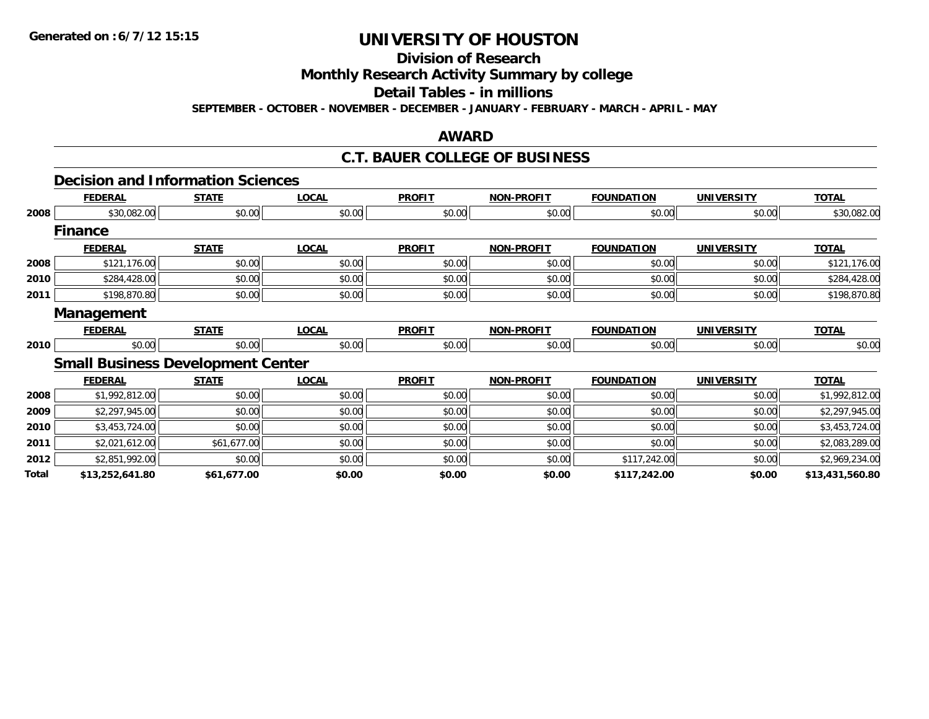**Division of Research**

**Monthly Research Activity Summary by college**

**Detail Tables - in millions**

**SEPTEMBER - OCTOBER - NOVEMBER - DECEMBER - JANUARY - FEBRUARY - MARCH - APRIL - MAY**

### **AWARD**

### **C.T. BAUER COLLEGE OF BUSINESS**

### **Decision and Information Sciences**

|              | <b>FEDERAL</b>                           | <b>STATE</b> | <b>LOCAL</b> | <b>PROFIT</b> | <b>NON-PROFIT</b> | <b>FOUNDATION</b> | <b>UNIVERSITY</b> | <b>TOTAL</b>    |
|--------------|------------------------------------------|--------------|--------------|---------------|-------------------|-------------------|-------------------|-----------------|
| 2008         | \$30,082.00                              | \$0.00       | \$0.00       | \$0.00        | \$0.00            | \$0.00            | \$0.00            | \$30,082.00     |
|              | <b>Finance</b>                           |              |              |               |                   |                   |                   |                 |
|              | <b>FEDERAL</b>                           | <b>STATE</b> | <b>LOCAL</b> | <b>PROFIT</b> | <b>NON-PROFIT</b> | <b>FOUNDATION</b> | <b>UNIVERSITY</b> | <b>TOTAL</b>    |
| 2008         | \$121,176.00                             | \$0.00       | \$0.00       | \$0.00        | \$0.00            | \$0.00            | \$0.00            | \$121,176.00    |
| 2010         | \$284,428.00                             | \$0.00       | \$0.00       | \$0.00        | \$0.00            | \$0.00            | \$0.00            | \$284,428.00    |
| 2011         | \$198,870.80                             | \$0.00       | \$0.00       | \$0.00        | \$0.00            | \$0.00            | \$0.00            | \$198,870.80    |
|              | Management                               |              |              |               |                   |                   |                   |                 |
|              | <b>FEDERAL</b>                           | <b>STATE</b> | <b>LOCAL</b> | <b>PROFIT</b> | <b>NON-PROFIT</b> | <b>FOUNDATION</b> | <b>UNIVERSITY</b> | <b>TOTAL</b>    |
| 2010         | \$0.00                                   | \$0.00       | \$0.00       | \$0.00        | \$0.00            | \$0.00            | \$0.00            | \$0.00          |
|              | <b>Small Business Development Center</b> |              |              |               |                   |                   |                   |                 |
|              | <b>FEDERAL</b>                           | <b>STATE</b> | <b>LOCAL</b> | <b>PROFIT</b> | <b>NON-PROFIT</b> | <b>FOUNDATION</b> | <b>UNIVERSITY</b> | <b>TOTAL</b>    |
| 2008         | \$1,992,812.00                           | \$0.00       | \$0.00       | \$0.00        | \$0.00            | \$0.00            | \$0.00            | \$1,992,812.00  |
| 2009         | \$2,297,945.00                           | \$0.00       | \$0.00       | \$0.00        | \$0.00            | \$0.00            | \$0.00            | \$2,297,945.00  |
| 2010         | \$3,453,724.00                           | \$0.00       | \$0.00       | \$0.00        | \$0.00            | \$0.00            | \$0.00            | \$3,453,724.00  |
| 2011         | \$2,021,612.00                           | \$61,677.00  | \$0.00       | \$0.00        | \$0.00            | \$0.00            | \$0.00            | \$2,083,289.00  |
| 2012         | \$2,851,992.00                           | \$0.00       | \$0.00       | \$0.00        | \$0.00            | \$117,242.00      | \$0.00            | \$2,969,234.00  |
| <b>Total</b> | \$13,252,641.80                          | \$61,677.00  | \$0.00       | \$0.00        | \$0.00            | \$117,242.00      | \$0.00            | \$13,431,560.80 |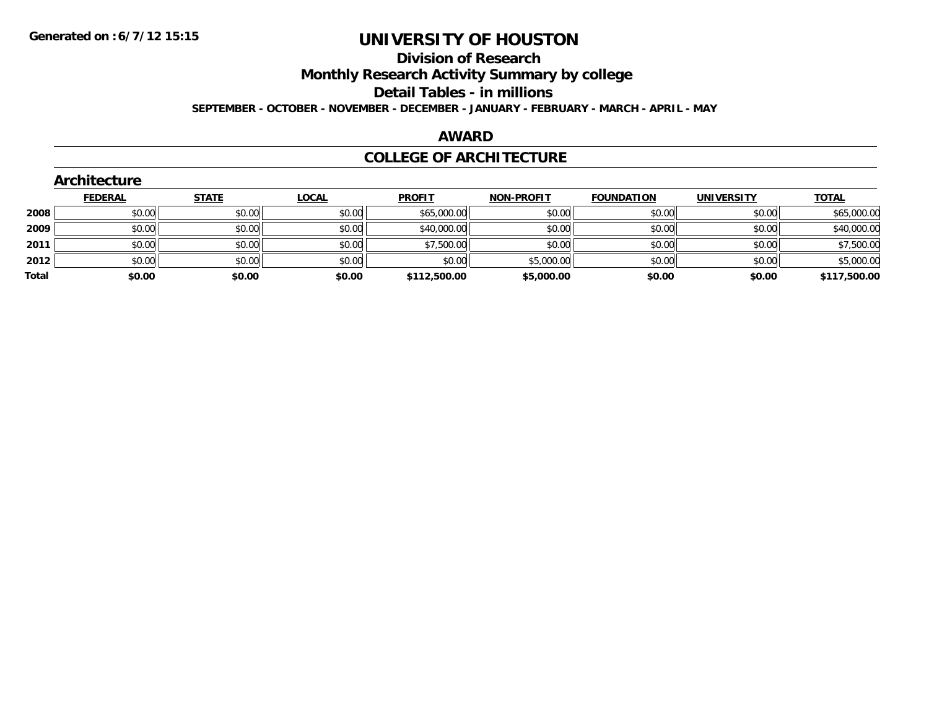## **Division of Research**

**Monthly Research Activity Summary by college**

**Detail Tables - in millions**

**SEPTEMBER - OCTOBER - NOVEMBER - DECEMBER - JANUARY - FEBRUARY - MARCH - APRIL - MAY**

### **AWARD**

#### **COLLEGE OF ARCHITECTURE**

|       | Architecture   |              |              |               |                   |                   |                   |              |
|-------|----------------|--------------|--------------|---------------|-------------------|-------------------|-------------------|--------------|
|       | <b>FEDERAL</b> | <b>STATE</b> | <b>LOCAL</b> | <b>PROFIT</b> | <b>NON-PROFIT</b> | <b>FOUNDATION</b> | <b>UNIVERSITY</b> | <b>TOTAL</b> |
| 2008  | \$0.00         | \$0.00       | \$0.00       | \$65,000.00   | \$0.00            | \$0.00            | \$0.00            | \$65,000.00  |
| 2009  | \$0.00         | \$0.00       | \$0.00       | \$40,000.00   | \$0.00            | \$0.00            | \$0.00            | \$40,000.00  |
| 2011  | \$0.00         | \$0.00       | \$0.00       | \$7,500.00    | \$0.00            | \$0.00            | \$0.00            | \$7,500.00   |
| 2012  | \$0.00         | \$0.00       | \$0.00       | \$0.00        | \$5,000.00        | \$0.00            | \$0.00            | \$5,000.00   |
| Total | \$0.00         | \$0.00       | \$0.00       | \$112,500.00  | \$5,000.00        | \$0.00            | \$0.00            | \$117,500.00 |
|       |                |              |              |               |                   |                   |                   |              |

### **Architecture**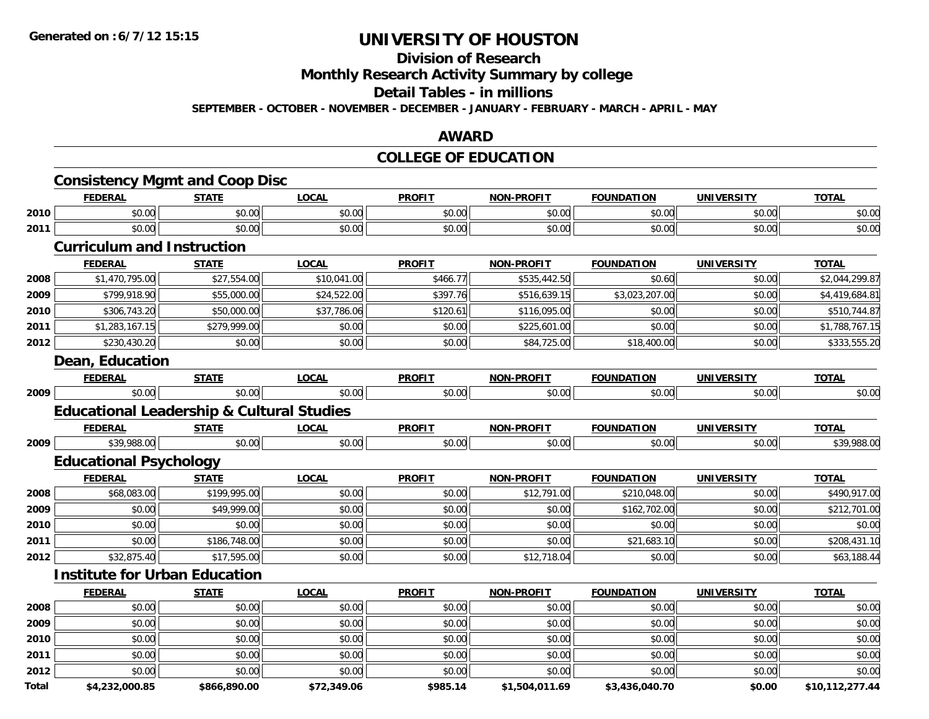## **Division of Research**

**Monthly Research Activity Summary by college**

#### **Detail Tables - in millions**

**SEPTEMBER - OCTOBER - NOVEMBER - DECEMBER - JANUARY - FEBRUARY - MARCH - APRIL - MAY**

#### **AWARD**

### **COLLEGE OF EDUCATION**

|       | <b>Consistency Mgmt and Coop Disc</b><br><b>FEDERAL</b> | <b>STATE</b>   | <b>LOCAL</b> | <b>PROFIT</b> | <b>NON-PROFIT</b> | <b>FOUNDATION</b> | <b>UNIVERSITY</b> | <b>TOTAL</b>    |
|-------|---------------------------------------------------------|----------------|--------------|---------------|-------------------|-------------------|-------------------|-----------------|
| 2010  | \$0.00                                                  | \$0.00         | \$0.00       | \$0.00        | \$0.00            | \$0.00            | \$0.00            | \$0.00          |
| 2011  | \$0.00                                                  | \$0.00         | \$0.00       | \$0.00        | \$0.00            | \$0.00            | \$0.00            | \$0.00          |
|       | <b>Curriculum and Instruction</b>                       |                |              |               |                   |                   |                   |                 |
|       | <b>FEDERAL</b>                                          | <b>STATE</b>   | <b>LOCAL</b> | <b>PROFIT</b> | <b>NON-PROFIT</b> | <b>FOUNDATION</b> | <b>UNIVERSITY</b> | <b>TOTAL</b>    |
| 2008  | \$1,470,795.00                                          | \$27,554.00    | \$10,041.00  | \$466.77      | \$535,442.50      | \$0.60            | \$0.00            | \$2,044,299.87  |
| 2009  | \$799,918.90                                            | \$55,000.00    | \$24,522.00  | \$397.76      | \$516,639.15      | \$3,023,207.00    | \$0.00            | \$4,419,684.81  |
| 2010  | \$306,743.20                                            | \$50,000.00    | \$37,786.06  | \$120.61      | \$116,095.00      | \$0.00            | \$0.00            | \$510,744.87    |
| 2011  | \$1,283,167.15                                          | \$279,999.00   | \$0.00       | \$0.00        | \$225,601.00      | \$0.00            | \$0.00            | \$1,788,767.15  |
| 2012  | \$230,430.20                                            | \$0.00         | \$0.00       | \$0.00        | \$84,725.00       | \$18,400.00       | \$0.00            | \$333,555.20    |
|       | <b>Dean, Education</b>                                  |                |              |               |                   |                   |                   |                 |
|       | <b>FEDERAL</b>                                          | <b>STATE</b>   | <b>LOCAL</b> | <b>PROFIT</b> | <b>NON-PROFIT</b> | <b>FOUNDATION</b> | <b>UNIVERSITY</b> | <b>TOTAL</b>    |
| 2009  | \$0.00                                                  | $\sqrt{$0.00}$ | \$0.00       | \$0.00        | \$0.00            | \$0.00            | \$0.00            | \$0.00          |
|       | <b>Educational Leadership &amp; Cultural Studies</b>    |                |              |               |                   |                   |                   |                 |
|       | <b>FEDERAL</b>                                          | <b>STATE</b>   | <b>LOCAL</b> | <b>PROFIT</b> | <b>NON-PROFIT</b> | <b>FOUNDATION</b> | <b>UNIVERSITY</b> | <b>TOTAL</b>    |
| 2009  | \$39,988.00                                             | \$0.00         | \$0.00       | \$0.00        | \$0.00            | \$0.00            | \$0.00            | \$39,988.00     |
|       | <b>Educational Psychology</b>                           |                |              |               |                   |                   |                   |                 |
|       | <b>FEDERAL</b>                                          | <b>STATE</b>   | <b>LOCAL</b> | <b>PROFIT</b> | <b>NON-PROFIT</b> | <b>FOUNDATION</b> | <b>UNIVERSITY</b> | <b>TOTAL</b>    |
| 2008  | \$68,083.00                                             | \$199,995.00   | \$0.00       | \$0.00        | \$12,791.00       | \$210,048.00      | \$0.00            | \$490,917.00    |
| 2009  | \$0.00                                                  | \$49,999.00    | \$0.00       | \$0.00        | \$0.00            | \$162,702.00      | \$0.00            | \$212,701.00    |
| 2010  | \$0.00                                                  | \$0.00         | \$0.00       | \$0.00        | \$0.00            | \$0.00            | \$0.00            | \$0.00          |
| 2011  | \$0.00                                                  | \$186,748.00   | \$0.00       | \$0.00        | \$0.00            | \$21,683.10       | \$0.00            | \$208,431.10    |
| 2012  | \$32,875.40                                             | \$17,595.00    | \$0.00       | \$0.00        | \$12,718.04       | \$0.00            | \$0.00            | \$63,188.44     |
|       | <b>Institute for Urban Education</b>                    |                |              |               |                   |                   |                   |                 |
|       | <b>FEDERAL</b>                                          | <b>STATE</b>   | <b>LOCAL</b> | <b>PROFIT</b> | <b>NON-PROFIT</b> | <b>FOUNDATION</b> | <b>UNIVERSITY</b> | <b>TOTAL</b>    |
| 2008  | \$0.00                                                  | \$0.00         | \$0.00       | \$0.00        | \$0.00            | \$0.00            | \$0.00            | \$0.00          |
| 2009  | \$0.00                                                  | \$0.00         | \$0.00       | \$0.00        | \$0.00            | \$0.00            | \$0.00            | \$0.00          |
| 2010  | \$0.00                                                  | \$0.00         | \$0.00       | \$0.00        | \$0.00            | \$0.00            | \$0.00            | \$0.00          |
| 2011  | \$0.00                                                  | \$0.00         | \$0.00       | \$0.00        | \$0.00            | \$0.00            | \$0.00            | \$0.00          |
| 2012  | \$0.00                                                  | \$0.00         | \$0.00       | \$0.00        | \$0.00            | \$0.00            | \$0.00            | \$0.00          |
| Total | \$4,232,000.85                                          | \$866,890.00   | \$72,349.06  | \$985.14      | \$1,504,011.69    | \$3,436,040.70    | \$0.00            | \$10,112,277.44 |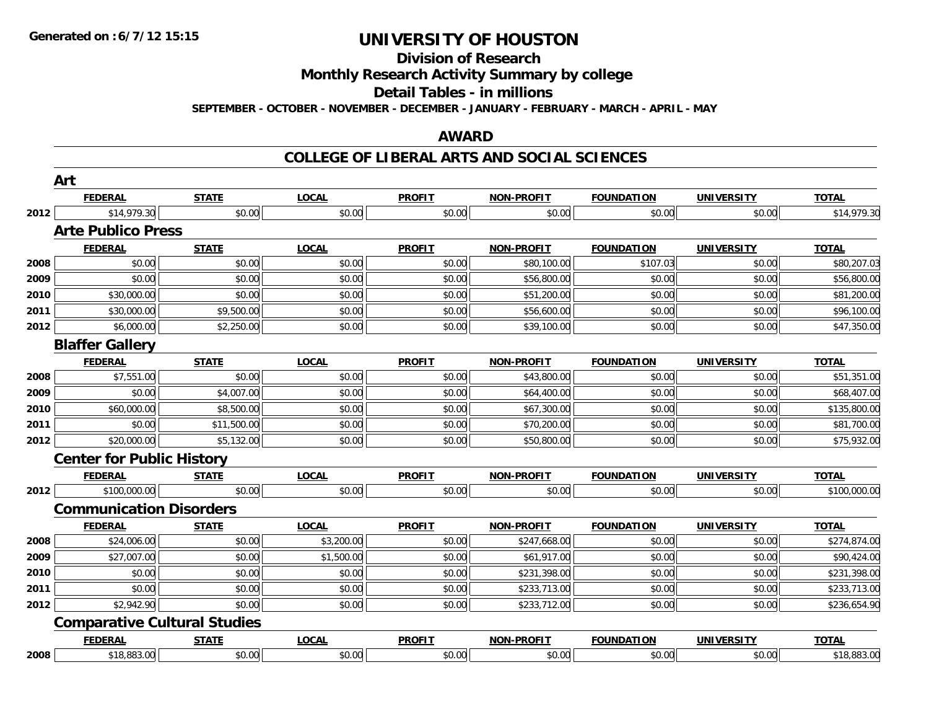#### **Division of Research**

**Monthly Research Activity Summary by college**

**Detail Tables - in millions**

**SEPTEMBER - OCTOBER - NOVEMBER - DECEMBER - JANUARY - FEBRUARY - MARCH - APRIL - MAY**

#### **AWARD**

|      | Art                                 |              |              |               |                   |                   |                   |              |
|------|-------------------------------------|--------------|--------------|---------------|-------------------|-------------------|-------------------|--------------|
|      | <b>FEDERAL</b>                      | <b>STATE</b> | <b>LOCAL</b> | <b>PROFIT</b> | <b>NON-PROFIT</b> | <b>FOUNDATION</b> | <b>UNIVERSITY</b> | <b>TOTAL</b> |
| 2012 | \$14,979.30                         | \$0.00       | \$0.00       | \$0.00        | \$0.00            | \$0.00            | \$0.00            | \$14,979.30  |
|      | <b>Arte Publico Press</b>           |              |              |               |                   |                   |                   |              |
|      | <b>FEDERAL</b>                      | <b>STATE</b> | <b>LOCAL</b> | <b>PROFIT</b> | <b>NON-PROFIT</b> | <b>FOUNDATION</b> | <b>UNIVERSITY</b> | <b>TOTAL</b> |
| 2008 | \$0.00                              | \$0.00       | \$0.00       | \$0.00        | \$80,100.00       | \$107.03          | \$0.00            | \$80,207.03  |
| 2009 | \$0.00                              | \$0.00       | \$0.00       | \$0.00        | \$56,800.00       | \$0.00            | \$0.00            | \$56,800.00  |
| 2010 | \$30,000.00                         | \$0.00       | \$0.00       | \$0.00        | \$51,200.00       | \$0.00            | \$0.00            | \$81,200.00  |
| 2011 | \$30,000.00                         | \$9,500.00   | \$0.00       | \$0.00        | \$56,600.00       | \$0.00            | \$0.00            | \$96,100.00  |
| 2012 | \$6,000.00                          | \$2,250.00   | \$0.00       | \$0.00        | \$39,100.00       | \$0.00            | \$0.00            | \$47,350.00  |
|      | <b>Blaffer Gallery</b>              |              |              |               |                   |                   |                   |              |
|      | <b>FEDERAL</b>                      | <b>STATE</b> | <b>LOCAL</b> | <b>PROFIT</b> | <b>NON-PROFIT</b> | <b>FOUNDATION</b> | <b>UNIVERSITY</b> | <b>TOTAL</b> |
| 2008 | \$7,551.00                          | \$0.00       | \$0.00       | \$0.00        | \$43,800.00       | \$0.00            | \$0.00            | \$51,351.00  |
| 2009 | \$0.00                              | \$4,007.00   | \$0.00       | \$0.00        | \$64,400.00       | \$0.00            | \$0.00            | \$68,407.00  |
| 2010 | \$60,000.00                         | \$8,500.00   | \$0.00       | \$0.00        | \$67,300.00       | \$0.00            | \$0.00            | \$135,800.00 |
| 2011 | \$0.00                              | \$11,500.00  | \$0.00       | \$0.00        | \$70,200.00       | \$0.00            | \$0.00            | \$81,700.00  |
| 2012 | \$20,000.00                         | \$5,132.00   | \$0.00       | \$0.00        | \$50,800.00       | \$0.00            | \$0.00            | \$75,932.00  |
|      | <b>Center for Public History</b>    |              |              |               |                   |                   |                   |              |
|      | <b>FEDERAL</b>                      | <b>STATE</b> | <b>LOCAL</b> | <b>PROFIT</b> | <b>NON-PROFIT</b> | <b>FOUNDATION</b> | <b>UNIVERSITY</b> | <b>TOTAL</b> |
| 2012 | \$100,000.00                        | \$0.00       | \$0.00       | \$0.00        | \$0.00            | \$0.00            | \$0.00            | \$100,000.00 |
|      | <b>Communication Disorders</b>      |              |              |               |                   |                   |                   |              |
|      | <b>FEDERAL</b>                      | <b>STATE</b> | <b>LOCAL</b> | <b>PROFIT</b> | <b>NON-PROFIT</b> | <b>FOUNDATION</b> | <b>UNIVERSITY</b> | <b>TOTAL</b> |
| 2008 | \$24,006.00                         | \$0.00       | \$3,200.00   | \$0.00        | \$247,668.00      | \$0.00            | \$0.00            | \$274,874.00 |
| 2009 | \$27,007.00                         | \$0.00       | \$1,500.00   | \$0.00        | \$61,917.00       | \$0.00            | \$0.00            | \$90,424.00  |
| 2010 | \$0.00                              | \$0.00       | \$0.00       | \$0.00        | \$231,398.00      | \$0.00            | \$0.00            | \$231,398.00 |
| 2011 | \$0.00                              | \$0.00       | \$0.00       | \$0.00        | \$233,713.00      | \$0.00            | \$0.00            | \$233,713.00 |
| 2012 | \$2,942.90                          | \$0.00       | \$0.00       | \$0.00        | \$233,712.00      | \$0.00            | \$0.00            | \$236,654.90 |
|      | <b>Comparative Cultural Studies</b> |              |              |               |                   |                   |                   |              |
|      | <b>FEDERAL</b>                      | <b>STATE</b> | <b>LOCAL</b> | <b>PROFIT</b> | <b>NON-PROFIT</b> | <b>FOUNDATION</b> | <b>UNIVERSITY</b> | <b>TOTAL</b> |
| 2008 | \$18,883.00                         | \$0.00       | \$0.00       | \$0.00        | \$0.00            | \$0.00            | \$0.00            | \$18,883.00  |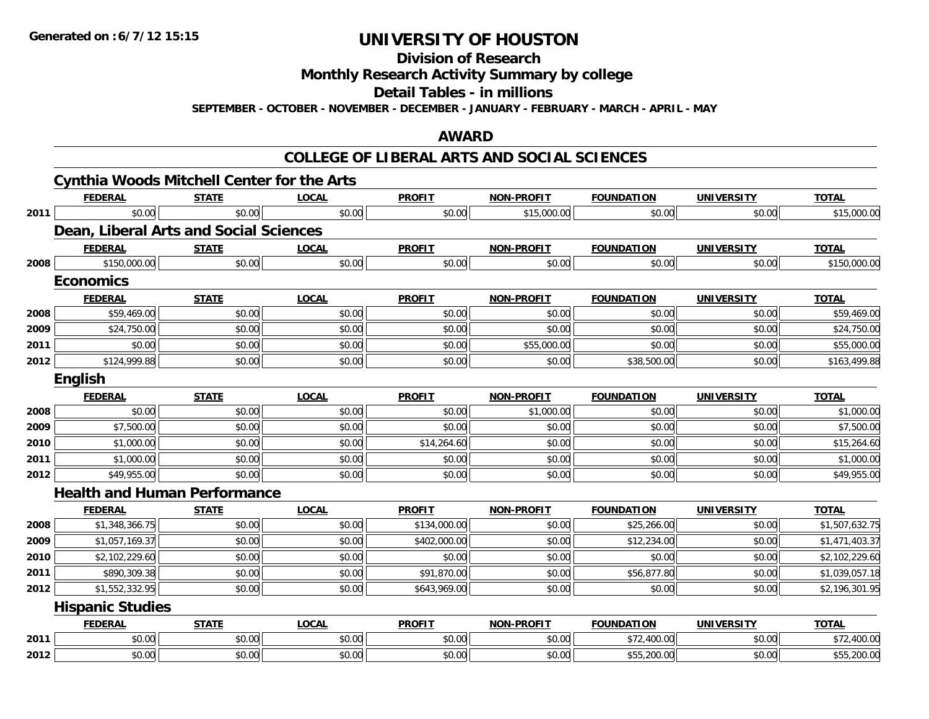**Division of Research**

**Monthly Research Activity Summary by college**

**Detail Tables - in millions**

**SEPTEMBER - OCTOBER - NOVEMBER - DECEMBER - JANUARY - FEBRUARY - MARCH - APRIL - MAY**

#### **AWARD**

|      | <b>Cynthia Woods Mitchell Center for the Arts</b> |              |              |               |                   |                   |                   |                |
|------|---------------------------------------------------|--------------|--------------|---------------|-------------------|-------------------|-------------------|----------------|
|      | <b>FEDERAL</b>                                    | <b>STATE</b> | <b>LOCAL</b> | <b>PROFIT</b> | <b>NON-PROFIT</b> | <b>FOUNDATION</b> | <b>UNIVERSITY</b> | <b>TOTAL</b>   |
| 2011 | \$0.00                                            | \$0.00       | \$0.00       | \$0.00        | \$15,000.00       | \$0.00            | \$0.00            | \$15,000.00    |
|      | Dean, Liberal Arts and Social Sciences            |              |              |               |                   |                   |                   |                |
|      | <b>FEDERAL</b>                                    | <b>STATE</b> | <b>LOCAL</b> | <b>PROFIT</b> | <b>NON-PROFIT</b> | <b>FOUNDATION</b> | <b>UNIVERSITY</b> | <b>TOTAL</b>   |
| 2008 | \$150,000.00                                      | \$0.00       | \$0.00       | \$0.00        | \$0.00            | \$0.00            | \$0.00            | \$150,000.00   |
|      | <b>Economics</b>                                  |              |              |               |                   |                   |                   |                |
|      | <b>FEDERAL</b>                                    | <b>STATE</b> | <b>LOCAL</b> | <b>PROFIT</b> | <b>NON-PROFIT</b> | <b>FOUNDATION</b> | <b>UNIVERSITY</b> | <b>TOTAL</b>   |
| 2008 | \$59,469.00                                       | \$0.00       | \$0.00       | \$0.00        | \$0.00            | \$0.00            | \$0.00            | \$59,469.00    |
| 2009 | \$24,750.00                                       | \$0.00       | \$0.00       | \$0.00        | \$0.00            | \$0.00            | \$0.00            | \$24,750.00    |
| 2011 | \$0.00                                            | \$0.00       | \$0.00       | \$0.00        | \$55,000.00       | \$0.00            | \$0.00            | \$55,000.00    |
| 2012 | \$124,999.88                                      | \$0.00       | \$0.00       | \$0.00        | \$0.00            | \$38,500.00       | \$0.00            | \$163,499.88   |
|      | English                                           |              |              |               |                   |                   |                   |                |
|      | <b>FEDERAL</b>                                    | <b>STATE</b> | <b>LOCAL</b> | <b>PROFIT</b> | <b>NON-PROFIT</b> | <b>FOUNDATION</b> | <b>UNIVERSITY</b> | <b>TOTAL</b>   |
| 2008 | \$0.00                                            | \$0.00       | \$0.00       | \$0.00        | \$1,000.00        | \$0.00            | \$0.00            | \$1,000.00     |
| 2009 | \$7,500.00                                        | \$0.00       | \$0.00       | \$0.00        | \$0.00            | \$0.00            | \$0.00            | \$7,500.00     |
| 2010 | \$1,000.00                                        | \$0.00       | \$0.00       | \$14,264.60   | \$0.00            | \$0.00            | \$0.00            | \$15,264.60    |
| 2011 | \$1,000.00                                        | \$0.00       | \$0.00       | \$0.00        | \$0.00            | \$0.00            | \$0.00            | \$1,000.00     |
| 2012 | \$49,955.00                                       | \$0.00       | \$0.00       | \$0.00        | \$0.00            | \$0.00            | \$0.00            | \$49,955.00    |
|      | <b>Health and Human Performance</b>               |              |              |               |                   |                   |                   |                |
|      | <b>FEDERAL</b>                                    | <b>STATE</b> | <b>LOCAL</b> | <b>PROFIT</b> | <b>NON-PROFIT</b> | <b>FOUNDATION</b> | <b>UNIVERSITY</b> | <b>TOTAL</b>   |
| 2008 | \$1,348,366.75                                    | \$0.00       | \$0.00       | \$134,000.00  | \$0.00            | \$25,266.00       | \$0.00            | \$1,507,632.75 |
| 2009 | \$1,057,169.37                                    | \$0.00       | \$0.00       | \$402,000.00  | \$0.00            | \$12,234.00       | \$0.00            | \$1,471,403.37 |
| 2010 | \$2,102,229.60                                    | \$0.00       | \$0.00       | \$0.00        | \$0.00            | \$0.00            | \$0.00            | \$2,102,229.60 |
| 2011 | \$890,309.38                                      | \$0.00       | \$0.00       | \$91,870.00   | \$0.00            | \$56,877.80       | \$0.00            | \$1,039,057.18 |
| 2012 | \$1,552,332.95                                    | \$0.00       | \$0.00       | \$643,969.00  | \$0.00            | \$0.00            | \$0.00            | \$2,196,301.95 |
|      | <b>Hispanic Studies</b>                           |              |              |               |                   |                   |                   |                |
|      | <b>FEDERAL</b>                                    | <b>STATE</b> | <b>LOCAL</b> | <b>PROFIT</b> | <b>NON-PROFIT</b> | <b>FOUNDATION</b> | <b>UNIVERSITY</b> | <b>TOTAL</b>   |
| 2011 | \$0.00                                            | \$0.00       | \$0.00       | \$0.00        | \$0.00            | \$72,400.00       | \$0.00            | \$72,400.00    |
| 2012 | \$0.00                                            | \$0.00       | \$0.00       | \$0.00        | \$0.00            | \$55,200.00       | \$0.00            | \$55,200.00    |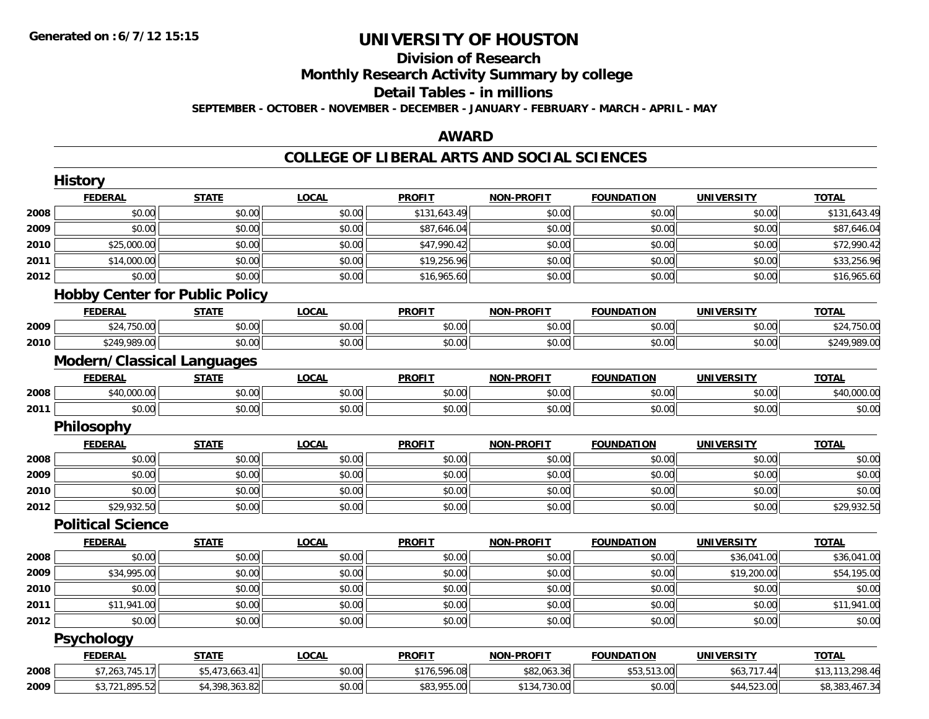# **Division of Research**

**Monthly Research Activity Summary by college**

#### **Detail Tables - in millions**

**SEPTEMBER - OCTOBER - NOVEMBER - DECEMBER - JANUARY - FEBRUARY - MARCH - APRIL - MAY**

#### **AWARD**

|      | <b>History</b>                    |                                       |              |               |                   |                   |                   |                 |
|------|-----------------------------------|---------------------------------------|--------------|---------------|-------------------|-------------------|-------------------|-----------------|
|      | <b>FEDERAL</b>                    | <b>STATE</b>                          | <b>LOCAL</b> | <b>PROFIT</b> | <b>NON-PROFIT</b> | <b>FOUNDATION</b> | <b>UNIVERSITY</b> | <b>TOTAL</b>    |
| 2008 | \$0.00                            | \$0.00                                | \$0.00       | \$131,643.49  | \$0.00            | \$0.00            | \$0.00            | \$131,643.49    |
| 2009 | \$0.00                            | \$0.00                                | \$0.00       | \$87,646.04   | \$0.00            | \$0.00            | \$0.00            | \$87,646.04     |
| 2010 | \$25,000.00                       | \$0.00                                | \$0.00       | \$47,990.42   | \$0.00            | \$0.00            | \$0.00            | \$72,990.42     |
| 2011 | \$14,000.00                       | \$0.00                                | \$0.00       | \$19,256.96   | \$0.00            | \$0.00            | \$0.00            | \$33,256.96     |
| 2012 | \$0.00                            | \$0.00                                | \$0.00       | \$16,965.60   | \$0.00            | \$0.00            | \$0.00            | \$16,965.60     |
|      |                                   | <b>Hobby Center for Public Policy</b> |              |               |                   |                   |                   |                 |
|      | <b>FEDERAL</b>                    | <b>STATE</b>                          | <b>LOCAL</b> | <b>PROFIT</b> | <b>NON-PROFIT</b> | <b>FOUNDATION</b> | <b>UNIVERSITY</b> | <b>TOTAL</b>    |
| 2009 | \$24,750.00                       | \$0.00                                | \$0.00       | \$0.00        | \$0.00            | \$0.00            | \$0.00            | \$24,750.00     |
| 2010 | \$249,989.00                      | \$0.00                                | \$0.00       | \$0.00        | \$0.00            | \$0.00            | \$0.00            | \$249,989.00    |
|      | <b>Modern/Classical Languages</b> |                                       |              |               |                   |                   |                   |                 |
|      | <b>FEDERAL</b>                    | <b>STATE</b>                          | <b>LOCAL</b> | <b>PROFIT</b> | <b>NON-PROFIT</b> | <b>FOUNDATION</b> | <b>UNIVERSITY</b> | <b>TOTAL</b>    |
| 2008 | \$40,000.00                       | \$0.00                                | \$0.00       | \$0.00        | \$0.00            | \$0.00            | \$0.00            | \$40,000.00     |
| 2011 | \$0.00                            | \$0.00                                | \$0.00       | \$0.00        | \$0.00            | \$0.00            | \$0.00            | \$0.00          |
|      | Philosophy                        |                                       |              |               |                   |                   |                   |                 |
|      | <b>FEDERAL</b>                    | <b>STATE</b>                          | <b>LOCAL</b> | <b>PROFIT</b> | <b>NON-PROFIT</b> | <b>FOUNDATION</b> | <b>UNIVERSITY</b> | <b>TOTAL</b>    |
| 2008 | \$0.00                            | \$0.00                                | \$0.00       | \$0.00        | \$0.00            | \$0.00            | \$0.00            | \$0.00          |
| 2009 | \$0.00                            | \$0.00                                | \$0.00       | \$0.00        | \$0.00            | \$0.00            | \$0.00            | \$0.00          |
| 2010 | \$0.00                            | \$0.00                                | \$0.00       | \$0.00        | \$0.00            | \$0.00            | \$0.00            | \$0.00          |
| 2012 | \$29,932.50                       | \$0.00                                | \$0.00       | \$0.00        | \$0.00            | \$0.00            | \$0.00            | \$29,932.50     |
|      | <b>Political Science</b>          |                                       |              |               |                   |                   |                   |                 |
|      | <b>FEDERAL</b>                    | <b>STATE</b>                          | <b>LOCAL</b> | <b>PROFIT</b> | <b>NON-PROFIT</b> | <b>FOUNDATION</b> | <b>UNIVERSITY</b> | <b>TOTAL</b>    |
| 2008 | \$0.00                            | \$0.00                                | \$0.00       | \$0.00        | \$0.00            | \$0.00            | \$36,041.00       | \$36,041.00     |
| 2009 | \$34,995.00                       | \$0.00                                | \$0.00       | \$0.00        | \$0.00            | \$0.00            | \$19,200.00       | \$54,195.00     |
| 2010 | \$0.00                            | \$0.00                                | \$0.00       | \$0.00        | \$0.00            | \$0.00            | \$0.00            | \$0.00          |
| 2011 | \$11,941.00                       | \$0.00                                | \$0.00       | \$0.00        | \$0.00            | \$0.00            | \$0.00            | \$11,941.00     |
| 2012 | \$0.00                            | \$0.00                                | \$0.00       | \$0.00        | \$0.00            | \$0.00            | \$0.00            | \$0.00          |
|      | <b>Psychology</b>                 |                                       |              |               |                   |                   |                   |                 |
|      | <b>FEDERAL</b>                    | <b>STATE</b>                          | <b>LOCAL</b> | <b>PROFIT</b> | <b>NON-PROFIT</b> | <b>FOUNDATION</b> | <b>UNIVERSITY</b> | <b>TOTAL</b>    |
| 2008 | \$7,263,745.17                    | \$5,473,663.41                        | \$0.00       | \$176,596.08  | \$82,063.36       | \$53,513.00       | \$63,717.44       | \$13,113,298.46 |
| 2009 | \$3,721,895.52                    | \$4,398,363.82                        | \$0.00       | \$83,955.00   | \$134,730.00      | \$0.00            | \$44,523.00       | \$8,383,467.34  |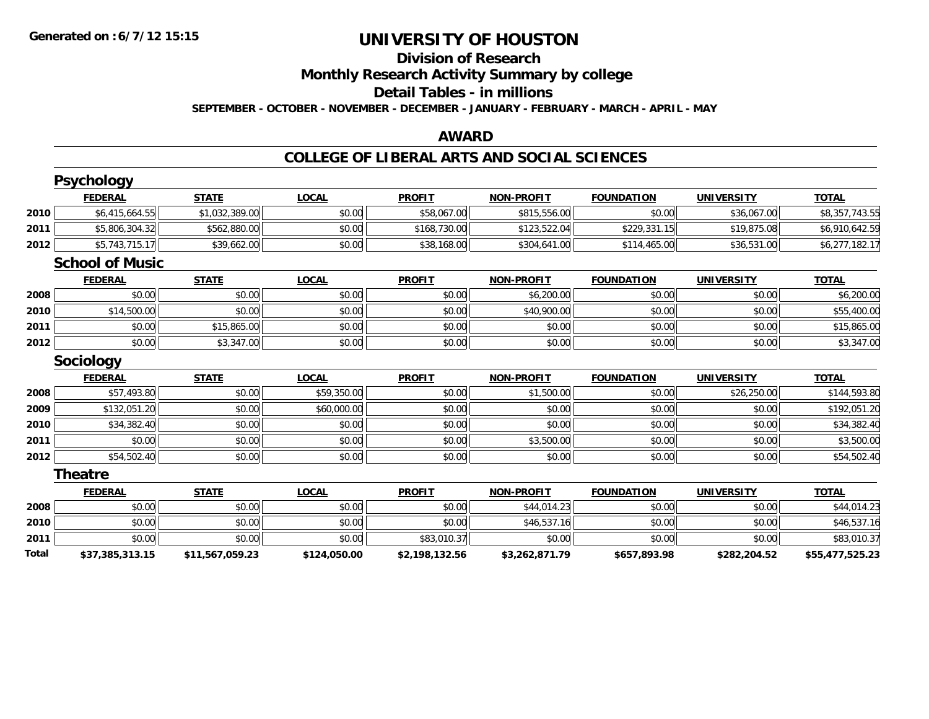### **Division of Research**

**Monthly Research Activity Summary by college**

#### **Detail Tables - in millions**

**SEPTEMBER - OCTOBER - NOVEMBER - DECEMBER - JANUARY - FEBRUARY - MARCH - APRIL - MAY**

#### **AWARD**

|       | <b>Psychology</b>      |                 |              |                |                   |                   |                   |                 |
|-------|------------------------|-----------------|--------------|----------------|-------------------|-------------------|-------------------|-----------------|
|       | <b>FEDERAL</b>         | <b>STATE</b>    | <b>LOCAL</b> | <b>PROFIT</b>  | <b>NON-PROFIT</b> | <b>FOUNDATION</b> | <b>UNIVERSITY</b> | <b>TOTAL</b>    |
| 2010  | \$6,415,664.55         | \$1,032,389.00  | \$0.00       | \$58,067.00    | \$815,556.00      | \$0.00            | \$36,067.00       | \$8,357,743.55  |
| 2011  | \$5,806,304.32         | \$562,880.00    | \$0.00       | \$168,730.00   | \$123,522.04      | \$229,331.15      | \$19,875.08       | \$6,910,642.59  |
| 2012  | \$5,743,715.17         | \$39,662.00     | \$0.00       | \$38,168.00    | \$304,641.00      | \$114,465.00      | \$36,531.00       | \$6,277,182.17  |
|       | <b>School of Music</b> |                 |              |                |                   |                   |                   |                 |
|       | <b>FEDERAL</b>         | <b>STATE</b>    | <b>LOCAL</b> | <b>PROFIT</b>  | <b>NON-PROFIT</b> | <b>FOUNDATION</b> | <b>UNIVERSITY</b> | <b>TOTAL</b>    |
| 2008  | \$0.00                 | \$0.00          | \$0.00       | \$0.00         | \$6,200.00        | \$0.00            | \$0.00            | \$6,200.00      |
| 2010  | \$14,500.00            | \$0.00          | \$0.00       | \$0.00         | \$40,900.00       | \$0.00            | \$0.00            | \$55,400.00     |
| 2011  | \$0.00                 | \$15,865.00     | \$0.00       | \$0.00         | \$0.00            | \$0.00            | \$0.00            | \$15,865.00     |
| 2012  | \$0.00                 | \$3,347.00      | \$0.00       | \$0.00         | \$0.00            | \$0.00            | \$0.00            | \$3,347.00      |
|       | Sociology              |                 |              |                |                   |                   |                   |                 |
|       | <b>FEDERAL</b>         | <b>STATE</b>    | <b>LOCAL</b> | <b>PROFIT</b>  | <b>NON-PROFIT</b> | <b>FOUNDATION</b> | <b>UNIVERSITY</b> | <b>TOTAL</b>    |
| 2008  | \$57,493.80            | \$0.00          | \$59,350.00  | \$0.00         | \$1,500.00        | \$0.00            | \$26,250.00       | \$144,593.80    |
| 2009  | \$132,051.20           | \$0.00          | \$60,000.00  | \$0.00         | \$0.00            | \$0.00            | \$0.00            | \$192,051.20    |
| 2010  | \$34,382.40            | \$0.00          | \$0.00       | \$0.00         | \$0.00            | \$0.00            | \$0.00            | \$34,382.40     |
| 2011  | \$0.00                 | \$0.00          | \$0.00       | \$0.00         | \$3,500.00        | \$0.00            | \$0.00            | \$3,500.00      |
| 2012  | \$54,502.40            | \$0.00          | \$0.00       | \$0.00         | \$0.00            | \$0.00            | \$0.00            | \$54,502.40     |
|       | <b>Theatre</b>         |                 |              |                |                   |                   |                   |                 |
|       | <b>FEDERAL</b>         | <b>STATE</b>    | <b>LOCAL</b> | <b>PROFIT</b>  | <b>NON-PROFIT</b> | <b>FOUNDATION</b> | <b>UNIVERSITY</b> | <b>TOTAL</b>    |
| 2008  | \$0.00                 | \$0.00          | \$0.00       | \$0.00         | \$44,014.23       | \$0.00            | \$0.00            | \$44,014.23     |
| 2010  | \$0.00                 | \$0.00          | \$0.00       | \$0.00         | \$46,537.16       | \$0.00            | \$0.00            | \$46,537.16     |
| 2011  | \$0.00                 | \$0.00          | \$0.00       | \$83,010.37    | \$0.00            | \$0.00            | \$0.00            | \$83,010.37     |
| Total | \$37,385,313.15        | \$11,567,059.23 | \$124,050.00 | \$2,198,132.56 | \$3,262,871.79    | \$657,893.98      | \$282,204.52      | \$55,477,525.23 |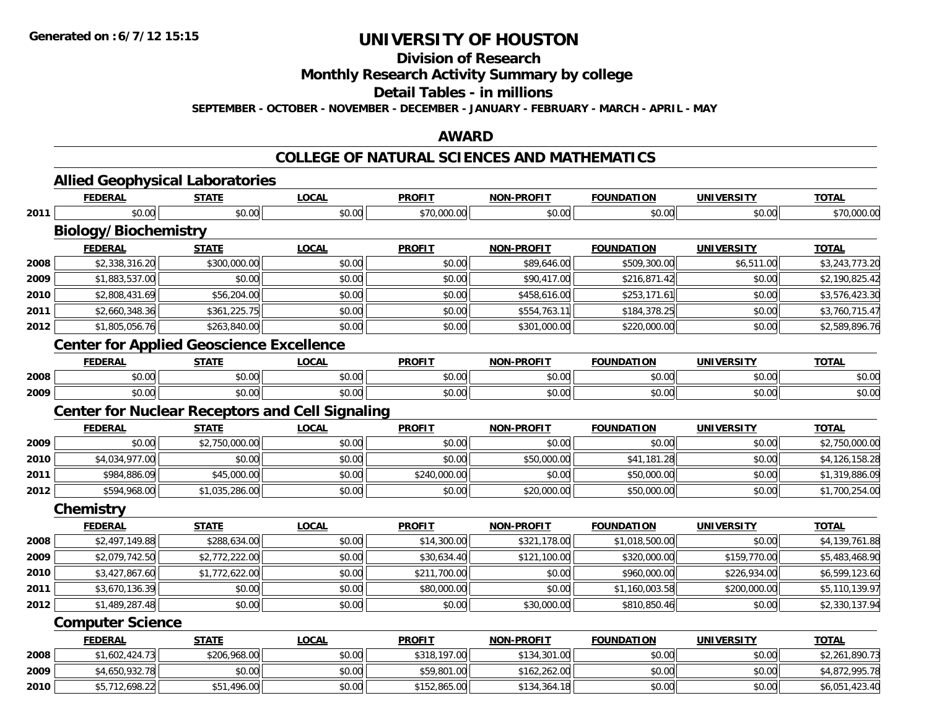**Division of Research**

**Monthly Research Activity Summary by college**

**Detail Tables - in millions**

**SEPTEMBER - OCTOBER - NOVEMBER - DECEMBER - JANUARY - FEBRUARY - MARCH - APRIL - MAY**

#### **AWARD**

#### **COLLEGE OF NATURAL SCIENCES AND MATHEMATICS**

|      | <b>FEDERAL</b>                                         | <b>STATE</b>   | <b>LOCAL</b> | <b>PROFIT</b> | <b>NON-PROFIT</b> | <b>FOUNDATION</b> | <b>UNIVERSITY</b> | <b>TOTAL</b>   |
|------|--------------------------------------------------------|----------------|--------------|---------------|-------------------|-------------------|-------------------|----------------|
| 2011 | \$0.00                                                 | \$0.00         | \$0.00       | \$70,000.00   | \$0.00            | \$0.00            | \$0.00            | \$70,000.00    |
|      | <b>Biology/Biochemistry</b>                            |                |              |               |                   |                   |                   |                |
|      | <b>FEDERAL</b>                                         | <b>STATE</b>   | <b>LOCAL</b> | <b>PROFIT</b> | <b>NON-PROFIT</b> | <b>FOUNDATION</b> | <b>UNIVERSITY</b> | <b>TOTAL</b>   |
| 2008 | \$2,338,316.20                                         | \$300,000.00   | \$0.00       | \$0.00        | \$89,646.00       | \$509,300.00      | \$6,511.00        | \$3,243,773.20 |
| 2009 | \$1,883,537.00                                         | \$0.00         | \$0.00       | \$0.00        | \$90,417.00       | \$216,871.42      | \$0.00            | \$2,190,825.42 |
| 2010 | \$2,808,431.69                                         | \$56,204.00    | \$0.00       | \$0.00        | \$458,616.00      | \$253,171.61      | \$0.00            | \$3,576,423.30 |
| 2011 | \$2,660,348.36                                         | \$361,225.75   | \$0.00       | \$0.00        | \$554,763.11      | \$184,378.25      | \$0.00            | \$3,760,715.47 |
| 2012 | \$1,805,056.76                                         | \$263,840.00   | \$0.00       | \$0.00        | \$301,000.00      | \$220,000.00      | \$0.00            | \$2,589,896.76 |
|      | <b>Center for Applied Geoscience Excellence</b>        |                |              |               |                   |                   |                   |                |
|      | <b>FEDERAL</b>                                         | <b>STATE</b>   | <b>LOCAL</b> | <b>PROFIT</b> | <b>NON-PROFIT</b> | <b>FOUNDATION</b> | <b>UNIVERSITY</b> | <b>TOTAL</b>   |
| 2008 | \$0.00                                                 | \$0.00         | \$0.00       | \$0.00        | \$0.00            | \$0.00            | \$0.00            | \$0.00         |
| 2009 | \$0.00                                                 | \$0.00         | \$0.00       | \$0.00        | \$0.00            | \$0.00            | \$0.00            | \$0.00         |
|      | <b>Center for Nuclear Receptors and Cell Signaling</b> |                |              |               |                   |                   |                   |                |
|      | <b>FEDERAL</b>                                         | <b>STATE</b>   | <b>LOCAL</b> | <b>PROFIT</b> | <b>NON-PROFIT</b> | <b>FOUNDATION</b> | <b>UNIVERSITY</b> | <b>TOTAL</b>   |
| 2009 | \$0.00                                                 | \$2,750,000.00 | \$0.00       | \$0.00        | \$0.00            | \$0.00            | \$0.00            | \$2,750,000.00 |
| 2010 | \$4,034,977.00                                         | \$0.00         | \$0.00       | \$0.00        | \$50,000.00       | \$41,181.28       | \$0.00            | \$4,126,158.28 |
| 2011 | \$984,886.09                                           | \$45,000.00    | \$0.00       | \$240,000.00  | \$0.00            | \$50,000.00       | \$0.00            | \$1,319,886.09 |
| 2012 | \$594,968.00                                           | \$1,035,286.00 | \$0.00       | \$0.00        | \$20,000.00       | \$50,000.00       | \$0.00            | \$1,700,254.00 |
|      | Chemistry                                              |                |              |               |                   |                   |                   |                |
|      | <b>FEDERAL</b>                                         | <b>STATE</b>   | <b>LOCAL</b> | <b>PROFIT</b> | <b>NON-PROFIT</b> | <b>FOUNDATION</b> | <b>UNIVERSITY</b> | <b>TOTAL</b>   |
| 2008 | \$2,497,149.88                                         | \$288,634.00   | \$0.00       | \$14,300.00   | \$321,178.00      | \$1,018,500.00    | \$0.00            | \$4,139,761.88 |
| 2009 | \$2,079,742.50                                         | \$2,772,222.00 | \$0.00       | \$30,634.40   | \$121,100.00      | \$320,000.00      | \$159,770.00      | \$5,483,468.90 |
| 2010 | \$3,427,867.60                                         | \$1,772,622.00 | \$0.00       | \$211,700.00  | \$0.00            | \$960,000.00      | \$226,934.00      | \$6,599,123.60 |
| 2011 | \$3,670,136.39                                         | \$0.00         | \$0.00       | \$80,000.00   | \$0.00            | \$1,160,003.58    | \$200,000.00      | \$5,110,139.97 |
| 2012 | \$1,489,287.48                                         | \$0.00         | \$0.00       | \$0.00        | \$30,000.00       | \$810,850.46      | \$0.00            | \$2,330,137.94 |
|      | <b>Computer Science</b>                                |                |              |               |                   |                   |                   |                |
|      | <b>FEDERAL</b>                                         | <b>STATE</b>   | <b>LOCAL</b> | <b>PROFIT</b> | <b>NON-PROFIT</b> | <b>FOUNDATION</b> | <b>UNIVERSITY</b> | <b>TOTAL</b>   |
| 2008 | \$1,602,424.73                                         | \$206,968.00   | \$0.00       | \$318,197.00  | \$134,301.00      | \$0.00            | \$0.00            | \$2,261,890.73 |
| 2009 | \$4,650,932.78                                         | \$0.00         | \$0.00       | \$59,801.00   | \$162,262.00      | \$0.00            | \$0.00            | \$4,872,995.78 |
| 2010 | \$5,712,698.22                                         | \$51,496.00    | \$0.00       | \$152,865.00  | \$134,364.18      | \$0.00            | \$0.00            | \$6,051,423.40 |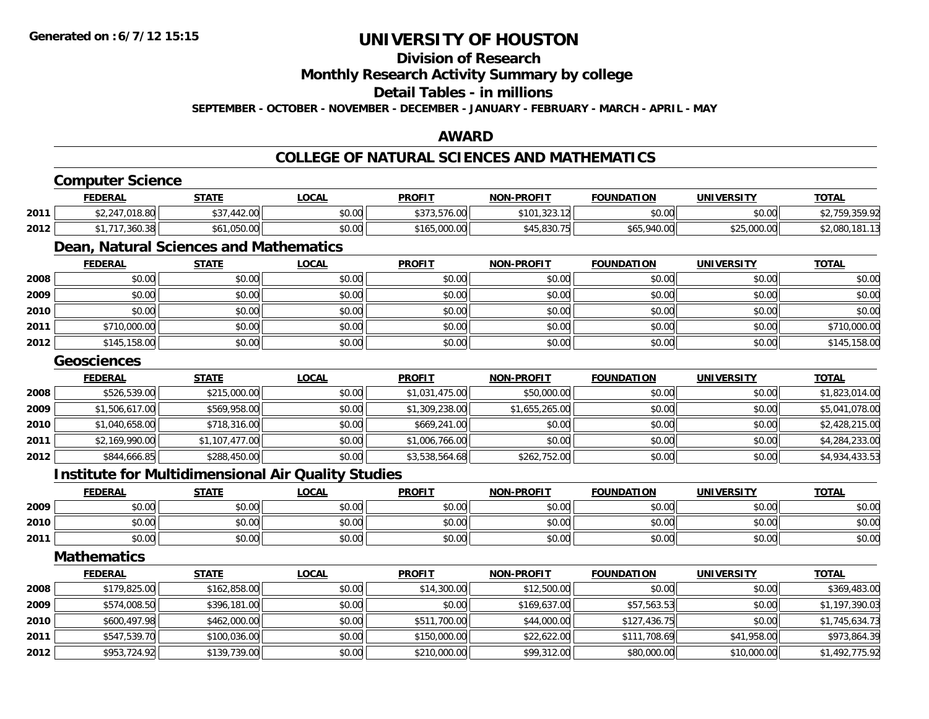### **Division of Research**

**Monthly Research Activity Summary by college**

**Detail Tables - in millions**

**SEPTEMBER - OCTOBER - NOVEMBER - DECEMBER - JANUARY - FEBRUARY - MARCH - APRIL - MAY**

### **AWARD**

#### **COLLEGE OF NATURAL SCIENCES AND MATHEMATICS**

|      | <b>Computer Science</b>                                   |                |              |                |                   |                   |                   |                |
|------|-----------------------------------------------------------|----------------|--------------|----------------|-------------------|-------------------|-------------------|----------------|
|      | <b>FEDERAL</b>                                            | <b>STATE</b>   | <b>LOCAL</b> | <b>PROFIT</b>  | <b>NON-PROFIT</b> | <b>FOUNDATION</b> | <b>UNIVERSITY</b> | <b>TOTAL</b>   |
| 2011 | \$2,247,018.80                                            | \$37,442.00    | \$0.00       | \$373,576.00   | \$101,323.12      | \$0.00            | \$0.00            | \$2,759,359.92 |
| 2012 | \$1,717,360.38                                            | \$61,050.00    | \$0.00       | \$165,000.00   | \$45,830.75       | \$65,940.00       | \$25,000.00       | \$2,080,181.13 |
|      | Dean, Natural Sciences and Mathematics                    |                |              |                |                   |                   |                   |                |
|      | <b>FEDERAL</b>                                            | <b>STATE</b>   | <b>LOCAL</b> | <b>PROFIT</b>  | <b>NON-PROFIT</b> | <b>FOUNDATION</b> | <b>UNIVERSITY</b> | <b>TOTAL</b>   |
| 2008 | \$0.00                                                    | \$0.00         | \$0.00       | \$0.00         | \$0.00            | \$0.00            | \$0.00            | \$0.00         |
| 2009 | \$0.00                                                    | \$0.00         | \$0.00       | \$0.00         | \$0.00            | \$0.00            | \$0.00            | \$0.00         |
| 2010 | \$0.00                                                    | \$0.00         | \$0.00       | \$0.00         | \$0.00            | \$0.00            | \$0.00            | \$0.00         |
| 2011 | \$710,000.00                                              | \$0.00         | \$0.00       | \$0.00         | \$0.00            | \$0.00            | \$0.00            | \$710,000.00   |
| 2012 | \$145,158.00                                              | \$0.00         | \$0.00       | \$0.00         | \$0.00            | \$0.00            | \$0.00            | \$145,158.00   |
|      | <b>Geosciences</b>                                        |                |              |                |                   |                   |                   |                |
|      | <b>FEDERAL</b>                                            | <b>STATE</b>   | <b>LOCAL</b> | <b>PROFIT</b>  | <b>NON-PROFIT</b> | <b>FOUNDATION</b> | <b>UNIVERSITY</b> | <b>TOTAL</b>   |
| 2008 | \$526,539.00                                              | \$215,000.00   | \$0.00       | \$1,031,475.00 | \$50,000.00       | \$0.00            | \$0.00            | \$1,823,014.00 |
| 2009 | \$1,506,617.00                                            | \$569,958.00   | \$0.00       | \$1,309,238.00 | \$1,655,265.00    | \$0.00            | \$0.00            | \$5,041,078.00 |
| 2010 | \$1,040,658.00                                            | \$718,316.00   | \$0.00       | \$669,241.00   | \$0.00            | \$0.00            | \$0.00            | \$2,428,215.00 |
| 2011 | \$2,169,990.00                                            | \$1,107,477.00 | \$0.00       | \$1,006,766.00 | \$0.00            | \$0.00            | \$0.00            | \$4,284,233.00 |
| 2012 | \$844,666.85                                              | \$288,450.00   | \$0.00       | \$3,538,564.68 | \$262,752.00      | \$0.00            | \$0.00            | \$4,934,433.53 |
|      | <b>Institute for Multidimensional Air Quality Studies</b> |                |              |                |                   |                   |                   |                |
|      | <b>FEDERAL</b>                                            | <b>STATE</b>   | <b>LOCAL</b> | <b>PROFIT</b>  | <b>NON-PROFIT</b> | <b>FOUNDATION</b> | <b>UNIVERSITY</b> | <b>TOTAL</b>   |
| 2009 | \$0.00                                                    | \$0.00         | \$0.00       | \$0.00         | \$0.00            | \$0.00            | \$0.00            | \$0.00         |
| 2010 | \$0.00                                                    | \$0.00         | \$0.00       | \$0.00         | \$0.00            | \$0.00            | \$0.00            | \$0.00         |
| 2011 | \$0.00                                                    | \$0.00         | \$0.00       | \$0.00         | \$0.00            | \$0.00            | \$0.00            | \$0.00         |
|      | <b>Mathematics</b>                                        |                |              |                |                   |                   |                   |                |
|      | <b>FEDERAL</b>                                            | <b>STATE</b>   | <b>LOCAL</b> | <b>PROFIT</b>  | <b>NON-PROFIT</b> | <b>FOUNDATION</b> | <b>UNIVERSITY</b> | <b>TOTAL</b>   |
| 2008 | \$179,825.00                                              | \$162,858.00   | \$0.00       | \$14,300.00    | \$12,500.00       | \$0.00            | \$0.00            | \$369,483.00   |
| 2009 | \$574,008.50                                              | \$396,181.00   | \$0.00       | \$0.00         | \$169,637.00      | \$57,563.53       | \$0.00            | \$1,197,390.03 |
| 2010 | \$600,497.98                                              | \$462,000.00   | \$0.00       | \$511,700.00   | \$44,000.00       | \$127,436.75      | \$0.00            | \$1,745,634.73 |
| 2011 | \$547,539.70                                              | \$100,036.00   | \$0.00       | \$150,000.00   | \$22,622.00       | \$111,708.69      | \$41,958.00       | \$973,864.39   |
| 2012 | \$953,724.92                                              | \$139,739.00   | \$0.00       | \$210,000.00   | \$99,312.00       | \$80,000.00       | \$10,000.00       | \$1,492,775.92 |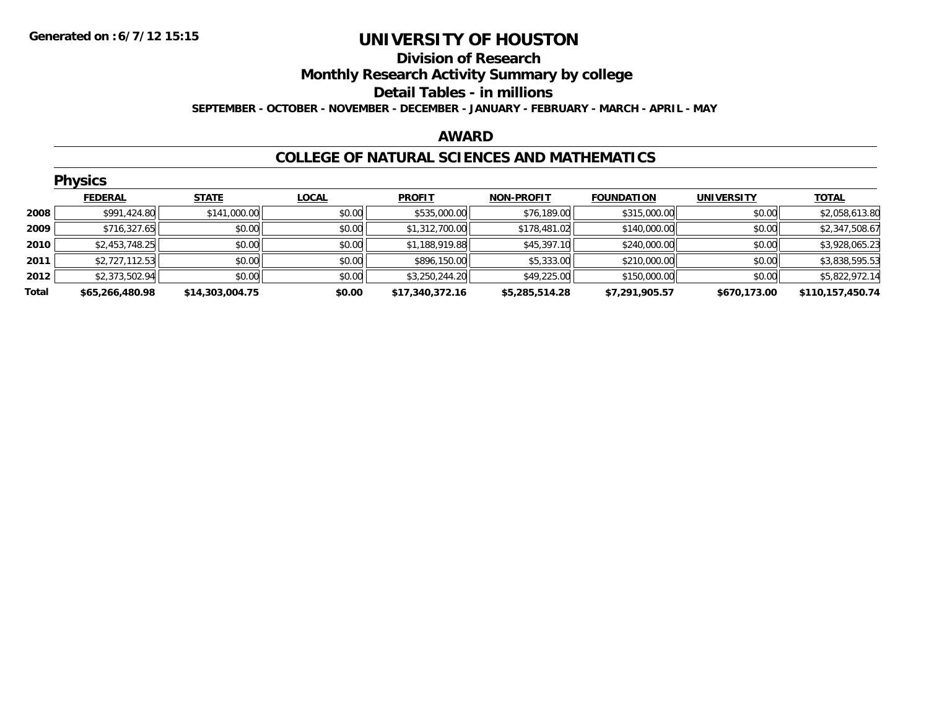#### **Division of Research Monthly Research Activity Summary by college Detail Tables - in millions SEPTEMBER - OCTOBER - NOVEMBER - DECEMBER - JANUARY - FEBRUARY - MARCH - APRIL - MAY**

#### **AWARD**

#### **COLLEGE OF NATURAL SCIENCES AND MATHEMATICS**

|       | <b>Physics</b>  |                 |              |                 |                   |                   |                   |                  |  |  |  |
|-------|-----------------|-----------------|--------------|-----------------|-------------------|-------------------|-------------------|------------------|--|--|--|
|       | <b>FEDERAL</b>  | <b>STATE</b>    | <b>LOCAL</b> | <b>PROFIT</b>   | <b>NON-PROFIT</b> | <b>FOUNDATION</b> | <b>UNIVERSITY</b> | <b>TOTAL</b>     |  |  |  |
| 2008  | \$991,424.80    | \$141,000.00    | \$0.00       | \$535,000.00    | \$76,189.00       | \$315,000.00      | \$0.00            | \$2,058,613.80   |  |  |  |
| 2009  | \$716,327.65    | \$0.00          | \$0.00       | \$1,312,700.00  | \$178,481.02      | \$140,000.00      | \$0.00            | \$2,347,508.67   |  |  |  |
| 2010  | \$2,453,748.25  | \$0.00          | \$0.00       | \$1,188,919.88  | \$45,397.10       | \$240,000.00      | \$0.00            | \$3,928,065.23   |  |  |  |
| 2011  | \$2,727,112.53  | \$0.00          | \$0.00       | \$896,150.00    | \$5,333.00        | \$210,000.00      | \$0.00            | \$3,838,595.53   |  |  |  |
| 2012  | \$2,373,502.94  | \$0.00          | \$0.00       | \$3,250,244.20  | \$49,225.00       | \$150,000.00      | \$0.00            | \$5,822,972.14   |  |  |  |
| Total | \$65,266,480.98 | \$14,303,004.75 | \$0.00       | \$17,340,372.16 | \$5,285,514.28    | \$7,291,905.57    | \$670,173.00      | \$110,157,450.74 |  |  |  |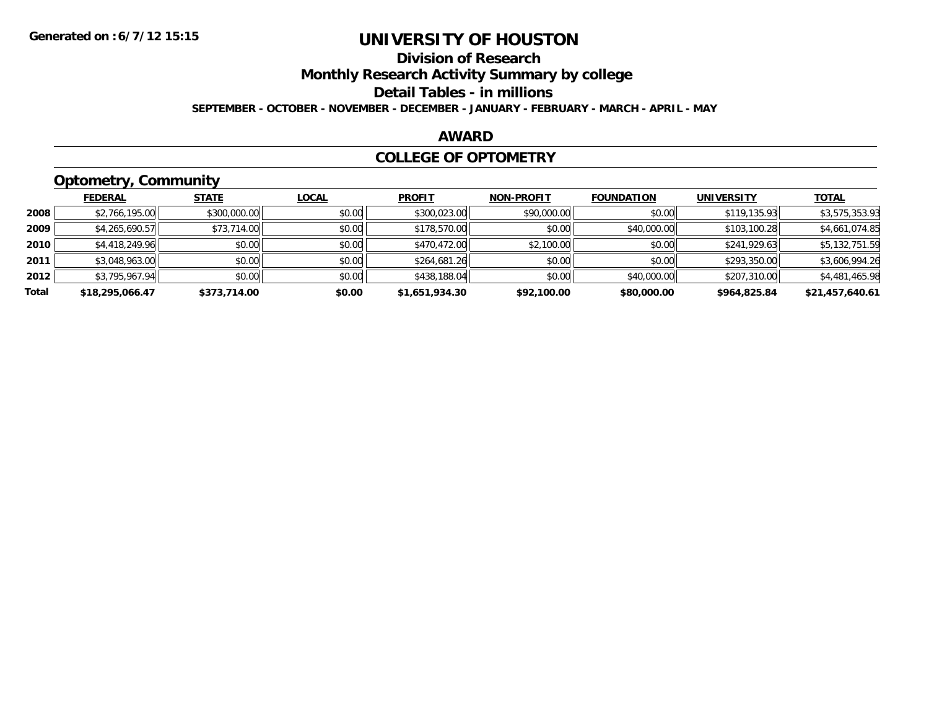### **Division of Research**

**Monthly Research Activity Summary by college**

**Detail Tables - in millions**

**SEPTEMBER - OCTOBER - NOVEMBER - DECEMBER - JANUARY - FEBRUARY - MARCH - APRIL - MAY**

#### **AWARD**

#### **COLLEGE OF OPTOMETRY**

### **Optometry, Community**

|       | ___             |              |              |                |                   |                   |                   |                 |
|-------|-----------------|--------------|--------------|----------------|-------------------|-------------------|-------------------|-----------------|
|       | <b>FEDERAL</b>  | <b>STATE</b> | <b>LOCAL</b> | <b>PROFIT</b>  | <b>NON-PROFIT</b> | <b>FOUNDATION</b> | <b>UNIVERSITY</b> | <b>TOTAL</b>    |
| 2008  | \$2,766,195.00  | \$300,000.00 | \$0.00       | \$300,023.00   | \$90,000.00       | \$0.00            | \$119,135.93      | \$3,575,353.93  |
| 2009  | \$4,265,690.57  | \$73,714.00  | \$0.00       | \$178,570.00   | \$0.00            | \$40,000.00       | \$103,100.28      | \$4,661,074.85  |
| 2010  | \$4,418,249.96  | \$0.00       | \$0.00       | \$470,472.00   | \$2,100.00        | \$0.00            | \$241,929.63      | \$5,132,751.59  |
| 2011  | \$3,048,963,00  | \$0.00       | \$0.00       | \$264,681.26   | \$0.00            | \$0.00            | \$293,350.00      | \$3,606,994.26  |
| 2012  | \$3,795,967.94  | \$0.00       | \$0.00       | \$438,188.04   | \$0.00            | \$40,000.00       | \$207,310.00      | \$4,481,465.98  |
| Total | \$18,295,066.47 | \$373,714.00 | \$0.00       | \$1,651,934.30 | \$92,100.00       | \$80,000.00       | \$964,825.84      | \$21,457,640.61 |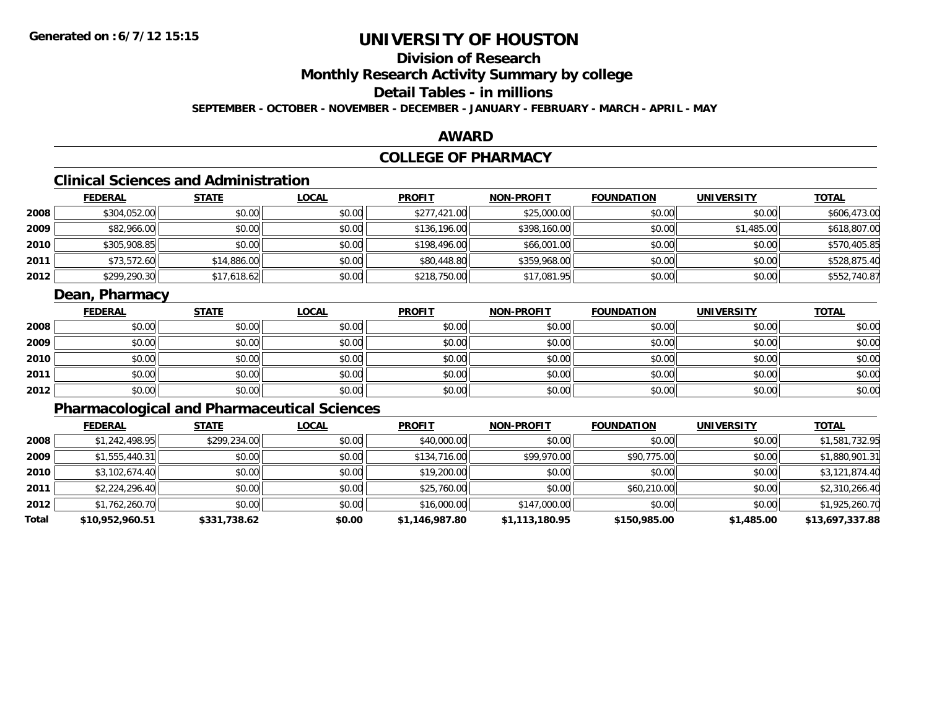### **Division of Research**

**Monthly Research Activity Summary by college**

### **Detail Tables - in millions**

**SEPTEMBER - OCTOBER - NOVEMBER - DECEMBER - JANUARY - FEBRUARY - MARCH - APRIL - MAY**

#### **AWARD**

### **COLLEGE OF PHARMACY**

### **Clinical Sciences and Administration**

|      | <b>FEDERAL</b> | <u>STATE</u> | <b>LOCAL</b> | <b>PROFIT</b> | <b>NON-PROFIT</b> | <b>FOUNDATION</b> | <b>UNIVERSITY</b> | <b>TOTAL</b> |
|------|----------------|--------------|--------------|---------------|-------------------|-------------------|-------------------|--------------|
| 2008 | \$304,052.00   | \$0.00       | \$0.00       | \$277,421.00  | \$25,000.00       | \$0.00            | \$0.00            | \$606,473.00 |
| 2009 | \$82,966.00    | \$0.00       | \$0.00       | \$136,196.00  | \$398,160.00      | \$0.00            | \$1,485.00        | \$618,807.00 |
| 2010 | \$305,908.85   | \$0.00       | \$0.00       | \$198,496.00  | \$66,001.00       | \$0.00            | \$0.00            | \$570,405.85 |
| 2011 | \$73,572.60    | \$14,886.00  | \$0.00       | \$80,448.80   | \$359,968.00      | \$0.00            | \$0.00            | \$528,875.40 |
| 2012 | \$299,290.30   | \$17,618.62  | \$0.00       | \$218,750.00  | \$17,081.95       | \$0.00            | \$0.00            | \$552,740.87 |

### **Dean, Pharmacy**

|      | <b>FEDERAL</b> | <b>STATE</b> | <u>LOCAL</u> | <b>PROFIT</b> | <b>NON-PROFIT</b> | <b>FOUNDATION</b> | <b>UNIVERSITY</b> | <b>TOTAL</b> |
|------|----------------|--------------|--------------|---------------|-------------------|-------------------|-------------------|--------------|
| 2008 | \$0.00         | \$0.00       | \$0.00       | \$0.00        | \$0.00            | \$0.00            | \$0.00            | \$0.00       |
| 2009 | \$0.00         | \$0.00       | \$0.00       | \$0.00        | \$0.00            | \$0.00            | \$0.00            | \$0.00       |
| 2010 | \$0.00         | \$0.00       | \$0.00       | \$0.00        | \$0.00            | \$0.00            | \$0.00            | \$0.00       |
| 2011 | \$0.00         | \$0.00       | \$0.00       | \$0.00        | \$0.00            | \$0.00            | \$0.00            | \$0.00       |
| 2012 | \$0.00         | \$0.00       | \$0.00       | \$0.00        | \$0.00            | \$0.00            | \$0.00            | \$0.00       |

### **Pharmacological and Pharmaceutical Sciences**

|       | <b>FEDERAL</b>  | <b>STATE</b> | <b>LOCAL</b> | <b>PROFIT</b>  | <b>NON-PROFIT</b> | <b>FOUNDATION</b> | <b>UNIVERSITY</b> | <u>TOTAL</u>    |
|-------|-----------------|--------------|--------------|----------------|-------------------|-------------------|-------------------|-----------------|
| 2008  | \$1,242,498.95  | \$299,234.00 | \$0.00       | \$40,000.00    | \$0.00            | \$0.00            | \$0.00            | \$1,581,732.95  |
| 2009  | \$1,555,440.31  | \$0.00       | \$0.00       | \$134,716.00   | \$99,970.00       | \$90,775.00       | \$0.00            | \$1,880,901.31  |
| 2010  | \$3,102,674.40  | \$0.00       | \$0.00       | \$19,200.00    | \$0.00            | \$0.00            | \$0.00            | \$3,121,874.40  |
| 2011  | \$2,224,296.40  | \$0.00       | \$0.00       | \$25,760.00    | \$0.00            | \$60,210.00       | \$0.00            | \$2,310,266.40  |
| 2012  | \$1,762,260.70  | \$0.00       | \$0.00       | \$16,000.00    | \$147,000.00      | \$0.00            | \$0.00            | \$1,925,260.70  |
| Total | \$10,952,960.51 | \$331,738.62 | \$0.00       | \$1,146,987.80 | \$1,113,180.95    | \$150,985.00      | \$1,485.00        | \$13,697,337.88 |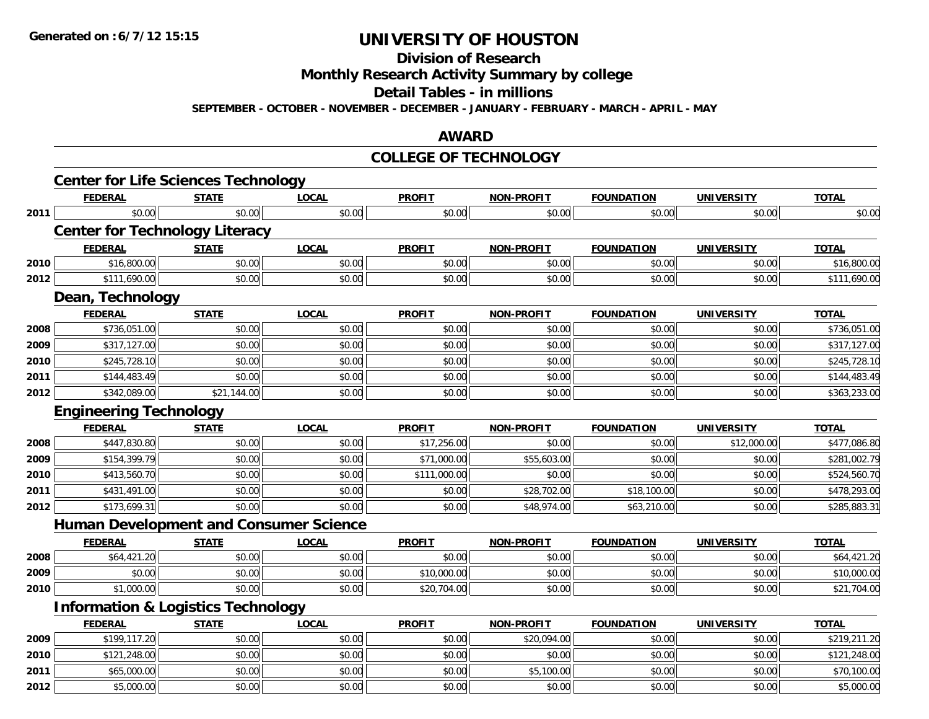**Division of Research**

**Monthly Research Activity Summary by college**

**Detail Tables - in millions**

**SEPTEMBER - OCTOBER - NOVEMBER - DECEMBER - JANUARY - FEBRUARY - MARCH - APRIL - MAY**

#### **AWARD**

#### **COLLEGE OF TECHNOLOGY**

|      | <b>Center for Life Sciences Technology</b>    |                         |              |               |                   |                   |                   |              |
|------|-----------------------------------------------|-------------------------|--------------|---------------|-------------------|-------------------|-------------------|--------------|
|      | <b>FEDERAL</b>                                | <b>STATE</b>            | <b>LOCAL</b> | <b>PROFIT</b> | NON-PROFIT        | <b>FOUNDATION</b> | <b>UNIVERSITY</b> | <b>TOTAL</b> |
| 2011 | \$0.00                                        | \$0.00                  | \$0.00       | \$0.00        | \$0.00            | \$0.00            | \$0.00            | \$0.00       |
|      | <b>Center for Technology Literacy</b>         |                         |              |               |                   |                   |                   |              |
|      | <b>FEDERAL</b>                                | <b>STATE</b>            | <b>LOCAL</b> | <b>PROFIT</b> | <b>NON-PROFIT</b> | <b>FOUNDATION</b> | <b>UNIVERSITY</b> | <b>TOTAL</b> |
| 2010 | \$16,800.00                                   | \$0.00                  | \$0.00       | \$0.00        | \$0.00            | \$0.00            | \$0.00            | \$16,800.00  |
| 2012 | \$111,690.00                                  | \$0.00                  | \$0.00       | \$0.00        | \$0.00            | \$0.00            | \$0.00            | \$111,690.00 |
|      | Dean, Technology                              |                         |              |               |                   |                   |                   |              |
|      | <b>FEDERAL</b>                                | <b>STATE</b>            | <b>LOCAL</b> | <b>PROFIT</b> | NON-PROFIT        | <b>FOUNDATION</b> | <b>UNIVERSITY</b> | <b>TOTAL</b> |
| 2008 | \$736,051.00                                  | \$0.00                  | \$0.00       | \$0.00        | \$0.00            | \$0.00            | \$0.00            | \$736,051.00 |
| 2009 | \$317,127.00                                  | \$0.00                  | \$0.00       | \$0.00        | \$0.00            | \$0.00            | \$0.00            | \$317,127.00 |
| 2010 | \$245,728.10                                  | \$0.00                  | \$0.00       | \$0.00        | \$0.00            | \$0.00            | \$0.00            | \$245,728.10 |
| 2011 | \$144,483.49                                  | \$0.00                  | \$0.00       | \$0.00        | \$0.00            | \$0.00            | \$0.00            | \$144,483.49 |
| 2012 | \$342,089.00                                  | $\overline{$21,144.00}$ | \$0.00       | \$0.00        | \$0.00            | \$0.00            | \$0.00            | \$363,233.00 |
|      | <b>Engineering Technology</b>                 |                         |              |               |                   |                   |                   |              |
|      | <b>FEDERAL</b>                                | <b>STATE</b>            | <b>LOCAL</b> | <b>PROFIT</b> | <b>NON-PROFIT</b> | <b>FOUNDATION</b> | <b>UNIVERSITY</b> | <b>TOTAL</b> |
| 2008 | \$447,830.80                                  | \$0.00                  | \$0.00       | \$17,256.00   | \$0.00            | \$0.00            | \$12,000.00       | \$477,086.80 |
| 2009 | \$154,399.79                                  | \$0.00                  | \$0.00       | \$71,000.00   | \$55,603.00       | \$0.00            | \$0.00            | \$281,002.79 |
| 2010 | \$413,560.70                                  | \$0.00                  | \$0.00       | \$111,000.00  | \$0.00            | \$0.00            | \$0.00            | \$524,560.70 |
| 2011 | \$431,491.00                                  | \$0.00                  | \$0.00       | \$0.00        | \$28,702.00       | \$18,100.00       | \$0.00            | \$478,293.00 |
| 2012 | \$173,699.31                                  | \$0.00                  | \$0.00       | \$0.00        | \$48,974.00       | \$63,210.00       | \$0.00            | \$285,883.31 |
|      | <b>Human Development and Consumer Science</b> |                         |              |               |                   |                   |                   |              |
|      | <b>FEDERAL</b>                                | <b>STATE</b>            | <b>LOCAL</b> | <b>PROFIT</b> | <b>NON-PROFIT</b> | <b>FOUNDATION</b> | <b>UNIVERSITY</b> | <b>TOTAL</b> |
| 2008 | \$64,421.20                                   | \$0.00                  | \$0.00       | \$0.00        | \$0.00            | \$0.00            | \$0.00            | \$64,421.20  |
| 2009 | \$0.00                                        | \$0.00                  | \$0.00       | \$10,000.00   | \$0.00            | \$0.00            | \$0.00            | \$10,000.00  |
| 2010 | \$1,000.00                                    | \$0.00                  | \$0.00       | \$20,704.00   | \$0.00            | \$0.00            | \$0.00            | \$21,704.00  |
|      | <b>Information &amp; Logistics Technology</b> |                         |              |               |                   |                   |                   |              |
|      | <b>FEDERAL</b>                                | <b>STATE</b>            | <b>LOCAL</b> | <b>PROFIT</b> | <b>NON-PROFIT</b> | <b>FOUNDATION</b> | <b>UNIVERSITY</b> | <b>TOTAL</b> |
| 2009 | \$199,117.20                                  | \$0.00                  | \$0.00       | \$0.00        | \$20,094.00       | \$0.00            | \$0.00            | \$219,211.20 |
| 2010 | \$121,248.00                                  | \$0.00                  | \$0.00       | \$0.00        | \$0.00            | \$0.00            | \$0.00            | \$121,248.00 |
| 2011 | \$65,000.00                                   | \$0.00                  | \$0.00       | \$0.00        | \$5,100.00        | \$0.00            | \$0.00            | \$70,100.00  |
| 2012 | \$5,000.00                                    | \$0.00                  | \$0.00       | \$0.00        | \$0.00            | \$0.00            | \$0.00            | \$5,000.00   |
|      |                                               |                         |              |               |                   |                   |                   |              |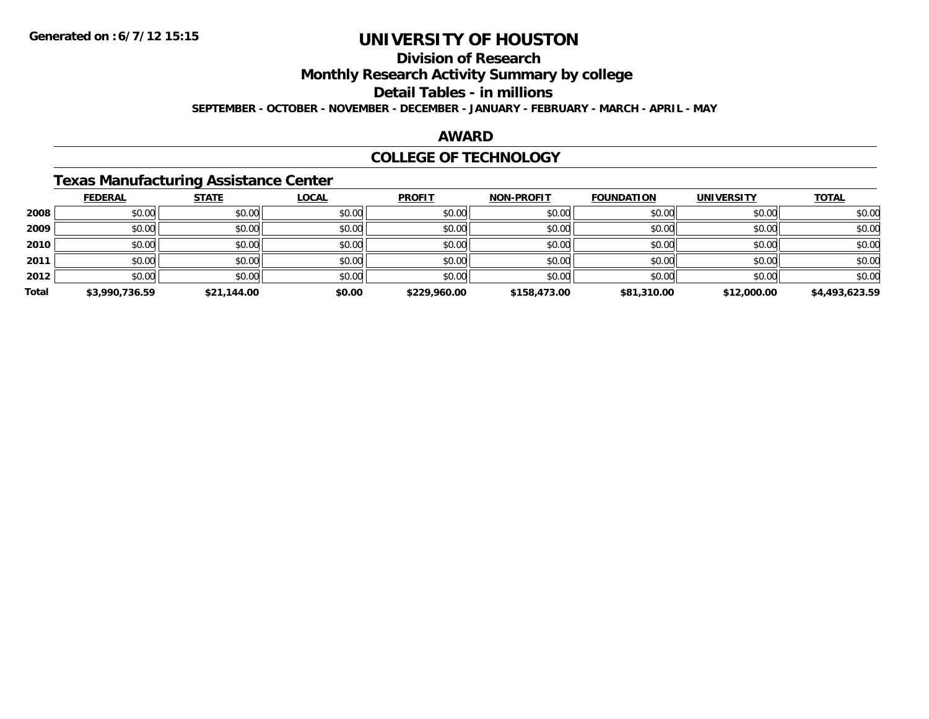### **Division of Research**

**Monthly Research Activity Summary by college**

**Detail Tables - in millions**

**SEPTEMBER - OCTOBER - NOVEMBER - DECEMBER - JANUARY - FEBRUARY - MARCH - APRIL - MAY**

#### **AWARD**

#### **COLLEGE OF TECHNOLOGY**

### **Texas Manufacturing Assistance Center**

|       | <b>FEDERAL</b> | <b>STATE</b> | <u>LOCAL</u> | <b>PROFIT</b> | <b>NON-PROFIT</b> | <b>FOUNDATION</b> | <b>UNIVERSITY</b> | <b>TOTAL</b>   |
|-------|----------------|--------------|--------------|---------------|-------------------|-------------------|-------------------|----------------|
| 2008  | \$0.00         | \$0.00       | \$0.00       | \$0.00        | \$0.00            | \$0.00            | \$0.00            | \$0.00         |
| 2009  | \$0.00         | \$0.00       | \$0.00       | \$0.00        | \$0.00            | \$0.00            | \$0.00            | \$0.00         |
| 2010  | \$0.00         | \$0.00       | \$0.00       | \$0.00        | \$0.00            | \$0.00            | \$0.00            | \$0.00         |
| 2011  | \$0.00         | \$0.00       | \$0.00       | \$0.00        | \$0.00            | \$0.00            | \$0.00            | \$0.00         |
| 2012  | \$0.00         | \$0.00       | \$0.00       | \$0.00        | \$0.00            | \$0.00            | \$0.00            | \$0.00         |
| Total | \$3,990,736.59 | \$21,144.00  | \$0.00       | \$229,960.00  | \$158,473.00      | \$81,310.00       | \$12,000.00       | \$4,493,623.59 |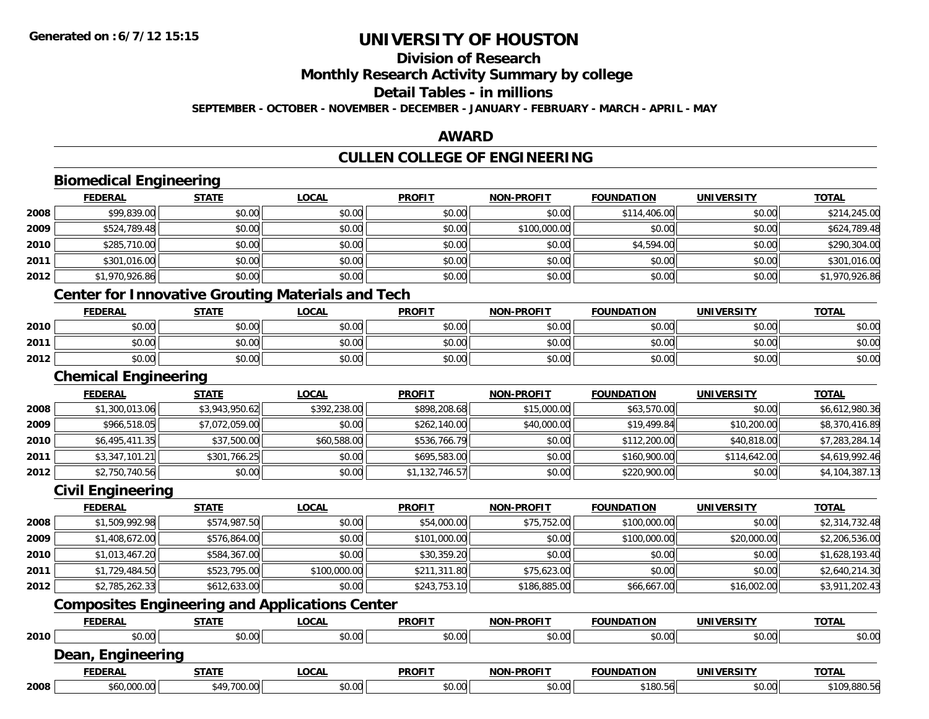## **Division of Research**

**Monthly Research Activity Summary by college**

**Detail Tables - in millions**

**SEPTEMBER - OCTOBER - NOVEMBER - DECEMBER - JANUARY - FEBRUARY - MARCH - APRIL - MAY**

#### **AWARD**

### **CULLEN COLLEGE OF ENGINEERING**

|      | <b>Biomedical Engineering</b>                            |                |              |                |                   |                   |                   |                |
|------|----------------------------------------------------------|----------------|--------------|----------------|-------------------|-------------------|-------------------|----------------|
|      | <b>FEDERAL</b>                                           | <b>STATE</b>   | <b>LOCAL</b> | <b>PROFIT</b>  | <b>NON-PROFIT</b> | <b>FOUNDATION</b> | <b>UNIVERSITY</b> | <b>TOTAL</b>   |
| 2008 | \$99,839.00                                              | \$0.00         | \$0.00       | \$0.00         | \$0.00            | \$114,406.00      | \$0.00            | \$214,245.00   |
| 2009 | \$524,789.48                                             | \$0.00         | \$0.00       | \$0.00         | \$100,000.00      | \$0.00            | \$0.00            | \$624,789.48   |
| 2010 | \$285,710.00                                             | \$0.00         | \$0.00       | \$0.00         | \$0.00            | \$4,594.00        | \$0.00            | \$290,304.00   |
| 2011 | \$301,016.00                                             | \$0.00         | \$0.00       | \$0.00         | \$0.00            | \$0.00            | \$0.00            | \$301,016.00   |
| 2012 | \$1,970,926.86                                           | \$0.00         | \$0.00       | \$0.00         | \$0.00            | \$0.00            | \$0.00            | \$1,970,926.86 |
|      | <b>Center for Innovative Grouting Materials and Tech</b> |                |              |                |                   |                   |                   |                |
|      | <b>FEDERAL</b>                                           | <b>STATE</b>   | <b>LOCAL</b> | <b>PROFIT</b>  | <b>NON-PROFIT</b> | <b>FOUNDATION</b> | <b>UNIVERSITY</b> | <b>TOTAL</b>   |
| 2010 | \$0.00                                                   | \$0.00         | \$0.00       | \$0.00         | \$0.00            | \$0.00            | \$0.00            | \$0.00         |
| 2011 | \$0.00                                                   | \$0.00         | \$0.00       | \$0.00         | \$0.00            | \$0.00            | \$0.00            | \$0.00         |
| 2012 | \$0.00                                                   | \$0.00         | \$0.00       | \$0.00         | \$0.00            | \$0.00            | \$0.00            | \$0.00         |
|      | <b>Chemical Engineering</b>                              |                |              |                |                   |                   |                   |                |
|      | <b>FEDERAL</b>                                           | <b>STATE</b>   | <b>LOCAL</b> | <b>PROFIT</b>  | <b>NON-PROFIT</b> | <b>FOUNDATION</b> | <b>UNIVERSITY</b> | <b>TOTAL</b>   |
| 2008 | \$1,300,013.06                                           | \$3,943,950.62 | \$392,238.00 | \$898,208.68   | \$15,000.00       | \$63,570.00       | \$0.00            | \$6,612,980.36 |
| 2009 | \$966,518.05                                             | \$7,072,059.00 | \$0.00       | \$262,140.00   | \$40,000.00       | \$19,499.84       | \$10,200.00       | \$8,370,416.89 |
| 2010 | \$6,495,411.35                                           | \$37,500.00    | \$60,588.00  | \$536,766.79   | \$0.00            | \$112,200.00      | \$40,818.00       | \$7,283,284.14 |
| 2011 | \$3,347,101.21                                           | \$301,766.25   | \$0.00       | \$695,583.00   | \$0.00            | \$160,900.00      | \$114,642.00      | \$4,619,992.46 |
| 2012 | \$2,750,740.56                                           | \$0.00         | \$0.00       | \$1,132,746.57 | \$0.00            | \$220,900.00      | \$0.00            | \$4,104,387.13 |
|      | <b>Civil Engineering</b>                                 |                |              |                |                   |                   |                   |                |
|      | <b>FEDERAL</b>                                           | <b>STATE</b>   | <b>LOCAL</b> | <b>PROFIT</b>  | <b>NON-PROFIT</b> | <b>FOUNDATION</b> | <b>UNIVERSITY</b> | <b>TOTAL</b>   |
| 2008 | \$1,509,992.98                                           | \$574,987.50   | \$0.00       | \$54,000.00    | \$75,752.00       | \$100,000.00      | \$0.00            | \$2,314,732.48 |
| 2009 | \$1,408,672.00                                           | \$576,864.00   | \$0.00       | \$101,000.00   | \$0.00            | \$100,000.00      | \$20,000.00       | \$2,206,536.00 |
| 2010 | \$1,013,467.20                                           | \$584,367.00   | \$0.00       | \$30,359.20    | \$0.00            | \$0.00            | \$0.00            | \$1,628,193.40 |
| 2011 | \$1,729,484.50                                           | \$523,795.00   | \$100,000.00 | \$211,311.80   | \$75,623.00       | \$0.00            | \$0.00            | \$2,640,214.30 |
| 2012 | \$2,785,262.33                                           | \$612,633.00   | \$0.00       | \$243,753.10   | \$186,885.00      | \$66,667.00       | \$16,002.00       | \$3,911,202.43 |
|      | <b>Composites Engineering and Applications Center</b>    |                |              |                |                   |                   |                   |                |
|      | <b>FEDERAL</b>                                           | <b>STATE</b>   | <b>LOCAL</b> | <b>PROFIT</b>  | <b>NON-PROFIT</b> | <b>FOUNDATION</b> | <b>UNIVERSITY</b> | <b>TOTAL</b>   |
| 2010 | \$0.00                                                   | \$0.00         | \$0.00       | \$0.00         | \$0.00            | \$0.00            | \$0.00            | \$0.00         |
|      | Dean, Engineering                                        |                |              |                |                   |                   |                   |                |
|      | <b>FEDERAL</b>                                           | <b>STATE</b>   | <b>LOCAL</b> | <b>PROFIT</b>  | <b>NON-PROFIT</b> | <b>FOUNDATION</b> | <b>UNIVERSITY</b> | <b>TOTAL</b>   |
| 2008 | \$60,000.00                                              | \$49,700.00    | \$0.00       | \$0.00         | \$0.00            | \$180.56          | \$0.00            | \$109,880.56   |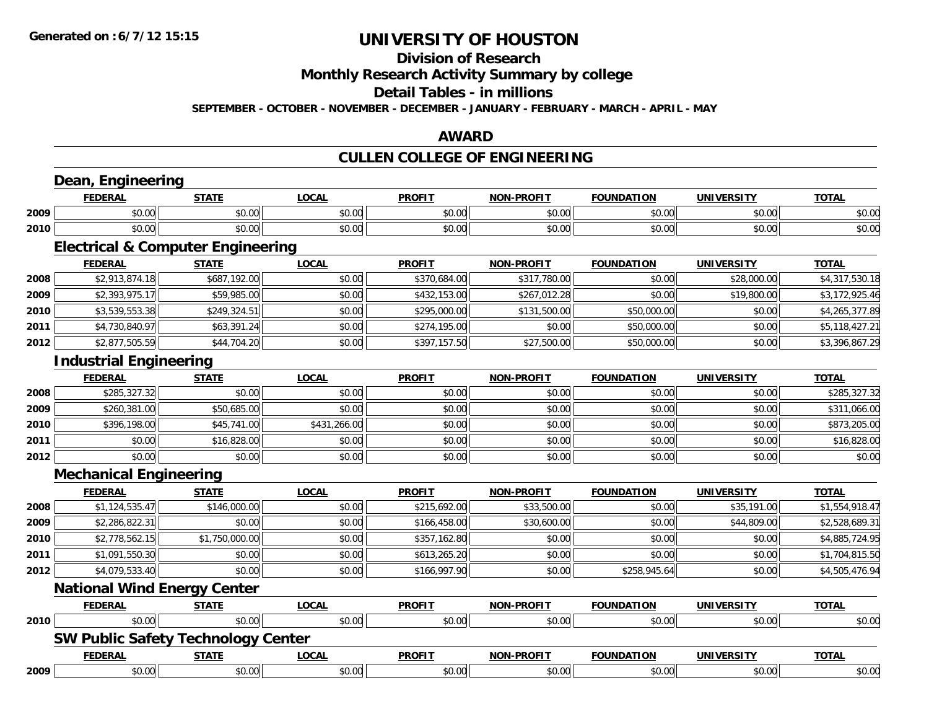### **Division of Research**

**Monthly Research Activity Summary by college**

**Detail Tables - in millions**

**SEPTEMBER - OCTOBER - NOVEMBER - DECEMBER - JANUARY - FEBRUARY - MARCH - APRIL - MAY**

#### **AWARD**

### **CULLEN COLLEGE OF ENGINEERING**

|      | Dean, Engineering                            |                |              |               |                   |                   |                   |                |
|------|----------------------------------------------|----------------|--------------|---------------|-------------------|-------------------|-------------------|----------------|
|      | <b>FEDERAL</b>                               | <b>STATE</b>   | <b>LOCAL</b> | <b>PROFIT</b> | <b>NON-PROFIT</b> | <b>FOUNDATION</b> | <b>UNIVERSITY</b> | <b>TOTAL</b>   |
| 2009 | \$0.00                                       | \$0.00         | \$0.00       | \$0.00        | \$0.00            | \$0.00            | \$0.00            | \$0.00         |
| 2010 | \$0.00                                       | \$0.00         | \$0.00       | \$0.00        | \$0.00            | \$0.00            | \$0.00            | \$0.00         |
|      | <b>Electrical &amp; Computer Engineering</b> |                |              |               |                   |                   |                   |                |
|      | <b>FEDERAL</b>                               | <b>STATE</b>   | <b>LOCAL</b> | <b>PROFIT</b> | <b>NON-PROFIT</b> | <b>FOUNDATION</b> | <b>UNIVERSITY</b> | <b>TOTAL</b>   |
| 2008 | \$2,913,874.18                               | \$687,192.00   | \$0.00       | \$370,684.00  | \$317,780.00      | \$0.00            | \$28,000.00       | \$4,317,530.18 |
| 2009 | \$2,393,975.17                               | \$59,985.00    | \$0.00       | \$432,153.00  | \$267,012.28      | \$0.00            | \$19,800.00       | \$3,172,925.46 |
| 2010 | \$3,539,553.38                               | \$249,324.51   | \$0.00       | \$295,000.00  | \$131,500.00      | \$50,000.00       | \$0.00            | \$4,265,377.89 |
| 2011 | \$4,730,840.97                               | \$63,391.24    | \$0.00       | \$274,195.00  | \$0.00            | \$50,000.00       | \$0.00            | \$5,118,427.21 |
| 2012 | \$2,877,505.59                               | \$44,704.20    | \$0.00       | \$397,157.50  | \$27,500.00       | \$50,000.00       | \$0.00            | \$3,396,867.29 |
|      | <b>Industrial Engineering</b>                |                |              |               |                   |                   |                   |                |
|      | <b>FEDERAL</b>                               | <b>STATE</b>   | <b>LOCAL</b> | <b>PROFIT</b> | <b>NON-PROFIT</b> | <b>FOUNDATION</b> | <b>UNIVERSITY</b> | <b>TOTAL</b>   |
| 2008 | \$285,327.32                                 | \$0.00         | \$0.00       | \$0.00        | \$0.00            | \$0.00            | \$0.00            | \$285,327.32   |
| 2009 | \$260,381.00                                 | \$50,685.00    | \$0.00       | \$0.00        | \$0.00            | \$0.00            | \$0.00            | \$311,066.00   |
| 2010 | \$396,198.00                                 | \$45,741.00    | \$431,266.00 | \$0.00        | \$0.00            | \$0.00            | \$0.00            | \$873,205.00   |
| 2011 | \$0.00                                       | \$16,828.00    | \$0.00       | \$0.00        | \$0.00            | \$0.00            | \$0.00            | \$16,828.00    |
| 2012 | \$0.00                                       | \$0.00         | \$0.00       | \$0.00        | \$0.00            | \$0.00            | \$0.00            | \$0.00         |
|      | <b>Mechanical Engineering</b>                |                |              |               |                   |                   |                   |                |
|      | <b>FEDERAL</b>                               | <b>STATE</b>   | <b>LOCAL</b> | <b>PROFIT</b> | NON-PROFIT        | <b>FOUNDATION</b> | <b>UNIVERSITY</b> | <b>TOTAL</b>   |
| 2008 | \$1,124,535.47                               | \$146,000.00   | \$0.00       | \$215,692.00  | \$33,500.00       | \$0.00            | \$35,191.00       | \$1,554,918.47 |
| 2009 | \$2,286,822.31                               | \$0.00         | \$0.00       | \$166,458.00  | \$30,600.00       | \$0.00            | \$44,809.00       | \$2,528,689.31 |
| 2010 | \$2,778,562.15                               | \$1,750,000.00 | \$0.00       | \$357,162.80  | \$0.00            | \$0.00            | \$0.00            | \$4,885,724.95 |
| 2011 | \$1,091,550.30                               | \$0.00         | \$0.00       | \$613,265.20  | \$0.00            | \$0.00            | \$0.00            | \$1,704,815.50 |
| 2012 | \$4,079,533.40                               | \$0.00         | \$0.00       | \$166,997.90  | \$0.00            | \$258,945.64      | \$0.00            | \$4,505,476.94 |
|      | <b>National Wind Energy Center</b>           |                |              |               |                   |                   |                   |                |
|      | <b>FEDERAL</b>                               | <b>STATE</b>   | <b>LOCAL</b> | <b>PROFIT</b> | <b>NON-PROFIT</b> | <b>FOUNDATION</b> | <b>UNIVERSITY</b> | <b>TOTAL</b>   |
| 2010 | \$0.00                                       | \$0.00         | \$0.00       | \$0.00        | \$0.00            | \$0.00            | \$0.00            | \$0.00         |
|      | <b>SW Public Safety Technology Center</b>    |                |              |               |                   |                   |                   |                |
|      | <b>FEDERAL</b>                               | <b>STATE</b>   | <b>LOCAL</b> | <b>PROFIT</b> | <b>NON-PROFIT</b> | <b>FOUNDATION</b> | <b>UNIVERSITY</b> | <b>TOTAL</b>   |
| 2009 | \$0.00                                       | \$0.00         | \$0.00       | \$0.00        | \$0.00            | \$0.00            | \$0.00            | \$0.00         |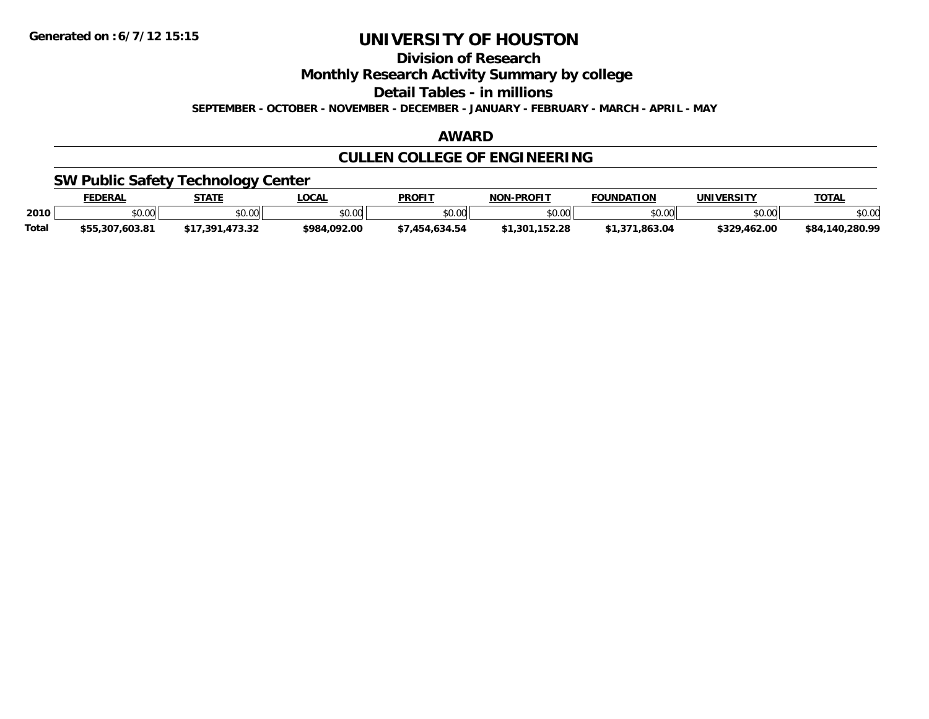**Division of Research**

**Monthly Research Activity Summary by college**

**Detail Tables - in millions**

**SEPTEMBER - OCTOBER - NOVEMBER - DECEMBER - JANUARY - FEBRUARY - MARCH - APRIL - MAY**

#### **AWARD**

### **CULLEN COLLEGE OF ENGINEERING**

### **SW Public Safety Technology Center**

|       | <b>FEDERAL</b>  | <b>CTATE</b>                          | <b>OCA</b>     | <b>PROFIT</b>     | <b>-PROFIT</b><br>וחרות | <b>FOUNDATION</b>         | UNIVERSITY   | <b>TOTAL</b>         |
|-------|-----------------|---------------------------------------|----------------|-------------------|-------------------------|---------------------------|--------------|----------------------|
| 2010  | \$0.00          | \$0.00                                | ልስ ሀህ<br>pu.uu | \$0.00            | nn nn<br>pu.uu          | $*$ $\cap$ $\cap$<br>ט.טע | \$0.00       | \$0.00               |
| Total | \$55,307,603.81 | 172. 22<br><b>¢17</b><br>-201<br>∕د.د | \$984,092.00   | .634.54<br>. 45д. | \$1.301                 | .863.04                   | \$329,462.00 | ,140,280.99<br>\$84. |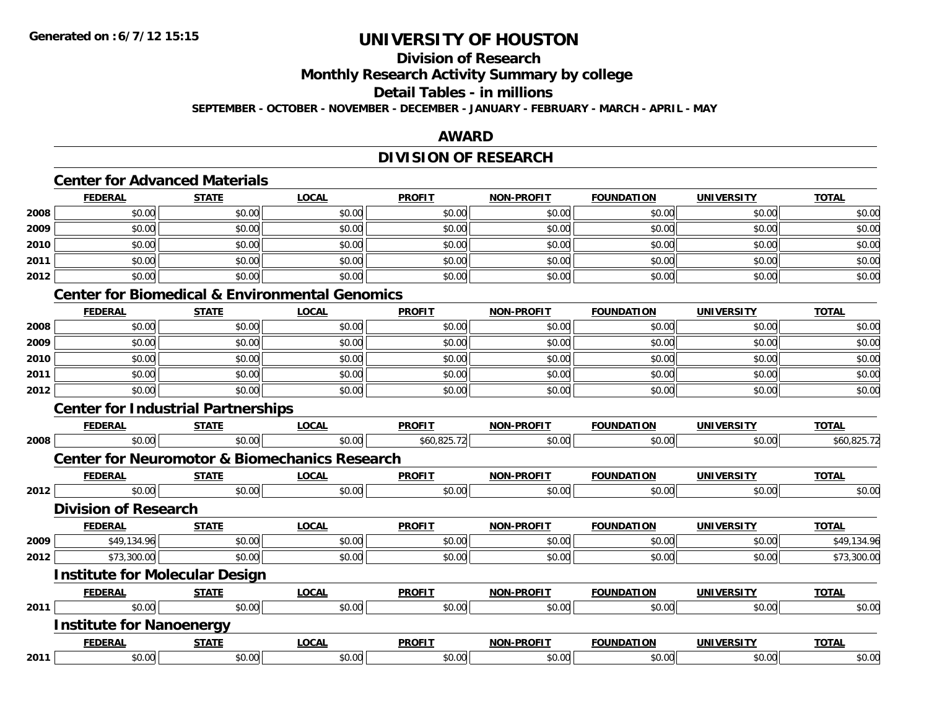### **Division of Research**

**Monthly Research Activity Summary by college**

### **Detail Tables - in millions**

**SEPTEMBER - OCTOBER - NOVEMBER - DECEMBER - JANUARY - FEBRUARY - MARCH - APRIL - MAY**

### **AWARD**

### **DIVISION OF RESEARCH**

### **Center for Advanced Materials**

|      | <b>FEDERAL</b> | <b>STATE</b> | <b>LOCAL</b>                                          | <b>PROFIT</b> | <b>NON-PROFIT</b> | <b>FOUNDATION</b> | <b>UNIVERSITY</b> | <b>TOTAL</b> |
|------|----------------|--------------|-------------------------------------------------------|---------------|-------------------|-------------------|-------------------|--------------|
| 2008 | \$0.00         | \$0.00       | \$0.00                                                | \$0.00        | \$0.00            | \$0.00            | \$0.00            | \$0.00       |
| 2009 | \$0.00         | \$0.00       | \$0.00                                                | \$0.00        | \$0.00            | \$0.00            | \$0.00            | \$0.00       |
| 2010 | \$0.00         | \$0.00       | \$0.00                                                | \$0.00        | \$0.00            | \$0.00            | \$0.00            | \$0.00       |
| 2011 | \$0.00         | \$0.00       | \$0.00                                                | \$0.00        | \$0.00            | \$0.00            | \$0.00            | \$0.00       |
| 2012 | \$0.00         | \$0.00       | \$0.00                                                | \$0.00        | \$0.00            | \$0.00            | \$0.00            | \$0.00       |
|      |                |              | Contar for Diamondical O. Fredrich and all Comprehen- |               |                   |                   |                   |              |

#### **Center for Biomedical & Environmental Genomics**

|      | <b>FEDERAL</b> | <b>STATE</b> | <u>LOCAL</u> | <b>PROFIT</b> | <b>NON-PROFIT</b> | <b>FOUNDATION</b> | <b>UNIVERSITY</b> | <b>TOTAL</b> |
|------|----------------|--------------|--------------|---------------|-------------------|-------------------|-------------------|--------------|
| 2008 | \$0.00         | \$0.00       | \$0.00       | \$0.00        | \$0.00            | \$0.00            | \$0.00            | \$0.00       |
| 2009 | \$0.00         | \$0.00       | \$0.00       | \$0.00        | \$0.00            | \$0.00            | \$0.00            | \$0.00       |
| 2010 | \$0.00         | \$0.00       | \$0.00       | \$0.00        | \$0.00            | \$0.00            | \$0.00            | \$0.00       |
| 2011 | \$0.00         | \$0.00       | \$0.00       | \$0.00        | \$0.00            | \$0.00            | \$0.00            | \$0.00       |
| 2012 | \$0.00         | \$0.00       | \$0.00       | \$0.00        | \$0.00            | \$0.00            | \$0.00            | \$0.00       |

### **Center for Industrial Partnerships**

|      | <b>FEDERAL</b>                        | <b>STATE</b> | LOCAL                                                    | <b>PROFIT</b> | <b>NON-PROFIT</b> | <b>FOUNDATION</b> | <b>UNIVERSITY</b> | <b>TOTAL</b> |
|------|---------------------------------------|--------------|----------------------------------------------------------|---------------|-------------------|-------------------|-------------------|--------------|
| 2008 | \$0.00                                | \$0.00       | \$0.00                                                   | \$60,825.72   | \$0.00            | \$0.00            | \$0.00            | \$60,825.72  |
|      |                                       |              | <b>Center for Neuromotor &amp; Biomechanics Research</b> |               |                   |                   |                   |              |
|      | <b>FEDERAL</b>                        | <b>STATE</b> | <u>LOCAL</u>                                             | <b>PROFIT</b> | <b>NON-PROFIT</b> | <b>FOUNDATION</b> | <b>UNIVERSITY</b> | <b>TOTAL</b> |
| 2012 | \$0.00                                | \$0.00       | \$0.00                                                   | \$0.00        | \$0.00            | \$0.00            | \$0.00            | \$0.00       |
|      | <b>Division of Research</b>           |              |                                                          |               |                   |                   |                   |              |
|      | <b>FEDERAL</b>                        | <b>STATE</b> | <b>LOCAL</b>                                             | <b>PROFIT</b> | <b>NON-PROFIT</b> | <b>FOUNDATION</b> | <b>UNIVERSITY</b> | <b>TOTAL</b> |
| 2009 | \$49,134.96                           | \$0.00       | \$0.00                                                   | \$0.00        | \$0.00            | \$0.00            | \$0.00            | \$49,134.96  |
| 2012 | \$73,300.00                           | \$0.00       | \$0.00                                                   | \$0.00        | \$0.00            | \$0.00            | \$0.00            | \$73,300.00  |
|      | <b>Institute for Molecular Design</b> |              |                                                          |               |                   |                   |                   |              |
|      | <b>FEDERAL</b>                        | <b>STATE</b> | LOCAL                                                    | <b>PROFIT</b> | <b>NON-PROFIT</b> | <b>FOUNDATION</b> | <b>UNIVERSITY</b> | <b>TOTAL</b> |
| 2011 | \$0.00                                | \$0.00       | \$0.00                                                   | \$0.00        | \$0.00            | \$0.00            | \$0.00            | \$0.00       |
|      | <b>Institute for Nanoenergy</b>       |              |                                                          |               |                   |                   |                   |              |
|      | <b>FEDERAL</b>                        | <b>STATE</b> | <b>LOCAL</b>                                             | <b>PROFIT</b> | <b>NON-PROFIT</b> | <b>FOUNDATION</b> | <b>UNIVERSITY</b> | <b>TOTAL</b> |
| 2011 | \$0.00                                | \$0.00       | \$0.00                                                   | \$0.00        | \$0.00            | \$0.00            | \$0.00            | \$0.00       |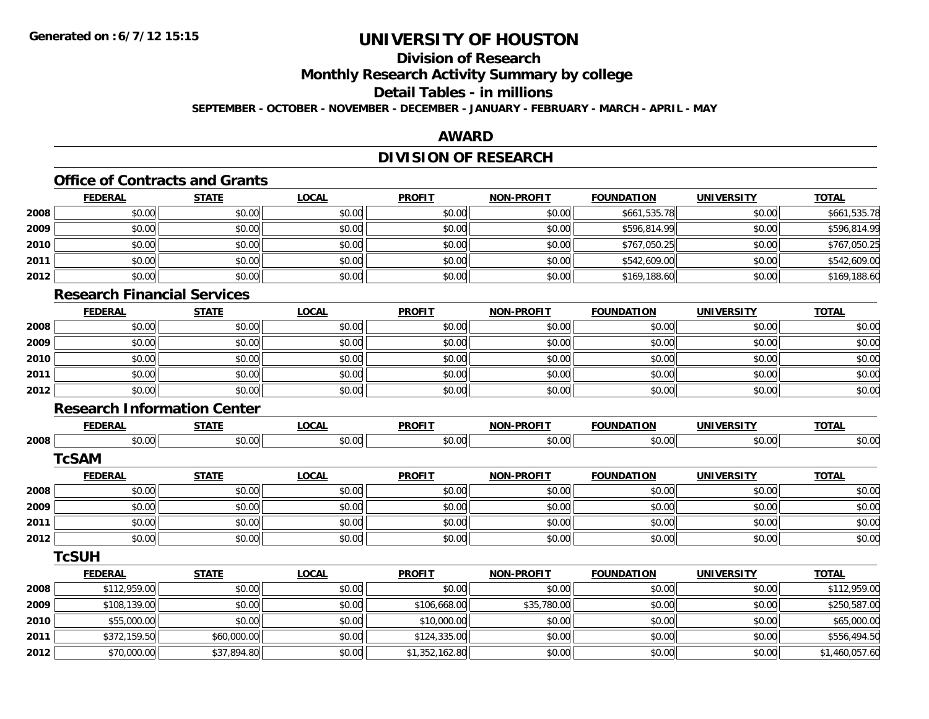### **Division of Research**

**Monthly Research Activity Summary by college**

**Detail Tables - in millions**

**SEPTEMBER - OCTOBER - NOVEMBER - DECEMBER - JANUARY - FEBRUARY - MARCH - APRIL - MAY**

#### **AWARD**

### **DIVISION OF RESEARCH**

### **Office of Contracts and Grants**

|      | <b>FEDERAL</b> | <b>STATE</b> | <u>LOCAL</u> | <b>PROFIT</b> | <b>NON-PROFIT</b> | <b>FOUNDATION</b> | <b>UNIVERSITY</b> | <b>TOTAL</b> |
|------|----------------|--------------|--------------|---------------|-------------------|-------------------|-------------------|--------------|
| 2008 | \$0.00         | \$0.00       | \$0.00       | \$0.00        | \$0.00            | \$661,535.78      | \$0.00            | \$661,535.78 |
| 2009 | \$0.00         | \$0.00       | \$0.00       | \$0.00        | \$0.00            | \$596,814.99      | \$0.00            | \$596,814.99 |
| 2010 | \$0.00         | \$0.00       | \$0.00       | \$0.00        | \$0.00            | \$767.050.25      | \$0.00            | \$767,050.25 |
| 2011 | \$0.00         | \$0.00       | \$0.00       | \$0.00        | \$0.00            | \$542,609.00      | \$0.00            | \$542,609.00 |
| 2012 | \$0.00         | \$0.00       | \$0.00       | \$0.00        | \$0.00            | \$169,188.60      | \$0.00            | \$169,188.60 |

#### **Research Financial Services**

|      | <b>FEDERAL</b> | <b>STATE</b> | <u>LOCAL</u> | <b>PROFIT</b> | <b>NON-PROFIT</b> | <b>FOUNDATION</b> | <b>UNIVERSITY</b> | <b>TOTAL</b> |
|------|----------------|--------------|--------------|---------------|-------------------|-------------------|-------------------|--------------|
| 2008 | \$0.00         | \$0.00       | \$0.00       | \$0.00        | \$0.00            | \$0.00            | \$0.00            | \$0.00       |
| 2009 | \$0.00         | \$0.00       | \$0.00       | \$0.00        | \$0.00            | \$0.00            | \$0.00            | \$0.00       |
| 2010 | \$0.00         | \$0.00       | \$0.00       | \$0.00        | \$0.00            | \$0.00            | \$0.00            | \$0.00       |
| 2011 | \$0.00         | \$0.00       | \$0.00       | \$0.00        | \$0.00            | \$0.00            | \$0.00            | \$0.00       |
| 2012 | \$0.00         | \$0.00       | \$0.00       | \$0.00        | \$0.00            | \$0.00            | \$0.00            | \$0.00       |

#### **Research Information Center**

|      | <b>FEDERAL</b> | <b>STATE</b> | <b>LOCAL</b> | <b>PROFIT</b>  | <b>NON-PROFIT</b> | <b>FOUNDATION</b> | <b>UNIVERSITY</b> | <b>TOTAL</b>   |
|------|----------------|--------------|--------------|----------------|-------------------|-------------------|-------------------|----------------|
| 2008 | \$0.00         | \$0.00       | \$0.00       | \$0.00         | \$0.00            | \$0.00            | \$0.00            | \$0.00         |
|      | <b>TcSAM</b>   |              |              |                |                   |                   |                   |                |
|      | <b>FEDERAL</b> | <b>STATE</b> | <b>LOCAL</b> | <b>PROFIT</b>  | <b>NON-PROFIT</b> | <b>FOUNDATION</b> | <b>UNIVERSITY</b> | <b>TOTAL</b>   |
| 2008 | \$0.00         | \$0.00       | \$0.00       | \$0.00         | \$0.00            | \$0.00            | \$0.00            | \$0.00         |
| 2009 | \$0.00         | \$0.00       | \$0.00       | \$0.00         | \$0.00            | \$0.00            | \$0.00            | \$0.00         |
| 2011 | \$0.00         | \$0.00       | \$0.00       | \$0.00         | \$0.00            | \$0.00            | \$0.00            | \$0.00         |
| 2012 | \$0.00         | \$0.00       | \$0.00       | \$0.00         | \$0.00            | \$0.00            | \$0.00            | \$0.00         |
|      | <b>TcSUH</b>   |              |              |                |                   |                   |                   |                |
|      | <b>FEDERAL</b> | <b>STATE</b> | <b>LOCAL</b> | <b>PROFIT</b>  | <b>NON-PROFIT</b> | <b>FOUNDATION</b> | <b>UNIVERSITY</b> | <b>TOTAL</b>   |
| 2008 | \$112,959.00   | \$0.00       | \$0.00       | \$0.00         | \$0.00            | \$0.00            | \$0.00            | \$112,959.00   |
| 2009 | \$108,139.00   | \$0.00       | \$0.00       | \$106,668.00   | \$35,780.00       | \$0.00            | \$0.00            | \$250,587.00   |
| 2010 | \$55,000.00    | \$0.00       | \$0.00       | \$10,000.00    | \$0.00            | \$0.00            | \$0.00            | \$65,000.00    |
| 2011 | \$372,159.50   | \$60,000.00  | \$0.00       | \$124,335.00   | \$0.00            | \$0.00            | \$0.00            | \$556,494.50   |
| 2012 | \$70,000.00    | \$37,894.80  | \$0.00       | \$1,352,162.80 | \$0.00            | \$0.00            | \$0.00            | \$1,460,057.60 |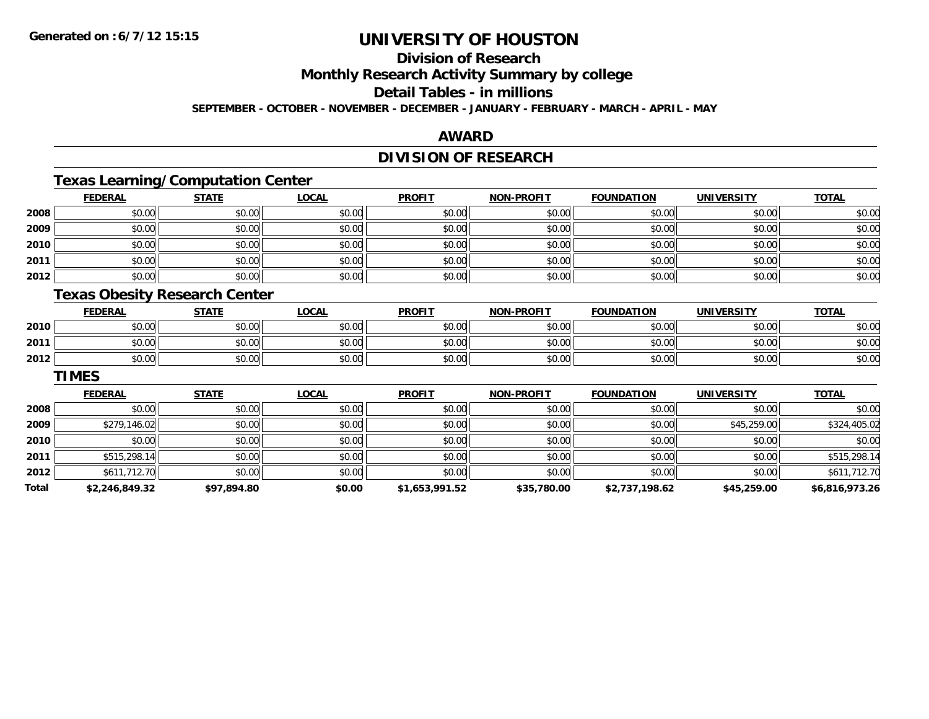### **Division of Research**

**Monthly Research Activity Summary by college**

**Detail Tables - in millions**

**SEPTEMBER - OCTOBER - NOVEMBER - DECEMBER - JANUARY - FEBRUARY - MARCH - APRIL - MAY**

#### **AWARD**

### **DIVISION OF RESEARCH**

### **Texas Learning/Computation Center**

|      | <b>FEDERAL</b> | <b>STATE</b> | <b>LOCAL</b> | <b>PROFIT</b> | NON-PROFIT | <b>FOUNDATION</b> | <b>UNIVERSITY</b> | <b>TOTAL</b> |
|------|----------------|--------------|--------------|---------------|------------|-------------------|-------------------|--------------|
| 2008 | \$0.00         | \$0.00       | \$0.00       | \$0.00        | \$0.00     | \$0.00            | \$0.00            | \$0.00       |
| 2009 | \$0.00         | \$0.00       | \$0.00       | \$0.00        | \$0.00     | \$0.00            | \$0.00            | \$0.00       |
| 2010 | \$0.00         | \$0.00       | \$0.00       | \$0.00        | \$0.00     | \$0.00            | \$0.00            | \$0.00       |
| 2011 | \$0.00         | \$0.00       | \$0.00       | \$0.00        | \$0.00     | \$0.00            | \$0.00            | \$0.00       |
| 2012 | \$0.00         | \$0.00       | \$0.00       | \$0.00        | \$0.00     | \$0.00            | \$0.00            | \$0.00       |

#### **Texas Obesity Research Center**

|      | <b>FEDERAL</b> | <b>STATE</b> | <b>LOCAL</b> | <b>PROFIT</b> | <b>NON-PROFIT</b> | <b>FOUNDATION</b> | <b>UNIVERSITY</b> | <b>TOTAL</b> |
|------|----------------|--------------|--------------|---------------|-------------------|-------------------|-------------------|--------------|
| 2010 | ስስ ስስ<br>JU.UU | \$0.00       | \$0.00       | \$0.00        | \$0.00            | \$0.00            | \$0.00            | \$0.00       |
| 2011 | nn no<br>DU.UG | \$0.00       | \$0.00       | \$0.00        | \$0.00            | \$0.00            | \$0.00            | \$0.00       |
| 2012 | \$0.00         | \$0.00       | \$0.00       | \$0.00        | \$0.00            | \$0.00            | \$0.00            | \$0.00       |

#### **TIMES**

|       | <b>FEDERAL</b> | <b>STATE</b> | <b>LOCAL</b> | <b>PROFIT</b>  | <b>NON-PROFIT</b> | <b>FOUNDATION</b> | <b>UNIVERSITY</b> | <b>TOTAL</b>   |
|-------|----------------|--------------|--------------|----------------|-------------------|-------------------|-------------------|----------------|
| 2008  | \$0.00         | \$0.00       | \$0.00       | \$0.00         | \$0.00            | \$0.00            | \$0.00            | \$0.00         |
| 2009  | \$279,146.02   | \$0.00       | \$0.00       | \$0.00         | \$0.00            | \$0.00            | \$45,259.00       | \$324,405.02   |
| 2010  | \$0.00         | \$0.00       | \$0.00       | \$0.00         | \$0.00            | \$0.00            | \$0.00            | \$0.00         |
| 2011  | \$515,298.14   | \$0.00       | \$0.00       | \$0.00         | \$0.00            | \$0.00            | \$0.00            | \$515,298.14   |
| 2012  | \$611,712.70   | \$0.00       | \$0.00       | \$0.00         | \$0.00            | \$0.00            | \$0.00            | \$611,712.70   |
| Total | \$2,246,849.32 | \$97,894.80  | \$0.00       | \$1,653,991.52 | \$35,780.00       | \$2,737,198.62    | \$45,259.00       | \$6,816,973.26 |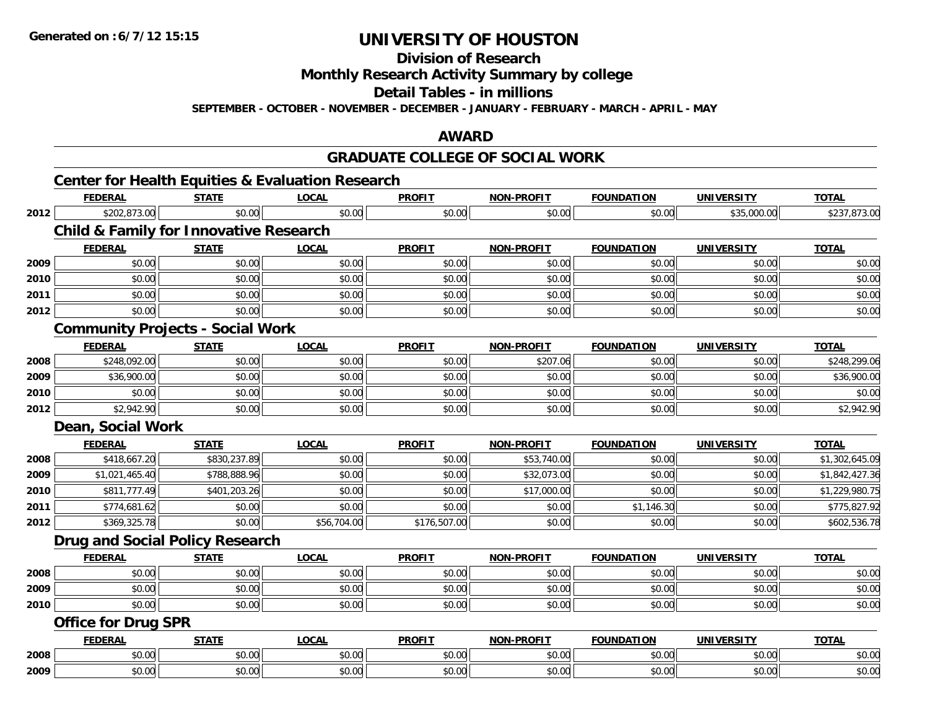**Division of Research**

**Monthly Research Activity Summary by college**

**Detail Tables - in millions**

**SEPTEMBER - OCTOBER - NOVEMBER - DECEMBER - JANUARY - FEBRUARY - MARCH - APRIL - MAY**

#### **AWARD**

### **GRADUATE COLLEGE OF SOCIAL WORK**

|      | <b>FEDERAL</b>                                    | <b>STATE</b> | <b>LOCAL</b> | <b>PROFIT</b> | <b>NON-PROFIT</b> | <b>FOUNDATION</b> | <b>UNIVERSITY</b> | <b>TOTAL</b>   |
|------|---------------------------------------------------|--------------|--------------|---------------|-------------------|-------------------|-------------------|----------------|
| 2012 | \$202,873.00                                      | \$0.00       | \$0.00       | \$0.00        | \$0.00            | \$0.00            | \$35,000.00       | \$237,873.00   |
|      | <b>Child &amp; Family for Innovative Research</b> |              |              |               |                   |                   |                   |                |
|      | <b>FEDERAL</b>                                    | <b>STATE</b> | <b>LOCAL</b> | <b>PROFIT</b> | <b>NON-PROFIT</b> | <b>FOUNDATION</b> | <b>UNIVERSITY</b> | <b>TOTAL</b>   |
| 2009 | \$0.00                                            | \$0.00       | \$0.00       | \$0.00        | \$0.00            | \$0.00            | \$0.00            | \$0.00         |
| 2010 | \$0.00                                            | \$0.00       | \$0.00       | \$0.00        | \$0.00            | \$0.00            | \$0.00            | \$0.00         |
| 2011 | \$0.00                                            | \$0.00       | \$0.00       | \$0.00        | \$0.00            | \$0.00            | \$0.00            | \$0.00         |
| 2012 | \$0.00                                            | \$0.00       | \$0.00       | \$0.00        | \$0.00            | \$0.00            | \$0.00            | \$0.00         |
|      | <b>Community Projects - Social Work</b>           |              |              |               |                   |                   |                   |                |
|      | <b>FEDERAL</b>                                    | <b>STATE</b> | <b>LOCAL</b> | <b>PROFIT</b> | <b>NON-PROFIT</b> | <b>FOUNDATION</b> | <b>UNIVERSITY</b> | <b>TOTAL</b>   |
| 2008 | \$248,092.00                                      | \$0.00       | \$0.00       | \$0.00        | \$207.06          | \$0.00            | \$0.00            | \$248,299.06   |
| 2009 | \$36,900.00                                       | \$0.00       | \$0.00       | \$0.00        | \$0.00            | \$0.00            | \$0.00            | \$36,900.00    |
| 2010 | \$0.00                                            | \$0.00       | \$0.00       | \$0.00        | \$0.00            | \$0.00            | \$0.00            | \$0.00         |
| 2012 | \$2,942.90                                        | \$0.00       | \$0.00       | \$0.00        | \$0.00            | \$0.00            | \$0.00            | \$2,942.90     |
|      | <b>Dean, Social Work</b>                          |              |              |               |                   |                   |                   |                |
|      | <b>FEDERAL</b>                                    | <b>STATE</b> | <b>LOCAL</b> | <b>PROFIT</b> | <b>NON-PROFIT</b> | <b>FOUNDATION</b> | <b>UNIVERSITY</b> | <b>TOTAL</b>   |
| 2008 | \$418,667.20                                      | \$830,237.89 | \$0.00       | \$0.00        | \$53,740.00       | \$0.00            | \$0.00            | \$1,302,645.09 |
| 2009 | \$1,021,465.40                                    | \$788,888.96 | \$0.00       | \$0.00        | \$32,073.00       | \$0.00            | \$0.00            | \$1,842,427.36 |
| 2010 | \$811,777.49                                      | \$401,203.26 | \$0.00       | \$0.00        | \$17,000.00       | \$0.00            | \$0.00            | \$1,229,980.75 |
| 2011 | \$774,681.62                                      | \$0.00       | \$0.00       | \$0.00        | \$0.00            | \$1,146.30        | \$0.00            | \$775,827.92   |
| 2012 | \$369,325.78                                      | \$0.00       | \$56,704.00  | \$176,507.00  | \$0.00            | \$0.00            | \$0.00            | \$602,536.78   |
|      | <b>Drug and Social Policy Research</b>            |              |              |               |                   |                   |                   |                |
|      | <b>FEDERAL</b>                                    | <b>STATE</b> | <b>LOCAL</b> | <b>PROFIT</b> | <b>NON-PROFIT</b> | <b>FOUNDATION</b> | <b>UNIVERSITY</b> | <b>TOTAL</b>   |
| 2008 | \$0.00                                            | \$0.00       | \$0.00       | \$0.00        | \$0.00            | \$0.00            | \$0.00            | \$0.00         |
| 2009 | \$0.00                                            | \$0.00       | \$0.00       | \$0.00        | \$0.00            | \$0.00            | \$0.00            | \$0.00         |
| 2010 | \$0.00                                            | \$0.00       | \$0.00       | \$0.00        | \$0.00            | \$0.00            | \$0.00            | \$0.00         |
|      | <b>Office for Drug SPR</b>                        |              |              |               |                   |                   |                   |                |
|      | <b>FEDERAL</b>                                    | <b>STATE</b> | <b>LOCAL</b> | <b>PROFIT</b> | <b>NON-PROFIT</b> | <b>FOUNDATION</b> | <b>UNIVERSITY</b> | <b>TOTAL</b>   |
| 2008 | \$0.00                                            | \$0.00       | \$0.00       | \$0.00        | \$0.00            | \$0.00            | \$0.00            | \$0.00         |
| 2009 | \$0.00                                            | \$0.00       | \$0.00       | \$0.00        | \$0.00            | \$0.00            | \$0.00            | \$0.00         |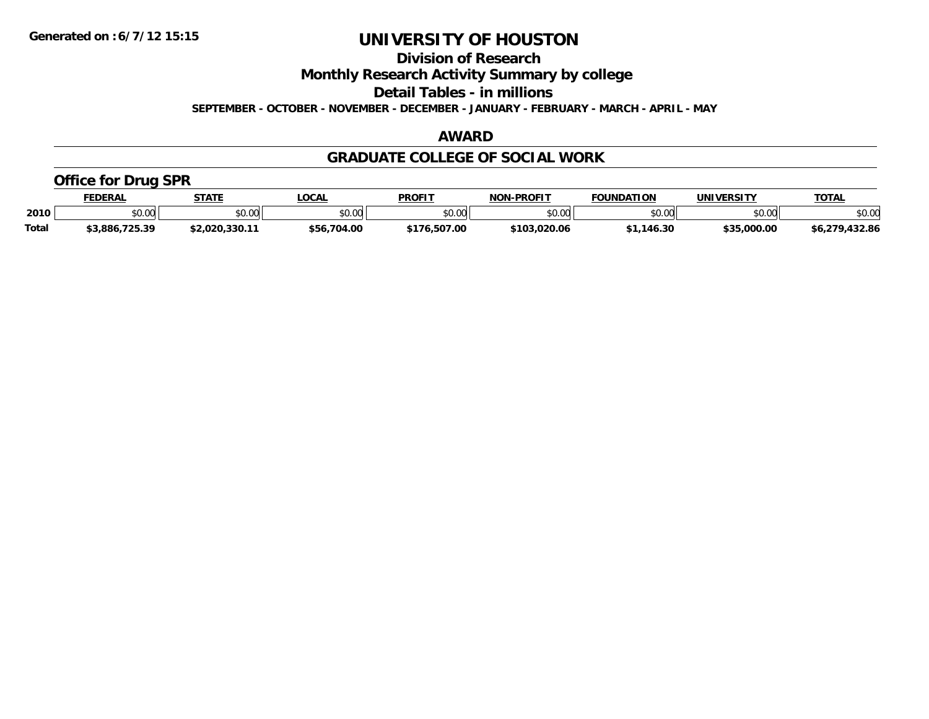**Division of Research**

**Monthly Research Activity Summary by college**

**Detail Tables - in millions**

**SEPTEMBER - OCTOBER - NOVEMBER - DECEMBER - JANUARY - FEBRUARY - MARCH - APRIL - MAY**

#### **AWARD**

#### **GRADUATE COLLEGE OF SOCIAL WORK**

### **Office for Drug SPR**

|              | <b>FEDERAL</b> | <b>STATE</b>         | .OCAL       | <b>PROFIT</b> | <b>NON-PROFIT</b> | <b>FOUNDATION</b> | UNIVERSITY                                              | <b>TOTAL</b>      |
|--------------|----------------|----------------------|-------------|---------------|-------------------|-------------------|---------------------------------------------------------|-------------------|
| 2010         | \$0.00         | 0.00<br><b>JU.UU</b> | \$0.00      | \$0.00        | ልስ ስስ<br>PO.OO    | \$0.00            | $\mathfrak{c}\cap\mathfrak{c}\cap\mathfrak{c}$<br>ง∪.∪บ | \$0.00            |
| <b>Total</b> | \$3,886,725.39 | \$2.020.330.11       | \$56,704.00 | \$176,507.00  | \$103.020.06      | .146.30           | \$35,000.00                                             | .432.86<br>56,279 |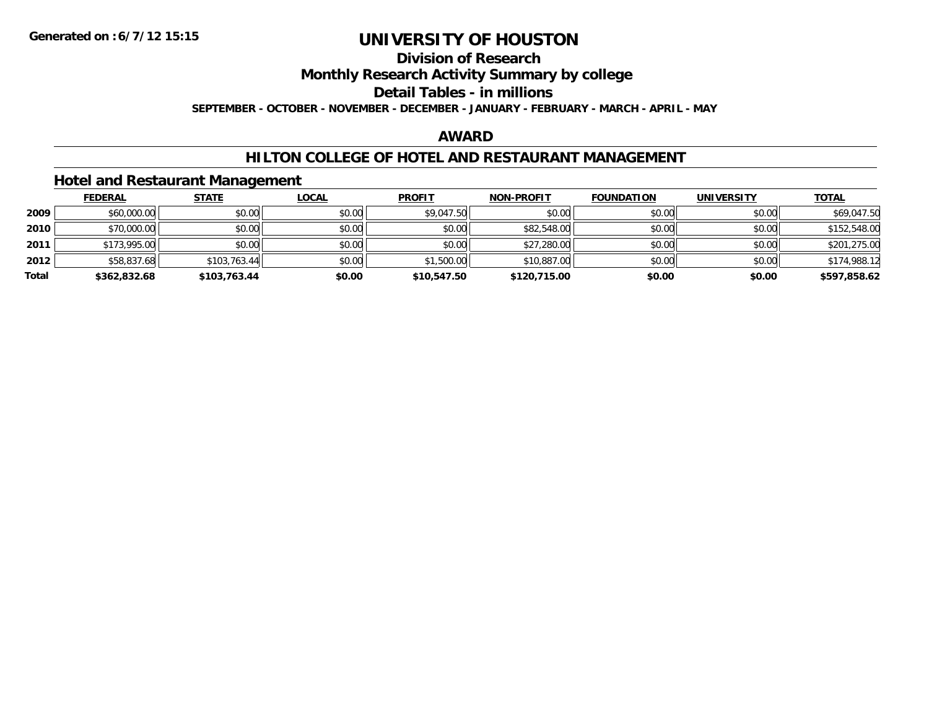### **Division of Research**

**Monthly Research Activity Summary by college**

**Detail Tables - in millions**

**SEPTEMBER - OCTOBER - NOVEMBER - DECEMBER - JANUARY - FEBRUARY - MARCH - APRIL - MAY**

#### **AWARD**

#### **HILTON COLLEGE OF HOTEL AND RESTAURANT MANAGEMENT**

**Hotel and Restaurant Management**

|       | <b>FEDERAL</b> | <u>STATE</u> | <u>LOCAL</u> | <b>PROFIT</b> | <b>NON-PROFIT</b> | <b>FOUNDATION</b> | <b>UNIVERSITY</b> | <b>TOTAL</b> |
|-------|----------------|--------------|--------------|---------------|-------------------|-------------------|-------------------|--------------|
| 2009  | \$60,000.00    | \$0.00       | \$0.00       | \$9,047.50    | \$0.00            | \$0.00            | \$0.00            | \$69,047.50  |
| 2010  | \$70,000.00    | \$0.00       | \$0.00       | \$0.00        | \$82,548.00       | \$0.00            | \$0.00            | \$152,548.00 |
| 2011  | \$173,995.00   | \$0.00       | \$0.00       | \$0.00        | \$27,280.00       | \$0.00            | \$0.00            | \$201,275.00 |
| 2012  | \$58,837.68    | \$103.763.44 | \$0.00       | \$1,500.00    | \$10,887.00       | \$0.00            | \$0.00            | \$174,988.12 |
| Total | \$362,832.68   | \$103,763.44 | \$0.00       | \$10,547.50   | \$120,715.00      | \$0.00            | \$0.00            | \$597,858.62 |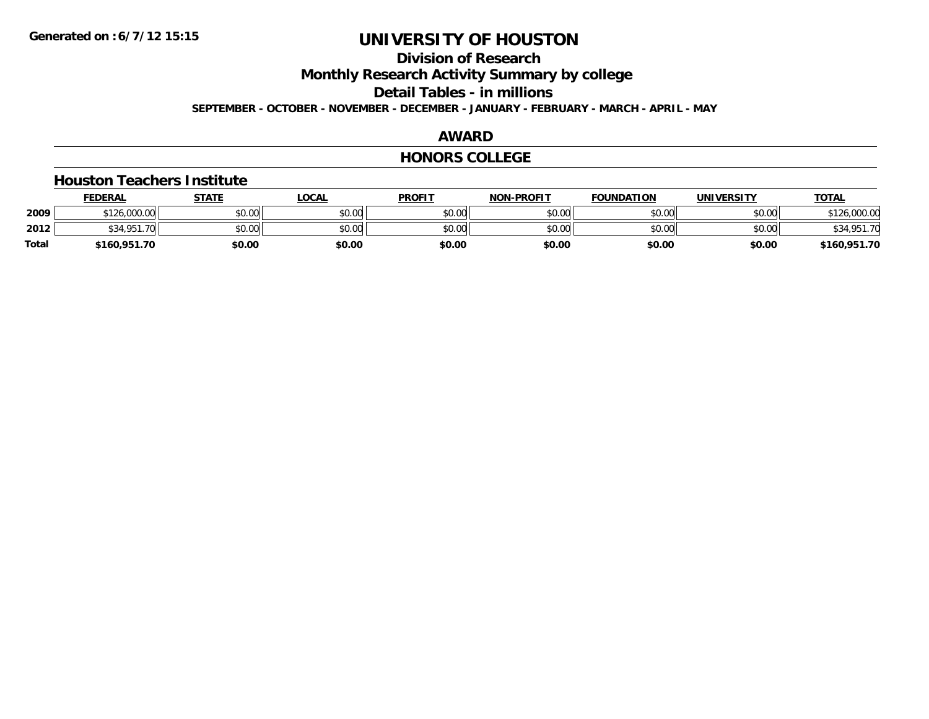### **Division of Research**

**Monthly Research Activity Summary by college**

**Detail Tables - in millions**

**SEPTEMBER - OCTOBER - NOVEMBER - DECEMBER - JANUARY - FEBRUARY - MARCH - APRIL - MAY**

#### **AWARD**

#### **HONORS COLLEGE**

#### **Houston Teachers Institute**

|              | <b>FEDERAL</b> | STATE  | LOCAL  | <b>PROFIT</b> | <b>NON-PROFIT</b> | <b>FOUNDATION</b> | <b>UNIVERSITY</b> | <b>TOTAL</b>        |
|--------------|----------------|--------|--------|---------------|-------------------|-------------------|-------------------|---------------------|
| 2009         | \$126,000.00   | \$0.00 | \$0.00 | \$0.00        | \$0.00            | \$0.00            | \$0.00            | 126,000.00<br>0.101 |
| 2012         | \$34,951.70    | \$0.00 | \$0.00 | \$0.00        | \$0.00            | \$0.00            | \$0.00            | \$34,951.70         |
| <b>Total</b> | \$160,951.70   | \$0.00 | \$0.00 | \$0.00        | \$0.00            | \$0.00            | \$0.00            | \$160,951.70        |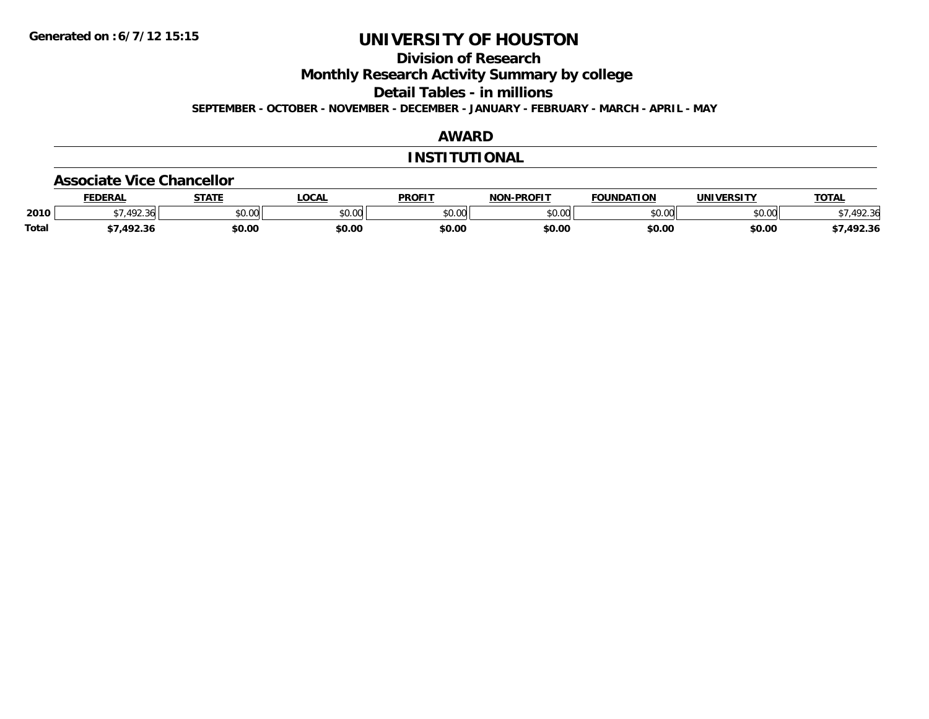**Division of Research**

**Monthly Research Activity Summary by college**

**Detail Tables - in millions**

**SEPTEMBER - OCTOBER - NOVEMBER - DECEMBER - JANUARY - FEBRUARY - MARCH - APRIL - MAY**

### **AWARD**

#### **INSTITUTIONAL**

#### **Associate Vice Chancellor**

|              | <b>FEDERA</b>            | <b>STATE</b>  | .OCAL  | <b>PROFIT</b>           | -PROFIT<br>NON | <b>UNDATION</b> |               | <b>TOTAL</b>                 |
|--------------|--------------------------|---------------|--------|-------------------------|----------------|-----------------|---------------|------------------------------|
| 2010         | $\sqrt{2}$<br>۔ مال کے ر | 0000<br>DU.UU | \$0.00 | 0 <sup>n</sup><br>JU.UL | 0000<br>JU.UL  | 0000<br>JU.UU   | 0000<br>vv.vv | $\mathcal{L}$<br>יי<br>92.3t |
| <b>Total</b> | י ההו<br>2.3۱            | \$0.00        | \$0.00 | \$0.00                  | \$0.00         | \$0.00          | \$0.00        | 492.36.                      |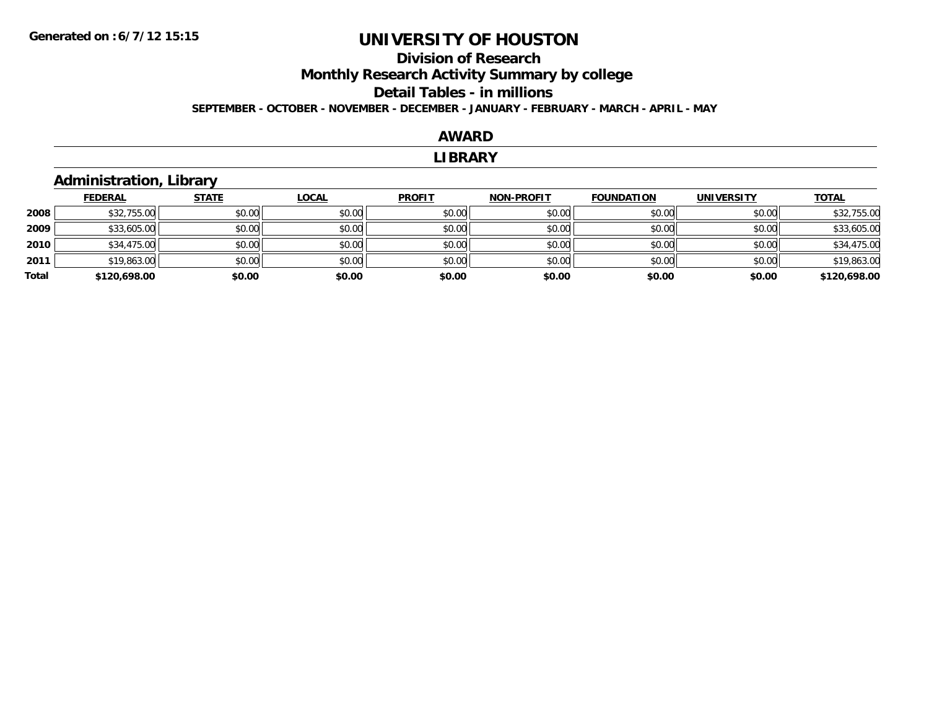### **Division of ResearchMonthly Research Activity Summary by college Detail Tables - in millions SEPTEMBER - OCTOBER - NOVEMBER - DECEMBER - JANUARY - FEBRUARY - MARCH - APRIL - MAY**

#### **AWARD**

#### **LIBRARY**

### **Administration, Library**

|       | <b>FEDERAL</b> | <b>STATE</b> | <u>LOCAL</u> | <b>PROFIT</b> | <b>NON-PROFIT</b> | <b>FOUNDATION</b> | <b>UNIVERSITY</b> | <b>TOTAL</b> |
|-------|----------------|--------------|--------------|---------------|-------------------|-------------------|-------------------|--------------|
| 2008  | \$32,755.00    | \$0.00       | \$0.00       | \$0.00        | \$0.00            | \$0.00            | \$0.00            | \$32,755.00  |
| 2009  | \$33,605.00    | \$0.00       | \$0.00       | \$0.00        | \$0.00            | \$0.00            | \$0.00            | \$33,605.00  |
| 2010  | \$34,475.00    | \$0.00       | \$0.00       | \$0.00        | \$0.00            | \$0.00            | \$0.00            | \$34,475.00  |
| 2011  | \$19,863.00    | \$0.00       | \$0.00       | \$0.00        | \$0.00            | \$0.00            | \$0.00            | \$19,863.00  |
| Total | \$120,698.00   | \$0.00       | \$0.00       | \$0.00        | \$0.00            | \$0.00            | \$0.00            | \$120,698.00 |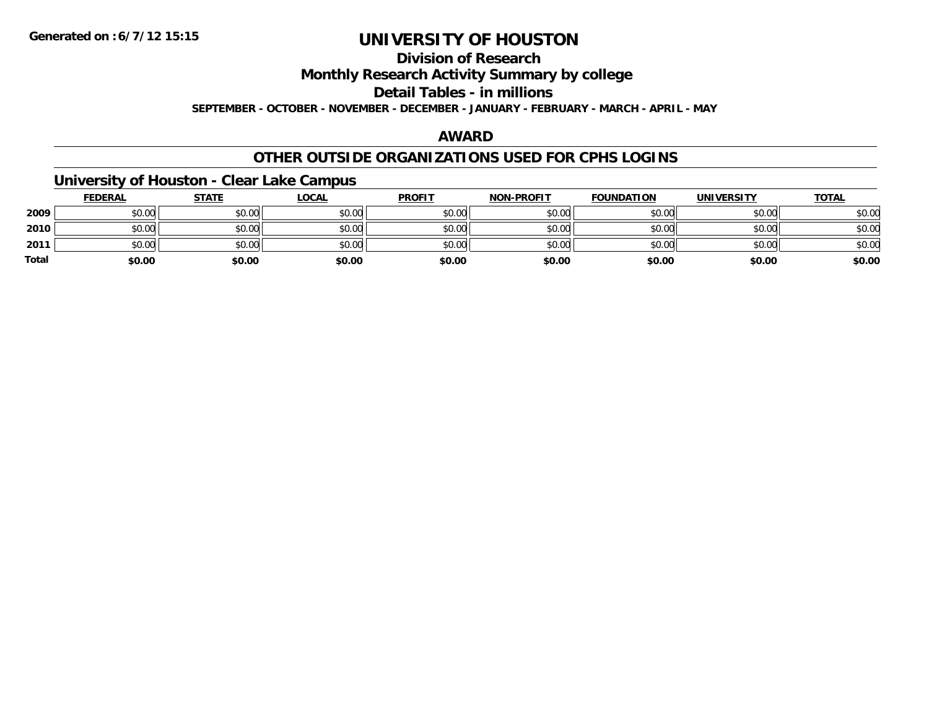## **Division of Research**

**Monthly Research Activity Summary by college**

**Detail Tables - in millions**

**SEPTEMBER - OCTOBER - NOVEMBER - DECEMBER - JANUARY - FEBRUARY - MARCH - APRIL - MAY**

### **AWARD**

### **OTHER OUTSIDE ORGANIZATIONS USED FOR CPHS LOGINS**

### **University of Houston - Clear Lake Campus**

|              | <b>FEDERAL</b> | <b>STATE</b> | <u>LOCAL</u> | <b>PROFIT</b> | <b>NON-PROFIT</b> | <b>FOUNDATION</b> | <b>UNIVERSITY</b> | <b>TOTAL</b> |
|--------------|----------------|--------------|--------------|---------------|-------------------|-------------------|-------------------|--------------|
| 2009         | \$0.00         | \$0.00       | \$0.00       | \$0.00        | \$0.00            | \$0.00            | \$0.00            | \$0.00       |
| 2010         | \$0.00         | \$0.00       | \$0.00       | \$0.00        | \$0.00            | \$0.00            | \$0.00            | \$0.00       |
| 2011         | \$0.00         | \$0.00       | \$0.00       | \$0.00        | \$0.00            | \$0.00            | \$0.00            | \$0.00       |
| <b>Total</b> | \$0.00         | \$0.00       | \$0.00       | \$0.00        | \$0.00            | \$0.00            | \$0.00            | \$0.00       |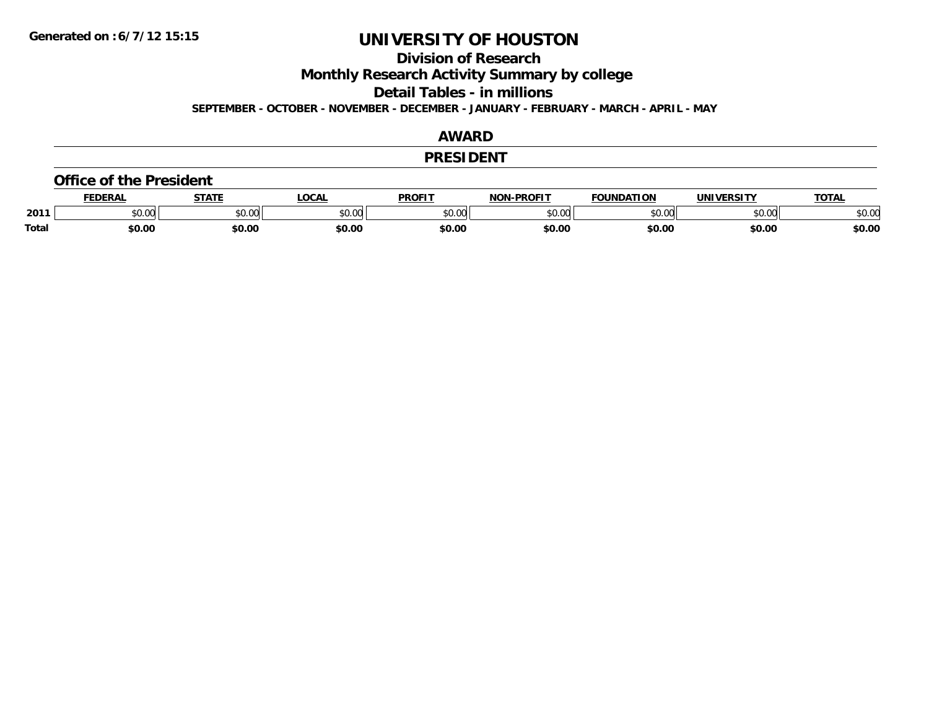**Division of Research**

**Monthly Research Activity Summary by college**

**Detail Tables - in millions**

**SEPTEMBER - OCTOBER - NOVEMBER - DECEMBER - JANUARY - FEBRUARY - MARCH - APRIL - MAY**

#### **AWARD**

#### **PRESIDENT**

#### **Office of the President**

|              | <b>DERAI</b>  | <b>STATE</b> | LOCAI              | PROFIT          | <b>DDOEIT</b><br>NAN | <b>FOUNDATION</b> | UNIVERSITY | <b>TOTAL</b>   |
|--------------|---------------|--------------|--------------------|-----------------|----------------------|-------------------|------------|----------------|
| 2011         | n vu<br>,u.uu | JU.UU        | $\sim$ 00<br>DU.UL | $\sim$<br>JU.UU | 20M<br>JU.UU         |                   | \$0.00     | ቀስ ስር<br>⊋∪.∪⊌ |
| <b>Total</b> | \$0.00        | \$0.00       | \$0.00             | en nr<br>JU.UL  | \$0.00               | \$0.00            | \$0.00     | \$0.00         |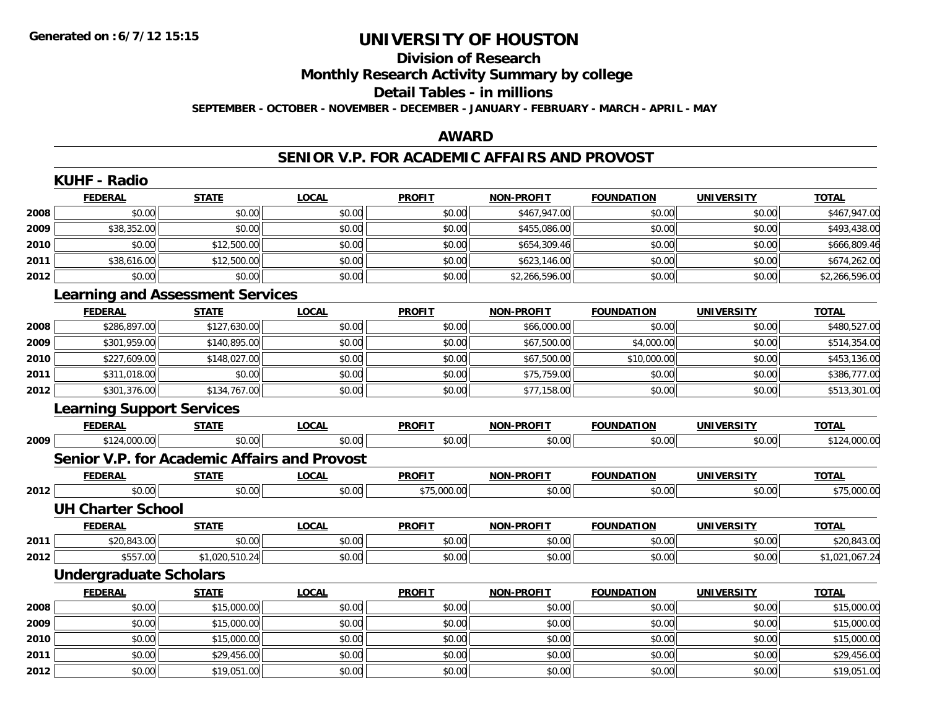### **Division of ResearchMonthly Research Activity Summary by college Detail Tables - in millions**

**SEPTEMBER - OCTOBER - NOVEMBER - DECEMBER - JANUARY - FEBRUARY - MARCH - APRIL - MAY**

#### **AWARD**

#### **SENIOR V.P. FOR ACADEMIC AFFAIRS AND PROVOST**

|      | <b>KUHF - Radio</b>                          |                |              |               |                   |                   |                   |                |
|------|----------------------------------------------|----------------|--------------|---------------|-------------------|-------------------|-------------------|----------------|
|      | <b>FEDERAL</b>                               | <b>STATE</b>   | <b>LOCAL</b> | <b>PROFIT</b> | <b>NON-PROFIT</b> | <b>FOUNDATION</b> | <b>UNIVERSITY</b> | <b>TOTAL</b>   |
| 2008 | \$0.00                                       | \$0.00         | \$0.00       | \$0.00        | \$467,947.00      | \$0.00            | \$0.00            | \$467,947.00   |
| 2009 | \$38,352.00                                  | \$0.00         | \$0.00       | \$0.00        | \$455,086.00      | \$0.00            | \$0.00            | \$493,438.00   |
| 2010 | \$0.00                                       | \$12,500.00    | \$0.00       | \$0.00        | \$654,309.46      | \$0.00            | \$0.00            | \$666,809.46   |
| 2011 | \$38,616.00                                  | \$12,500.00    | \$0.00       | \$0.00        | \$623,146.00      | \$0.00            | \$0.00            | \$674,262.00   |
| 2012 | \$0.00                                       | \$0.00         | \$0.00       | \$0.00        | \$2,266,596.00    | \$0.00            | \$0.00            | \$2,266,596.00 |
|      | <b>Learning and Assessment Services</b>      |                |              |               |                   |                   |                   |                |
|      | <b>FEDERAL</b>                               | <b>STATE</b>   | <b>LOCAL</b> | <b>PROFIT</b> | <b>NON-PROFIT</b> | <b>FOUNDATION</b> | <b>UNIVERSITY</b> | <b>TOTAL</b>   |
| 2008 | \$286,897.00                                 | \$127,630.00   | \$0.00       | \$0.00        | \$66,000.00       | \$0.00            | \$0.00            | \$480,527.00   |
| 2009 | \$301,959.00                                 | \$140,895.00   | \$0.00       | \$0.00        | \$67,500.00       | \$4,000.00        | \$0.00            | \$514,354.00   |
| 2010 | \$227,609.00                                 | \$148,027.00   | \$0.00       | \$0.00        | \$67,500.00       | \$10,000.00       | \$0.00            | \$453,136.00   |
| 2011 | \$311,018.00                                 | \$0.00         | \$0.00       | \$0.00        | \$75,759.00       | \$0.00            | \$0.00            | \$386,777.00   |
| 2012 | \$301,376.00                                 | \$134,767.00   | \$0.00       | \$0.00        | \$77,158.00       | \$0.00            | \$0.00            | \$513,301.00   |
|      | <b>Learning Support Services</b>             |                |              |               |                   |                   |                   |                |
|      | <b>FEDERAL</b>                               | <b>STATE</b>   | <b>LOCAL</b> | <b>PROFIT</b> | <b>NON-PROFIT</b> | <b>FOUNDATION</b> | <b>UNIVERSITY</b> | <b>TOTAL</b>   |
| 2009 | \$124,000.00                                 | \$0.00         | \$0.00       | \$0.00        | \$0.00            | \$0.00            | \$0.00            | \$124,000.00   |
|      | Senior V.P. for Academic Affairs and Provost |                |              |               |                   |                   |                   |                |
|      | <b>FEDERAL</b>                               | <b>STATE</b>   | <b>LOCAL</b> | <b>PROFIT</b> | <b>NON-PROFIT</b> | <b>FOUNDATION</b> | <b>UNIVERSITY</b> | <b>TOTAL</b>   |
| 2012 | \$0.00                                       | \$0.00         | \$0.00       | \$75,000.00   | \$0.00            | \$0.00            | \$0.00            | \$75,000.00    |
|      | <b>UH Charter School</b>                     |                |              |               |                   |                   |                   |                |
|      | <b>FEDERAL</b>                               | <b>STATE</b>   | <b>LOCAL</b> | <b>PROFIT</b> | <b>NON-PROFIT</b> | <b>FOUNDATION</b> | <b>UNIVERSITY</b> | <b>TOTAL</b>   |
| 2011 | \$20,843.00                                  | \$0.00         | \$0.00       | \$0.00        | \$0.00            | \$0.00            | \$0.00            | \$20,843.00    |
| 2012 | \$557.00                                     | \$1,020,510.24 | \$0.00       | \$0.00        | \$0.00            | \$0.00            | \$0.00            | \$1,021,067.24 |
|      | <b>Undergraduate Scholars</b>                |                |              |               |                   |                   |                   |                |
|      | <b>FEDERAL</b>                               | <b>STATE</b>   | <b>LOCAL</b> | <b>PROFIT</b> | <b>NON-PROFIT</b> | <b>FOUNDATION</b> | <b>UNIVERSITY</b> | <b>TOTAL</b>   |
| 2008 | \$0.00                                       | \$15,000.00    | \$0.00       | \$0.00        | \$0.00            | \$0.00            | \$0.00            | \$15,000.00    |
| 2009 | \$0.00                                       | \$15,000.00    | \$0.00       | \$0.00        | \$0.00            | \$0.00            | \$0.00            | \$15,000.00    |
| 2010 | \$0.00                                       | \$15,000.00    | \$0.00       | \$0.00        | \$0.00            | \$0.00            | \$0.00            | \$15,000.00    |
| 2011 | \$0.00                                       | \$29,456.00    | \$0.00       | \$0.00        | \$0.00            | \$0.00            | \$0.00            | \$29,456.00    |
| 2012 | \$0.00                                       | \$19,051.00    | \$0.00       | \$0.00        | \$0.00            | \$0.00            | \$0.00            | \$19,051.00    |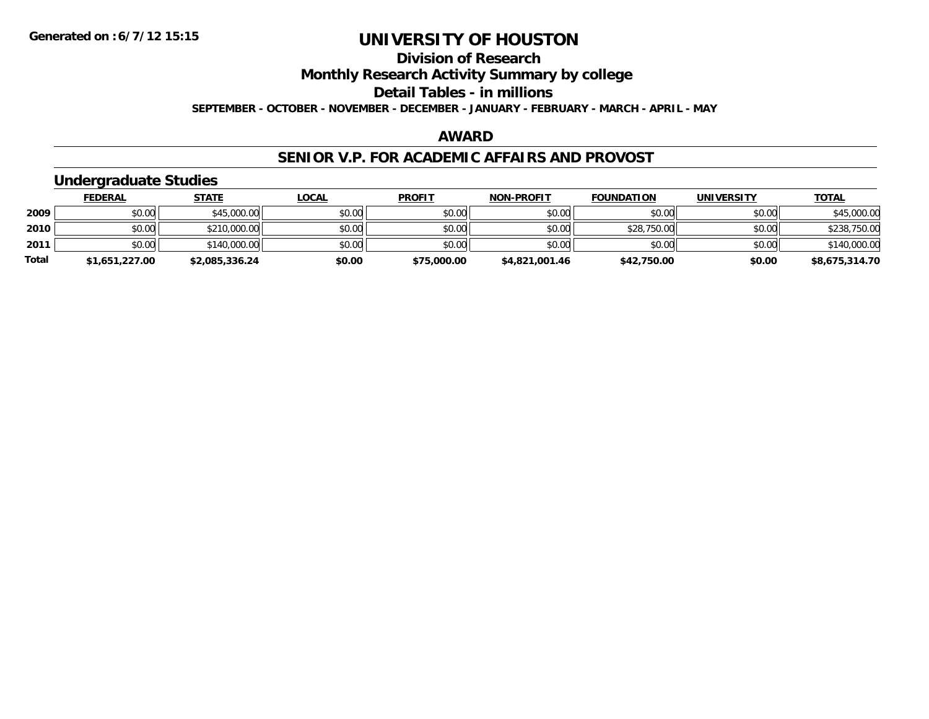### **Division of ResearchMonthly Research Activity Summary by college Detail Tables - in millions SEPTEMBER - OCTOBER - NOVEMBER - DECEMBER - JANUARY - FEBRUARY - MARCH - APRIL - MAY**

#### **AWARD**

#### **SENIOR V.P. FOR ACADEMIC AFFAIRS AND PROVOST**

### **Undergraduate Studies**

|              | <b>FEDERAL</b> | <u>STATE</u>   | <u>LOCAL</u> | <b>PROFIT</b> | <b>NON-PROFIT</b> | <b>FOUNDATION</b> | <b>UNIVERSITY</b> | <b>TOTAL</b>   |
|--------------|----------------|----------------|--------------|---------------|-------------------|-------------------|-------------------|----------------|
| 2009         | \$0.00         | \$45,000.00    | \$0.00       | \$0.00        | \$0.00            | \$0.00            | \$0.00            | \$45,000.00    |
| 2010         | \$0.00         | \$210,000.00   | \$0.00       | \$0.00        | \$0.00            | \$28,750.00       | \$0.00            | \$238,750.00   |
| 2011         | \$0.00         | \$140,000.00   | \$0.00       | \$0.00        | \$0.00            | \$0.00            | \$0.00            | \$140,000.00   |
| <b>Total</b> | \$1,651,227.00 | \$2,085,336.24 | \$0.00       | \$75,000.00   | \$4,821,001.46    | \$42,750.00       | \$0.00            | \$8,675,314.70 |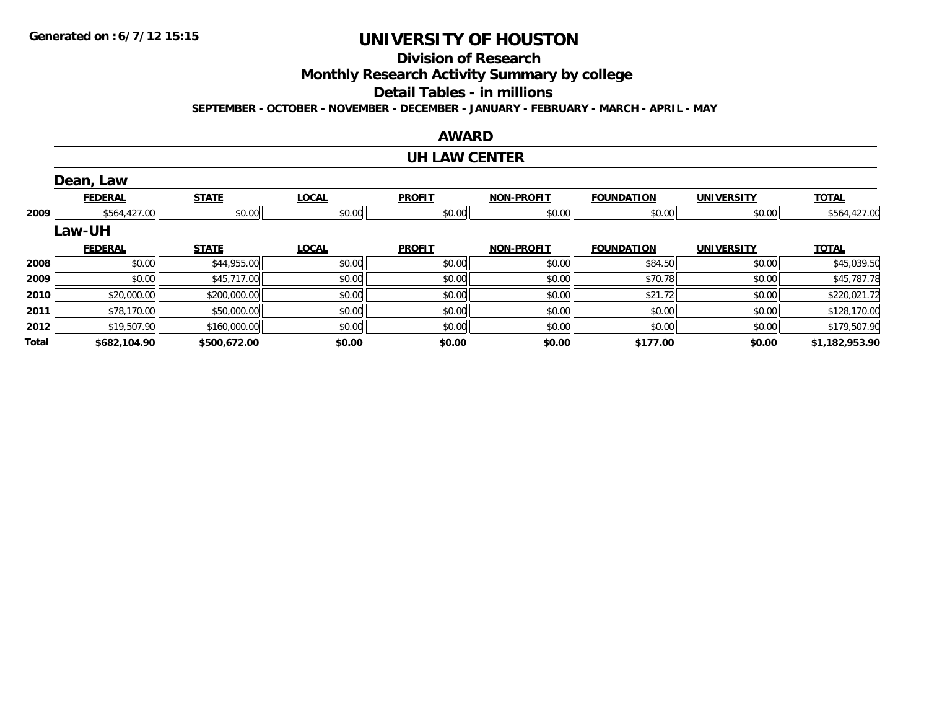### **Division of Research**

**Monthly Research Activity Summary by college**

**Detail Tables - in millions**

**SEPTEMBER - OCTOBER - NOVEMBER - DECEMBER - JANUARY - FEBRUARY - MARCH - APRIL - MAY**

#### **AWARD**

#### **UH LAW CENTER**

|       | Dean, Law      |              |              |               |                   |                   |                   |                |
|-------|----------------|--------------|--------------|---------------|-------------------|-------------------|-------------------|----------------|
|       | <b>FEDERAL</b> | <b>STATE</b> | <b>LOCAL</b> | <b>PROFIT</b> | <b>NON-PROFIT</b> | <b>FOUNDATION</b> | <b>UNIVERSITY</b> | <b>TOTAL</b>   |
| 2009  | \$564,427.00   | \$0.00       | \$0.00       | \$0.00        | \$0.00            | \$0.00            | \$0.00            | \$564,427.00   |
|       | <b>Law-UH</b>  |              |              |               |                   |                   |                   |                |
|       | <b>FEDERAL</b> | <b>STATE</b> | <b>LOCAL</b> | <b>PROFIT</b> | <b>NON-PROFIT</b> | <b>FOUNDATION</b> | <b>UNIVERSITY</b> | <b>TOTAL</b>   |
| 2008  | \$0.00         | \$44,955.00  | \$0.00       | \$0.00        | \$0.00            | \$84.50           | \$0.00            | \$45,039.50    |
| 2009  | \$0.00         | \$45,717.00  | \$0.00       | \$0.00        | \$0.00            | \$70.78           | \$0.00            | \$45,787.78    |
| 2010  | \$20,000.00    | \$200,000.00 | \$0.00       | \$0.00        | \$0.00            | \$21.72           | \$0.00            | \$220,021.72   |
| 2011  | \$78,170.00    | \$50,000.00  | \$0.00       | \$0.00        | \$0.00            | \$0.00            | \$0.00            | \$128,170.00   |
| 2012  | \$19,507.90    | \$160,000.00 | \$0.00       | \$0.00        | \$0.00            | \$0.00            | \$0.00            | \$179,507.90   |
| Total | \$682,104.90   | \$500,672.00 | \$0.00       | \$0.00        | \$0.00            | \$177.00          | \$0.00            | \$1,182,953.90 |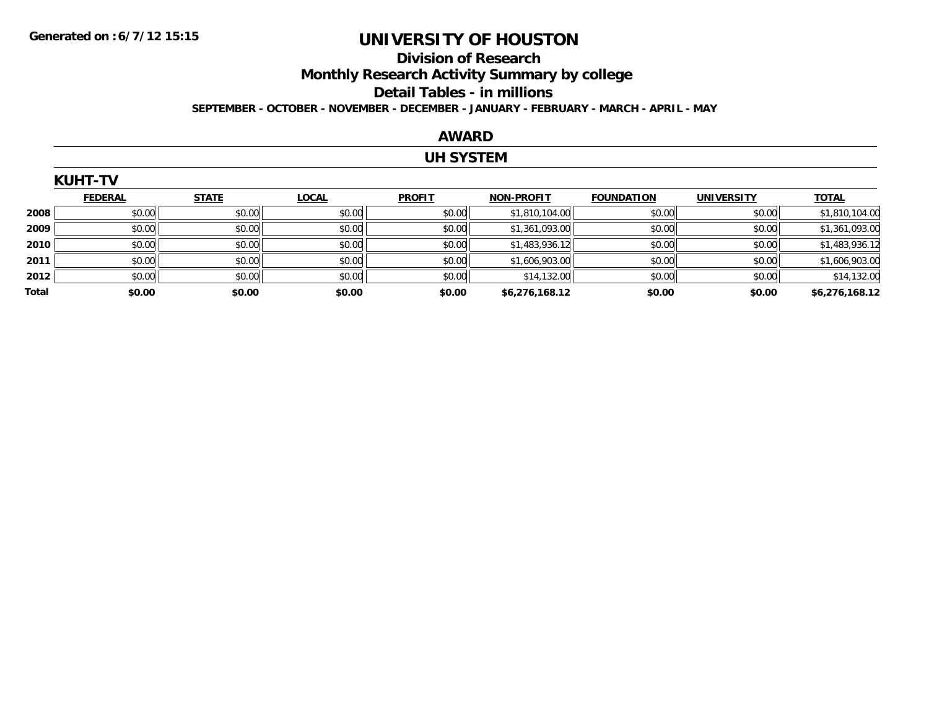#### **Division of Research Monthly Research Activity Summary by college Detail Tables - in millions SEPTEMBER - OCTOBER - NOVEMBER - DECEMBER - JANUARY - FEBRUARY - MARCH - APRIL - MAY**

#### **AWARD**

### **UH SYSTEM**

|       | <b>KUHT-TV</b> |              |              |               |                   |                   |                   |                |
|-------|----------------|--------------|--------------|---------------|-------------------|-------------------|-------------------|----------------|
|       | <b>FEDERAL</b> | <b>STATE</b> | <b>LOCAL</b> | <b>PROFIT</b> | <b>NON-PROFIT</b> | <b>FOUNDATION</b> | <b>UNIVERSITY</b> | <b>TOTAL</b>   |
| 2008  | \$0.00         | \$0.00       | \$0.00       | \$0.00        | \$1,810,104.00    | \$0.00            | \$0.00            | \$1,810,104.00 |
| 2009  | \$0.00         | \$0.00       | \$0.00       | \$0.00        | \$1,361,093.00    | \$0.00            | \$0.00            | \$1,361,093.00 |
| 2010  | \$0.00         | \$0.00       | \$0.00       | \$0.00        | \$1,483,936.12    | \$0.00            | \$0.00            | \$1,483,936.12 |
| 2011  | \$0.00         | \$0.00       | \$0.00       | \$0.00        | \$1,606,903.00    | \$0.00            | \$0.00            | \$1,606,903.00 |
| 2012  | \$0.00         | \$0.00       | \$0.00       | \$0.00        | \$14,132.00       | \$0.00            | \$0.00            | \$14,132.00    |
| Total | \$0.00         | \$0.00       | \$0.00       | \$0.00        | \$6,276,168.12    | \$0.00            | \$0.00            | \$6,276,168.12 |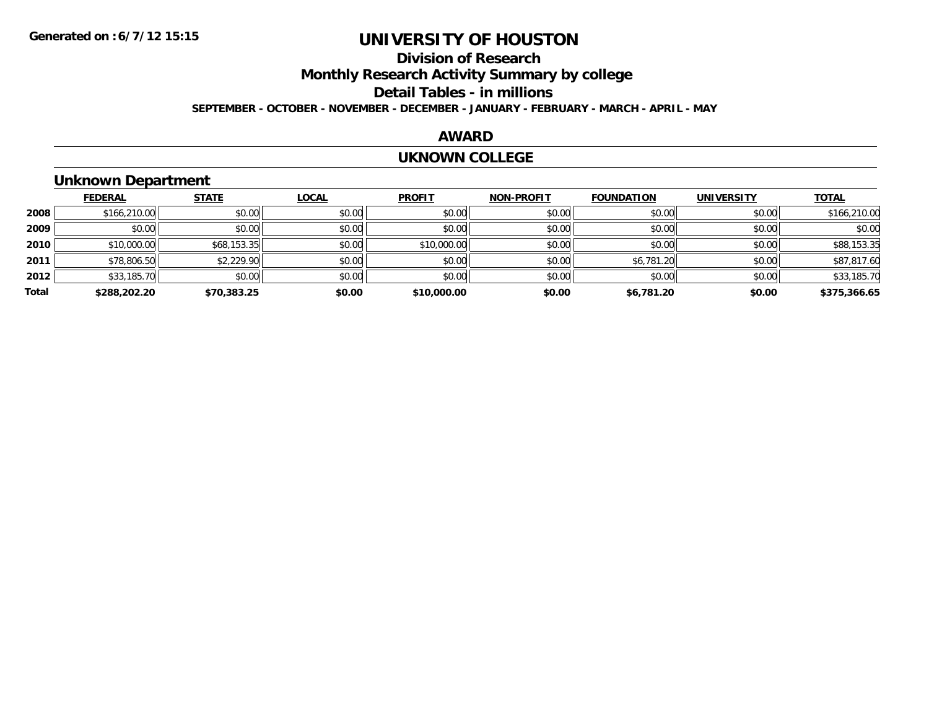### **Division of ResearchMonthly Research Activity Summary by college Detail Tables - in millions SEPTEMBER - OCTOBER - NOVEMBER - DECEMBER - JANUARY - FEBRUARY - MARCH - APRIL - MAY**

#### **AWARD**

#### **UKNOWN COLLEGE**

### **Unknown Department**

|       | <b>FEDERAL</b> | <b>STATE</b> | <b>LOCAL</b> | <b>PROFIT</b> | <b>NON-PROFIT</b> | <b>FOUNDATION</b> | <b>UNIVERSITY</b> | <b>TOTAL</b> |
|-------|----------------|--------------|--------------|---------------|-------------------|-------------------|-------------------|--------------|
| 2008  | \$166,210.00   | \$0.00       | \$0.00       | \$0.00        | \$0.00            | \$0.00            | \$0.00            | \$166,210.00 |
| 2009  | \$0.00         | \$0.00       | \$0.00       | \$0.00        | \$0.00            | \$0.00            | \$0.00            | \$0.00       |
| 2010  | \$10,000.00    | \$68,153.35  | \$0.00       | \$10,000.00   | \$0.00            | \$0.00            | \$0.00            | \$88,153.35  |
| 2011  | \$78,806.50    | \$2,229.90   | \$0.00       | \$0.00        | \$0.00            | \$6,781.20        | \$0.00            | \$87,817.60  |
| 2012  | \$33,185.70    | \$0.00       | \$0.00       | \$0.00        | \$0.00            | \$0.00            | \$0.00            | \$33,185.70  |
| Total | \$288,202.20   | \$70,383.25  | \$0.00       | \$10,000.00   | \$0.00            | \$6,781.20        | \$0.00            | \$375,366.65 |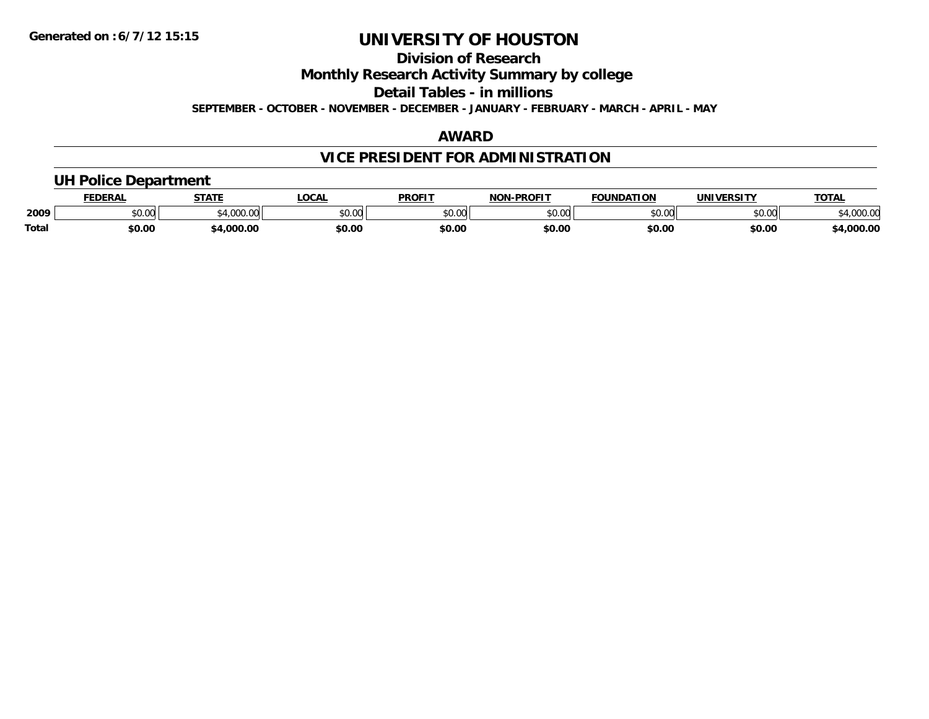### **Division of Research**

**Monthly Research Activity Summary by college**

**Detail Tables - in millions**

**SEPTEMBER - OCTOBER - NOVEMBER - DECEMBER - JANUARY - FEBRUARY - MARCH - APRIL - MAY**

### **AWARD**

### **VICE PRESIDENT FOR ADMINISTRATION**

### **UH Police Department**

|              | <b>FEDERAL</b> | <b>STATE</b>   | LOCAL         | <b>PROFIT</b> | -PROFIT<br>וחרות                 | <b>FOUNDATION</b> | UNIVERSITY | TOTA.       |
|--------------|----------------|----------------|---------------|---------------|----------------------------------|-------------------|------------|-------------|
| 2009         | 0.00<br>vu.vu  | 1.000<br>uuu.u | 0000<br>PU.UU | 0000<br>PO.OO | $\circ$ $\circ$ $\circ$<br>pu.uu | \$0.00            | \$0.00     | 94,000.00   |
| <b>Total</b> | \$0.00         | .000.00        | \$0.00        | \$0.00        | \$0.00                           | \$0.00            | \$0.00     | $+0.000.00$ |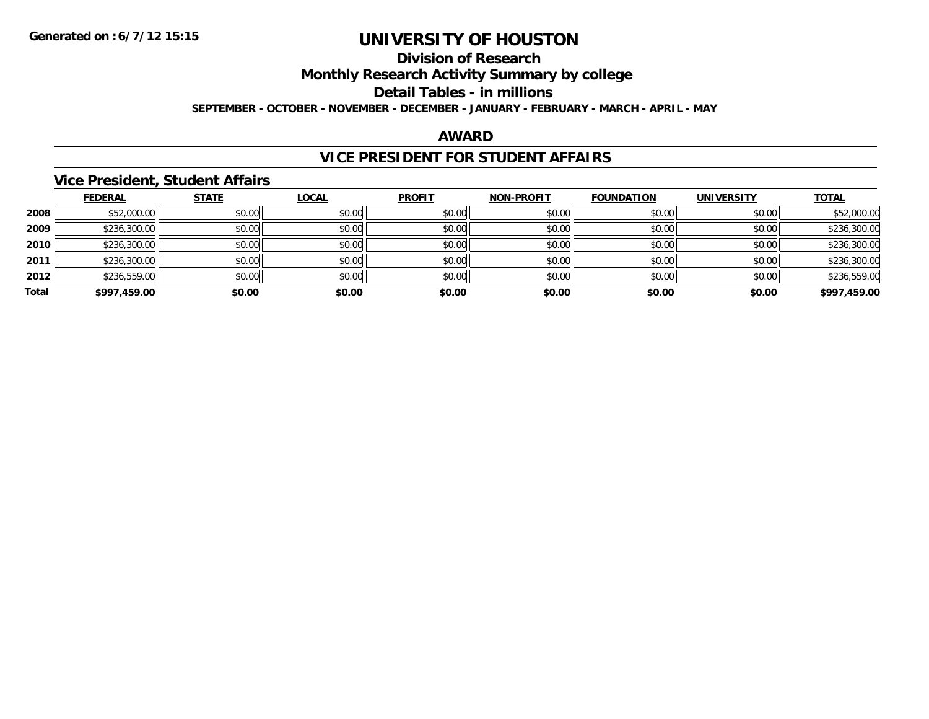### **Division of Research**

**Monthly Research Activity Summary by college**

**Detail Tables - in millions**

**SEPTEMBER - OCTOBER - NOVEMBER - DECEMBER - JANUARY - FEBRUARY - MARCH - APRIL - MAY**

#### **AWARD**

### **VICE PRESIDENT FOR STUDENT AFFAIRS**

#### **Vice President, Student Affairs**

|       | <b>FEDERAL</b> | <b>STATE</b> | <b>LOCAL</b> | <b>PROFIT</b> | <b>NON-PROFIT</b> | <b>FOUNDATION</b> | <b>UNIVERSITY</b> | <b>TOTAL</b> |
|-------|----------------|--------------|--------------|---------------|-------------------|-------------------|-------------------|--------------|
| 2008  | \$52,000.00    | \$0.00       | \$0.00       | \$0.00        | \$0.00            | \$0.00            | \$0.00            | \$52,000.00  |
| 2009  | \$236,300.00   | \$0.00       | \$0.00       | \$0.00        | \$0.00            | \$0.00            | \$0.00            | \$236,300.00 |
| 2010  | \$236,300.00   | \$0.00       | \$0.00       | \$0.00        | \$0.00            | \$0.00            | \$0.00            | \$236,300.00 |
| 2011  | \$236,300.00   | \$0.00       | \$0.00       | \$0.00        | \$0.00            | \$0.00            | \$0.00            | \$236,300.00 |
| 2012  | \$236,559.00   | \$0.00       | \$0.00       | \$0.00        | \$0.00            | \$0.00            | \$0.00            | \$236,559.00 |
| Total | \$997,459.00   | \$0.00       | \$0.00       | \$0.00        | \$0.00            | \$0.00            | \$0.00            | \$997,459.00 |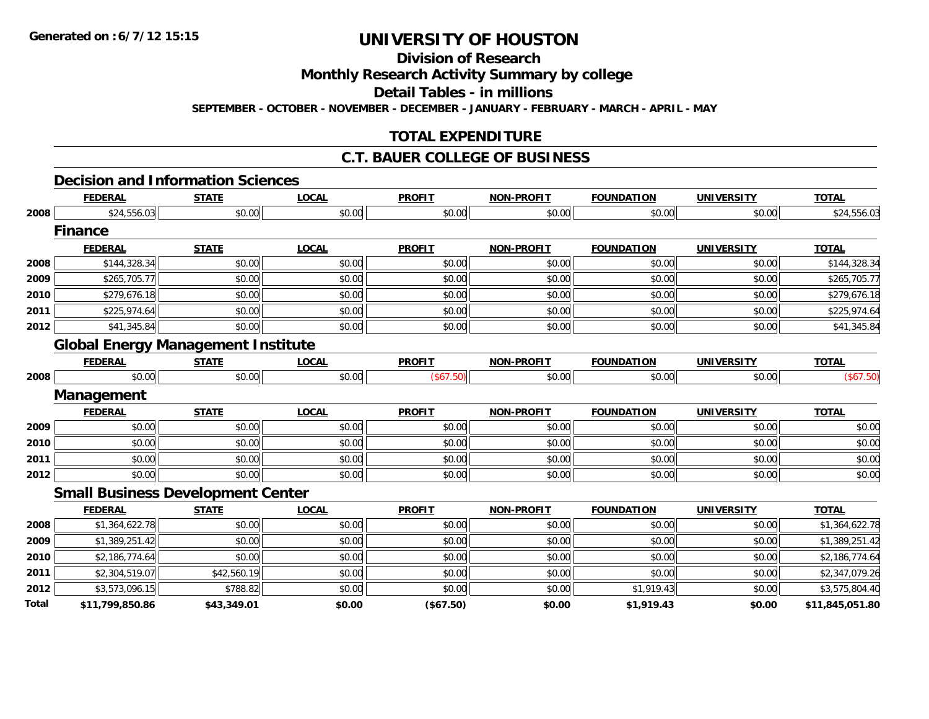**Total**

## **UNIVERSITY OF HOUSTON**

**Division of Research**

**Monthly Research Activity Summary by college**

**Detail Tables - in millions**

**SEPTEMBER - OCTOBER - NOVEMBER - DECEMBER - JANUARY - FEBRUARY - MARCH - APRIL - MAY**

### **TOTAL EXPENDITURE**

#### **C.T. BAUER COLLEGE OF BUSINESS**

### **Decision and Information Sciences**

|      | <b>FEDERAL</b> | <b>STATE</b>                              | <b>LOCAL</b> | <b>PROFIT</b> | <b>NON-PROFIT</b> | <b>FOUNDATION</b> | <b>UNIVERSITY</b> | <b>TOTAL</b>   |
|------|----------------|-------------------------------------------|--------------|---------------|-------------------|-------------------|-------------------|----------------|
| 2008 | \$24,556.03    | \$0.00                                    | \$0.00       | \$0.00        | \$0.00            | \$0.00            | \$0.00            | \$24,556.03    |
|      | <b>Finance</b> |                                           |              |               |                   |                   |                   |                |
|      | <b>FEDERAL</b> | <b>STATE</b>                              | <b>LOCAL</b> | <b>PROFIT</b> | <b>NON-PROFIT</b> | <b>FOUNDATION</b> | <b>UNIVERSITY</b> | <b>TOTAL</b>   |
| 2008 | \$144,328.34   | \$0.00                                    | \$0.00       | \$0.00        | \$0.00            | \$0.00            | \$0.00            | \$144,328.34   |
| 2009 | \$265,705.77   | \$0.00                                    | \$0.00       | \$0.00        | \$0.00            | \$0.00            | \$0.00            | \$265,705.77   |
| 2010 | \$279,676.18   | \$0.00                                    | \$0.00       | \$0.00        | \$0.00            | \$0.00            | \$0.00            | \$279,676.18   |
| 2011 | \$225,974.64   | \$0.00                                    | \$0.00       | \$0.00        | \$0.00            | \$0.00            | \$0.00            | \$225,974.64   |
| 2012 | \$41,345.84    | \$0.00                                    | \$0.00       | \$0.00        | \$0.00            | \$0.00            | \$0.00            | \$41,345.84    |
|      |                | <b>Global Energy Management Institute</b> |              |               |                   |                   |                   |                |
|      | <b>FEDERAL</b> | <b>STATE</b>                              | <b>LOCAL</b> | <b>PROFIT</b> | <b>NON-PROFIT</b> | <b>FOUNDATION</b> | <b>UNIVERSITY</b> | <b>TOTAL</b>   |
| 2008 | \$0.00         | \$0.00                                    | \$0.00       | (\$67.50)     | \$0.00            | \$0.00            | \$0.00            | (\$67.50)      |
|      | Management     |                                           |              |               |                   |                   |                   |                |
|      | <b>FEDERAL</b> | <b>STATE</b>                              | <b>LOCAL</b> | <b>PROFIT</b> | <b>NON-PROFIT</b> | <b>FOUNDATION</b> | <b>UNIVERSITY</b> | <b>TOTAL</b>   |
| 2009 | \$0.00         | \$0.00                                    | \$0.00       | \$0.00        | \$0.00            | \$0.00            | \$0.00            | \$0.00         |
| 2010 | \$0.00         | \$0.00                                    | \$0.00       | \$0.00        | \$0.00            | \$0.00            | \$0.00            | \$0.00         |
| 2011 | \$0.00         | \$0.00                                    | \$0.00       | \$0.00        | \$0.00            | \$0.00            | \$0.00            | \$0.00         |
| 2012 | \$0.00         | \$0.00                                    | \$0.00       | \$0.00        | \$0.00            | \$0.00            | \$0.00            | \$0.00         |
|      |                | <b>Small Business Development Center</b>  |              |               |                   |                   |                   |                |
|      | <b>FEDERAL</b> | <b>STATE</b>                              | <b>LOCAL</b> | <b>PROFIT</b> | <b>NON-PROFIT</b> | <b>FOUNDATION</b> | <b>UNIVERSITY</b> | <b>TOTAL</b>   |
| 2008 | \$1,364,622.78 | \$0.00                                    | \$0.00       | \$0.00        | \$0.00            | \$0.00            | \$0.00            | \$1,364,622.78 |
| 2009 | \$1,389,251.42 | \$0.00                                    | \$0.00       | \$0.00        | \$0.00            | \$0.00            | \$0.00            | \$1,389,251.42 |
| 2010 | \$2,186,774.64 | \$0.00                                    | \$0.00       | \$0.00        | \$0.00            | \$0.00            | \$0.00            | \$2,186,774.64 |
| 2011 | \$2,304,519.07 | \$42,560.19                               | \$0.00       | \$0.00        | \$0.00            | \$0.00            | \$0.00            | \$2,347,079.26 |
| 2012 | \$3,573,096.15 | \$788.82                                  | \$0.00       | \$0.00        | \$0.00            | \$1,919.43        | \$0.00            | \$3,575,804.40 |

**\$11,799,850.86 \$43,349.01 \$0.00 (\$67.50) \$0.00 \$1,919.43 \$0.00 \$11,845,051.80**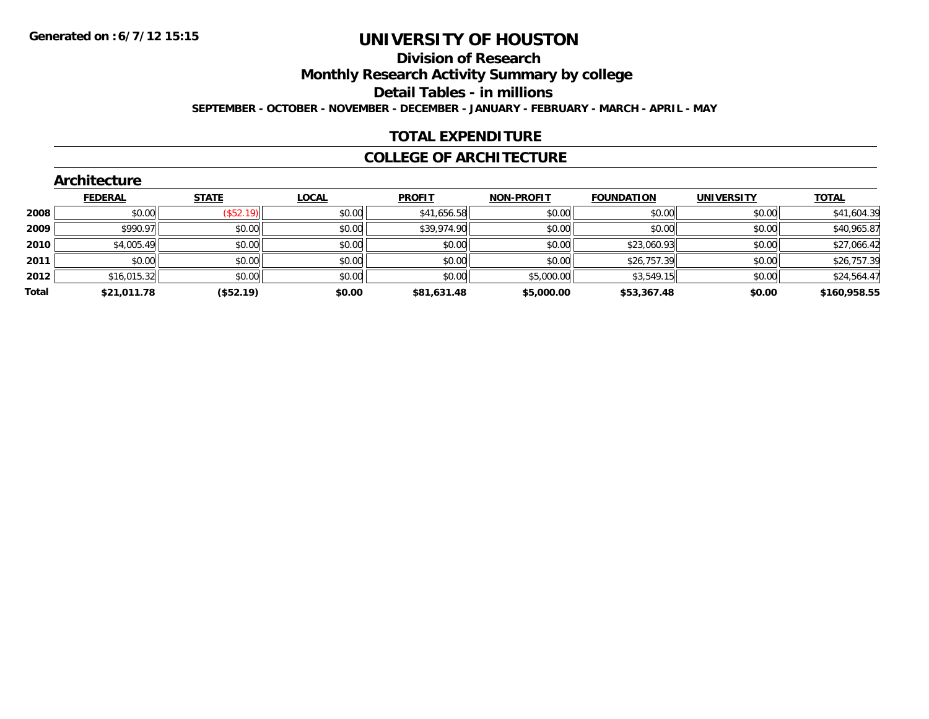#### **Division of Research**

**Monthly Research Activity Summary by college**

**Detail Tables - in millions**

**SEPTEMBER - OCTOBER - NOVEMBER - DECEMBER - JANUARY - FEBRUARY - MARCH - APRIL - MAY**

### **TOTAL EXPENDITURE**

#### **COLLEGE OF ARCHITECTURE**

|       | Architecture   |              |              |               |                   |                   |                   |              |
|-------|----------------|--------------|--------------|---------------|-------------------|-------------------|-------------------|--------------|
|       | <b>FEDERAL</b> | <b>STATE</b> | <b>LOCAL</b> | <b>PROFIT</b> | <b>NON-PROFIT</b> | <b>FOUNDATION</b> | <b>UNIVERSITY</b> | <b>TOTAL</b> |
| 2008  | \$0.00         | (\$52.19)    | \$0.00       | \$41,656.58   | \$0.00            | \$0.00            | \$0.00            | \$41,604.39  |
| 2009  | \$990.97       | \$0.00       | \$0.00       | \$39,974.90   | \$0.00            | \$0.00            | \$0.00            | \$40,965.87  |
| 2010  | \$4,005.49     | \$0.00       | \$0.00       | \$0.00        | \$0.00            | \$23,060.93       | \$0.00            | \$27,066.42  |
| 2011  | \$0.00         | \$0.00       | \$0.00       | \$0.00        | \$0.00            | \$26,757.39       | \$0.00            | \$26,757.39  |
| 2012  | \$16,015.32    | \$0.00       | \$0.00       | \$0.00        | \$5,000.00        | \$3,549.15        | \$0.00            | \$24,564.47  |
| Total | \$21,011.78    | (\$52.19)    | \$0.00       | \$81,631.48   | \$5,000.00        | \$53,367.48       | \$0.00            | \$160,958.55 |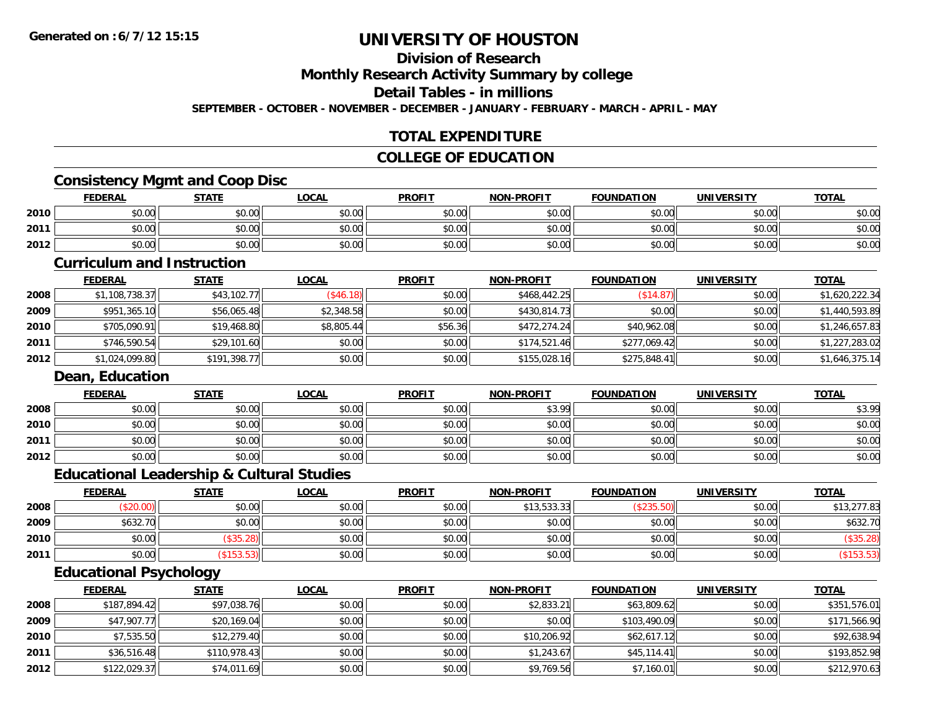### **Division of Research**

**Monthly Research Activity Summary by college**

**Detail Tables - in millions**

**SEPTEMBER - OCTOBER - NOVEMBER - DECEMBER - JANUARY - FEBRUARY - MARCH - APRIL - MAY**

### **TOTAL EXPENDITURE**

#### **COLLEGE OF EDUCATION**

#### **Consistency Mgmt and Coop Disc**

|      | <b>FEDERAL</b> | <b>STATE</b> | LOCAL  | <b>PROFIT</b> | <b>NON-PROFIT</b> | <b>FOUNDATION</b> | <b>UNIVERSITY</b> | <b>TOTAL</b> |
|------|----------------|--------------|--------|---------------|-------------------|-------------------|-------------------|--------------|
| 2010 | \$0.00         | \$0.00       | \$0.00 | \$0.00        | \$0.00            | \$0.00            | \$0.00            | \$0.00       |
| 2011 | \$0.00         | \$0.00       | \$0.00 | \$0.00        | \$0.00            | \$0.00            | \$0.00            | \$0.00       |
| 2012 | \$0.00         | \$0.00       | \$0.00 | \$0.00        | \$0.00            | \$0.00            | \$0.00            | \$0.00       |

#### **Curriculum and Instruction**

|      | <b>FEDERAL</b> | <u>STATE</u> | <u>LOCAL</u> | <b>PROFIT</b> | <b>NON-PROFIT</b> | <b>FOUNDATION</b> | <b>UNIVERSITY</b> | <b>TOTAL</b>   |
|------|----------------|--------------|--------------|---------------|-------------------|-------------------|-------------------|----------------|
| 2008 | \$1,108,738.37 | \$43,102.77  | (\$46.18)    | \$0.00        | \$468,442.25      | \$14.87           | \$0.00            | \$1,620,222.34 |
| 2009 | \$951,365.10   | \$56,065.48  | \$2,348.58   | \$0.00        | \$430,814.73      | \$0.00            | \$0.00            | \$1,440,593.89 |
| 2010 | \$705,090.91   | \$19,468.80  | \$8,805.44   | \$56.36       | \$472,274.24      | \$40,962.08       | \$0.00            | \$1,246,657.83 |
| 2011 | \$746,590.54   | \$29,101.60  | \$0.00       | \$0.00        | \$174.521.46      | \$277,069.42      | \$0.00            | \$1,227,283.02 |
| 2012 | \$1,024,099.80 | \$191,398.77 | \$0.00       | \$0.00        | \$155,028.16      | \$275,848.41      | \$0.00            | \$1,646,375.14 |

#### **Dean, Education**

|      | <b>FEDERAL</b> | <b>STATE</b> | <b>LOCAL</b> | <b>PROFIT</b> | <b>NON-PROFIT</b> | <b>FOUNDATION</b> | <b>UNIVERSITY</b> | <b>TOTAL</b> |
|------|----------------|--------------|--------------|---------------|-------------------|-------------------|-------------------|--------------|
| 2008 | \$0.00         | \$0.00       | \$0.00       | \$0.00        | \$3.99            | \$0.00            | \$0.00            | \$3.99       |
| 2010 | \$0.00         | \$0.00       | \$0.00       | \$0.00        | \$0.00            | \$0.00            | \$0.00            | \$0.00       |
| 2011 | \$0.00         | \$0.00       | \$0.00       | \$0.00        | \$0.00            | \$0.00            | \$0.00            | \$0.00       |
| 2012 | \$0.00         | \$0.00       | \$0.00       | \$0.00        | \$0.00            | \$0.00            | \$0.00            | \$0.00       |

### **Educational Leadership & Cultural Studies**

|      | <u>FEDERAL</u> | STATE    | <u>LOCAL</u> | <b>PROFIT</b> | <b>NON-PROFIT</b> | <b>FOUNDATION</b> | UNIVERSITY | <b>TOTAL</b> |
|------|----------------|----------|--------------|---------------|-------------------|-------------------|------------|--------------|
| 2008 |                | \$0.00   | \$0.00       | \$0.00        | \$13,533.33       | (ぐつつに)            | \$0.00     | \$13,277.83  |
| 2009 | \$632.70       | \$0.00   | \$0.00       | \$0.00        | \$0.00            | \$0.00            | \$0.00     | \$632.70     |
| 2010 | \$0.00         | \$35.28  | \$0.00       | \$0.00        | \$0.00            | \$0.00            | \$0.00     |              |
| 2011 | \$0.00         | \$153.53 | \$0.00       | \$0.00        | \$0.00            | \$0.00            | \$0.00     |              |

### **Educational Psychology**

|      | <b>FEDERAL</b> | <b>STATE</b> | <u>LOCAL</u> | <b>PROFIT</b> | <b>NON-PROFIT</b> | <b>FOUNDATION</b> | <b>UNIVERSITY</b> | <b>TOTAL</b> |
|------|----------------|--------------|--------------|---------------|-------------------|-------------------|-------------------|--------------|
| 2008 | \$187,894.42   | \$97,038.76  | \$0.00       | \$0.00        | \$2,833.21        | \$63,809.62       | \$0.00            | \$351,576.01 |
| 2009 | \$47,907.77    | \$20,169.04  | \$0.00       | \$0.00        | \$0.00            | \$103,490.09      | \$0.00            | \$171,566.90 |
| 2010 | \$7,535.50     | \$12,279.40  | \$0.00       | \$0.00        | \$10,206.92       | \$62,617.12       | \$0.00            | \$92,638.94  |
| 2011 | \$36,516.48    | \$110,978.43 | \$0.00       | \$0.00        | \$1,243.67        | \$45,114.41       | \$0.00            | \$193,852.98 |
| 2012 | \$122,029.37   | \$74,011.69  | \$0.00       | \$0.00        | \$9,769.56        | \$7,160.01        | \$0.00            | \$212,970.63 |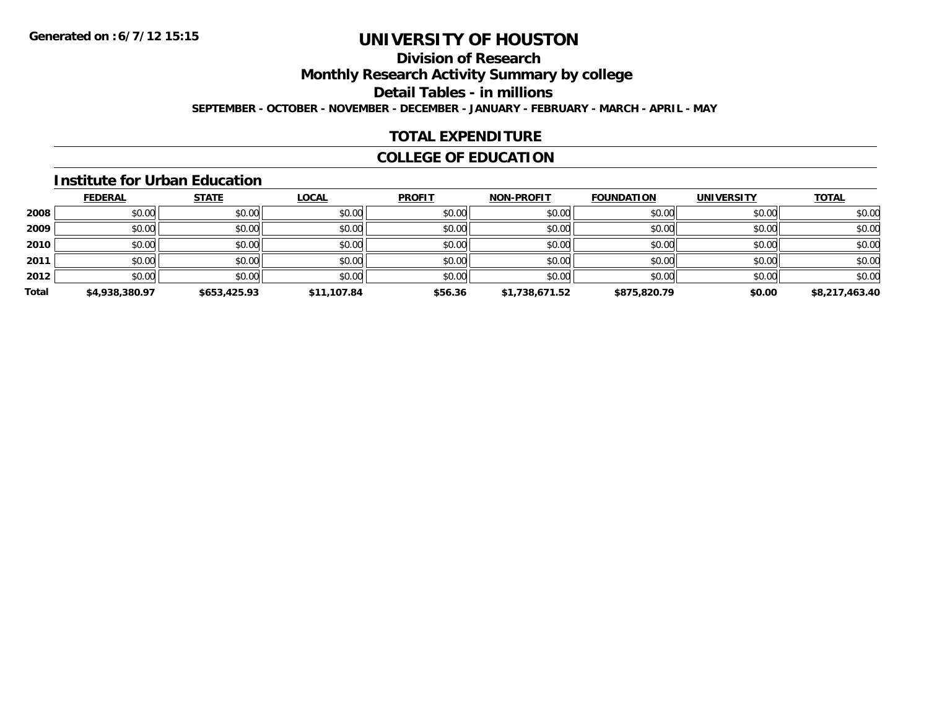### **Division of Research**

**Monthly Research Activity Summary by college**

**Detail Tables - in millions**

**SEPTEMBER - OCTOBER - NOVEMBER - DECEMBER - JANUARY - FEBRUARY - MARCH - APRIL - MAY**

### **TOTAL EXPENDITURE**

### **COLLEGE OF EDUCATION**

#### **Institute for Urban Education**

|       | <b>FEDERAL</b> | <b>STATE</b> | <b>LOCAL</b> | <b>PROFIT</b> | <b>NON-PROFIT</b> | <b>FOUNDATION</b> | <b>UNIVERSITY</b> | <b>TOTAL</b>   |
|-------|----------------|--------------|--------------|---------------|-------------------|-------------------|-------------------|----------------|
| 2008  | \$0.00         | \$0.00       | \$0.00       | \$0.00        | \$0.00            | \$0.00            | \$0.00            | \$0.00         |
| 2009  | \$0.00         | \$0.00       | \$0.00       | \$0.00        | \$0.00            | \$0.00            | \$0.00            | \$0.00         |
| 2010  | \$0.00         | \$0.00       | \$0.00       | \$0.00        | \$0.00            | \$0.00            | \$0.00            | \$0.00         |
| 2011  | \$0.00         | \$0.00       | \$0.00       | \$0.00        | \$0.00            | \$0.00            | \$0.00            | \$0.00         |
| 2012  | \$0.00         | \$0.00       | \$0.00       | \$0.00        | \$0.00            | \$0.00            | \$0.00            | \$0.00         |
| Total | \$4,938,380.97 | \$653,425.93 | \$11,107.84  | \$56.36       | \$1,738,671.52    | \$875,820.79      | \$0.00            | \$8,217,463.40 |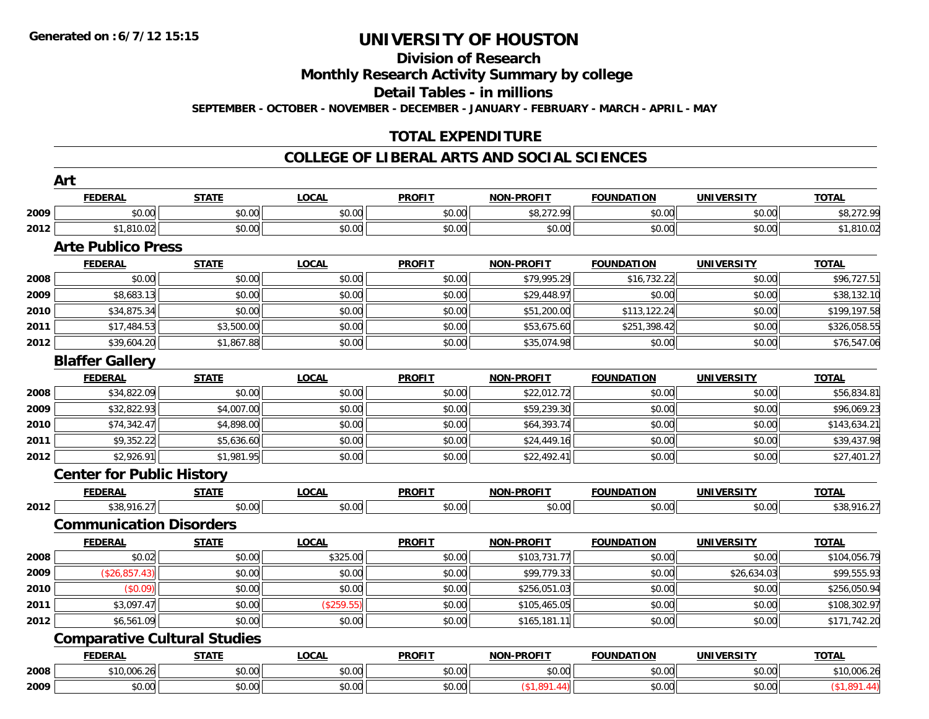## **Division of Research**

**Monthly Research Activity Summary by college**

**Detail Tables - in millions**

**SEPTEMBER - OCTOBER - NOVEMBER - DECEMBER - JANUARY - FEBRUARY - MARCH - APRIL - MAY**

### **TOTAL EXPENDITURE**

#### **COLLEGE OF LIBERAL ARTS AND SOCIAL SCIENCES**

|      | <b>FEDERAL</b>                      | <b>STATE</b> | <b>LOCAL</b> | <b>PROFIT</b> | NON-PROFIT              | <b>FOUNDATION</b> | <b>UNIVERSITY</b> | <b>TOTAL</b> |
|------|-------------------------------------|--------------|--------------|---------------|-------------------------|-------------------|-------------------|--------------|
| 2009 | \$0.00                              | \$0.00       | \$0.00       | \$0.00        | \$8,272.99              | \$0.00            | \$0.00            | \$8,272.99   |
| 2012 | \$1,810.02                          | \$0.00       | \$0.00       | \$0.00        | \$0.00                  | \$0.00            | \$0.00            | \$1,810.02   |
|      | <b>Arte Publico Press</b>           |              |              |               |                         |                   |                   |              |
|      | <b>FEDERAL</b>                      | <b>STATE</b> | <b>LOCAL</b> | <b>PROFIT</b> | NON-PROFIT              | <b>FOUNDATION</b> | <b>UNIVERSITY</b> | <b>TOTAL</b> |
| 2008 | \$0.00                              | \$0.00       | \$0.00       | \$0.00        | \$79,995.29             | \$16,732.22       | \$0.00            | \$96,727.51  |
| 2009 | \$8,683.13                          | \$0.00       | \$0.00       | \$0.00        | \$29,448.97             | \$0.00            | \$0.00            | \$38,132.10  |
| 2010 | \$34,875.34                         | \$0.00       | \$0.00       | \$0.00        | \$51,200.00             | \$113,122.24      | \$0.00            | \$199,197.58 |
| 2011 | \$17,484.53                         | \$3,500.00   | \$0.00       | \$0.00        | \$53,675.60             | \$251,398.42      | \$0.00            | \$326,058.55 |
| 2012 | \$39,604.20                         | \$1,867.88   | \$0.00       | \$0.00        | \$35,074.98             | \$0.00            | \$0.00            | \$76,547.06  |
|      | <b>Blaffer Gallery</b>              |              |              |               |                         |                   |                   |              |
|      | <b>FEDERAL</b>                      | <b>STATE</b> | <b>LOCAL</b> | <b>PROFIT</b> | <b>NON-PROFIT</b>       | <b>FOUNDATION</b> | <b>UNIVERSITY</b> | <b>TOTAL</b> |
| 2008 | \$34,822.09                         | \$0.00       | \$0.00       | \$0.00        | \$22,012.72             | \$0.00            | \$0.00            | \$56,834.81  |
| 2009 | \$32,822.93                         | \$4,007.00   | \$0.00       | \$0.00        | \$59,239.30             | \$0.00            | \$0.00            | \$96,069.23  |
| 2010 | \$74,342.47                         | \$4,898.00   | \$0.00       | \$0.00        | \$64,393.74             | \$0.00            | \$0.00            | \$143,634.21 |
| 2011 | \$9,352.22                          | \$5,636.60   | \$0.00       | \$0.00        | \$24,449.16             | \$0.00            | \$0.00            | \$39,437.98  |
| 2012 | \$2,926.91                          | \$1,981.95   | \$0.00       | \$0.00        | \$22,492.41             | \$0.00            | \$0.00            | \$27,401.27  |
|      | <b>Center for Public History</b>    |              |              |               |                         |                   |                   |              |
|      | <b>FEDERAL</b>                      | <b>STATE</b> | <b>LOCAL</b> | <b>PROFIT</b> | <b>NON-PROFIT</b>       | <b>FOUNDATION</b> | <b>UNIVERSITY</b> | <b>TOTAL</b> |
| 2012 | \$38,916.27                         | \$0.00       | \$0.00       | \$0.00        | \$0.00                  | \$0.00            | \$0.00            | \$38,916.27  |
|      | <b>Communication Disorders</b>      |              |              |               |                         |                   |                   |              |
|      | <b>FEDERAL</b>                      | <b>STATE</b> | <b>LOCAL</b> | <b>PROFIT</b> | <b>NON-PROFIT</b>       | <b>FOUNDATION</b> | <b>UNIVERSITY</b> | <b>TOTAL</b> |
| 2008 | \$0.02                              | \$0.00       | \$325.00     | \$0.00        | \$103,731.77            | \$0.00            | \$0.00            | \$104,056.79 |
| 2009 | (\$26,857.43)                       | \$0.00       | \$0.00       | \$0.00        | $\overline{$99,779.33}$ | \$0.00            | \$26,634.03       | \$99,555.93  |
| 2010 | (\$0.09)                            | \$0.00       | \$0.00       | \$0.00        | \$256,051.03            | \$0.00            | \$0.00            | \$256,050.94 |
| 2011 | \$3,097.47                          | \$0.00       | (\$259.55)   | \$0.00        | \$105,465.05            | \$0.00            | \$0.00            | \$108,302.97 |
| 2012 | \$6,561.09                          | \$0.00       | \$0.00       | \$0.00        | \$165,181.11            | \$0.00            | \$0.00            | \$171,742.20 |
|      | <b>Comparative Cultural Studies</b> |              |              |               |                         |                   |                   |              |
|      | <b>FEDERAL</b>                      | <b>STATE</b> | <b>LOCAL</b> | <b>PROFIT</b> | <b>NON-PROFIT</b>       | <b>FOUNDATION</b> | <b>UNIVERSITY</b> | <b>TOTAL</b> |
| 2008 | \$10,006.26                         | \$0.00       | \$0.00       | \$0.00        | \$0.00                  | \$0.00            | \$0.00            | \$10,006.26  |
| 2009 | \$0.00                              | \$0.00       | \$0.00       | \$0.00        | (\$1,891.44)            | \$0.00            | \$0.00            | (\$1,891.44) |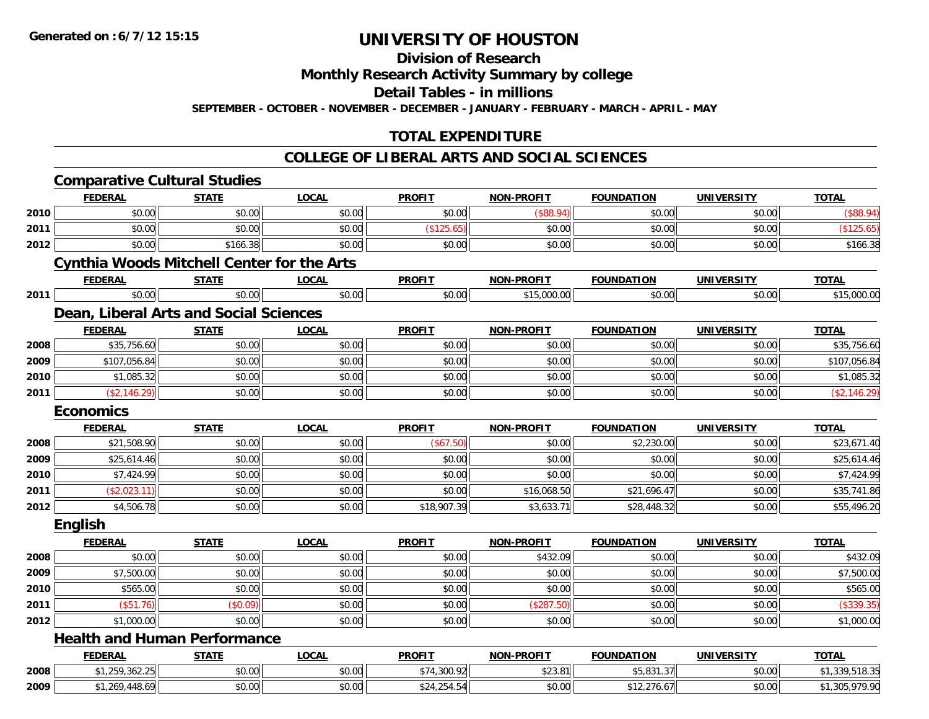**Division of Research**

**Monthly Research Activity Summary by college**

**Detail Tables - in millions**

**SEPTEMBER - OCTOBER - NOVEMBER - DECEMBER - JANUARY - FEBRUARY - MARCH - APRIL - MAY**

### **TOTAL EXPENDITURE**

### **COLLEGE OF LIBERAL ARTS AND SOCIAL SCIENCES**

|      | <b>Comparative Cultural Studies</b>               |              |              |               |                   |                   |                   |                |
|------|---------------------------------------------------|--------------|--------------|---------------|-------------------|-------------------|-------------------|----------------|
|      | <b>FEDERAL</b>                                    | <b>STATE</b> | <b>LOCAL</b> | <b>PROFIT</b> | NON-PROFIT        | <b>FOUNDATION</b> | <b>UNIVERSITY</b> | <b>TOTAL</b>   |
| 2010 | \$0.00                                            | \$0.00       | \$0.00       | \$0.00        | (\$88.94)         | \$0.00            | \$0.00            | (\$88.94)      |
| 2011 | \$0.00                                            | \$0.00       | \$0.00       | (\$125.65)    | \$0.00            | \$0.00            | \$0.00            | (\$125.65)     |
| 2012 | \$0.00                                            | \$166.38     | \$0.00       | \$0.00        | \$0.00            | \$0.00            | \$0.00            | \$166.38       |
|      | <b>Cynthia Woods Mitchell Center for the Arts</b> |              |              |               |                   |                   |                   |                |
|      | <b>FEDERAL</b>                                    | <b>STATE</b> | <b>LOCAL</b> | <b>PROFIT</b> | <b>NON-PROFIT</b> | <b>FOUNDATION</b> | <b>UNIVERSITY</b> | <b>TOTAL</b>   |
| 2011 | \$0.00                                            | \$0.00       | \$0.00       | \$0.00        | \$15,000.00       | \$0.00            | \$0.00            | \$15,000.00    |
|      | Dean, Liberal Arts and Social Sciences            |              |              |               |                   |                   |                   |                |
|      | <b>FEDERAL</b>                                    | <b>STATE</b> | LOCAL        | <b>PROFIT</b> | <b>NON-PROFIT</b> | <b>FOUNDATION</b> | <b>UNIVERSITY</b> | <b>TOTAL</b>   |
| 2008 | \$35,756.60                                       | \$0.00       | \$0.00       | \$0.00        | \$0.00            | \$0.00            | \$0.00            | \$35,756.60    |
| 2009 | \$107,056.84                                      | \$0.00       | \$0.00       | \$0.00        | \$0.00            | \$0.00            | \$0.00            | \$107,056.84   |
| 2010 | \$1,085.32                                        | \$0.00       | \$0.00       | \$0.00        | \$0.00            | \$0.00            | \$0.00            | \$1,085.32     |
| 2011 | (\$2,146.29)                                      | \$0.00       | \$0.00       | \$0.00        | \$0.00            | \$0.00            | \$0.00            | (\$2,146.29)   |
|      | <b>Economics</b>                                  |              |              |               |                   |                   |                   |                |
|      | <b>FEDERAL</b>                                    | <b>STATE</b> | <b>LOCAL</b> | <b>PROFIT</b> | <b>NON-PROFIT</b> | <b>FOUNDATION</b> | <b>UNIVERSITY</b> | <b>TOTAL</b>   |
| 2008 | \$21,508.90                                       | \$0.00       | \$0.00       | (\$67.50)     | \$0.00            | \$2,230.00        | \$0.00            | \$23,671.40    |
| 2009 | \$25,614.46                                       | \$0.00       | \$0.00       | \$0.00        | \$0.00            | \$0.00            | \$0.00            | \$25,614.46    |
| 2010 | \$7,424.99                                        | \$0.00       | \$0.00       | \$0.00        | \$0.00            | \$0.00            | \$0.00            | \$7,424.99     |
| 2011 | (\$2,023.11)                                      | \$0.00       | \$0.00       | \$0.00        | \$16,068.50       | \$21,696.47       | \$0.00            | \$35,741.86    |
| 2012 | \$4,506.78                                        | \$0.00       | \$0.00       | \$18,907.39   | \$3,633.71        | \$28,448.32       | \$0.00            | \$55,496.20    |
|      | English                                           |              |              |               |                   |                   |                   |                |
|      | <b>FEDERAL</b>                                    | <b>STATE</b> | <b>LOCAL</b> | <b>PROFIT</b> | <b>NON-PROFIT</b> | <b>FOUNDATION</b> | <b>UNIVERSITY</b> | <b>TOTAL</b>   |
| 2008 | \$0.00                                            | \$0.00       | \$0.00       | \$0.00        | \$432.09          | \$0.00            | \$0.00            | \$432.09       |
| 2009 | \$7,500.00                                        | \$0.00       | \$0.00       | \$0.00        | \$0.00            | \$0.00            | \$0.00            | \$7,500.00     |
| 2010 | \$565.00                                          | \$0.00       | \$0.00       | \$0.00        | \$0.00            | \$0.00            | \$0.00            | \$565.00       |
| 2011 | (\$51.76)                                         | (\$0.09)     | \$0.00       | \$0.00        | (\$287.50)        | \$0.00            | \$0.00            | (\$339.35)     |
| 2012 | \$1,000.00                                        | \$0.00       | \$0.00       | \$0.00        | \$0.00            | \$0.00            | \$0.00            | \$1,000.00     |
|      | <b>Health and Human Performance</b>               |              |              |               |                   |                   |                   |                |
|      | <b>FEDERAL</b>                                    | <b>STATE</b> | <b>LOCAL</b> | <b>PROFIT</b> | <b>NON-PROFIT</b> | <b>FOUNDATION</b> | <b>UNIVERSITY</b> | <b>TOTAL</b>   |
| 2008 | \$1,259,362.25                                    | \$0.00       | \$0.00       | \$74,300.92   | \$23.81           | \$5,831.37        | \$0.00            | \$1,339,518.35 |
| 2009 | \$1,269,448.69                                    | \$0.00       | \$0.00       | \$24,254.54   | \$0.00            | \$12,276.67       | \$0.00            | \$1,305,979.90 |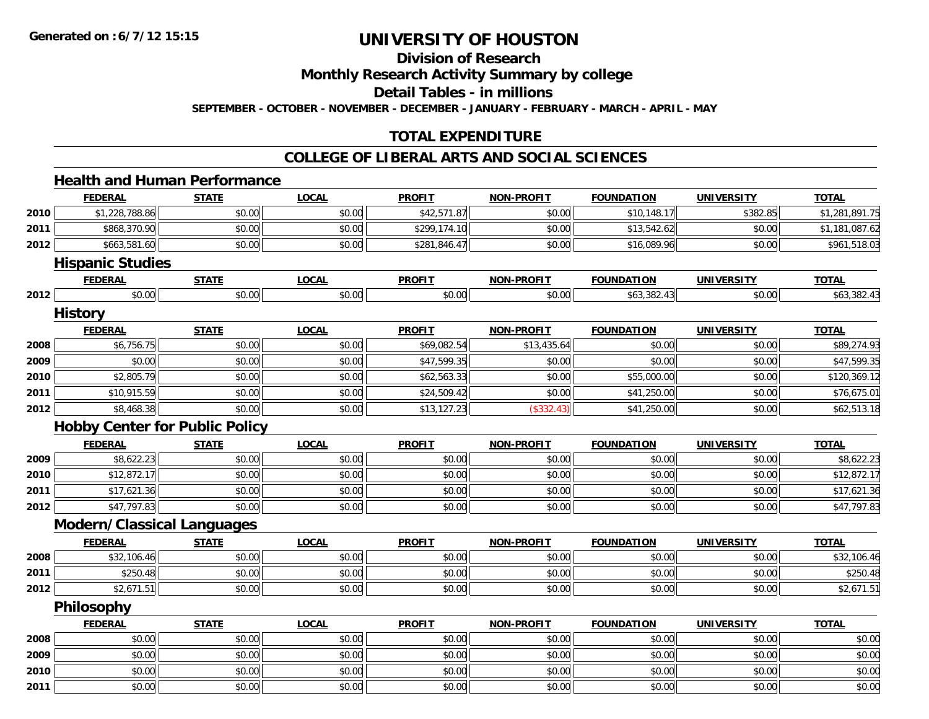**Division of Research**

**Monthly Research Activity Summary by college**

**Detail Tables - in millions**

**SEPTEMBER - OCTOBER - NOVEMBER - DECEMBER - JANUARY - FEBRUARY - MARCH - APRIL - MAY**

### **TOTAL EXPENDITURE**

### **COLLEGE OF LIBERAL ARTS AND SOCIAL SCIENCES**

## **Health and Human Performance**

|      | <b>FEDERAL</b>                        | <b>STATE</b> | <b>LOCAL</b> | <b>PROFIT</b> | <b>NON-PROFIT</b> | <b>FOUNDATION</b> | <b>UNIVERSITY</b> | <b>TOTAL</b>   |
|------|---------------------------------------|--------------|--------------|---------------|-------------------|-------------------|-------------------|----------------|
| 2010 | \$1,228,788.86                        | \$0.00       | \$0.00       | \$42,571.87   | \$0.00            | \$10,148.17       | \$382.85          | \$1,281,891.75 |
| 2011 | \$868,370.90                          | \$0.00       | \$0.00       | \$299,174.10  | \$0.00            | \$13,542.62       | \$0.00            | \$1,181,087.62 |
| 2012 | \$663,581.60                          | \$0.00       | \$0.00       | \$281,846.47  | \$0.00            | \$16,089.96       | \$0.00            | \$961,518.03   |
|      | <b>Hispanic Studies</b>               |              |              |               |                   |                   |                   |                |
|      | <b>FEDERAL</b>                        | <b>STATE</b> | <b>LOCAL</b> | <b>PROFIT</b> | <b>NON-PROFIT</b> | <b>FOUNDATION</b> | <b>UNIVERSITY</b> | <b>TOTAL</b>   |
| 2012 | \$0.00                                | \$0.00       | \$0.00       | \$0.00        | \$0.00            | \$63,382.43       | \$0.00            | \$63,382.43    |
|      | <b>History</b>                        |              |              |               |                   |                   |                   |                |
|      | <b>FEDERAL</b>                        | <b>STATE</b> | <b>LOCAL</b> | <b>PROFIT</b> | <b>NON-PROFIT</b> | <b>FOUNDATION</b> | <b>UNIVERSITY</b> | <b>TOTAL</b>   |
| 2008 | \$6,756.75                            | \$0.00       | \$0.00       | \$69,082.54   | \$13,435.64       | \$0.00            | \$0.00            | \$89,274.93    |
| 2009 | \$0.00                                | \$0.00       | \$0.00       | \$47,599.35   | \$0.00            | \$0.00            | \$0.00            | \$47,599.35    |
| 2010 | \$2,805.79                            | \$0.00       | \$0.00       | \$62,563.33   | \$0.00            | \$55,000.00       | \$0.00            | \$120,369.12   |
| 2011 | \$10,915.59                           | \$0.00       | \$0.00       | \$24,509.42   | \$0.00            | \$41,250.00       | \$0.00            | \$76,675.01    |
| 2012 | \$8,468.38                            | \$0.00       | \$0.00       | \$13,127.23   | (\$332.43)        | \$41,250.00       | \$0.00            | \$62,513.18    |
|      | <b>Hobby Center for Public Policy</b> |              |              |               |                   |                   |                   |                |
|      | <b>FEDERAL</b>                        | <b>STATE</b> | <b>LOCAL</b> | <b>PROFIT</b> | <b>NON-PROFIT</b> | <b>FOUNDATION</b> | <b>UNIVERSITY</b> | <b>TOTAL</b>   |
| 2009 | \$8,622.23                            | \$0.00       | \$0.00       | \$0.00        | \$0.00            | \$0.00            | \$0.00            | \$8,622.23     |
| 2010 | \$12,872.17                           | \$0.00       | \$0.00       | \$0.00        | \$0.00            | \$0.00            | \$0.00            | \$12,872.17    |
| 2011 | \$17,621.36                           | \$0.00       | \$0.00       | \$0.00        | \$0.00            | \$0.00            | \$0.00            | \$17,621.36    |
| 2012 | \$47,797.83                           | \$0.00       | \$0.00       | \$0.00        | \$0.00            | \$0.00            | \$0.00            | \$47,797.83    |
|      | <b>Modern/Classical Languages</b>     |              |              |               |                   |                   |                   |                |
|      | <b>FEDERAL</b>                        | <b>STATE</b> | <b>LOCAL</b> | <b>PROFIT</b> | <b>NON-PROFIT</b> | <b>FOUNDATION</b> | <b>UNIVERSITY</b> | <b>TOTAL</b>   |
| 2008 | \$32,106.46                           | \$0.00       | \$0.00       | \$0.00        | \$0.00            | \$0.00            | \$0.00            | \$32,106.46    |
| 2011 | \$250.48                              | \$0.00       | \$0.00       | \$0.00        | \$0.00            | \$0.00            | \$0.00            | \$250.48       |
| 2012 | \$2,671.51                            | \$0.00       | \$0.00       | \$0.00        | \$0.00            | \$0.00            | \$0.00            | \$2,671.51     |
|      | Philosophy                            |              |              |               |                   |                   |                   |                |
|      | <b>FEDERAL</b>                        | <b>STATE</b> | <b>LOCAL</b> | <b>PROFIT</b> | <b>NON-PROFIT</b> | <b>FOUNDATION</b> | <b>UNIVERSITY</b> | <b>TOTAL</b>   |
| 2008 | \$0.00                                | \$0.00       | \$0.00       | \$0.00        | \$0.00            | \$0.00            | \$0.00            | \$0.00         |
| 2009 | \$0.00                                | \$0.00       | \$0.00       | \$0.00        | \$0.00            | \$0.00            | \$0.00            | \$0.00         |
| 2010 | \$0.00                                | \$0.00       | \$0.00       | \$0.00        | \$0.00            | \$0.00            | \$0.00            | \$0.00         |
| 2011 | \$0.00                                | \$0.00       | \$0.00       | \$0.00        | \$0.00            | \$0.00            | \$0.00            | \$0.00         |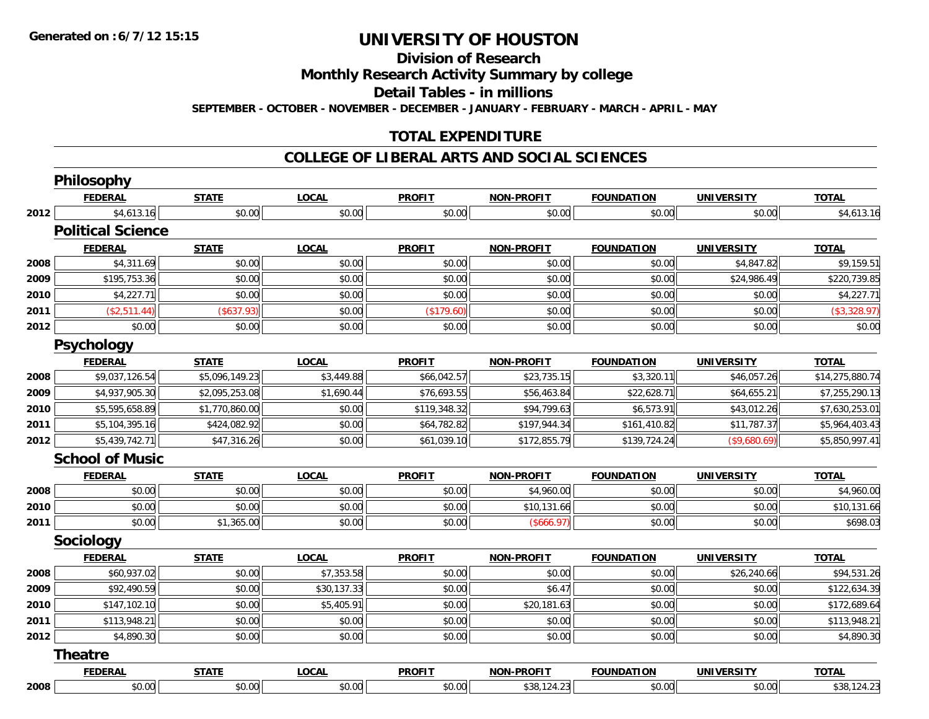**Division of Research**

**Monthly Research Activity Summary by college**

**Detail Tables - in millions**

**SEPTEMBER - OCTOBER - NOVEMBER - DECEMBER - JANUARY - FEBRUARY - MARCH - APRIL - MAY**

### **TOTAL EXPENDITURE**

#### **COLLEGE OF LIBERAL ARTS AND SOCIAL SCIENCES**

|      | Philosophy               |                |              |               |                   |                   |                   |                 |
|------|--------------------------|----------------|--------------|---------------|-------------------|-------------------|-------------------|-----------------|
|      | <b>FEDERAL</b>           | <b>STATE</b>   | <b>LOCAL</b> | <b>PROFIT</b> | <b>NON-PROFIT</b> | <b>FOUNDATION</b> | <b>UNIVERSITY</b> | <b>TOTAL</b>    |
| 2012 | \$4,613.16               | \$0.00         | \$0.00       | \$0.00        | \$0.00            | \$0.00            | \$0.00            | \$4,613.16      |
|      | <b>Political Science</b> |                |              |               |                   |                   |                   |                 |
|      | <b>FEDERAL</b>           | <b>STATE</b>   | <b>LOCAL</b> | <b>PROFIT</b> | <b>NON-PROFIT</b> | <b>FOUNDATION</b> | <b>UNIVERSITY</b> | <b>TOTAL</b>    |
| 2008 | \$4,311.69               | \$0.00         | \$0.00       | \$0.00        | \$0.00            | \$0.00            | \$4,847.82        | \$9,159.51      |
| 2009 | \$195,753.36             | \$0.00         | \$0.00       | \$0.00        | \$0.00            | \$0.00            | \$24,986.49       | \$220,739.85    |
| 2010 | \$4,227.71               | \$0.00         | \$0.00       | \$0.00        | \$0.00            | \$0.00            | \$0.00            | \$4,227.71      |
| 2011 | (\$2,511.44)             | (\$637.93)     | \$0.00       | (\$179.60)    | \$0.00            | \$0.00            | \$0.00            | (\$3,328.97)    |
| 2012 | \$0.00                   | \$0.00         | \$0.00       | \$0.00        | \$0.00            | \$0.00            | \$0.00            | \$0.00          |
|      | Psychology               |                |              |               |                   |                   |                   |                 |
|      | <b>FEDERAL</b>           | <b>STATE</b>   | <b>LOCAL</b> | <b>PROFIT</b> | <b>NON-PROFIT</b> | <b>FOUNDATION</b> | <b>UNIVERSITY</b> | <b>TOTAL</b>    |
| 2008 | \$9,037,126.54           | \$5,096,149.23 | \$3,449.88   | \$66,042.57   | \$23,735.15       | \$3,320.11        | \$46,057.26       | \$14,275,880.74 |
| 2009 | \$4,937,905.30           | \$2,095,253.08 | \$1,690.44   | \$76,693.55   | \$56,463.84       | \$22,628.71       | \$64,655.21       | \$7,255,290.13  |
| 2010 | \$5,595,658.89           | \$1,770,860.00 | \$0.00       | \$119,348.32  | \$94,799.63       | \$6,573.91        | \$43,012.26       | \$7,630,253.01  |
| 2011 | \$5,104,395.16           | \$424,082.92   | \$0.00       | \$64,782.82   | \$197,944.34      | \$161,410.82      | \$11,787.37       | \$5,964,403.43  |
| 2012 | \$5,439,742.71           | \$47,316.26    | \$0.00       | \$61,039.10   | \$172,855.79      | \$139,724.24      | (\$9,680.69)      | \$5,850,997.41  |
|      | <b>School of Music</b>   |                |              |               |                   |                   |                   |                 |
|      | <b>FEDERAL</b>           | <b>STATE</b>   | <b>LOCAL</b> | <b>PROFIT</b> | <b>NON-PROFIT</b> | <b>FOUNDATION</b> | <b>UNIVERSITY</b> | <b>TOTAL</b>    |
| 2008 | \$0.00                   | \$0.00         | \$0.00       | \$0.00        | \$4,960.00        | \$0.00            | \$0.00            | \$4,960.00      |
| 2010 | \$0.00                   | \$0.00         | \$0.00       | \$0.00        | \$10,131.66       | \$0.00            | \$0.00            | \$10,131.66     |
| 2011 | \$0.00                   | \$1,365.00     | \$0.00       | \$0.00        | (\$666.97)        | \$0.00            | \$0.00            | \$698.03        |
|      | Sociology                |                |              |               |                   |                   |                   |                 |
|      | <b>FEDERAL</b>           | <b>STATE</b>   | <b>LOCAL</b> | <b>PROFIT</b> | <b>NON-PROFIT</b> | <b>FOUNDATION</b> | <b>UNIVERSITY</b> | <b>TOTAL</b>    |
| 2008 | \$60,937.02              | \$0.00         | \$7,353.58   | \$0.00        | \$0.00            | \$0.00            | \$26,240.66       | \$94,531.26     |
| 2009 | \$92,490.59              | \$0.00         | \$30,137.33  | \$0.00        | \$6.47            | \$0.00            | \$0.00            | \$122,634.39    |
| 2010 | \$147,102.10             | \$0.00         | \$5,405.91   | \$0.00        | \$20,181.63       | \$0.00            | \$0.00            | \$172,689.64    |
| 2011 | \$113,948.21             | \$0.00         | \$0.00       | \$0.00        | \$0.00            | \$0.00            | \$0.00            | \$113,948.21    |
| 2012 | \$4,890.30               | \$0.00         | \$0.00       | \$0.00        | \$0.00            | \$0.00            | \$0.00            | \$4,890.30      |
|      | <b>Theatre</b>           |                |              |               |                   |                   |                   |                 |
|      | <b>FEDERAL</b>           | <b>STATE</b>   | <b>LOCAL</b> | <b>PROFIT</b> | <b>NON-PROFIT</b> | <b>FOUNDATION</b> | <b>UNIVERSITY</b> | <b>TOTAL</b>    |
| 2008 | \$0.00                   | \$0.00         | \$0.00       | \$0.00        | \$38,124.23       | \$0.00            | \$0.00            | \$38,124.23     |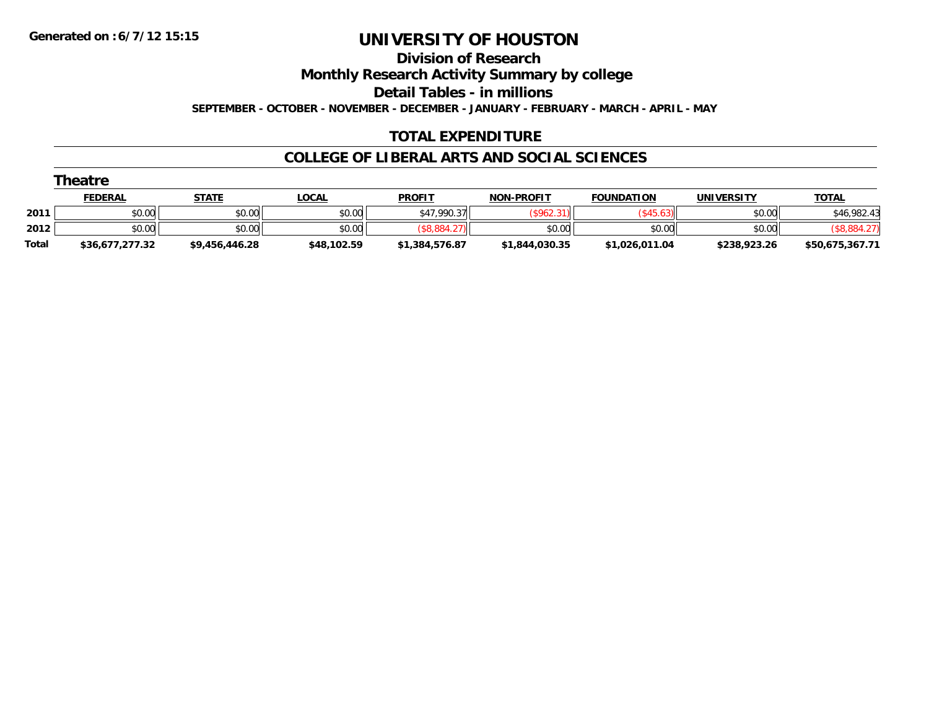**Division of Research**

**Monthly Research Activity Summary by college**

**Detail Tables - in millions**

**SEPTEMBER - OCTOBER - NOVEMBER - DECEMBER - JANUARY - FEBRUARY - MARCH - APRIL - MAY**

### **TOTAL EXPENDITURE**

### **COLLEGE OF LIBERAL ARTS AND SOCIAL SCIENCES**

|              | Theatre         |                |              |                |                   |                   |              |                 |  |  |  |  |  |
|--------------|-----------------|----------------|--------------|----------------|-------------------|-------------------|--------------|-----------------|--|--|--|--|--|
|              | <b>FEDERAL</b>  | <u>STATE</u>   | <u>LOCAL</u> | <b>PROFIT</b>  | <b>NON-PROFIT</b> | <b>FOUNDATION</b> | UNIVERSITY   | <b>TOTAL</b>    |  |  |  |  |  |
| 2011         | \$0.00          | \$0.00         | \$0.00       | \$47,990.37    | $($ \$962.31)     | $($ \$45.63)      | \$0.00       | \$46,982.43     |  |  |  |  |  |
| 2012         | \$0.00          | \$0.00         | \$0.00       | (\$8,884.27    | \$0.00            | \$0.00            | \$0.00       | (\$8,884.27)    |  |  |  |  |  |
| <b>Total</b> | \$36,677,277.32 | \$9,456,446.28 | \$48,102.59  | \$1,384,576.87 | \$1,844,030.35    | \$1,026,011.04    | \$238,923.26 | \$50,675,367.71 |  |  |  |  |  |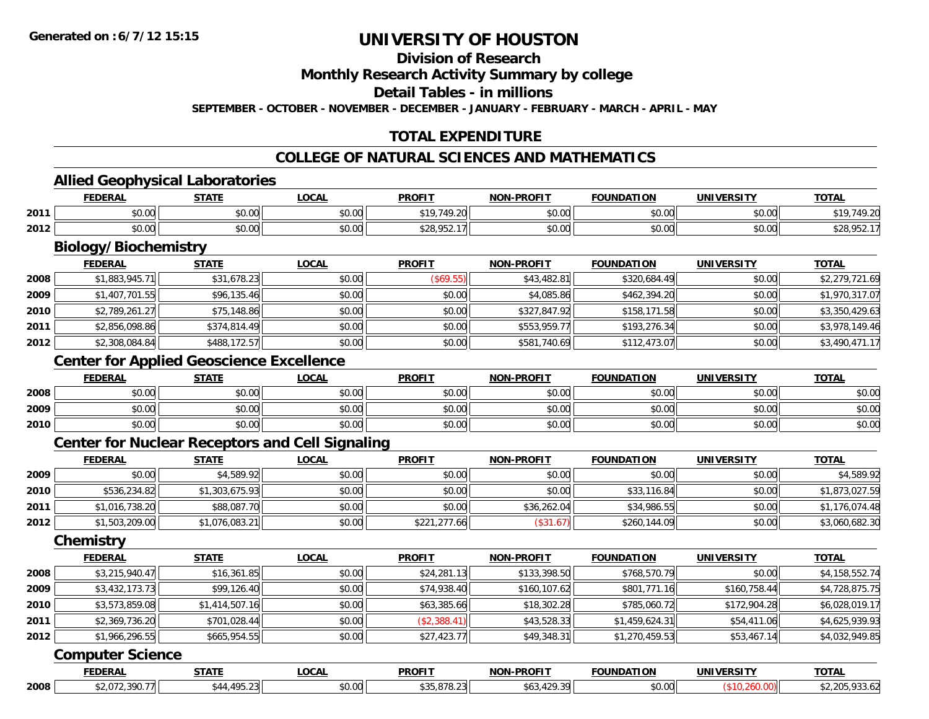### **Division of Research**

**Monthly Research Activity Summary by college**

**Detail Tables - in millions**

**SEPTEMBER - OCTOBER - NOVEMBER - DECEMBER - JANUARY - FEBRUARY - MARCH - APRIL - MAY**

### **TOTAL EXPENDITURE**

#### **COLLEGE OF NATURAL SCIENCES AND MATHEMATICS**

#### **Allied Geophysical Laboratories**

|      | <b>FEDERAL</b>       | <b>STATE</b>   | <b>OCAI</b>   | <b>PROFIT</b>                                                    | <b>NON-PROFIT</b> | <b>FOUNDATION</b> | <b>UNIVERSITY</b> | <b>TOTAL</b>                   |
|------|----------------------|----------------|---------------|------------------------------------------------------------------|-------------------|-------------------|-------------------|--------------------------------|
| 2011 | $\sim$ 00<br>ิ ∪ ∪ ∪ | ልስ ሰሰ<br>DU.UU | 0.00<br>pu.uu | 10 710                                                           | 0000<br>ง∪.∪บ     | \$0.00            | \$0.00            | 10.01                          |
| 2012 | 0.001<br>ง∪.∪บ       | 0000<br>JU.UU  | 0.00<br>pu.uu | $\cdots$<br>$\overline{\phantom{a}}$<br>ו ∠פ<br>.7J <sub>2</sub> | \$0.00            | \$0.00            | \$0.00            | <b>ል ገባ በ</b> ፍጣ<br>JZO,7JZ. 1 |

## **Biology/Biochemistry**

|      | <b>FEDERAL</b> | <b>STATE</b> | <b>LOCAL</b> | <b>PROFIT</b> | <b>NON-PROFIT</b> | <b>FOUNDATION</b> | <b>UNIVERSITY</b> | <b>TOTAL</b>   |
|------|----------------|--------------|--------------|---------------|-------------------|-------------------|-------------------|----------------|
| 2008 | \$1,883,945.71 | \$31,678.23  | \$0.00       | (S69.55)      | \$43,482.81       | \$320,684.49      | \$0.00            | \$2,279,721.69 |
| 2009 | \$1,407,701.55 | \$96,135.46  | \$0.00       | \$0.00        | \$4,085.86        | \$462,394.20      | \$0.00            | \$1,970,317.07 |
| 2010 | \$2,789,261.27 | \$75,148.86  | \$0.00       | \$0.00        | \$327,847.92      | \$158,171.58      | \$0.00            | \$3,350,429.63 |
| 2011 | \$2,856,098.86 | \$374,814.49 | \$0.00       | \$0.00        | \$553,959.77      | \$193,276.34      | \$0.00            | \$3,978,149.46 |
| 2012 | \$2,308,084.84 | \$488,172.57 | \$0.00       | \$0.00        | \$581,740.69      | \$112,473.07      | \$0.00            | \$3,490,471.17 |

### **Center for Applied Geoscience Excellence**

|      | <b>FEDERAL</b> | <b>STATE</b>   | <b>LOCAL</b>   | <b>PROFIT</b> | <b>NON-PROFIT</b> | <b>FOUNDATION</b> | <b>UNIVERSITY</b> | <b>TOTAL</b> |
|------|----------------|----------------|----------------|---------------|-------------------|-------------------|-------------------|--------------|
| 2008 | \$0.00         | ልስ ሰሰ<br>JU.UU | 40.00<br>DU.UU | \$0.00        | \$0.00            | \$0.00            | \$0.00            | \$0.00       |
| 2009 | \$0.00         | ሶስ ሰሰ<br>งบ.บบ | \$0.00         | \$0.00        | \$0.00            | \$0.00            | \$0.00            | \$0.00       |
| 2010 | \$0.00         | \$0.00         | \$0.00         | \$0.00        | \$0.00            | \$0.00            | \$0.00            | \$0.00       |

### **Center for Nuclear Receptors and Cell Signaling**

|      | <b>FEDERAL</b> | <u>STATE</u>   | <u>LOCAL</u> | <b>PROFIT</b> | <b>NON-PROFIT</b> | <b>FOUNDATION</b> | <b>UNIVERSITY</b> | <b>TOTAL</b>   |
|------|----------------|----------------|--------------|---------------|-------------------|-------------------|-------------------|----------------|
| 2009 | \$0.00         | \$4,589.92     | \$0.00       | \$0.00        | \$0.00            | \$0.00            | \$0.00            | \$4,589.92     |
| 2010 | \$536,234.82   | \$1,303.675.93 | \$0.00       | \$0.00        | \$0.00            | \$33,116.84       | \$0.00            | \$1,873,027.59 |
| 2011 | \$1,016,738.20 | \$88,087.70    | \$0.00       | \$0.00        | \$36,262.04       | \$34,986.55       | \$0.00            | \$1,176,074.48 |
| 2012 | \$1,503,209.00 | \$1,076,083.21 | \$0.00       | \$221,277.66  | \$31.67           | \$260,144.09      | \$0.00            | \$3,060,682.30 |

#### **Chemistry**

|      | <b>FEDERAL</b> | <b>STATE</b>   | LOCAL  | <b>PROFIT</b> | <b>NON-PROFIT</b> | <b>FOUNDATION</b> | <b>UNIVERSITY</b> | <b>TOTAL</b>   |
|------|----------------|----------------|--------|---------------|-------------------|-------------------|-------------------|----------------|
| 2008 | \$3,215,940.47 | \$16,361.85    | \$0.00 | \$24,281.13   | \$133,398.50      | \$768,570.79      | \$0.00            | \$4,158,552.74 |
| 2009 | \$3,432,173.73 | \$99,126.40    | \$0.00 | \$74,938.40   | \$160,107.62      | \$801,771.16      | \$160,758.44      | \$4,728,875.75 |
| 2010 | \$3,573,859.08 | \$1,414,507.16 | \$0.00 | \$63,385.66   | \$18,302.28       | \$785,060.72      | \$172,904.28      | \$6,028,019.17 |
| 2011 | \$2,369,736.20 | \$701,028.44   | \$0.00 | (\$2,388.41)  | \$43,528.33       | \$1,459,624.31    | \$54,411.06       | \$4,625,939.93 |
| 2012 | \$1,966,296.55 | \$665,954.55   | \$0.00 | \$27,423.77   | \$49,348.31       | \$1,270,459.53    | \$53,467.14       | \$4,032,949.85 |

#### **Computer Science**

|      | EEDEDA      | -----                    | <b>OCAL</b>   | <b>PROFIT</b> | <b>DDAFI7</b>            | <b>ALINDATION</b><br>90 H V | JNI V<br>100011 | <b>TOTAL</b> |
|------|-------------|--------------------------|---------------|---------------|--------------------------|-----------------------------|-----------------|--------------|
| 2008 | ---<br>,,,, | $\overline{\phantom{a}}$ | 0.00<br>וט.טי |               | $\overline{\phantom{a}}$ | \$0.00                      |                 |              |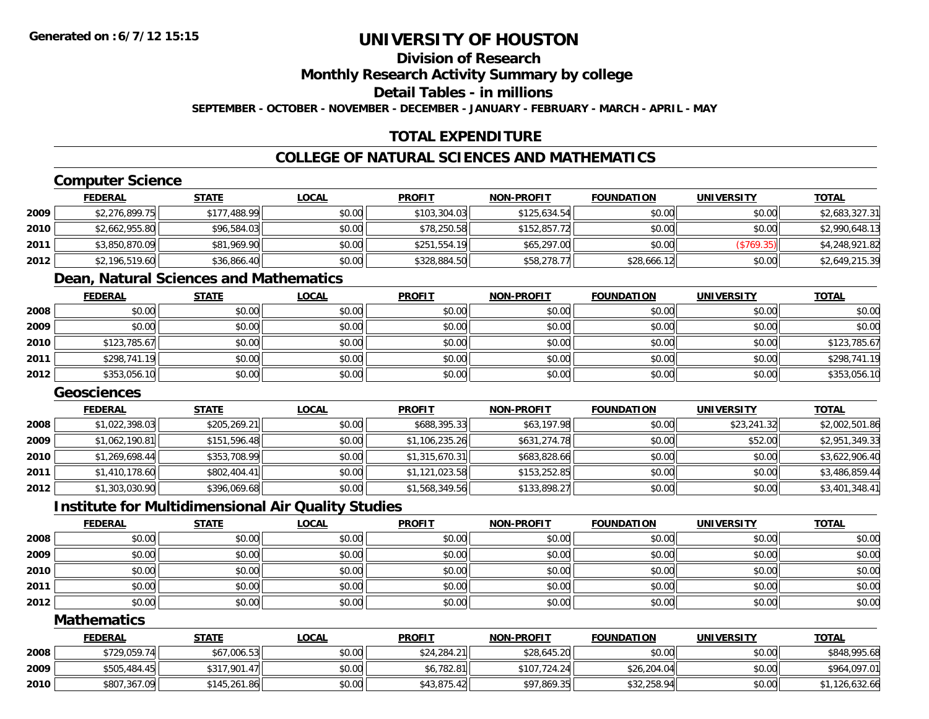### **Division of Research**

**Monthly Research Activity Summary by college**

**Detail Tables - in millions**

**SEPTEMBER - OCTOBER - NOVEMBER - DECEMBER - JANUARY - FEBRUARY - MARCH - APRIL - MAY**

### **TOTAL EXPENDITURE**

### **COLLEGE OF NATURAL SCIENCES AND MATHEMATICS**

### **Computer Science**

|        | <b>FEDERAL</b> | <u>STATE</u> | <b>LOCAL</b> | <b>PROFIT</b> | <b>NON-PROFIT</b> | <b>FOUNDATION</b> | <b>UNIVERSITY</b> | <b>TOTAL</b>   |
|--------|----------------|--------------|--------------|---------------|-------------------|-------------------|-------------------|----------------|
| 2009   | \$2,276,899.75 | \$177,488.99 | \$0.00       | \$103,304.03  | \$125,634.54      | \$0.00            | \$0.00            | \$2,683,327.31 |
| ا 2010 | \$2,662,955.80 | \$96,584.03  | \$0.00       | \$78,250.58   | \$152,857.72      | \$0.00            | \$0.00            | \$2,990,648.13 |
| 2011   | \$3,850,870.09 | \$81,969.90  | \$0.00       | \$251.554.19  | \$65,297.00       | \$0.00            | (S769.35)         | \$4,248,921.82 |
| 2012   | \$2,196,519.60 | \$36,866.40  | \$0.00       | \$328,884.50  | \$58,278.77       | \$28,666.12       | \$0.00            | \$2,649,215.39 |

#### **Dean, Natural Sciences and Mathematics**

|      | <u>FEDERAL</u> | <b>STATE</b> | <b>LOCAL</b> | <b>PROFIT</b> | <b>NON-PROFIT</b> | <b>FOUNDATION</b> | <b>UNIVERSITY</b> | <b>TOTAL</b> |
|------|----------------|--------------|--------------|---------------|-------------------|-------------------|-------------------|--------------|
| 2008 | \$0.00         | \$0.00       | \$0.00       | \$0.00        | \$0.00            | \$0.00            | \$0.00            | \$0.00       |
| 2009 | \$0.00         | \$0.00       | \$0.00       | \$0.00        | \$0.00            | \$0.00            | \$0.00            | \$0.00       |
| 2010 | \$123,785.67   | \$0.00       | \$0.00       | \$0.00        | \$0.00            | \$0.00            | \$0.00            | \$123,785.67 |
| 2011 | \$298,741.19   | \$0.00       | \$0.00       | \$0.00        | \$0.00            | \$0.00            | \$0.00            | \$298,741.19 |
| 2012 | \$353,056.10   | \$0.00       | \$0.00       | \$0.00        | \$0.00            | \$0.00            | \$0.00            | \$353,056.10 |

### **Geosciences**

|      | <b>FEDERAL</b> | <b>STATE</b> | <u>LOCAL</u> | <b>PROFIT</b>  | <b>NON-PROFIT</b> | <b>FOUNDATION</b> | UNIVERSITY  | <b>TOTAL</b>   |
|------|----------------|--------------|--------------|----------------|-------------------|-------------------|-------------|----------------|
| 2008 | \$1,022,398.03 | \$205,269.21 | \$0.00       | \$688,395.33   | \$63,197.98       | \$0.00            | \$23,241.32 | \$2,002,501.86 |
| 2009 | \$1,062,190.81 | \$151,596.48 | \$0.00       | \$1,106,235.26 | \$631,274.78      | \$0.00            | \$52.00     | \$2,951,349.33 |
| 2010 | \$1,269,698.44 | \$353,708.99 | \$0.00       | \$1,315,670.31 | \$683,828.66      | \$0.00            | \$0.00      | \$3,622,906.40 |
| 2011 | \$1,410,178.60 | \$802,404.41 | \$0.00       | \$1,121,023.58 | \$153,252.85      | \$0.00            | \$0.00      | \$3,486,859.44 |
| 2012 | \$1,303,030.90 | \$396,069.68 | \$0.00       | \$1,568,349.56 | \$133,898.27      | \$0.00            | \$0.00      | \$3,401,348.41 |

### **Institute for Multidimensional Air Quality Studies**

|      | <b>FEDERAL</b> | STATE  | <u>LOCAL</u> | <b>PROFIT</b> | <b>NON-PROFIT</b> | <b>FOUNDATION</b> | <b>UNIVERSITY</b> | <b>TOTAL</b> |
|------|----------------|--------|--------------|---------------|-------------------|-------------------|-------------------|--------------|
| 2008 | \$0.00         | \$0.00 | \$0.00       | \$0.00        | \$0.00            | \$0.00            | \$0.00            | \$0.00       |
| 2009 | \$0.00         | \$0.00 | \$0.00       | \$0.00        | \$0.00            | \$0.00            | \$0.00            | \$0.00       |
| 2010 | \$0.00         | \$0.00 | \$0.00       | \$0.00        | \$0.00            | \$0.00            | \$0.00            | \$0.00       |
| 2011 | \$0.00         | \$0.00 | \$0.00       | \$0.00        | \$0.00            | \$0.00            | \$0.00            | \$0.00       |
| 2012 | \$0.00         | \$0.00 | \$0.00       | \$0.00        | \$0.00            | \$0.00            | \$0.00            | \$0.00       |

#### **Mathematics**

|      | <u>FEDERAL</u> | <u>STATE</u> | <u>LOCAL</u> | <b>PROFIT</b> | <b>NON-PROFIT</b> | <b>FOUNDATION</b> | UNIVERSITY | <b>TOTAL</b>   |
|------|----------------|--------------|--------------|---------------|-------------------|-------------------|------------|----------------|
| 2008 | \$729,059.74   | \$67,006.53  | \$0.00       | \$24,284.21   | \$28,645.20       | \$0.00            | \$0.00     | \$848,995.68   |
| 2009 | \$505,484.45   | \$317,901.47 | \$0.00       | \$6,782.81    | \$107,724.24      | \$26,204.04       | \$0.00     | \$964,097.01   |
| 2010 | \$807,367.09   | \$145,261.86 | \$0.00       | \$43,875.42   | \$97,869.35       | \$32,258.94       | \$0.00     | \$1,126,632.66 |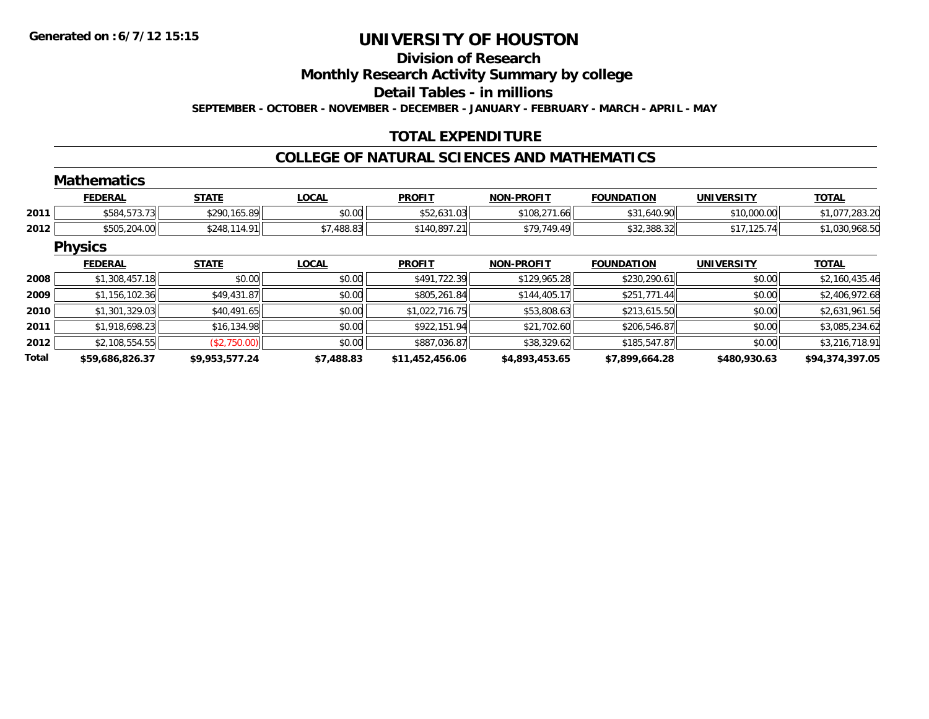**Total**

## **UNIVERSITY OF HOUSTON**

#### **Division of Research**

**Monthly Research Activity Summary by college**

**Detail Tables - in millions**

**SEPTEMBER - OCTOBER - NOVEMBER - DECEMBER - JANUARY - FEBRUARY - MARCH - APRIL - MAY**

### **TOTAL EXPENDITURE**

#### **COLLEGE OF NATURAL SCIENCES AND MATHEMATICS**

#### **MathematicsFEDERAL STATE LOCAL PROFIT NON-PROFIT FOUNDATION UNIVERSITY TOTALTOTAL 2011** \$584,573.73 \$290,165.89 \$0.00 \$52,631.03 \$108,271.66 \$31,640.90 \$10,000.00 \$1,077,283.20 **2012** $\bf{2} \mid 3655, 204.00 |\hspace{1.5cm} $1,030,968.50$   $$1,030,968.50$ **Physics FEDERAL STATE LOCAL PROFIT NON-PROFIT FOUNDATION UNIVERSITY TOTALTOTAL 2008**8 \$1,308,457.18 \$2,160,435.46 \$0.00 \$0.00 \$0.00 \$491,722.39 \$491,722.39 \$219,965.28 \$230,290.61 \$230,290.61 \$0.00 \$2,160,435.46 **20099** \$1,156,102.36 \$49,431.87 \$49,431.87 \$0.00 \$80.00 \$805,261.84 \$805,261.84 \$144,405.17 \$251,771.44 \$2.51,771.44 **2010**0 \$1,301,329.03|| \$40,491.65|| \$0.00|| \$1,022,716.75|| \$53,808.63|| \$213,615.50|| \$0.00|| \$2,631,961.56 **2011**1 \$1,918,698.23|| \$16,134.98|| \$0.00|| \$922,151.94|| \$21,702.60|| \$206,546.87|| \$0.00|| \$3,085,234.62 **2012**2 | \$2,108,554.55|| (\$2,750.00)|| \$0.00|| \$0.00|| \$887,036.87|| \$38,329.62|| \$185,547.87|| \$0.00|| \$3,216,718.91

**\$59,686,826.37 \$9,953,577.24 \$7,488.83 \$11,452,456.06 \$4,893,453.65 \$7,899,664.28 \$480,930.63 \$94,374,397.05**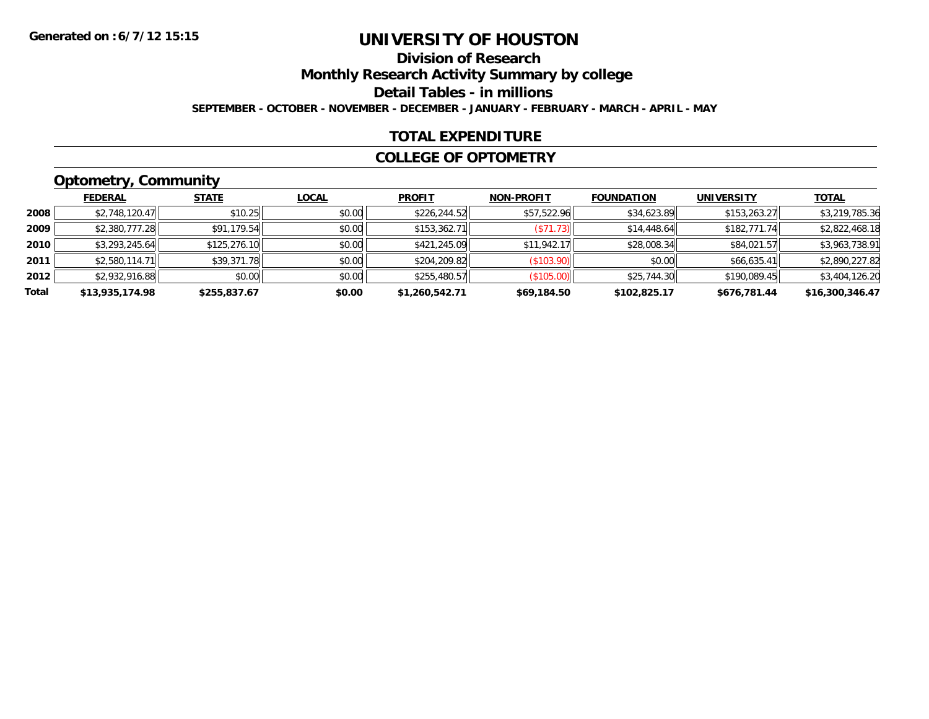### **Division of ResearchMonthly Research Activity Summary by college Detail Tables - in millions SEPTEMBER - OCTOBER - NOVEMBER - DECEMBER - JANUARY - FEBRUARY - MARCH - APRIL - MAY**

### **TOTAL EXPENDITURE**

#### **COLLEGE OF OPTOMETRY**

## **Optometry, Community**

|       | .               |              |              |                |                   |                   |                   |                 |
|-------|-----------------|--------------|--------------|----------------|-------------------|-------------------|-------------------|-----------------|
|       | <b>FEDERAL</b>  | <b>STATE</b> | <b>LOCAL</b> | <b>PROFIT</b>  | <b>NON-PROFIT</b> | <b>FOUNDATION</b> | <b>UNIVERSITY</b> | <b>TOTAL</b>    |
| 2008  | \$2,748,120.47  | \$10.25      | \$0.00       | \$226,244.52   | \$57,522.96       | \$34,623.89       | \$153,263.27      | \$3,219,785.36  |
| 2009  | \$2,380,777.28  | \$91,179.54  | \$0.00       | \$153.362.71   | (S71.73)          | \$14,448.64       | \$182,771.74      | \$2,822,468.18  |
| 2010  | \$3,293,245.64  | \$125,276.10 | \$0.00       | \$421,245.09   | \$11,942.17       | \$28,008.34       | \$84,021.57       | \$3,963,738.91  |
| 2011  | \$2,580,114.71  | \$39,371.78  | \$0.00       | \$204,209.82   | (\$103.90)        | \$0.00            | \$66,635.41       | \$2,890,227.82  |
| 2012  | \$2,932,916.88  | \$0.00       | \$0.00       | \$255,480.57   | (\$105.00)        | \$25,744.30       | \$190,089.45      | \$3,404,126.20  |
| Total | \$13,935,174.98 | \$255,837.67 | \$0.00       | \$1,260,542.71 | \$69,184.50       | \$102,825.17      | \$676,781.44      | \$16,300,346.47 |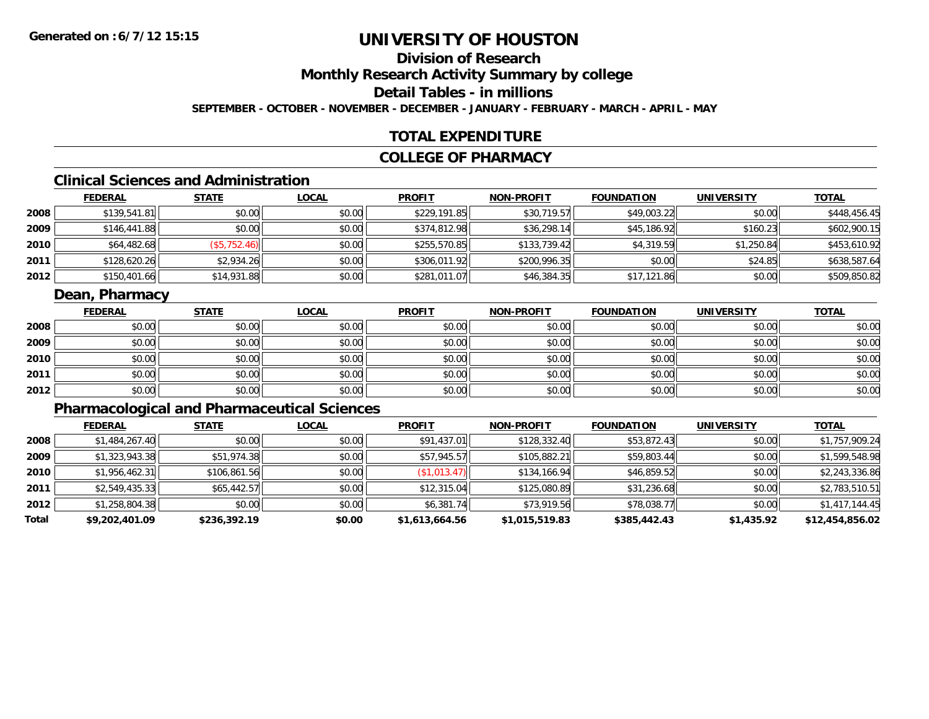## **Division of Research**

**Monthly Research Activity Summary by college**

**Detail Tables - in millions**

**SEPTEMBER - OCTOBER - NOVEMBER - DECEMBER - JANUARY - FEBRUARY - MARCH - APRIL - MAY**

### **TOTAL EXPENDITURE**

### **COLLEGE OF PHARMACY**

## **Clinical Sciences and Administration**

|      | <b>FEDERAL</b> | <u>STATE</u> | <b>LOCAL</b> | <b>PROFIT</b> | <b>NON-PROFIT</b> | <b>FOUNDATION</b> | <b>UNIVERSITY</b> | <b>TOTAL</b> |
|------|----------------|--------------|--------------|---------------|-------------------|-------------------|-------------------|--------------|
| 2008 | \$139,541.81   | \$0.00       | \$0.00       | \$229,191.85  | \$30,719.57       | \$49,003.22       | \$0.00            | \$448,456.45 |
| 2009 | \$146,441.88   | \$0.00       | \$0.00       | \$374,812.98  | \$36,298.14       | \$45,186.92       | \$160.23          | \$602,900.15 |
| 2010 | \$64,482.68    | (\$5,752.46) | \$0.00       | \$255,570.85  | \$133,739.42      | \$4,319.59        | \$1,250.84        | \$453,610.92 |
| 2011 | \$128,620.26   | \$2,934.26   | \$0.00       | \$306,011.92  | \$200,996.35      | \$0.00            | \$24.85           | \$638,587.64 |
| 2012 | \$150,401.66   | \$14,931.88  | \$0.00       | \$281,011.07  | \$46,384.35       | \$17,121.86       | \$0.00            | \$509,850.82 |

### **Dean, Pharmacy**

|      | <u>FEDERAL</u> | <b>STATE</b> | <u>LOCAL</u> | <b>PROFIT</b> | <b>NON-PROFIT</b> | <b>FOUNDATION</b> | <b>UNIVERSITY</b> | <b>TOTAL</b> |
|------|----------------|--------------|--------------|---------------|-------------------|-------------------|-------------------|--------------|
| 2008 | \$0.00         | \$0.00       | \$0.00       | \$0.00        | \$0.00            | \$0.00            | \$0.00            | \$0.00       |
| 2009 | \$0.00         | \$0.00       | \$0.00       | \$0.00        | \$0.00            | \$0.00            | \$0.00            | \$0.00       |
| 2010 | \$0.00         | \$0.00       | \$0.00       | \$0.00        | \$0.00            | \$0.00            | \$0.00            | \$0.00       |
| 2011 | \$0.00         | \$0.00       | \$0.00       | \$0.00        | \$0.00            | \$0.00            | \$0.00            | \$0.00       |
| 2012 | \$0.00         | \$0.00       | \$0.00       | \$0.00        | \$0.00            | \$0.00            | \$0.00            | \$0.00       |

## **Pharmacological and Pharmaceutical Sciences**

|       | <b>FEDERAL</b> | <b>STATE</b> | <b>LOCAL</b> | <b>PROFIT</b>  | <b>NON-PROFIT</b> | <b>FOUNDATION</b> | <b>UNIVERSITY</b> | <b>TOTAL</b>    |
|-------|----------------|--------------|--------------|----------------|-------------------|-------------------|-------------------|-----------------|
| 2008  | \$1,484,267.40 | \$0.00       | \$0.00       | \$91,437.01    | \$128,332.40      | \$53,872.43       | \$0.00            | \$1,757,909.24  |
| 2009  | \$1,323,943.38 | \$51,974.38  | \$0.00       | \$57,945.57    | \$105,882.21      | \$59,803.44       | \$0.00            | \$1,599,548.98  |
| 2010  | \$1,956,462.31 | \$106,861.56 | \$0.00       | (\$1,013.47)   | \$134,166.94      | \$46,859.52       | \$0.00            | \$2,243,336.86  |
| 2011  | \$2.549.435.33 | \$65,442.57  | \$0.00       | \$12,315.04    | \$125,080.89      | \$31,236.68       | \$0.00            | \$2,783,510.51  |
| 2012  | \$1,258,804.38 | \$0.00       | \$0.00       | \$6,381.74     | \$73,919.56       | \$78,038.77       | \$0.00            | \$1,417,144.45  |
| Total | \$9,202,401.09 | \$236,392.19 | \$0.00       | \$1,613,664.56 | \$1,015,519.83    | \$385,442.43      | \$1,435.92        | \$12,454,856.02 |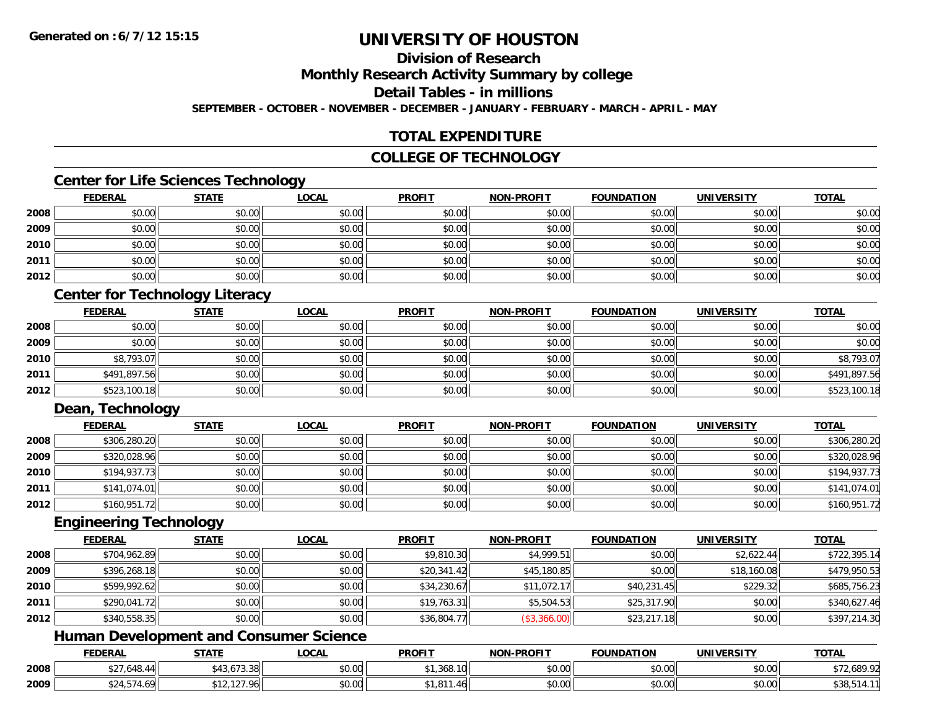### **Division of Research**

**Monthly Research Activity Summary by college**

**Detail Tables - in millions**

**SEPTEMBER - OCTOBER - NOVEMBER - DECEMBER - JANUARY - FEBRUARY - MARCH - APRIL - MAY**

### **TOTAL EXPENDITURE**

### **COLLEGE OF TECHNOLOGY**

### **Center for Life Sciences Technology**

|      | <b>FEDERAL</b> | <b>STATE</b> | <u>LOCAL</u> | <b>PROFIT</b> | <b>NON-PROFIT</b> | <b>FOUNDATION</b> | <b>UNIVERSITY</b> | <b>TOTAL</b> |
|------|----------------|--------------|--------------|---------------|-------------------|-------------------|-------------------|--------------|
| 2008 | \$0.00         | \$0.00       | \$0.00       | \$0.00        | \$0.00            | \$0.00            | \$0.00            | \$0.00       |
| 2009 | \$0.00         | \$0.00       | \$0.00       | \$0.00        | \$0.00            | \$0.00            | \$0.00            | \$0.00       |
| 2010 | \$0.00         | \$0.00       | \$0.00       | \$0.00        | \$0.00            | \$0.00            | \$0.00            | \$0.00       |
| 2011 | \$0.00         | \$0.00       | \$0.00       | \$0.00        | \$0.00            | \$0.00            | \$0.00            | \$0.00       |
| 2012 | \$0.00         | \$0.00       | \$0.00       | \$0.00        | \$0.00            | \$0.00            | \$0.00            | \$0.00       |

### **Center for Technology Literacy**

|      | <b>FEDERAL</b> | <u>STATE</u> | <u>LOCAL</u> | <b>PROFIT</b> | <b>NON-PROFIT</b> | <b>FOUNDATION</b> | <b>UNIVERSITY</b> | <b>TOTAL</b> |
|------|----------------|--------------|--------------|---------------|-------------------|-------------------|-------------------|--------------|
| 2008 | \$0.00         | \$0.00       | \$0.00       | \$0.00        | \$0.00            | \$0.00            | \$0.00            | \$0.00       |
| 2009 | \$0.00         | \$0.00       | \$0.00       | \$0.00        | \$0.00            | \$0.00            | \$0.00            | \$0.00       |
| 2010 | \$8,793.07     | \$0.00       | \$0.00       | \$0.00        | \$0.00            | \$0.00            | \$0.00            | \$8,793.07   |
| 2011 | \$491,897.56   | \$0.00       | \$0.00       | \$0.00        | \$0.00            | \$0.00            | \$0.00            | \$491,897.56 |
| 2012 | \$523,100.18   | \$0.00       | \$0.00       | \$0.00        | \$0.00            | \$0.00            | \$0.00            | \$523,100.18 |

### **Dean, Technology**

|      | <u>FEDERAL</u> | <u>STATE</u> | <u>LOCAL</u> | <b>PROFIT</b> | <b>NON-PROFIT</b> | <b>FOUNDATION</b> | <b>UNIVERSITY</b> | <b>TOTAL</b> |
|------|----------------|--------------|--------------|---------------|-------------------|-------------------|-------------------|--------------|
| 2008 | \$306,280.20   | \$0.00       | \$0.00       | \$0.00        | \$0.00            | \$0.00            | \$0.00            | \$306,280.20 |
| 2009 | \$320,028.96   | \$0.00       | \$0.00       | \$0.00        | \$0.00            | \$0.00            | \$0.00            | \$320,028.96 |
| 2010 | \$194,937.73   | \$0.00       | \$0.00       | \$0.00        | \$0.00            | \$0.00            | \$0.00            | \$194,937.73 |
| 2011 | \$141,074.01   | \$0.00       | \$0.00       | \$0.00        | \$0.00            | \$0.00            | \$0.00            | \$141,074.01 |
| 2012 | \$160,951.72   | \$0.00       | \$0.00       | \$0.00        | \$0.00            | \$0.00            | \$0.00            | \$160,951.72 |

#### **Engineering Technology**

|      | <b>FEDERAL</b> | <b>STATE</b> | <b>LOCAL</b> | <b>PROFIT</b> | <b>NON-PROFIT</b> | <b>FOUNDATION</b> | <b>UNIVERSITY</b> | <b>TOTAL</b> |
|------|----------------|--------------|--------------|---------------|-------------------|-------------------|-------------------|--------------|
| 2008 | \$704,962.89   | \$0.00       | \$0.00       | \$9,810.30    | \$4,999.51        | \$0.00            | \$2,622.44        | \$722,395.14 |
| 2009 | \$396,268.18   | \$0.00       | \$0.00       | \$20,341.42   | \$45,180.85       | \$0.00            | \$18,160.08       | \$479,950.53 |
| 2010 | \$599,992.62   | \$0.00       | \$0.00       | \$34,230.67   | \$11,072.17       | \$40,231.45       | \$229.32          | \$685,756.23 |
| 2011 | \$290,041.72   | \$0.00       | \$0.00       | \$19,763.31   | \$5,504.53        | \$25,317.90       | \$0.00            | \$340,627.46 |
| 2012 | \$340,558.35   | \$0.00       | \$0.00       | \$36,804.77   | (\$3,366.00)      | \$23,217.18       | \$0.00            | \$397,214.30 |

### **Human Development and Consumer Science**

|      | <b>FEDERAL</b>                                                      | <b>STATE</b>                                 | _OCAL              | <b>PROFIT</b>                    | MONLDDOELT                                 | <b>FOUNDATION</b> | UNIVERSITY                | <b>TOTAL</b>            |
|------|---------------------------------------------------------------------|----------------------------------------------|--------------------|----------------------------------|--------------------------------------------|-------------------|---------------------------|-------------------------|
| 2008 | $\sim$ $\sim$ $\sim$<br>$\overline{\phantom{a}}$<br>$\bf{A}$<br>67. | $  -$<br>* . ^<br>.                          | $\sim$ 00<br>vu.uu | $\sim$ $\sim$ $\sim$<br>1,368.10 | 0.00<br>DU.UU                              | \$0.00            | 0.00<br><b>JU.UU</b>      | $\sqrt{2}$<br>72,689.92 |
| 2009 |                                                                     | $\sim$ $\sim$ $\sim$<br>$\sim$ $\sim$ $\sim$ | $\sim$ 00<br>JU.UU | 4r                               | $\theta$ $\theta$ $\theta$<br><b>DU.UU</b> | \$0.00            | $\sim$ 00<br><b>DU.UG</b> | ⊕ບບ,ປ                   |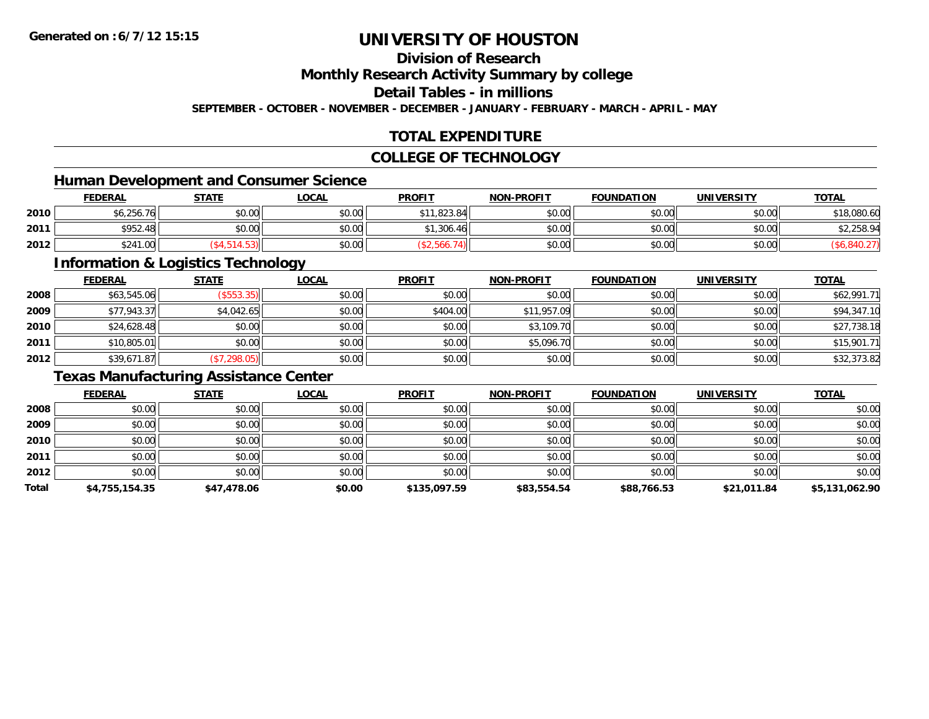### **Division of Research**

**Monthly Research Activity Summary by college**

**Detail Tables - in millions**

**SEPTEMBER - OCTOBER - NOVEMBER - DECEMBER - JANUARY - FEBRUARY - MARCH - APRIL - MAY**

### **TOTAL EXPENDITURE**

### **COLLEGE OF TECHNOLOGY**

### **Human Development and Consumer Science**

|      | <b>FEDERAL</b>        | <b>STATE</b> | LOCAL  | <b>PROFIT</b> | <b>NON-PROFIT</b> | <b>FOUNDATION</b> | UNIVERSITY | <b>TOTAL</b> |
|------|-----------------------|--------------|--------|---------------|-------------------|-------------------|------------|--------------|
| 2010 | .<br>.761<br>\$6.256. | \$0.00       | \$0.00 | \$11,823.84   | \$0.00            | \$0.00            | \$0.00     | \$18,080.60  |
| 2011 | \$952.48              | \$0.00       | \$0.00 | \$1,306.46    | \$0.00            | \$0.00l           | \$0.00     | \$2,258.94   |
| 2012 | 0.11<br>1.00<br>524   |              | \$0.00 |               | \$0.00            | \$0.00            | \$0.00     |              |

<u> 1989 - Johann Stoff, deutscher Stoffen und der Stoffen und der Stoffen und der Stoffen und der Stoffen und der</u>

### **Information & Logistics Technology**

|      | <b>FEDERAL</b> | <b>STATE</b> | <b>LOCAL</b> | <b>PROFIT</b> | <b>NON-PROFIT</b> | <b>FOUNDATION</b> | <b>UNIVERSITY</b> | <b>TOTAL</b> |
|------|----------------|--------------|--------------|---------------|-------------------|-------------------|-------------------|--------------|
| 2008 | \$63,545.06    | (\$553.35)   | \$0.00       | \$0.00        | \$0.00            | \$0.00            | \$0.00            | \$62,991.71  |
| 2009 | \$77,943.37    | \$4,042.65   | \$0.00       | \$404.00      | \$11,957.09       | \$0.00            | \$0.00            | \$94,347.10  |
| 2010 | \$24,628.48    | \$0.00       | \$0.00       | \$0.00        | \$3,109.70        | \$0.00            | \$0.00            | \$27,738.18  |
| 2011 | \$10,805.01    | \$0.00       | \$0.00       | \$0.00        | \$5,096.70        | \$0.00            | \$0.00            | \$15,901.71  |
| 2012 | \$39,671.87    | (\$7,298.05) | \$0.00       | \$0.00        | \$0.00            | \$0.00            | \$0.00            | \$32,373.82  |

### **Texas Manufacturing Assistance Center**

|       | <b>FEDERAL</b> | <b>STATE</b> | <b>LOCAL</b> | <b>PROFIT</b> | <b>NON-PROFIT</b> | <b>FOUNDATION</b> | <b>UNIVERSITY</b> | <b>TOTAL</b>   |
|-------|----------------|--------------|--------------|---------------|-------------------|-------------------|-------------------|----------------|
| 2008  | \$0.00         | \$0.00       | \$0.00       | \$0.00        | \$0.00            | \$0.00            | \$0.00            | \$0.00         |
| 2009  | \$0.00         | \$0.00       | \$0.00       | \$0.00        | \$0.00            | \$0.00            | \$0.00            | \$0.00         |
| 2010  | \$0.00         | \$0.00       | \$0.00       | \$0.00        | \$0.00            | \$0.00            | \$0.00            | \$0.00         |
| 2011  | \$0.00         | \$0.00       | \$0.00       | \$0.00        | \$0.00            | \$0.00            | \$0.00            | \$0.00         |
| 2012  | \$0.00         | \$0.00       | \$0.00       | \$0.00        | \$0.00            | \$0.00            | \$0.00            | \$0.00         |
| Total | \$4,755,154.35 | \$47,478.06  | \$0.00       | \$135,097.59  | \$83,554.54       | \$88,766.53       | \$21,011.84       | \$5,131,062.90 |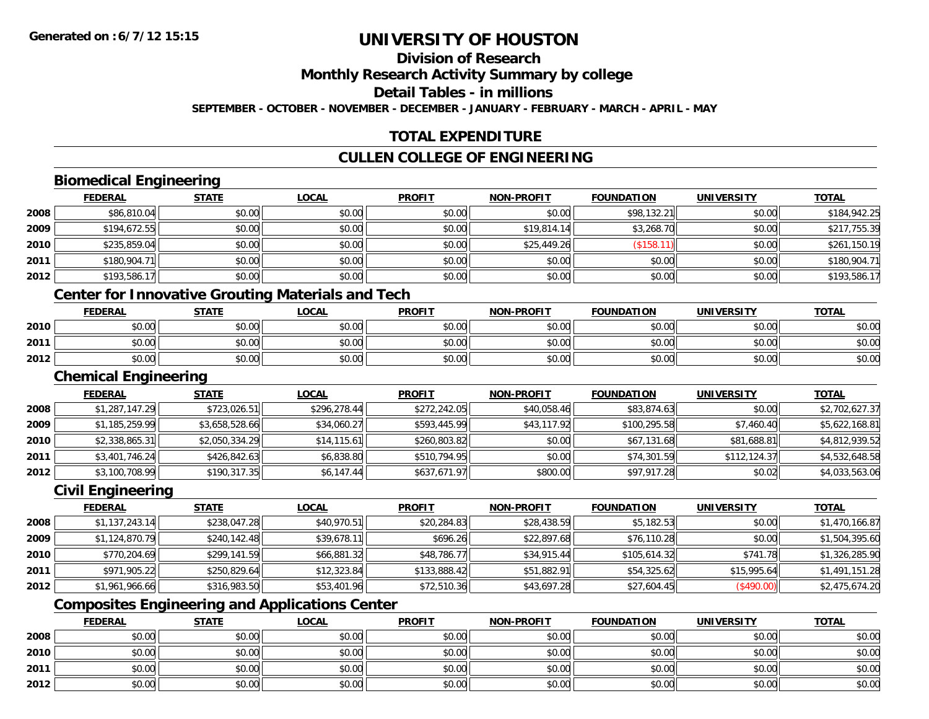### **Division of Research**

**Monthly Research Activity Summary by college**

**Detail Tables - in millions**

**SEPTEMBER - OCTOBER - NOVEMBER - DECEMBER - JANUARY - FEBRUARY - MARCH - APRIL - MAY**

### **TOTAL EXPENDITURE**

### **CULLEN COLLEGE OF ENGINEERING**

### **Biomedical Engineering**

|      | <u>FEDERAL</u> | <b>STATE</b> | <b>LOCAL</b> | <b>PROFIT</b> | <b>NON-PROFIT</b> | <b>FOUNDATION</b> | <b>UNIVERSITY</b> | <b>TOTAL</b> |
|------|----------------|--------------|--------------|---------------|-------------------|-------------------|-------------------|--------------|
| 2008 | \$86,810.04    | \$0.00       | \$0.00       | \$0.00        | \$0.00            | \$98,132.21       | \$0.00            | \$184,942.25 |
| 2009 | \$194,672.55   | \$0.00       | \$0.00       | \$0.00        | \$19,814.14       | \$3,268.70        | \$0.00            | \$217,755.39 |
| 2010 | \$235,859.04   | \$0.00       | \$0.00       | \$0.00        | \$25,449.26       | \$158.            | \$0.00            | \$261,150.19 |
| 2011 | \$180,904.71   | \$0.00       | \$0.00       | \$0.00        | \$0.00            | \$0.00            | \$0.00            | \$180,904.71 |
| 2012 | \$193,586.17   | \$0.00       | \$0.00       | \$0.00        | \$0.00            | \$0.00            | \$0.00            | \$193,586.17 |

### **Center for Innovative Grouting Materials and Tech**

|      | <b>FEDERAL</b> | <b>STATE</b>   | <u>LOCAL</u>   | <b>PROFIT</b> | <b>NON-PROFIT</b> | <b>FOUNDATION</b>     | <b>UNIVERSITY</b> | <b>TOTAL</b> |
|------|----------------|----------------|----------------|---------------|-------------------|-----------------------|-------------------|--------------|
| 2010 | 0000<br>DU.UU  | 40.00<br>JU.UU | nn na<br>ง∪.∪บ | \$0.00        | \$0.00            | \$0.00                | \$0.00            | \$0.00       |
| 2011 | \$0.00         | 40.00<br>JU.UV | \$0.00         | \$0.00        | \$0.00            | <b>AO OP</b><br>JU.UU | \$0.00            | \$0.00       |
| 2012 | \$0.00         | 40.00<br>งบ.บบ | \$0.00         | \$0.00        | \$0.00            | \$0.00                | \$0.00            | \$0.00       |

#### **Chemical Engineering**

|      | <b>FEDERAL</b> | <b>STATE</b>   | <b>LOCAL</b> | <b>PROFIT</b> | <b>NON-PROFIT</b> | <b>FOUNDATION</b> | <b>UNIVERSITY</b> | <b>TOTAL</b>   |
|------|----------------|----------------|--------------|---------------|-------------------|-------------------|-------------------|----------------|
| 2008 | \$1,287,147.29 | \$723,026.51   | \$296,278.44 | \$272,242.05  | \$40,058.46       | \$83,874.63       | \$0.00            | \$2,702,627.37 |
| 2009 | \$1,185,259.99 | \$3,658,528.66 | \$34,060.27  | \$593,445.99  | \$43,117.92       | \$100,295.58      | \$7,460.40        | \$5,622,168.81 |
| 2010 | \$2,338,865.31 | \$2,050,334.29 | \$14.115.61  | \$260,803.82  | \$0.00            | \$67,131.68       | \$81,688.81       | \$4,812,939.52 |
| 2011 | \$3,401,746.24 | \$426,842.63   | \$6,838.80   | \$510.794.95  | \$0.00            | \$74,301.59       | \$112,124.37      | \$4,532,648.58 |
| 2012 | \$3,100,708.99 | \$190,317.35   | \$6,147.44   | \$637,671.97  | \$800.00          | \$97,917.28       | \$0.02            | \$4,033,563.06 |

### **Civil Engineering**

|      | <b>FEDERAL</b> | <u>STATE</u> | <b>LOCAL</b> | <b>PROFIT</b> | <b>NON-PROFIT</b> | <b>FOUNDATION</b> | <b>UNIVERSITY</b> | <b>TOTAL</b>   |
|------|----------------|--------------|--------------|---------------|-------------------|-------------------|-------------------|----------------|
| 2008 | \$1,137,243.14 | \$238,047.28 | \$40,970.51  | \$20,284.83   | \$28,438.59       | \$5,182.53        | \$0.00            | \$1,470,166.87 |
| 2009 | \$1,124,870.79 | \$240,142.48 | \$39,678.11  | \$696.26      | \$22,897.68       | \$76,110.28       | \$0.00            | \$1,504,395.60 |
| 2010 | \$770,204.69   | \$299,141.59 | \$66,881.32  | \$48,786.77   | \$34,915.44       | \$105,614.32      | \$741.78          | \$1,326,285.90 |
| 2011 | \$971,905.22   | \$250,829.64 | \$12,323.84  | \$133,888.42  | \$51,882.91       | \$54,325.62       | \$15,995.64       | \$1,491,151.28 |
| 2012 | \$1,961,966.66 | \$316,983.50 | \$53,401.96  | \$72,510.36   | \$43,697.28       | \$27,604.45       | (\$490.00)        | \$2,475,674.20 |

### **Composites Engineering and Applications Center**

|      | <b>FEDERAL</b> | <b>STATE</b> | <u>LOCAL</u> | <b>PROFIT</b> | <b>NON-PROFIT</b> | <b>FOUNDATION</b> | <b>UNIVERSITY</b> | <b>TOTAL</b> |
|------|----------------|--------------|--------------|---------------|-------------------|-------------------|-------------------|--------------|
| 2008 | \$0.00         | \$0.00       | \$0.00       | \$0.00        | \$0.00            | \$0.00            | \$0.00            | \$0.00       |
| 2010 | \$0.00         | \$0.00       | \$0.00       | \$0.00        | \$0.00            | \$0.00            | \$0.00            | \$0.00       |
| 2011 | \$0.00         | \$0.00       | \$0.00       | \$0.00        | \$0.00            | \$0.00            | \$0.00            | \$0.00       |
| 2012 | \$0.00         | \$0.00       | \$0.00       | \$0.00        | \$0.00            | \$0.00            | \$0.00            | \$0.00       |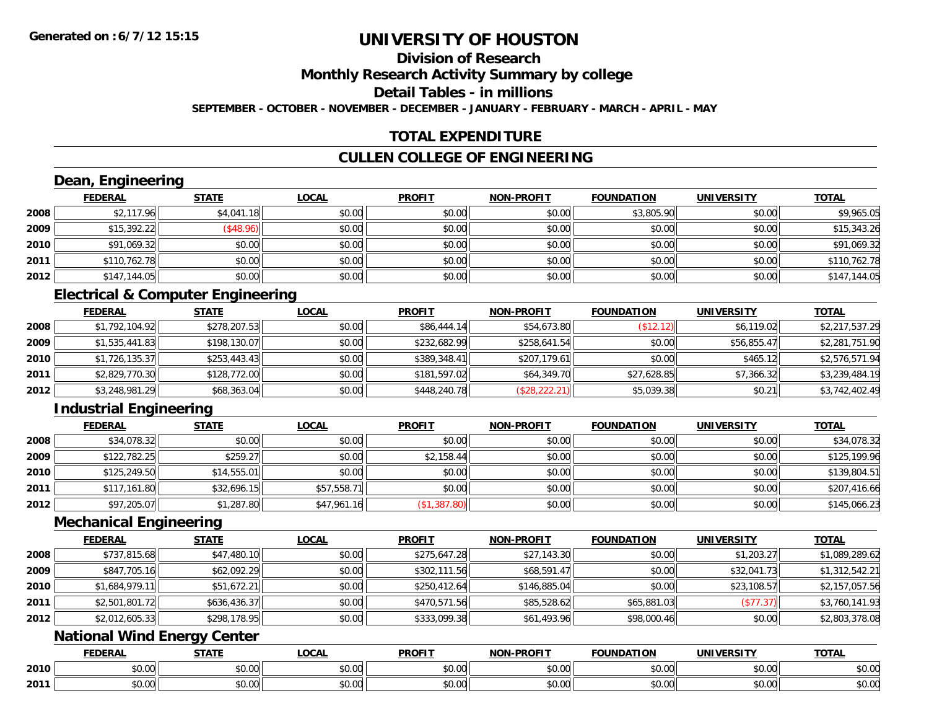### **Division of Research**

**Monthly Research Activity Summary by college**

**Detail Tables - in millions**

**SEPTEMBER - OCTOBER - NOVEMBER - DECEMBER - JANUARY - FEBRUARY - MARCH - APRIL - MAY**

### **TOTAL EXPENDITURE**

### **CULLEN COLLEGE OF ENGINEERING**

## **Dean, Engineering**

|      | <b>FEDERAL</b> | <b>STATE</b> | <u>LOCAL</u> | <b>PROFIT</b> | <b>NON-PROFIT</b> | <b>FOUNDATION</b> | <b>UNIVERSITY</b> | <u>TOTAL</u> |
|------|----------------|--------------|--------------|---------------|-------------------|-------------------|-------------------|--------------|
| 2008 | \$2,117.96     | \$4,041.18   | \$0.00       | \$0.00        | \$0.00            | \$3,805.90        | \$0.00            | \$9,965.05   |
| 2009 | \$15,392.22    | (\$48.96)    | \$0.00       | \$0.00        | \$0.00            | \$0.00            | \$0.00            | \$15,343.26  |
| 2010 | \$91,069.32    | \$0.00       | \$0.00       | \$0.00        | \$0.00            | \$0.00            | \$0.00            | \$91,069.32  |
| 2011 | \$110,762.78   | \$0.00       | \$0.00       | \$0.00        | \$0.00            | \$0.00            | \$0.00            | \$110,762.78 |
| 2012 | \$147,144.05   | \$0.00       | \$0.00       | \$0.00        | \$0.00            | \$0.00            | \$0.00            | \$147,144.05 |

### **Electrical & Computer Engineering**

|      | <b>FEDERAL</b> | <b>STATE</b> | <b>LOCAL</b> | <b>PROFIT</b> | <b>NON-PROFIT</b> | <b>FOUNDATION</b> | <b>UNIVERSITY</b> | <u>TOTAL</u>   |
|------|----------------|--------------|--------------|---------------|-------------------|-------------------|-------------------|----------------|
| 2008 | \$1,792,104.92 | \$278,207.53 | \$0.00       | \$86,444.14   | \$54,673.80       | (\$12.12)         | \$6,119.02        | \$2,217,537.29 |
| 2009 | \$1,535,441.83 | \$198,130.07 | \$0.00       | \$232,682.99  | \$258,641.54      | \$0.00            | \$56,855.47       | \$2,281,751.90 |
| 2010 | \$1,726,135.37 | \$253,443.43 | \$0.00       | \$389,348.41  | \$207,179.61      | \$0.00            | \$465.12          | \$2,576,571.94 |
| 2011 | \$2,829,770.30 | \$128,772.00 | \$0.00       | \$181,597.02  | \$64,349.70       | \$27,628.85       | \$7,366.32        | \$3,239,484.19 |
| 2012 | \$3,248,981.29 | \$68,363.04  | \$0.00       | \$448,240.78  | (\$28, 222.21)    | \$5,039.38        | \$0.21            | \$3,742,402.49 |

### **Industrial Engineering**

|      | <b>FEDERAL</b> | <b>STATE</b> | <u>LOCAL</u> | <b>PROFIT</b> | <b>NON-PROFIT</b> | <b>FOUNDATION</b> | <b>UNIVERSITY</b> | <b>TOTAL</b> |
|------|----------------|--------------|--------------|---------------|-------------------|-------------------|-------------------|--------------|
| 2008 | \$34,078.32    | \$0.00       | \$0.00       | \$0.00        | \$0.00            | \$0.00            | \$0.00            | \$34,078.32  |
| 2009 | \$122,782.25   | \$259.27     | \$0.00       | \$2,158.44    | \$0.00            | \$0.00            | \$0.00            | \$125,199.96 |
| 2010 | \$125,249.50   | \$14,555.01  | \$0.00       | \$0.00        | \$0.00            | \$0.00            | \$0.00            | \$139,804.51 |
| 2011 | \$117,161.80   | \$32,696.15  | \$57,558.71  | \$0.00        | \$0.00            | \$0.00            | \$0.00            | \$207,416.66 |
| 2012 | \$97,205.07    | \$1,287.80   | \$47,961.16  | (\$1,387.80)  | \$0.00            | \$0.00            | \$0.00            | \$145,066.23 |

#### **Mechanical Engineering**

|      | <b>FEDERAL</b> | <b>STATE</b> | <b>LOCAL</b> | <b>PROFIT</b> | <b>NON-PROFIT</b> | <b>FOUNDATION</b> | <b>UNIVERSITY</b> | <b>TOTAL</b>   |
|------|----------------|--------------|--------------|---------------|-------------------|-------------------|-------------------|----------------|
| 2008 | \$737,815.68   | \$47,480.10  | \$0.00       | \$275,647.28  | \$27,143.30       | \$0.00            | \$1,203.27        | \$1,089,289.62 |
| 2009 | \$847,705.16   | \$62,092.29  | \$0.00       | \$302,111.56  | \$68,591.47       | \$0.00            | \$32,041.73       | \$1,312,542.21 |
| 2010 | \$1,684,979.11 | \$51,672.21  | \$0.00       | \$250,412.64  | \$146,885.04      | \$0.00            | \$23,108.57       | \$2,157,057.56 |
| 2011 | \$2,501,801.72 | \$636,436.37 | \$0.00       | \$470.571.56  | \$85,528.62       | \$65,881.03       | (\$77.37)         | \$3,760,141.93 |
| 2012 | \$2,012,605.33 | \$298,178.95 | \$0.00       | \$333,099.38  | \$61,493.96       | \$98,000.46       | \$0.00            | \$2,803,378.08 |

### **National Wind Energy Center**

|      | <b>FEDERAL</b> | 27.77              | 0 <sub>n</sub><br>71<br>WU. | <b>PROFIT</b> | <b>DDOFIT</b><br><b>NON</b> | <b>FOUNDATION</b> | UNIVERSITY                    | <b>TOTAL</b>      |
|------|----------------|--------------------|-----------------------------|---------------|-----------------------------|-------------------|-------------------------------|-------------------|
| 2010 | 0 t<br>טט.     | $\sim$ 00<br>JU.UU | 0000<br>vv.vv               | 0.00<br>DU.UU | 0000<br>JU.UU               | vv.vv             | \$0.00                        | JU.UU             |
| 2011 | vv.vv          | $\sim$<br>JU.U     | $\sim$ 00<br>PO.OO          | 0.00<br>JU.UU | 0000<br>PO.OO               | JU.UU             | $n \cap \neg$<br><b>JU.UU</b> | $\cdots$<br>JU.UU |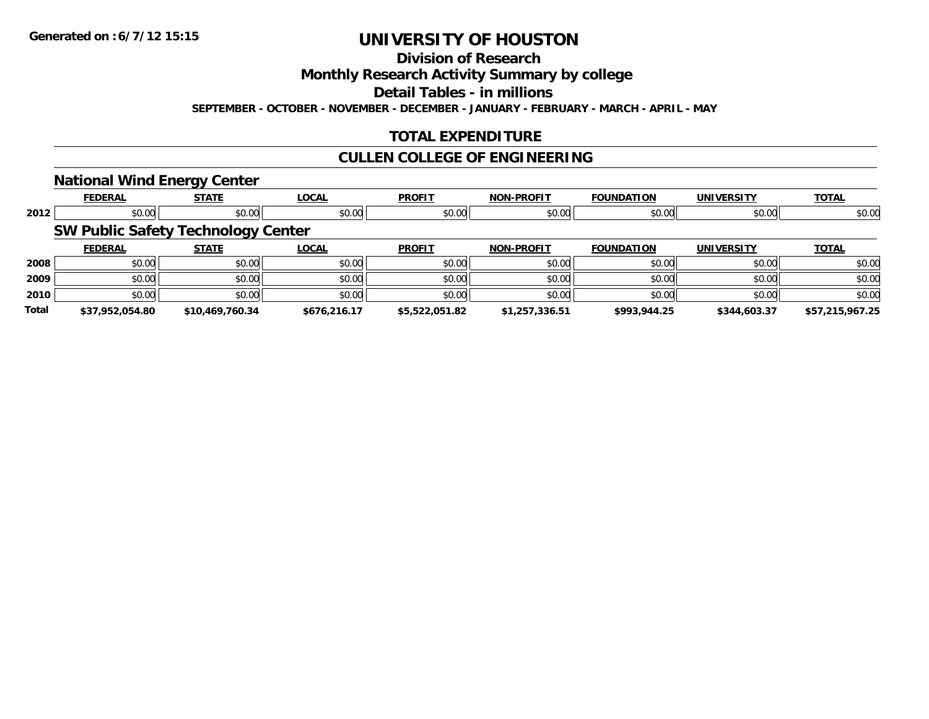**Division of Research**

**Monthly Research Activity Summary by college**

**Detail Tables - in millions**

**SEPTEMBER - OCTOBER - NOVEMBER - DECEMBER - JANUARY - FEBRUARY - MARCH - APRIL - MAY**

### **TOTAL EXPENDITURE**

### **CULLEN COLLEGE OF ENGINEERING**

### **National Wind Energy Center**

|       | <b>FEDERAL</b>                            | <b>STATE</b>    | <b>LOCAL</b> | <b>PROFIT</b>  | <b>NON-PROFIT</b> | <b>FOUNDATION</b> | <b>UNIVERSITY</b> | <b>TOTAL</b>    |
|-------|-------------------------------------------|-----------------|--------------|----------------|-------------------|-------------------|-------------------|-----------------|
| 2012  | \$0.00                                    | \$0.00          | \$0.00       | \$0.00         | \$0.00            | \$0.00            | \$0.00            | \$0.00          |
|       | <b>SW Public Safety Technology Center</b> |                 |              |                |                   |                   |                   |                 |
|       | <b>FEDERAL</b>                            | <b>STATE</b>    | <b>LOCAL</b> | <b>PROFIT</b>  | <b>NON-PROFIT</b> | <b>FOUNDATION</b> | <b>UNIVERSITY</b> | <b>TOTAL</b>    |
| 2008  | \$0.00                                    | \$0.00          | \$0.00       | \$0.00         | \$0.00            | \$0.00            | \$0.00            | \$0.00          |
| 2009  | \$0.00                                    | \$0.00          | \$0.00       | \$0.00         | \$0.00            | \$0.00            | \$0.00            | \$0.00          |
| 2010  | \$0.00                                    | \$0.00          | \$0.00       | \$0.00         | \$0.00            | \$0.00            | \$0.00            | \$0.00          |
| Total | \$37,952,054.80                           | \$10,469,760.34 | \$676,216.17 | \$5,522,051.82 | \$1,257,336.51    | \$993,944.25      | \$344,603.37      | \$57,215,967.25 |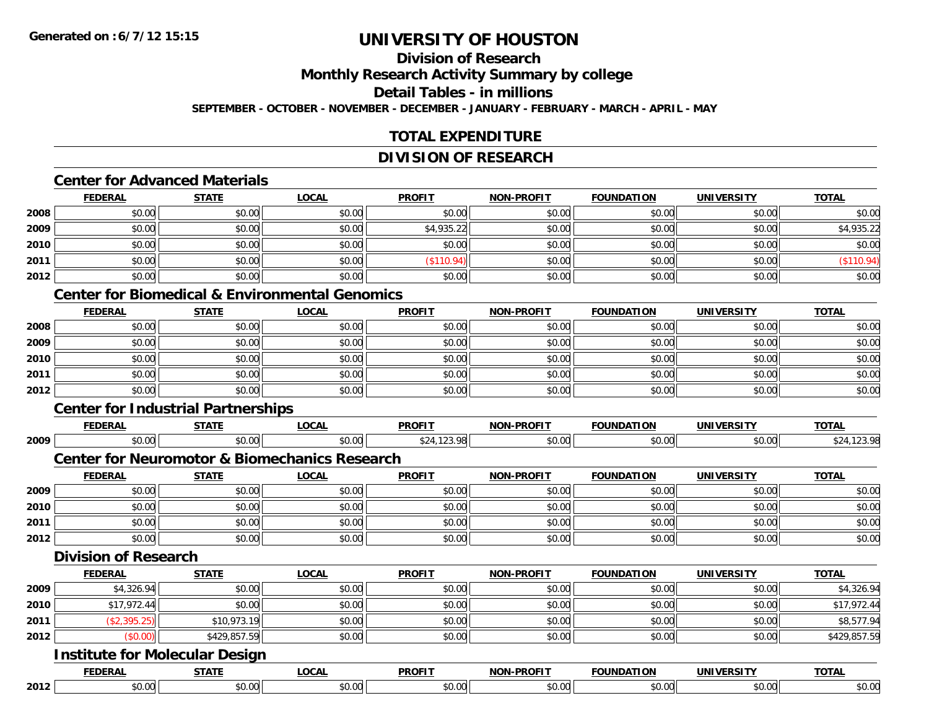### **Division of Research**

**Monthly Research Activity Summary by college**

**Detail Tables - in millions**

**SEPTEMBER - OCTOBER - NOVEMBER - DECEMBER - JANUARY - FEBRUARY - MARCH - APRIL - MAY**

### **TOTAL EXPENDITURE**

### **DIVISION OF RESEARCH**

#### **Center for Advanced Materials**

|      | <b>FEDERAL</b> | <b>STATE</b> | <b>LOCAL</b> | <b>PROFIT</b> | <b>NON-PROFIT</b> | <b>FOUNDATION</b> | <b>UNIVERSITY</b> | <b>TOTAL</b> |
|------|----------------|--------------|--------------|---------------|-------------------|-------------------|-------------------|--------------|
| 2008 | \$0.00         | \$0.00       | \$0.00       | \$0.00        | \$0.00            | \$0.00            | \$0.00            | \$0.00       |
| 2009 | \$0.00         | \$0.00       | \$0.00       | \$4,935.22    | \$0.00            | \$0.00            | \$0.00            | \$4,935.22   |
| 2010 | \$0.00         | \$0.00       | \$0.00       | \$0.00        | \$0.00            | \$0.00            | \$0.00            | \$0.00       |
| 2011 | \$0.00         | \$0.00       | \$0.00       | \$110.94)     | \$0.00            | \$0.00            | \$0.00            | (\$110.94)   |
| 2012 | \$0.00         | \$0.00       | \$0.00       | \$0.00        | \$0.00            | \$0.00            | \$0.00            | \$0.00       |

#### **Center for Biomedical & Environmental Genomics**

|      | <u>FEDERAL</u> | <b>STATE</b> | <b>LOCAL</b> | <b>PROFIT</b> | <b>NON-PROFIT</b> | <b>FOUNDATION</b> | <b>UNIVERSITY</b> | <b>TOTAL</b> |
|------|----------------|--------------|--------------|---------------|-------------------|-------------------|-------------------|--------------|
| 2008 | \$0.00         | \$0.00       | \$0.00       | \$0.00        | \$0.00            | \$0.00            | \$0.00            | \$0.00       |
| 2009 | \$0.00         | \$0.00       | \$0.00       | \$0.00        | \$0.00            | \$0.00            | \$0.00            | \$0.00       |
| 2010 | \$0.00         | \$0.00       | \$0.00       | \$0.00        | \$0.00            | \$0.00            | \$0.00            | \$0.00       |
| 2011 | \$0.00         | \$0.00       | \$0.00       | \$0.00        | \$0.00            | \$0.00            | \$0.00            | \$0.00       |
| 2012 | \$0.00         | \$0.00       | \$0.00       | \$0.00        | \$0.00            | \$0.00            | \$0.00            | \$0.00       |

## **Center for Industrial Partnerships**

|      |                             | Center for Thoustrial Partnerships |                                                          |               |                   |                   |                   |              |
|------|-----------------------------|------------------------------------|----------------------------------------------------------|---------------|-------------------|-------------------|-------------------|--------------|
|      | <b>FEDERAL</b>              | <b>STATE</b>                       | <b>LOCAL</b>                                             | <b>PROFIT</b> | <b>NON-PROFIT</b> | <b>FOUNDATION</b> | <b>UNIVERSITY</b> | <b>TOTAL</b> |
| 2009 | \$0.00                      | \$0.00                             | \$0.00                                                   | \$24,123.98   | \$0.00            | \$0.00            | \$0.00            | \$24,123.98  |
|      |                             |                                    | <b>Center for Neuromotor &amp; Biomechanics Research</b> |               |                   |                   |                   |              |
|      | <b>FEDERAL</b>              | <b>STATE</b>                       | <b>LOCAL</b>                                             | <b>PROFIT</b> | <b>NON-PROFIT</b> | <b>FOUNDATION</b> | <b>UNIVERSITY</b> | <b>TOTAL</b> |
| 2009 | \$0.00                      | \$0.00                             | \$0.00                                                   | \$0.00        | \$0.00            | \$0.00            | \$0.00            | \$0.00       |
| 2010 | \$0.00                      | \$0.00                             | \$0.00                                                   | \$0.00        | \$0.00            | \$0.00            | \$0.00            | \$0.00       |
| 2011 | \$0.00                      | \$0.00                             | \$0.00                                                   | \$0.00        | \$0.00            | \$0.00            | \$0.00            | \$0.00       |
| 2012 | \$0.00                      | \$0.00                             | \$0.00                                                   | \$0.00        | \$0.00            | \$0.00            | \$0.00            | \$0.00       |
|      | <b>Division of Research</b> |                                    |                                                          |               |                   |                   |                   |              |
|      | <b>FEDERAL</b>              | <b>STATE</b>                       | <b>LOCAL</b>                                             | <b>PROFIT</b> | <b>NON-PROFIT</b> | <b>FOUNDATION</b> | <b>UNIVERSITY</b> | <b>TOTAL</b> |
| 2009 | \$4,326.94                  | \$0.00                             | \$0.00                                                   | \$0.00        | \$0.00            | \$0.00            | \$0.00            | \$4,326.94   |
| 2010 | \$17,972.44                 | \$0.00                             | \$0.00                                                   | \$0.00        | \$0.00            | \$0.00            | \$0.00            | \$17,972.44  |
| 2011 | (\$2,395.25)                | \$10,973.19                        | \$0.00                                                   | \$0.00        | \$0.00            | \$0.00            | \$0.00            | \$8,577.94   |
| 2012 | (\$0.00)                    | \$429,857.59                       | \$0.00                                                   | \$0.00        | \$0.00            | \$0.00            | \$0.00            | \$429,857.59 |

#### **Institute for Molecular Design**

|      | ______        | -----                      | $\sim$ $\sim$ $\sim$ | <b>DDOEIT</b> | -----<br>$\sim$ |        | $T^{\sim}$ |
|------|---------------|----------------------------|----------------------|---------------|-----------------|--------|------------|
| 2012 | $\sim$<br>w.w | $\sim$ 00 $\sim$<br>,,,,,, |                      | <i>.</i>      | $\sim$          | $\sim$ | ,,,,       |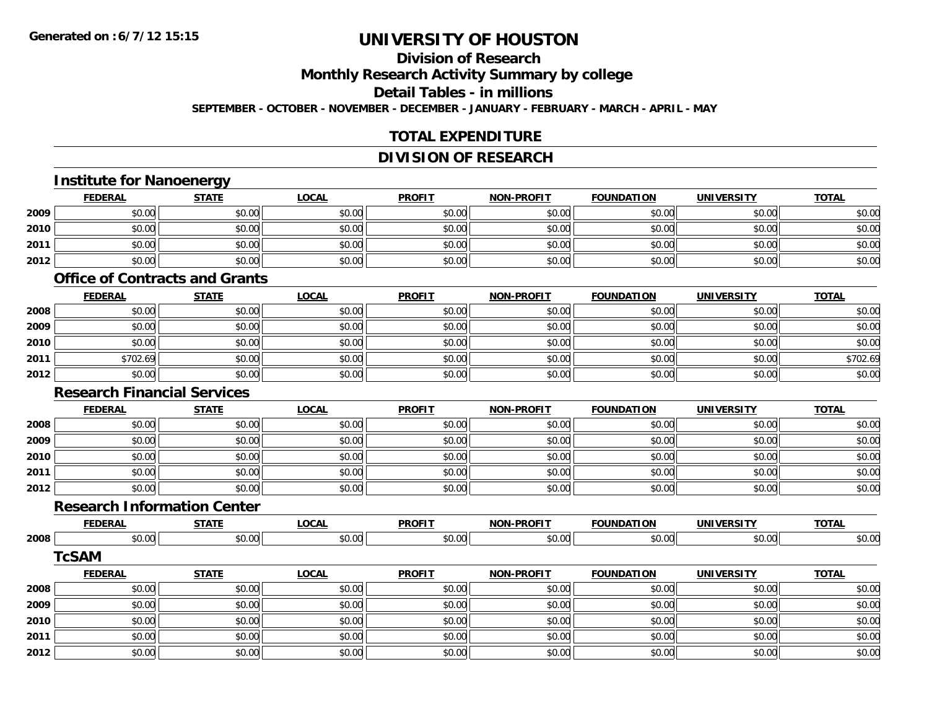### **Division of Research**

**Monthly Research Activity Summary by college**

**Detail Tables - in millions**

**SEPTEMBER - OCTOBER - NOVEMBER - DECEMBER - JANUARY - FEBRUARY - MARCH - APRIL - MAY**

### **TOTAL EXPENDITURE**

### **DIVISION OF RESEARCH**

## **Institute for Nanoenergy**

|      | <b>FEDERAL</b> | <b>STATE</b> | <u>LOCAL</u> | <b>PROFIT</b> | <b>NON-PROFIT</b> | <b>FOUNDATION</b> | <b>UNIVERSITY</b> | <b>TOTAL</b> |
|------|----------------|--------------|--------------|---------------|-------------------|-------------------|-------------------|--------------|
| 2009 | \$0.00         | \$0.00       | \$0.00       | \$0.00        | \$0.00            | \$0.00            | \$0.00            | \$0.00       |
| 2010 | \$0.00         | \$0.00       | \$0.00       | \$0.00        | \$0.00            | \$0.00            | \$0.00            | \$0.00       |
| 2011 | \$0.00         | \$0.00       | \$0.00       | \$0.00        | \$0.00            | \$0.00            | \$0.00            | \$0.00       |
| 2012 | \$0.00         | \$0.00       | \$0.00       | \$0.00        | \$0.00            | \$0.00            | \$0.00            | \$0.00       |

#### **Office of Contracts and Grants**

|      | <b>FEDERAL</b> | <b>STATE</b> | <u>LOCAL</u> | <b>PROFIT</b> | <b>NON-PROFIT</b> | <b>FOUNDATION</b> | <b>UNIVERSITY</b> | <b>TOTAL</b> |
|------|----------------|--------------|--------------|---------------|-------------------|-------------------|-------------------|--------------|
| 2008 | \$0.00         | \$0.00       | \$0.00       | \$0.00        | \$0.00            | \$0.00            | \$0.00            | \$0.00       |
| 2009 | \$0.00         | \$0.00       | \$0.00       | \$0.00        | \$0.00            | \$0.00            | \$0.00            | \$0.00       |
| 2010 | \$0.00         | \$0.00       | \$0.00       | \$0.00        | \$0.00            | \$0.00            | \$0.00            | \$0.00       |
| 2011 | \$702.69       | \$0.00       | \$0.00       | \$0.00        | \$0.00            | \$0.00            | \$0.00            | \$702.69     |
| 2012 | \$0.00         | \$0.00       | \$0.00       | \$0.00        | \$0.00            | \$0.00            | \$0.00            | \$0.00       |

#### **Research Financial Services**

|      | <b>FEDERAL</b> | <b>STATE</b> | <b>LOCAL</b> | <b>PROFIT</b> | <b>NON-PROFIT</b> | <b>FOUNDATION</b> | <b>UNIVERSITY</b> | <b>TOTAL</b> |
|------|----------------|--------------|--------------|---------------|-------------------|-------------------|-------------------|--------------|
| 2008 | \$0.00         | \$0.00       | \$0.00       | \$0.00        | \$0.00            | \$0.00            | \$0.00            | \$0.00       |
| 2009 | \$0.00         | \$0.00       | \$0.00       | \$0.00        | \$0.00            | \$0.00            | \$0.00            | \$0.00       |
| 2010 | \$0.00         | \$0.00       | \$0.00       | \$0.00        | \$0.00            | \$0.00            | \$0.00            | \$0.00       |
| 2011 | \$0.00         | \$0.00       | \$0.00       | \$0.00        | \$0.00            | \$0.00            | \$0.00            | \$0.00       |
| 2012 | \$0.00         | \$0.00       | \$0.00       | \$0.00        | \$0.00            | \$0.00            | \$0.00            | \$0.00       |

### **Research Information Center**

|      | <b>FEDERAI</b> | -----             | .001<br>uuni | <b>PROFIT</b> | <b>DDAEIT</b><br><b>NION</b><br>- II | <b>INDATION</b><br>ωr | $\cdots$<br>JN | $T^{\sim}$ |
|------|----------------|-------------------|--------------|---------------|--------------------------------------|-----------------------|----------------|------------|
| 2008 | ტი იი          | $\sim$            | ົດ           | $\sim$ 00     | $\sim$ $\sim$                        | ሶስ ሰሰ                 | 0.00           | $\sim$ 0.0 |
|      | PU.UU          | $\cdot\cdot\cdot$ | ט.ט          | ,,,,,,        | v.vv                                 | DU.UU                 | DU.UU          | JU.UU      |

#### **TcSAM**

|      | <b>FEDERAL</b> | <b>STATE</b> | <u>LOCAL</u> | <b>PROFIT</b> | <b>NON-PROFIT</b> | <b>FOUNDATION</b> | <b>UNIVERSITY</b> | <b>TOTAL</b> |
|------|----------------|--------------|--------------|---------------|-------------------|-------------------|-------------------|--------------|
| 2008 | \$0.00         | \$0.00       | \$0.00       | \$0.00        | \$0.00            | \$0.00            | \$0.00            | \$0.00       |
| 2009 | \$0.00         | \$0.00       | \$0.00       | \$0.00        | \$0.00            | \$0.00            | \$0.00            | \$0.00       |
| 2010 | \$0.00         | \$0.00       | \$0.00       | \$0.00        | \$0.00            | \$0.00            | \$0.00            | \$0.00       |
| 2011 | \$0.00         | \$0.00       | \$0.00       | \$0.00        | \$0.00            | \$0.00            | \$0.00            | \$0.00       |
| 2012 | \$0.00         | \$0.00       | \$0.00       | \$0.00        | \$0.00            | \$0.00            | \$0.00            | \$0.00       |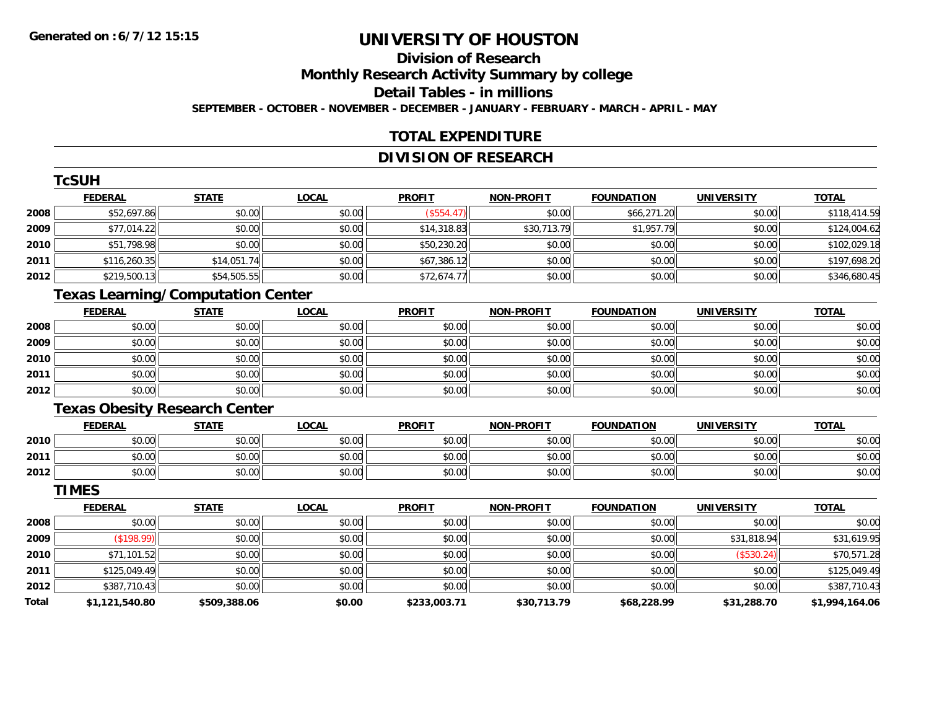## **Division of Research**

**Monthly Research Activity Summary by college**

**Detail Tables - in millions**

**SEPTEMBER - OCTOBER - NOVEMBER - DECEMBER - JANUARY - FEBRUARY - MARCH - APRIL - MAY**

### **TOTAL EXPENDITURE**

### **DIVISION OF RESEARCH**

|      | TcSUH          |                                          |              |               |                   |                   |                   |              |
|------|----------------|------------------------------------------|--------------|---------------|-------------------|-------------------|-------------------|--------------|
|      | <b>FEDERAL</b> | <b>STATE</b>                             | <b>LOCAL</b> | <b>PROFIT</b> | <b>NON-PROFIT</b> | <b>FOUNDATION</b> | <b>UNIVERSITY</b> | <b>TOTAL</b> |
| 2008 | \$52,697.86    | \$0.00                                   | \$0.00       | (\$554.47)    | \$0.00            | \$66,271.20       | \$0.00            | \$118,414.59 |
| 2009 | \$77,014.22    | \$0.00                                   | \$0.00       | \$14,318.83   | \$30,713.79       | \$1,957.79        | \$0.00            | \$124,004.62 |
| 2010 | \$51,798.98    | \$0.00                                   | \$0.00       | \$50,230.20   | \$0.00            | \$0.00            | \$0.00            | \$102,029.18 |
| 2011 | \$116,260.35   | \$14,051.74                              | \$0.00       | \$67,386.12   | \$0.00            | \$0.00            | \$0.00            | \$197,698.20 |
| 2012 | \$219,500.13   | \$54,505.55                              | \$0.00       | \$72,674.77   | \$0.00            | \$0.00            | \$0.00            | \$346,680.45 |
|      |                | <b>Texas Learning/Computation Center</b> |              |               |                   |                   |                   |              |
|      | <b>FEDERAL</b> | <b>STATE</b>                             | <b>LOCAL</b> | <b>PROFIT</b> | <b>NON-PROFIT</b> | <b>FOUNDATION</b> | <b>UNIVERSITY</b> | <b>TOTAL</b> |
| 2008 | \$0.00         | \$0.00                                   | \$0.00       | \$0.00        | \$0.00            | \$0.00            | \$0.00            | \$0.00       |
| 2009 | \$0.00         | \$0.00                                   | \$0.00       | \$0.00        | \$0.00            | \$0.00            | \$0.00            | \$0.00       |
| 2010 | \$0.00         | \$0.00                                   | \$0.00       | \$0.00        | \$0.00            | \$0.00            | \$0.00            | \$0.00       |
| 2011 | \$0.00         | \$0.00                                   | \$0.00       | \$0.00        | \$0.00            | \$0.00            | \$0.00            | \$0.00       |
| 2012 | \$0.00         | \$0.00                                   | \$0.00       | \$0.00        | \$0.00            | \$0.00            | \$0.00            | \$0.00       |
|      |                | <b>Texas Obesity Research Center</b>     |              |               |                   |                   |                   |              |
|      | <b>FEDERAL</b> | <b>STATE</b>                             | <b>LOCAL</b> | <b>PROFIT</b> | <b>NON-PROFIT</b> | <b>FOUNDATION</b> | <b>UNIVERSITY</b> | <b>TOTAL</b> |
| 2010 | \$0.00         | \$0.00                                   | \$0.00       | \$0.00        | \$0.00            | \$0.00            | \$0.00            | \$0.00       |
| 2011 | \$0.00         | \$0.00                                   | \$0.00       | \$0.00        | \$0.00            | \$0.00            | \$0.00            | \$0.00       |
| 2012 | \$0.00         | \$0.00                                   | \$0.00       | \$0.00        | \$0.00            | \$0.00            | \$0.00            | \$0.00       |
|      | <b>TIMES</b>   |                                          |              |               |                   |                   |                   |              |
|      | <b>FEDERAL</b> | <b>STATE</b>                             | LOCAL        | <b>PROFIT</b> | <b>NON-PROFIT</b> | <b>FOUNDATION</b> | <b>UNIVERSITY</b> | <b>TOTAL</b> |

|       | 1 LVLNAL       | 3171L        | $L$ vval | <u>ENVLLI</u> | <b>IVOIV-FROITI</b> | ייטו ואשטיו | <b>UNIVLRJIII</b> | 1017L          |
|-------|----------------|--------------|----------|---------------|---------------------|-------------|-------------------|----------------|
| 2008  | \$0.00         | \$0.00       | \$0.00   | \$0.00        | \$0.00              | \$0.00      | \$0.00            | \$0.00         |
| 2009  | (\$198.99)     | \$0.00       | \$0.00   | \$0.00        | \$0.00              | \$0.00      | \$31,818.94       | \$31,619.95    |
| 2010  | \$71,101.52    | \$0.00       | \$0.00   | \$0.00        | \$0.00              | \$0.00      | (\$530.24)        | \$70,571.28    |
| 2011  | \$125,049.49   | \$0.00       | \$0.00   | \$0.00        | \$0.00              | \$0.00      | \$0.00            | \$125,049.49   |
| 2012  | \$387,710.43   | \$0.00       | \$0.00   | \$0.00        | \$0.00              | \$0.00      | \$0.00            | \$387,710.43   |
| Total | \$1,121,540.80 | \$509,388.06 | \$0.00   | \$233,003.71  | \$30,713.79         | \$68,228.99 | \$31,288.70       | \$1,994,164.06 |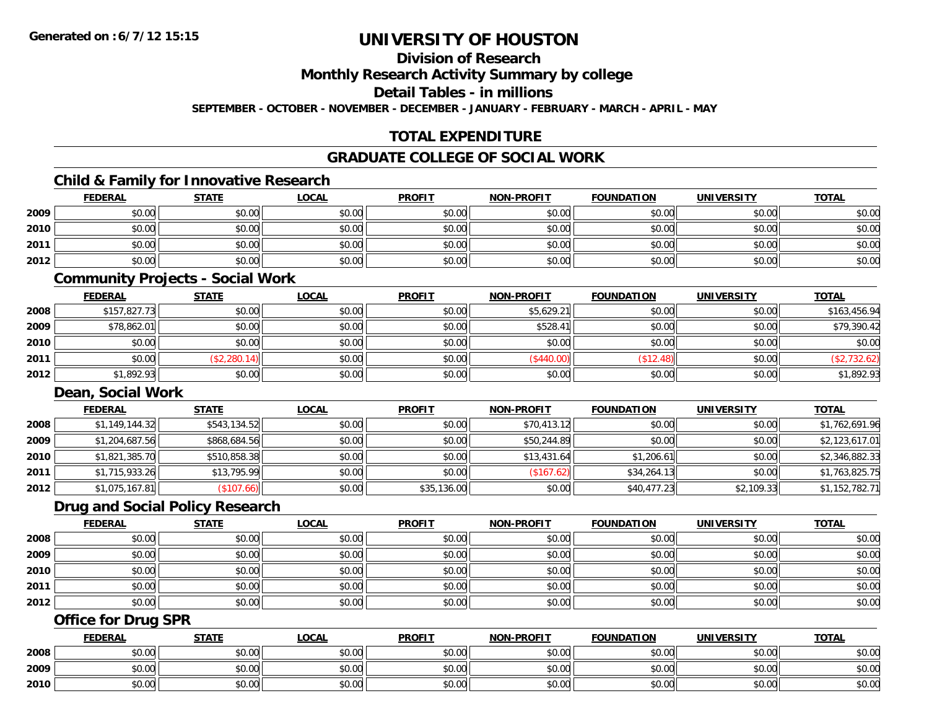**Division of Research**

**Monthly Research Activity Summary by college**

**Detail Tables - in millions**

**SEPTEMBER - OCTOBER - NOVEMBER - DECEMBER - JANUARY - FEBRUARY - MARCH - APRIL - MAY**

### **TOTAL EXPENDITURE**

### **GRADUATE COLLEGE OF SOCIAL WORK**

### **Child & Family for Innovative Research**

|      | <b>FEDERAL</b> | <b>STATE</b>                                                                                                    | <b>LOCAL</b> | <b>PROFIT</b> | NON-PROFIT | <b>FOUNDATION</b> | <b>UNIVERSITY</b> | <b>TOTAL</b> |
|------|----------------|-----------------------------------------------------------------------------------------------------------------|--------------|---------------|------------|-------------------|-------------------|--------------|
| 2009 | \$0.00         | \$0.00                                                                                                          | \$0.00       | \$0.00        | \$0.00     | \$0.00            | \$0.00            | \$0.00       |
| 2010 | \$0.00         | \$0.00                                                                                                          | \$0.00       | \$0.00        | \$0.00     | \$0.00            | \$0.00            | \$0.00       |
| 2011 | \$0.00         | \$0.00                                                                                                          | \$0.00       | \$0.00        | \$0.00     | \$0.00            | \$0.00            | \$0.00       |
| 2012 | \$0.00         | \$0.00                                                                                                          | \$0.00       | \$0.00        | \$0.00     | \$0.00            | \$0.00            | \$0.00       |
|      |                | the contract of the contract of the contract of the contract of the contract of the contract of the contract of |              |               |            |                   |                   |              |

#### **Community Projects - Social Work**

|      | <b>FEDERAL</b> | <b>STATE</b> | <b>LOCAL</b> | <b>PROFIT</b> | <b>NON-PROFIT</b> | <b>FOUNDATION</b> | <b>UNIVERSITY</b> | <b>TOTAL</b> |
|------|----------------|--------------|--------------|---------------|-------------------|-------------------|-------------------|--------------|
| 2008 | \$157,827.73   | \$0.00       | \$0.00       | \$0.00        | \$5,629.21        | \$0.00            | \$0.00            | \$163,456.94 |
| 2009 | \$78,862.01    | \$0.00       | \$0.00       | \$0.00        | \$528.41          | \$0.00            | \$0.00            | \$79,390.42  |
| 2010 | \$0.00         | \$0.00       | \$0.00       | \$0.00        | \$0.00            | \$0.00            | \$0.00            | \$0.00       |
| 2011 | \$0.00         | (\$2,280.14) | \$0.00       | \$0.00        | (\$440.00)        | \$12.48           | \$0.00            | (\$2,732.62) |
| 2012 | \$1,892.93     | \$0.00       | \$0.00       | \$0.00        | \$0.00            | \$0.00            | \$0.00            | \$1,892.93   |

#### **Dean, Social Work**

|      | <b>FEDERAL</b> | <b>STATE</b> | <b>LOCAL</b> | <b>PROFIT</b> | <b>NON-PROFIT</b> | <b>FOUNDATION</b> | <b>UNIVERSITY</b> | <b>TOTAL</b>   |
|------|----------------|--------------|--------------|---------------|-------------------|-------------------|-------------------|----------------|
| 2008 | \$1,149,144.32 | \$543,134.52 | \$0.00       | \$0.00        | \$70,413.12       | \$0.00            | \$0.00            | \$1,762,691.96 |
| 2009 | \$1,204,687.56 | \$868,684.56 | \$0.00       | \$0.00        | \$50,244.89       | \$0.00            | \$0.00            | \$2,123,617.01 |
| 2010 | \$1,821,385.70 | \$510,858.38 | \$0.00       | \$0.00        | \$13,431.64       | \$1,206.61        | \$0.00            | \$2,346,882.33 |
| 2011 | \$1,715,933.26 | \$13,795.99  | \$0.00       | \$0.00        | (\$167.62)        | \$34,264.13       | \$0.00            | \$1,763,825.75 |
| 2012 | \$1,075,167.81 | (\$107.66)   | \$0.00       | \$35,136.00   | \$0.00            | \$40,477.23       | \$2,109.33        | \$1,152,782.71 |

### **Drug and Social Policy Research**

|      | <b>FEDERAL</b> | <b>STATE</b> | <b>LOCAL</b> | <b>PROFIT</b> | <b>NON-PROFIT</b> | <b>FOUNDATION</b> | <b>UNIVERSITY</b> | <b>TOTAL</b> |
|------|----------------|--------------|--------------|---------------|-------------------|-------------------|-------------------|--------------|
| 2008 | \$0.00         | \$0.00       | \$0.00       | \$0.00        | \$0.00            | \$0.00            | \$0.00            | \$0.00       |
| 2009 | \$0.00         | \$0.00       | \$0.00       | \$0.00        | \$0.00            | \$0.00            | \$0.00            | \$0.00       |
| 2010 | \$0.00         | \$0.00       | \$0.00       | \$0.00        | \$0.00            | \$0.00            | \$0.00            | \$0.00       |
| 2011 | \$0.00         | \$0.00       | \$0.00       | \$0.00        | \$0.00            | \$0.00            | \$0.00            | \$0.00       |
| 2012 | \$0.00         | \$0.00       | \$0.00       | \$0.00        | \$0.00            | \$0.00            | \$0.00            | \$0.00       |

### **Office for Drug SPR**

|      | <b>FEDERAL</b>     | <b>STATE</b> | <u>LOCAL</u>  | <b>PROFIT</b> | <b>I-PROFIT</b><br>NON- | <b>FOUNDATION</b> | <b>UNIVERSITY</b> | <b>TOTAL</b> |
|------|--------------------|--------------|---------------|---------------|-------------------------|-------------------|-------------------|--------------|
| 2008 | <b>00</b><br>JU.UU | \$0.00       | \$0.00        | \$0.00        | \$0.00                  | \$0.00            | \$0.00            | \$0.00       |
| 2009 | ሶስ ሰሰ<br>PU.UU     | \$0.00       | 0.00<br>ง∪.∪บ | \$0.00        | \$0.00                  | \$0.00            | \$0.00            | \$0.00       |
| 2010 | 0000<br>JU.UU      | \$0.00       | \$0.00        | \$0.00        | \$0.00                  | \$0.00            | \$0.00            | \$0.00       |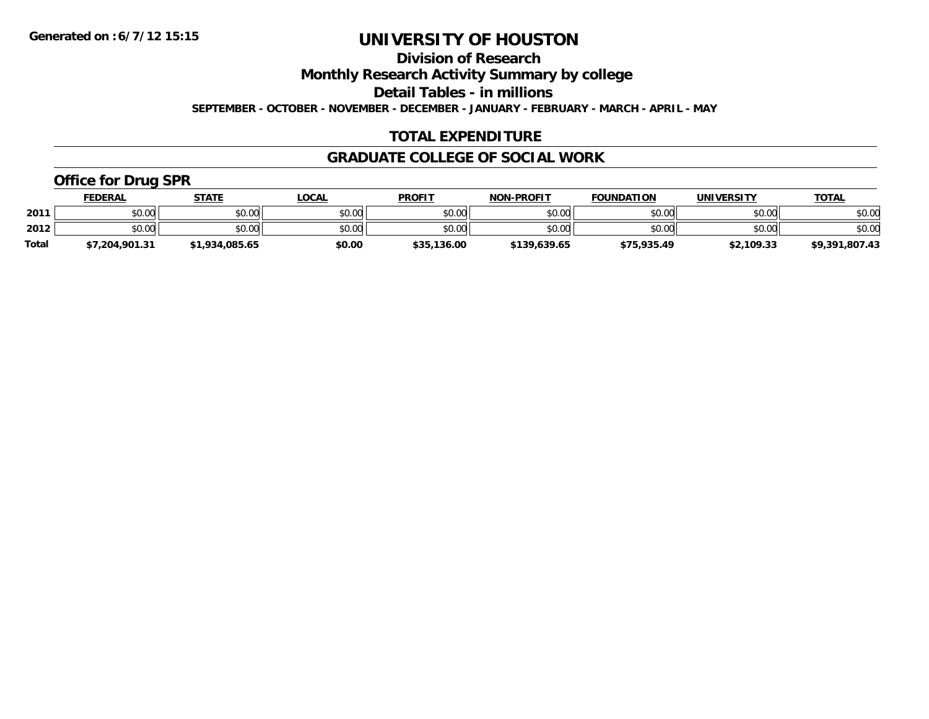**Division of Research**

**Monthly Research Activity Summary by college**

**Detail Tables - in millions**

**SEPTEMBER - OCTOBER - NOVEMBER - DECEMBER - JANUARY - FEBRUARY - MARCH - APRIL - MAY**

### **TOTAL EXPENDITURE**

### **GRADUATE COLLEGE OF SOCIAL WORK**

### **Office for Drug SPR**

|              | <b>FEDERAL</b> | <b>STATE</b>   | LOCAL  | <b>PROFIT</b> | <b>NON-PROFIT</b> | <b>FOUNDATION</b> | UNIVERSITY | <b>TOTAL</b>   |
|--------------|----------------|----------------|--------|---------------|-------------------|-------------------|------------|----------------|
| 2011         | \$0.00         | \$0.00         | \$0.00 | \$0.00        | \$0.00            | \$0.00            | \$0.00     | \$0.00         |
| 2012         | \$0.00         | \$0.00         | \$0.00 | \$0.00        | \$0.00            | \$0.00            | \$0.00     | \$0.00         |
| <b>Total</b> | \$7,204,901.31 | \$1,934,085.65 | \$0.00 | \$35,136.00   | \$139,639.65      | \$75,935.49       | \$2,109.33 | \$9,391,807.43 |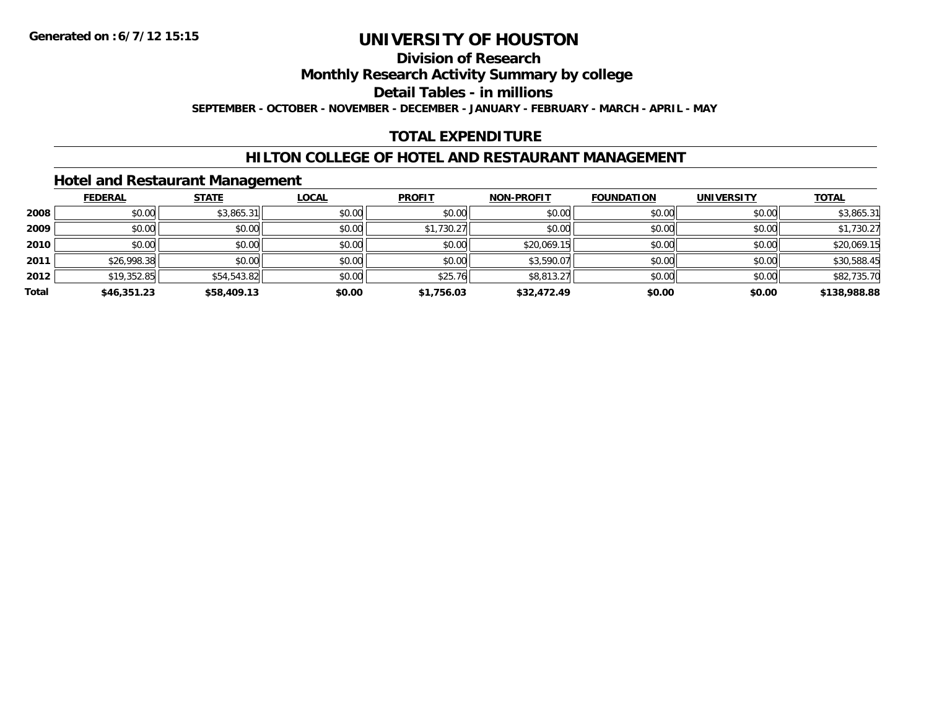#### **Division of Research**

**Monthly Research Activity Summary by college**

**Detail Tables - in millions**

**SEPTEMBER - OCTOBER - NOVEMBER - DECEMBER - JANUARY - FEBRUARY - MARCH - APRIL - MAY**

### **TOTAL EXPENDITURE**

### **HILTON COLLEGE OF HOTEL AND RESTAURANT MANAGEMENT**

### **Hotel and Restaurant Management**

|       | <b>FEDERAL</b> | <b>STATE</b> | <u>LOCAL</u> | <b>PROFIT</b> | <b>NON-PROFIT</b> | <b>FOUNDATION</b> | <b>UNIVERSITY</b> | <b>TOTAL</b> |
|-------|----------------|--------------|--------------|---------------|-------------------|-------------------|-------------------|--------------|
| 2008  | \$0.00         | \$3,865.31   | \$0.00       | \$0.00        | \$0.00            | \$0.00            | \$0.00            | \$3,865.31   |
| 2009  | \$0.00         | \$0.00       | \$0.00       | \$1,730.27    | \$0.00            | \$0.00            | \$0.00            | \$1,730.27   |
| 2010  | \$0.00         | \$0.00       | \$0.00       | \$0.00        | \$20,069.15       | \$0.00            | \$0.00            | \$20,069.15  |
| 2011  | \$26,998.38    | \$0.00       | \$0.00       | \$0.00        | \$3,590.07        | \$0.00            | \$0.00            | \$30,588.45  |
| 2012  | \$19,352.85    | \$54,543.82  | \$0.00       | \$25.76       | $$8,813.27$       | \$0.00            | \$0.00            | \$82,735.70  |
| Total | \$46,351.23    | \$58,409.13  | \$0.00       | \$1,756.03    | \$32,472.49       | \$0.00            | \$0.00            | \$138,988.88 |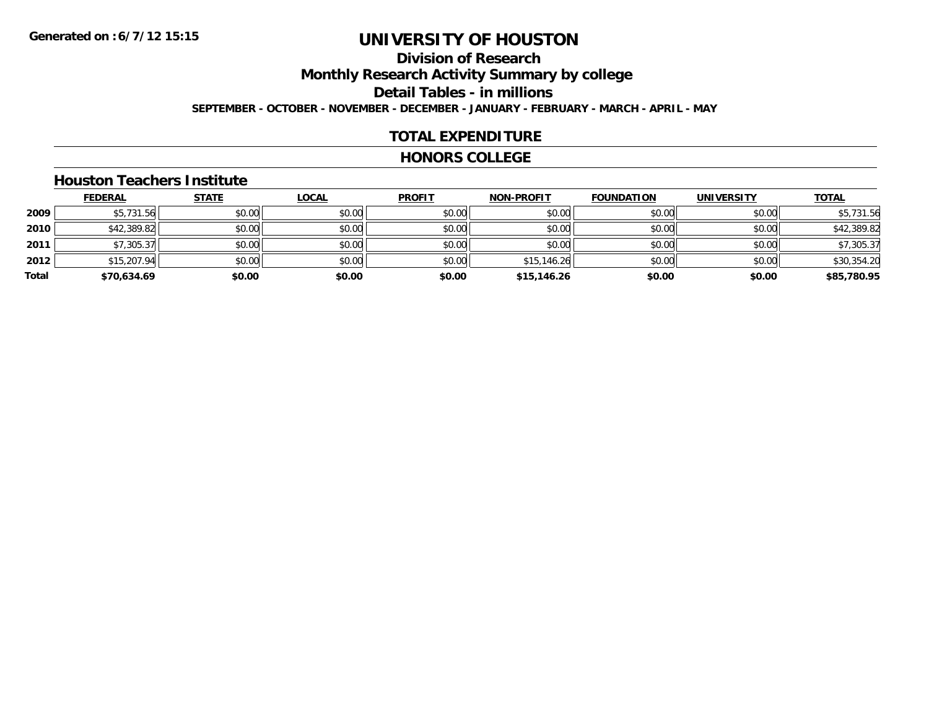### **Division of ResearchMonthly Research Activity Summary by college Detail Tables - in millions SEPTEMBER - OCTOBER - NOVEMBER - DECEMBER - JANUARY - FEBRUARY - MARCH - APRIL - MAY**

### **TOTAL EXPENDITURE**

#### **HONORS COLLEGE**

#### **Houston Teachers Institute**

|       | <u>FEDERAL</u> | <b>STATE</b> | <b>LOCAL</b> | <b>PROFIT</b> | <b>NON-PROFIT</b> | <b>FOUNDATION</b> | <b>UNIVERSITY</b> | <b>TOTAL</b> |
|-------|----------------|--------------|--------------|---------------|-------------------|-------------------|-------------------|--------------|
| 2009  | \$5,731.56     | \$0.00       | \$0.00       | \$0.00        | \$0.00            | \$0.00            | \$0.00            | \$5,731.56   |
| 2010  | \$42,389.82    | \$0.00       | \$0.00       | \$0.00        | \$0.00            | \$0.00            | \$0.00            | \$42,389.82  |
| 2011  | \$7,305.37     | \$0.00       | \$0.00       | \$0.00        | \$0.00            | \$0.00            | \$0.00            | \$7,305.37   |
| 2012  | \$15,207.94    | \$0.00       | \$0.00       | \$0.00        | \$15,146.26       | \$0.00            | \$0.00            | \$30,354.20  |
| Total | \$70,634.69    | \$0.00       | \$0.00       | \$0.00        | \$15,146.26       | \$0.00            | \$0.00            | \$85,780.95  |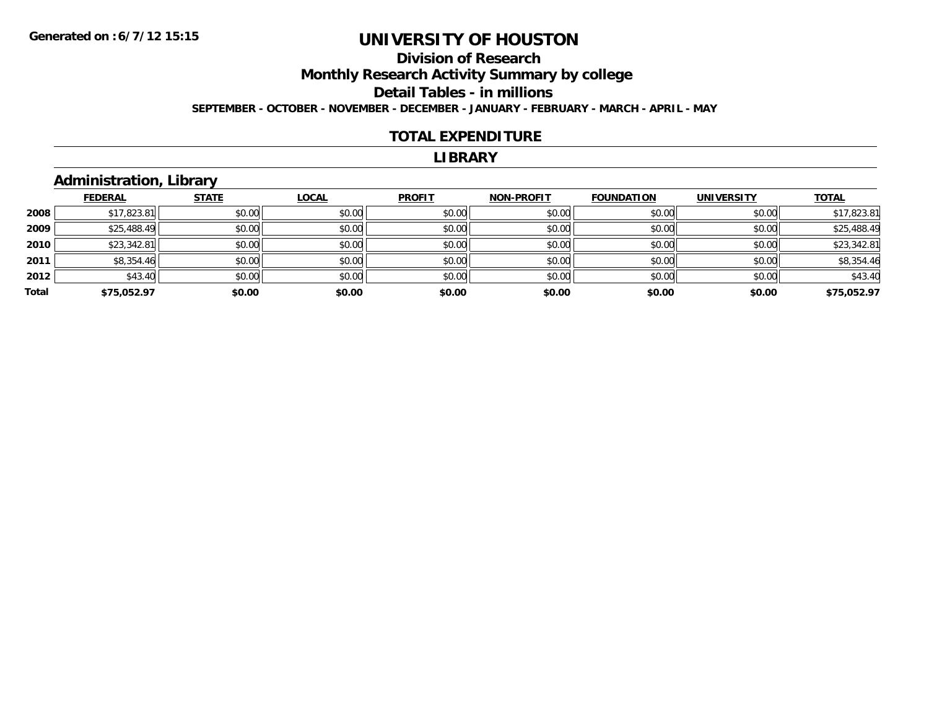### **Division of ResearchMonthly Research Activity Summary by college Detail Tables - in millions SEPTEMBER - OCTOBER - NOVEMBER - DECEMBER - JANUARY - FEBRUARY - MARCH - APRIL - MAY**

#### **TOTAL EXPENDITURE**

#### **LIBRARY**

### **Administration, Library**

|       | <b>FEDERAL</b> | <b>STATE</b> | <b>LOCAL</b> | <b>PROFIT</b> | <b>NON-PROFIT</b> | <b>FOUNDATION</b> | <b>UNIVERSITY</b> | <b>TOTAL</b> |
|-------|----------------|--------------|--------------|---------------|-------------------|-------------------|-------------------|--------------|
| 2008  | \$17,823.81    | \$0.00       | \$0.00       | \$0.00        | \$0.00            | \$0.00            | \$0.00            | \$17,823.81  |
| 2009  | \$25,488.49    | \$0.00       | \$0.00       | \$0.00        | \$0.00            | \$0.00            | \$0.00            | \$25,488.49  |
| 2010  | \$23,342.81    | \$0.00       | \$0.00       | \$0.00        | \$0.00            | \$0.00            | \$0.00            | \$23,342.81  |
| 2011  | \$8,354.46     | \$0.00       | \$0.00       | \$0.00        | \$0.00            | \$0.00            | \$0.00            | \$8,354.46   |
| 2012  | \$43.40        | \$0.00       | \$0.00       | \$0.00        | \$0.00            | \$0.00            | \$0.00            | \$43.40      |
| Total | \$75,052.97    | \$0.00       | \$0.00       | \$0.00        | \$0.00            | \$0.00            | \$0.00            | \$75,052.97  |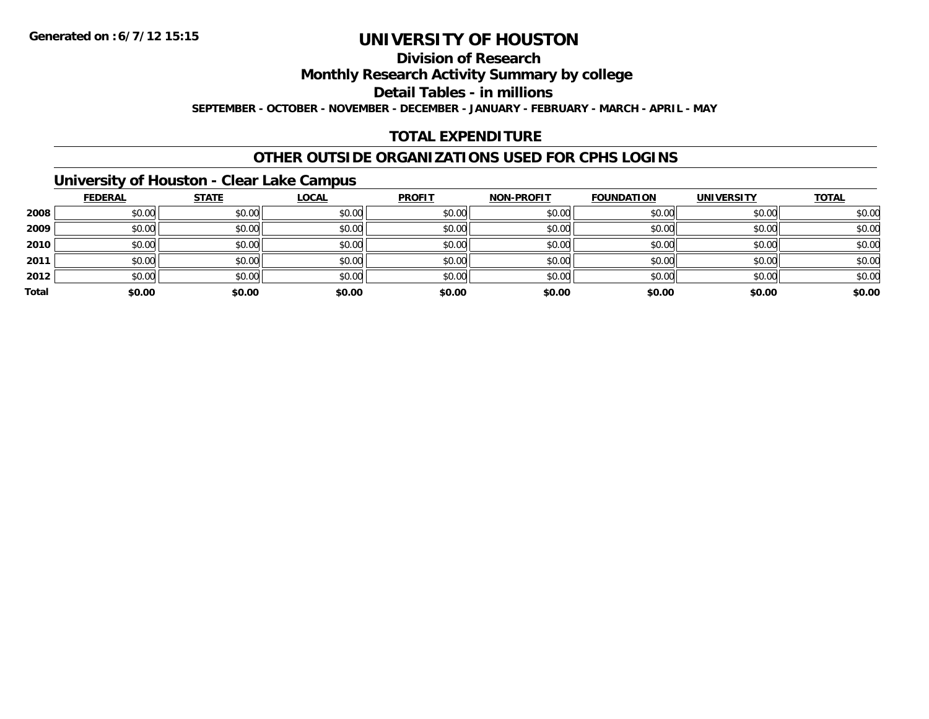### **Division of Research**

**Monthly Research Activity Summary by college**

**Detail Tables - in millions**

**SEPTEMBER - OCTOBER - NOVEMBER - DECEMBER - JANUARY - FEBRUARY - MARCH - APRIL - MAY**

### **TOTAL EXPENDITURE**

### **OTHER OUTSIDE ORGANIZATIONS USED FOR CPHS LOGINS**

### **University of Houston - Clear Lake Campus**

|       | <b>FEDERAL</b> | <b>STATE</b> | <b>LOCAL</b> | <b>PROFIT</b> | <b>NON-PROFIT</b> | <b>FOUNDATION</b> | <b>UNIVERSITY</b> | <b>TOTAL</b> |
|-------|----------------|--------------|--------------|---------------|-------------------|-------------------|-------------------|--------------|
| 2008  | \$0.00         | \$0.00       | \$0.00       | \$0.00        | \$0.00            | \$0.00            | \$0.00            | \$0.00       |
| 2009  | \$0.00         | \$0.00       | \$0.00       | \$0.00        | \$0.00            | \$0.00            | \$0.00            | \$0.00       |
| 2010  | \$0.00         | \$0.00       | \$0.00       | \$0.00        | \$0.00            | \$0.00            | \$0.00            | \$0.00       |
| 2011  | \$0.00         | \$0.00       | \$0.00       | \$0.00        | \$0.00            | \$0.00            | \$0.00            | \$0.00       |
| 2012  | \$0.00         | \$0.00       | \$0.00       | \$0.00        | \$0.00            | \$0.00            | \$0.00            | \$0.00       |
| Total | \$0.00         | \$0.00       | \$0.00       | \$0.00        | \$0.00            | \$0.00            | \$0.00            | \$0.00       |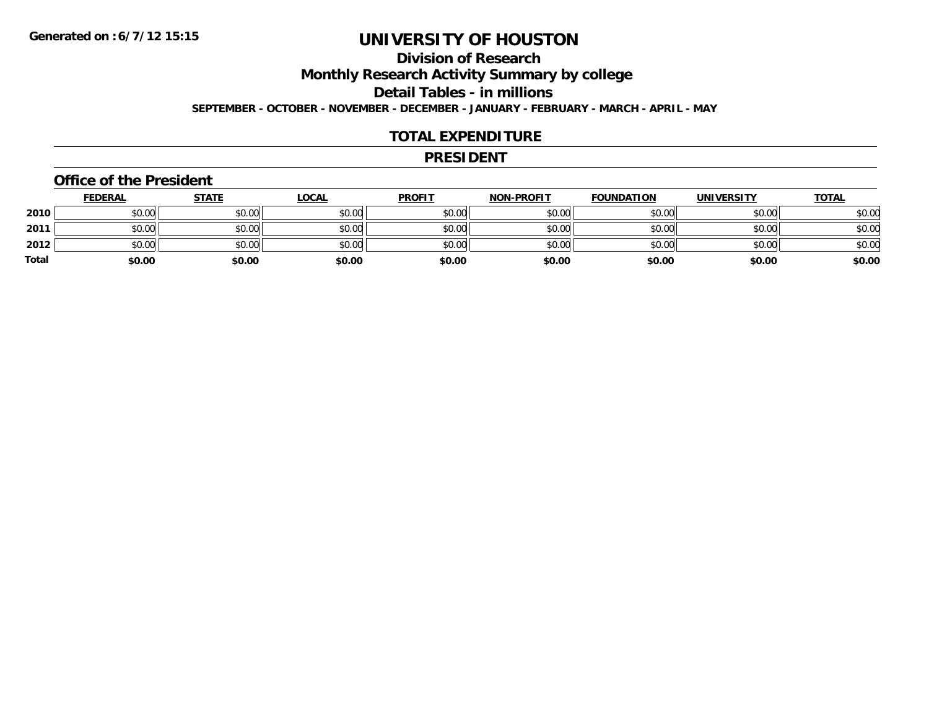### **Division of ResearchMonthly Research Activity Summary by college Detail Tables - in millions**

**SEPTEMBER - OCTOBER - NOVEMBER - DECEMBER - JANUARY - FEBRUARY - MARCH - APRIL - MAY**

### **TOTAL EXPENDITURE**

#### **PRESIDENT**

#### **Office of the President**

|       | <b>FEDERAL</b> | <u>STATE</u> | <b>LOCAL</b> | <b>PROFIT</b> | <b>NON-PROFIT</b> | <b>FOUNDATION</b> | <b>UNIVERSITY</b> | <u>TOTAL</u> |
|-------|----------------|--------------|--------------|---------------|-------------------|-------------------|-------------------|--------------|
| 2010  | \$0.00         | \$0.00       | \$0.00       | \$0.00        | \$0.00            | \$0.00            | \$0.00            | \$0.00       |
| 2011  | \$0.00         | \$0.00       | \$0.00       | \$0.00        | \$0.00            | \$0.00            | \$0.00            | \$0.00       |
| 2012  | \$0.00         | \$0.00       | \$0.00       | \$0.00        | \$0.00            | \$0.00            | \$0.00            | \$0.00       |
| Total | \$0.00         | \$0.00       | \$0.00       | \$0.00        | \$0.00            | \$0.00            | \$0.00            | \$0.00       |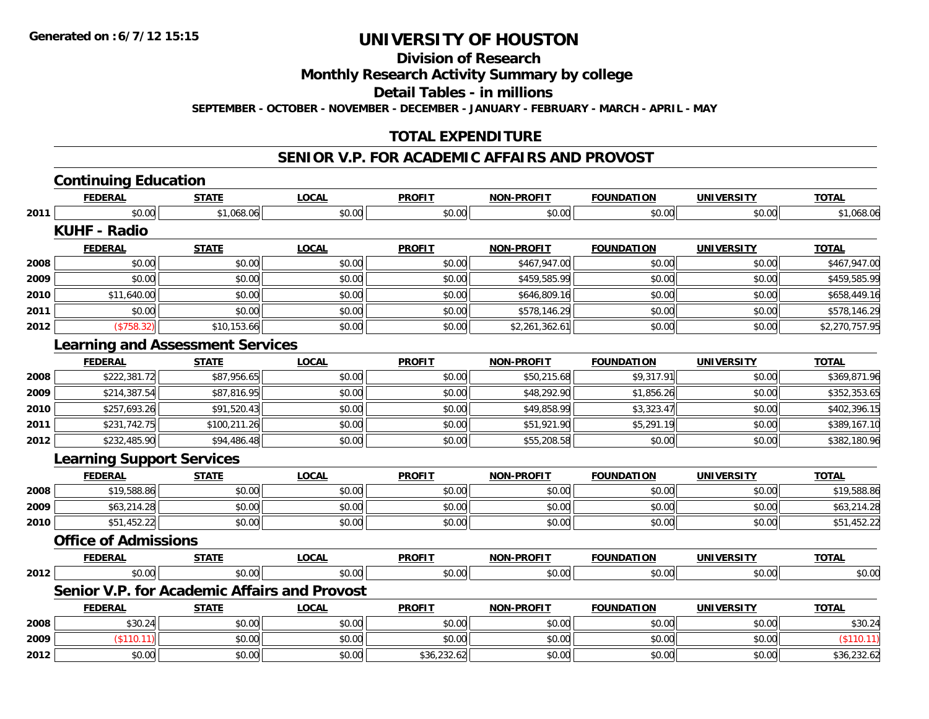**Division of Research**

**Monthly Research Activity Summary by college**

**Detail Tables - in millions**

**SEPTEMBER - OCTOBER - NOVEMBER - DECEMBER - JANUARY - FEBRUARY - MARCH - APRIL - MAY**

### **TOTAL EXPENDITURE**

#### **SENIOR V.P. FOR ACADEMIC AFFAIRS AND PROVOST**

|      | <b>Continuing Education</b>             |              |                                                     |               |                   |                   |                   |                |
|------|-----------------------------------------|--------------|-----------------------------------------------------|---------------|-------------------|-------------------|-------------------|----------------|
|      | <b>FEDERAL</b>                          | <b>STATE</b> | <b>LOCAL</b>                                        | <b>PROFIT</b> | <b>NON-PROFIT</b> | <b>FOUNDATION</b> | <b>UNIVERSITY</b> | <b>TOTAL</b>   |
| 2011 | \$0.00                                  | \$1,068.06   | \$0.00                                              | \$0.00        | \$0.00            | \$0.00            | \$0.00            | \$1,068.06     |
|      | <b>KUHF - Radio</b>                     |              |                                                     |               |                   |                   |                   |                |
|      | <b>FEDERAL</b>                          | <b>STATE</b> | <b>LOCAL</b>                                        | <b>PROFIT</b> | <b>NON-PROFIT</b> | <b>FOUNDATION</b> | <b>UNIVERSITY</b> | <b>TOTAL</b>   |
| 2008 | \$0.00                                  | \$0.00       | \$0.00                                              | \$0.00        | \$467,947.00      | \$0.00            | \$0.00            | \$467,947.00   |
| 2009 | \$0.00                                  | \$0.00       | \$0.00                                              | \$0.00        | \$459,585.99      | \$0.00            | \$0.00            | \$459,585.99   |
| 2010 | \$11,640.00                             | \$0.00       | \$0.00                                              | \$0.00        | \$646,809.16      | \$0.00            | \$0.00            | \$658,449.16   |
| 2011 | \$0.00                                  | \$0.00       | \$0.00                                              | \$0.00        | \$578,146.29      | \$0.00            | \$0.00            | \$578,146.29   |
| 2012 | (\$758.32)                              | \$10,153.66  | \$0.00                                              | \$0.00        | \$2,261,362.61    | \$0.00            | \$0.00            | \$2,270,757.95 |
|      | <b>Learning and Assessment Services</b> |              |                                                     |               |                   |                   |                   |                |
|      | <b>FEDERAL</b>                          | <b>STATE</b> | <b>LOCAL</b>                                        | <b>PROFIT</b> | <b>NON-PROFIT</b> | <b>FOUNDATION</b> | <b>UNIVERSITY</b> | <b>TOTAL</b>   |
| 2008 | \$222,381.72                            | \$87,956.65  | \$0.00                                              | \$0.00        | \$50,215.68       | \$9,317.91        | \$0.00            | \$369,871.96   |
| 2009 | \$214,387.54                            | \$87,816.95  | \$0.00                                              | \$0.00        | \$48,292.90       | \$1,856.26        | \$0.00            | \$352,353.65   |
| 2010 | \$257,693.26                            | \$91,520.43  | \$0.00                                              | \$0.00        | \$49,858.99       | \$3,323.47        | \$0.00            | \$402,396.15   |
| 2011 | \$231,742.75                            | \$100,211.26 | \$0.00                                              | \$0.00        | \$51,921.90       | \$5,291.19        | \$0.00            | \$389,167.10   |
| 2012 | \$232,485.90                            | \$94,486.48  | \$0.00                                              | \$0.00        | \$55,208.58       | \$0.00            | \$0.00            | \$382,180.96   |
|      | <b>Learning Support Services</b>        |              |                                                     |               |                   |                   |                   |                |
|      | <b>FEDERAL</b>                          | <b>STATE</b> | <b>LOCAL</b>                                        | <b>PROFIT</b> | <b>NON-PROFIT</b> | <b>FOUNDATION</b> | <b>UNIVERSITY</b> | <b>TOTAL</b>   |
| 2008 | \$19,588.86                             | \$0.00       | \$0.00                                              | \$0.00        | \$0.00            | \$0.00            | \$0.00            | \$19,588.86    |
| 2009 | \$63,214.28                             | \$0.00       | \$0.00                                              | \$0.00        | \$0.00            | \$0.00            | \$0.00            | \$63,214.28    |
| 2010 | \$51,452.22                             | \$0.00       | \$0.00                                              | \$0.00        | \$0.00            | \$0.00            | \$0.00            | \$51,452.22    |
|      | <b>Office of Admissions</b>             |              |                                                     |               |                   |                   |                   |                |
|      | <b>FEDERAL</b>                          | <b>STATE</b> | <b>LOCAL</b>                                        | <b>PROFIT</b> | <b>NON-PROFIT</b> | <b>FOUNDATION</b> | <b>UNIVERSITY</b> | <b>TOTAL</b>   |
| 2012 | \$0.00                                  | \$0.00       | \$0.00                                              | \$0.00        | \$0.00            | \$0.00            | \$0.00            | \$0.00         |
|      |                                         |              | <b>Senior V.P. for Academic Affairs and Provost</b> |               |                   |                   |                   |                |
|      | <b>FEDERAL</b>                          | <b>STATE</b> | <b>LOCAL</b>                                        | <b>PROFIT</b> | NON-PROFIT        | <b>FOUNDATION</b> | <b>UNIVERSITY</b> | <b>TOTAL</b>   |
| 2008 | \$30.24                                 | \$0.00       | \$0.00                                              | \$0.00        | \$0.00            | \$0.00            | \$0.00            | \$30.24        |
| 2009 | (\$110.11)                              | \$0.00       | \$0.00                                              | \$0.00        | \$0.00            | \$0.00            | \$0.00            | (\$110.11)     |
| 2012 | \$0.00                                  | \$0.00       | \$0.00                                              | \$36,232.62   | \$0.00            | \$0.00            | \$0.00            | \$36,232.62    |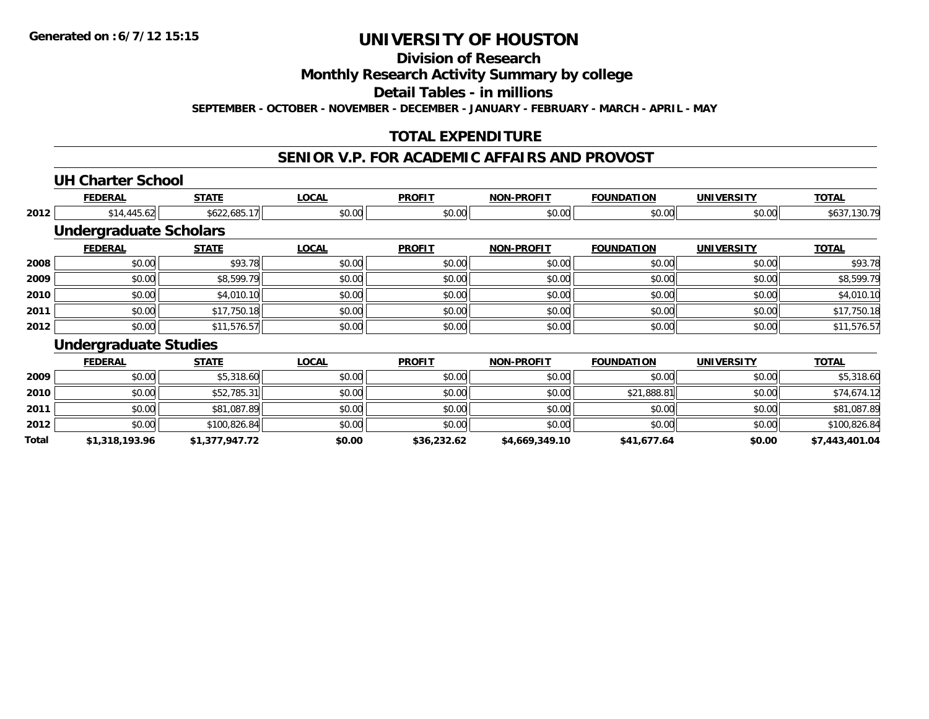**Division of Research**

**Monthly Research Activity Summary by college**

**Detail Tables - in millions**

**SEPTEMBER - OCTOBER - NOVEMBER - DECEMBER - JANUARY - FEBRUARY - MARCH - APRIL - MAY**

### **TOTAL EXPENDITURE**

### **SENIOR V.P. FOR ACADEMIC AFFAIRS AND PROVOST**

### **UH Charter School**

**2011**

**2012**

**Total**

|      | <b>FEDERAL</b>                | <b>STATE</b> | <b>LOCAL</b> | <b>PROFIT</b> | <b>NON-PROFIT</b> | <b>FOUNDATION</b> | <b>UNIVERSITY</b> | <b>TOTAL</b> |
|------|-------------------------------|--------------|--------------|---------------|-------------------|-------------------|-------------------|--------------|
| 2012 | \$14,445.62                   | \$622,685.17 | \$0.00       | \$0.00        | \$0.00            | \$0.00            | \$0.00            | \$637,130.79 |
|      | <b>Undergraduate Scholars</b> |              |              |               |                   |                   |                   |              |
|      | <b>FEDERAL</b>                | <b>STATE</b> | <b>LOCAL</b> | <b>PROFIT</b> | <b>NON-PROFIT</b> | <b>FOUNDATION</b> | <b>UNIVERSITY</b> | <b>TOTAL</b> |
| 2008 | \$0.00                        | \$93.78      | \$0.00       | \$0.00        | \$0.00            | \$0.00            | \$0.00            | \$93.78      |
| 2009 | \$0.00                        | \$8,599.79   | \$0.00       | \$0.00        | \$0.00            | \$0.00            | \$0.00            | \$8,599.79   |
| 2010 | \$0.00                        | \$4,010.10   | \$0.00       | \$0.00        | \$0.00            | \$0.00            | \$0.00            | \$4,010.10   |
| 2011 | \$0.00                        | \$17,750.18  | \$0.00       | \$0.00        | \$0.00            | \$0.00            | \$0.00            | \$17,750.18  |
| 2012 | \$0.00                        | \$11,576.57  | \$0.00       | \$0.00        | \$0.00            | \$0.00            | \$0.00            | \$11,576.57  |
|      | <b>Undergraduate Studies</b>  |              |              |               |                   |                   |                   |              |
|      | <b>FEDERAL</b>                | <b>STATE</b> | <b>LOCAL</b> | <b>PROFIT</b> | <b>NON-PROFIT</b> | <b>FOUNDATION</b> | <b>UNIVERSITY</b> | <b>TOTAL</b> |
| 2009 | \$0.00                        | \$5,318.60   | \$0.00       | \$0.00        | \$0.00            | \$0.00            | \$0.00            | \$5,318.60   |
| 2010 | \$0.00                        | \$52,785,31  | \$0.00       | \$0.00        | \$0.00            | \$21.888.81       | \$0.00            | \$74.674.12  |

\$0.00 \$52,785.31 \$0.00 \$0.00 \$0.00 \$21,888.81 \$0.00 \$74,674.12

1 \$0.00 \$0.00 \$0.00 \$81,087.89 \$0.00 \$0.00 \$0.00 \$0.00 \$0.00 \$0.00 \$0.00 \$0.00 \$0.00 \$0.00 \$81,087.89

2 | \$0.00| \$100,826.84| \$0.00| \$0.00| \$0.00| \$0.00| \$0.00| \$0.00| \$0.00| \$0.00| \$100,826.84

**\$1,318,193.96 \$1,377,947.72 \$0.00 \$36,232.62 \$4,669,349.10 \$41,677.64 \$0.00 \$7,443,401.04**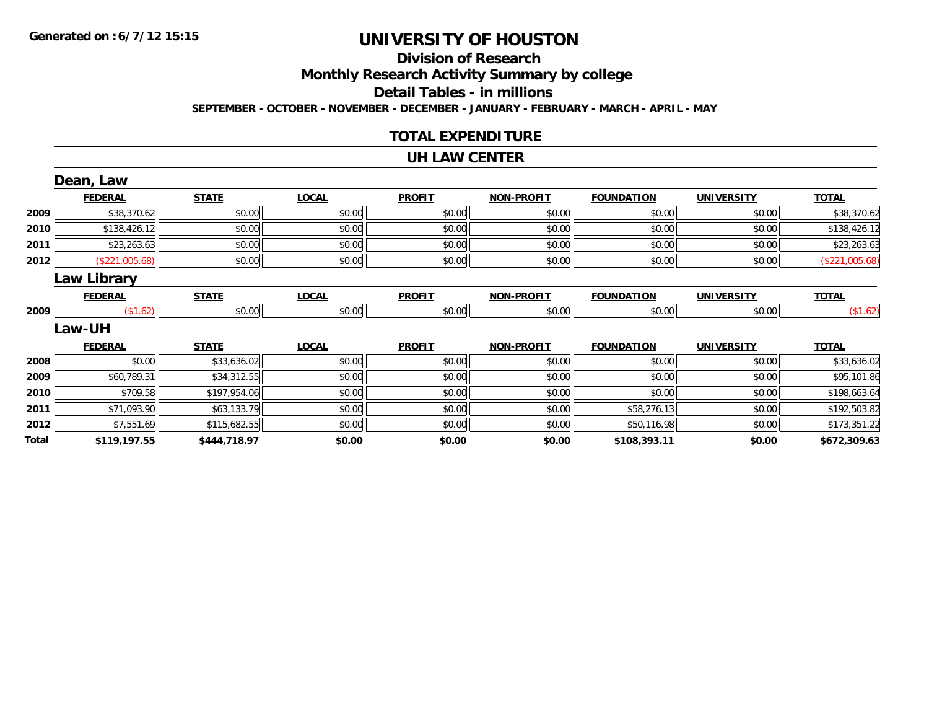# **Division of Research**

**Monthly Research Activity Summary by college**

**Detail Tables - in millions**

**SEPTEMBER - OCTOBER - NOVEMBER - DECEMBER - JANUARY - FEBRUARY - MARCH - APRIL - MAY**

### **TOTAL EXPENDITURE**

#### **UH LAW CENTER**

|       | Dean, Law      |              |              |               |                   |                   |                   |                |
|-------|----------------|--------------|--------------|---------------|-------------------|-------------------|-------------------|----------------|
|       | <b>FEDERAL</b> | <b>STATE</b> | <b>LOCAL</b> | <b>PROFIT</b> | <b>NON-PROFIT</b> | <b>FOUNDATION</b> | <b>UNIVERSITY</b> | <b>TOTAL</b>   |
| 2009  | \$38,370.62    | \$0.00       | \$0.00       | \$0.00        | \$0.00            | \$0.00            | \$0.00            | \$38,370.62    |
| 2010  | \$138,426.12   | \$0.00       | \$0.00       | \$0.00        | \$0.00            | \$0.00            | \$0.00            | \$138,426.12   |
| 2011  | \$23,263.63    | \$0.00       | \$0.00       | \$0.00        | \$0.00            | \$0.00            | \$0.00            | \$23,263.63    |
| 2012  | (\$221,005.68) | \$0.00       | \$0.00       | \$0.00        | \$0.00            | \$0.00            | \$0.00            | (\$221,005.68) |
|       | Law Library    |              |              |               |                   |                   |                   |                |
|       | <b>FEDERAL</b> | <b>STATE</b> | <b>LOCAL</b> | <b>PROFIT</b> | <b>NON-PROFIT</b> | <b>FOUNDATION</b> | <b>UNIVERSITY</b> | <b>TOTAL</b>   |
| 2009  | (\$1.62)       | \$0.00       | \$0.00       | \$0.00        | \$0.00            | \$0.00            | \$0.00            | (\$1.62)       |
|       | Law-UH         |              |              |               |                   |                   |                   |                |
|       | <b>FEDERAL</b> | <b>STATE</b> | <b>LOCAL</b> | <b>PROFIT</b> | <b>NON-PROFIT</b> | <b>FOUNDATION</b> | <b>UNIVERSITY</b> | <b>TOTAL</b>   |
| 2008  | \$0.00         | \$33,636.02  | \$0.00       | \$0.00        | \$0.00            | \$0.00            | \$0.00            | \$33,636.02    |
| 2009  | \$60,789.31    | \$34,312.55  | \$0.00       | \$0.00        | \$0.00            | \$0.00            | \$0.00            | \$95,101.86    |
| 2010  | \$709.58       | \$197,954.06 | \$0.00       | \$0.00        | \$0.00            | \$0.00            | \$0.00            | \$198,663.64   |
| 2011  | \$71,093.90    | \$63,133.79  | \$0.00       | \$0.00        | \$0.00            | \$58,276.13       | \$0.00            | \$192,503.82   |
| 2012  | \$7,551.69     | \$115,682.55 | \$0.00       | \$0.00        | \$0.00            | \$50,116.98       | \$0.00            | \$173,351.22   |
| Total | \$119,197.55   | \$444,718.97 | \$0.00       | \$0.00        | \$0.00            | \$108,393.11      | \$0.00            | \$672,309.63   |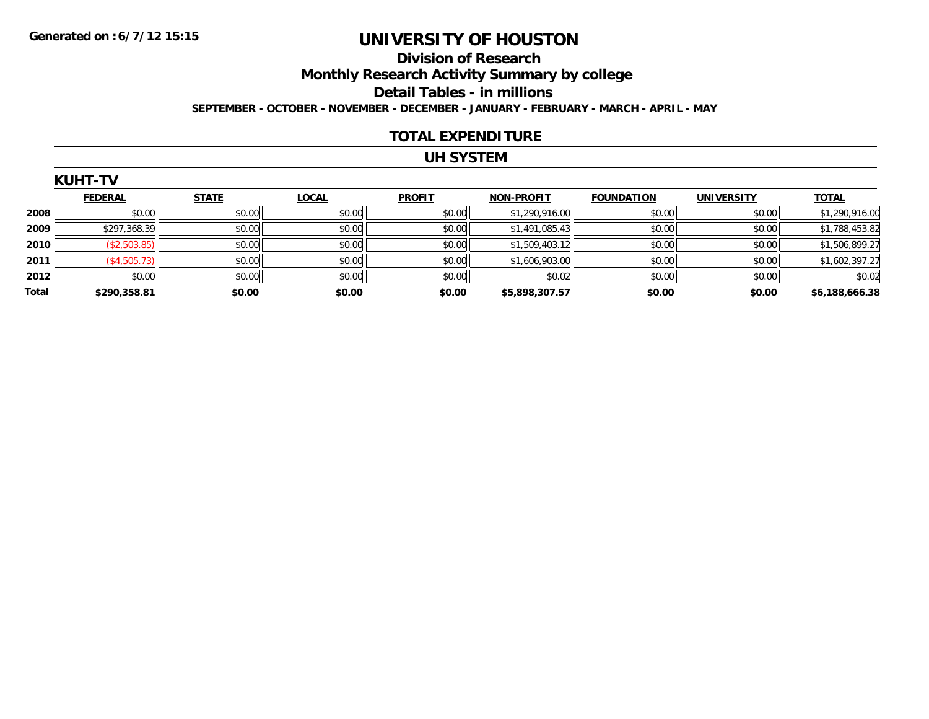### **Division of Research Monthly Research Activity Summary by college Detail Tables - in millions SEPTEMBER - OCTOBER - NOVEMBER - DECEMBER - JANUARY - FEBRUARY - MARCH - APRIL - MAY**

#### **TOTAL EXPENDITURE**

### **UH SYSTEM**

|       | <b>KUHT-TV</b> |              |              |               |                   |                   |                   |                |
|-------|----------------|--------------|--------------|---------------|-------------------|-------------------|-------------------|----------------|
|       | <b>FEDERAL</b> | <b>STATE</b> | <b>LOCAL</b> | <b>PROFIT</b> | <b>NON-PROFIT</b> | <b>FOUNDATION</b> | <b>UNIVERSITY</b> | <b>TOTAL</b>   |
| 2008  | \$0.00         | \$0.00       | \$0.00       | \$0.00        | \$1,290,916.00    | \$0.00            | \$0.00            | \$1,290,916.00 |
| 2009  | \$297,368.39   | \$0.00       | \$0.00       | \$0.00        | \$1,491,085.43    | \$0.00            | \$0.00            | \$1,788,453.82 |
| 2010  | (\$2,503.85)   | \$0.00       | \$0.00       | \$0.00        | \$1,509,403.12    | \$0.00            | \$0.00            | \$1,506,899.27 |
| 2011  | (\$4,505.73)   | \$0.00       | \$0.00       | \$0.00        | \$1,606,903.00    | \$0.00            | \$0.00            | \$1,602,397.27 |
| 2012  | \$0.00         | \$0.00       | \$0.00       | \$0.00        | \$0.02            | \$0.00            | \$0.00            | \$0.02         |
| Total | \$290,358.81   | \$0.00       | \$0.00       | \$0.00        | \$5,898,307.57    | \$0.00            | \$0.00            | \$6,188,666.38 |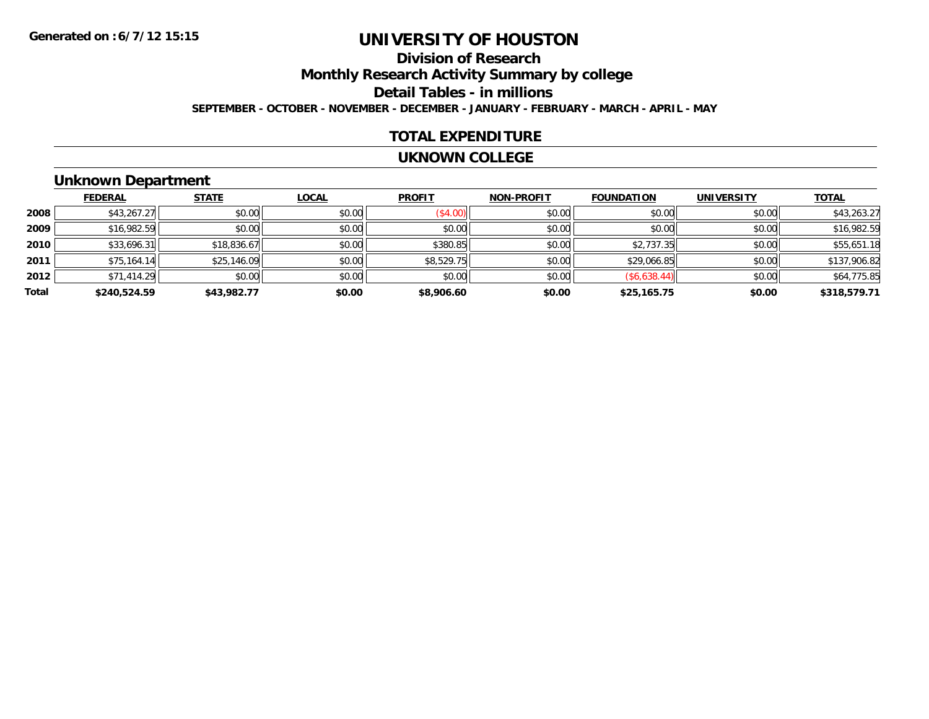### **Division of ResearchMonthly Research Activity Summary by college Detail Tables - in millions SEPTEMBER - OCTOBER - NOVEMBER - DECEMBER - JANUARY - FEBRUARY - MARCH - APRIL - MAY**

### **TOTAL EXPENDITURE**

#### **UKNOWN COLLEGE**

### **Unknown Department**

|       | <b>FEDERAL</b> | <b>STATE</b> | <b>LOCAL</b> | <b>PROFIT</b> | <b>NON-PROFIT</b> | <b>FOUNDATION</b> | <b>UNIVERSITY</b> | <b>TOTAL</b> |
|-------|----------------|--------------|--------------|---------------|-------------------|-------------------|-------------------|--------------|
| 2008  | \$43,267.27    | \$0.00       | \$0.00       | (\$4.00)      | \$0.00            | \$0.00            | \$0.00            | \$43,263.27  |
| 2009  | \$16,982.59    | \$0.00       | \$0.00       | \$0.00        | \$0.00            | \$0.00            | \$0.00            | \$16,982.59  |
| 2010  | \$33,696.31    | \$18,836.67  | \$0.00       | \$380.85      | \$0.00            | \$2,737.35        | \$0.00            | \$55,651.18  |
| 2011  | \$75,164.14    | \$25,146.09  | \$0.00       | \$8,529.75    | \$0.00            | \$29,066.85       | \$0.00            | \$137,906.82 |
| 2012  | \$71,414.29    | \$0.00       | \$0.00       | \$0.00        | \$0.00            | (\$6,638.44)      | \$0.00            | \$64,775.85  |
| Total | \$240,524.59   | \$43,982.77  | \$0.00       | \$8,906.60    | \$0.00            | \$25,165.75       | \$0.00            | \$318,579.71 |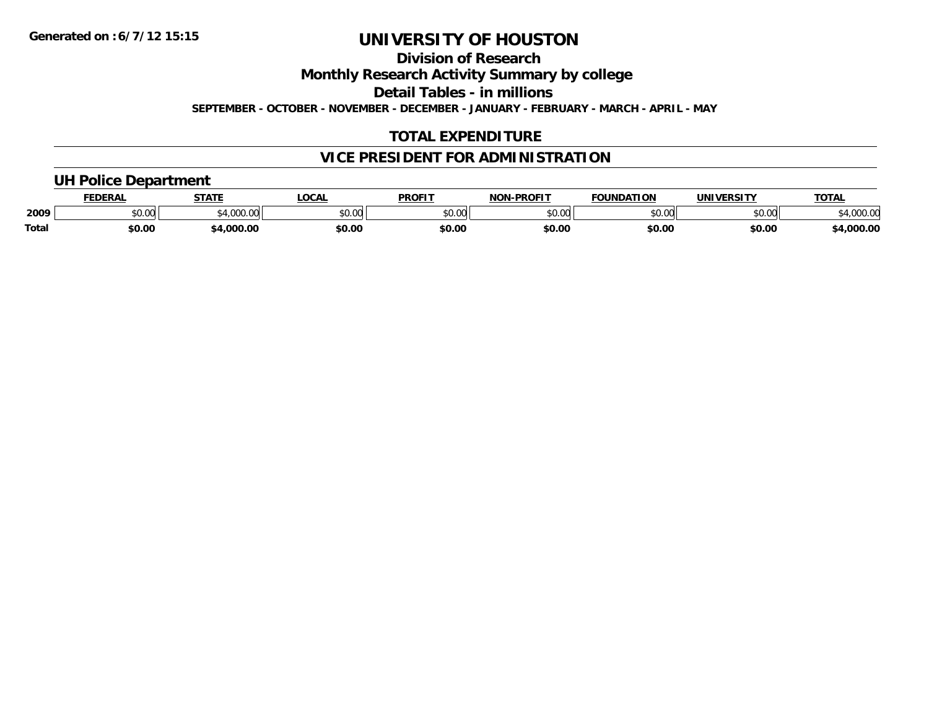**Division of Research**

**Monthly Research Activity Summary by college**

**Detail Tables - in millions**

**SEPTEMBER - OCTOBER - NOVEMBER - DECEMBER - JANUARY - FEBRUARY - MARCH - APRIL - MAY**

### **TOTAL EXPENDITURE**

### **VICE PRESIDENT FOR ADMINISTRATION**

### **UH Police Department**

|              | <b>FEDERAL</b> | <b>STATE</b>                                | <b>LOCAL</b>  | <b>PROFIT</b> | <b>J-PROFIT</b><br><b>NON</b> | <b>FOUNDATION</b> | UNIVERSITY | <b>TOTAL</b>      |
|--------------|----------------|---------------------------------------------|---------------|---------------|-------------------------------|-------------------|------------|-------------------|
| 2009         | vv.vv          | $\rightarrow$ 000.00 $\rightarrow$<br>uuu.u | 0000<br>PU.UU | 4000<br>DU.UU | 0000<br>,u.uu                 | \$0.00            | \$0.00     | 00000<br>4,000.00 |
| <b>Total</b> | \$0.00         | .000.00                                     | \$0.00        | \$0.00        | \$0.00                        | \$0.00            | \$0.00     | 4,000.00          |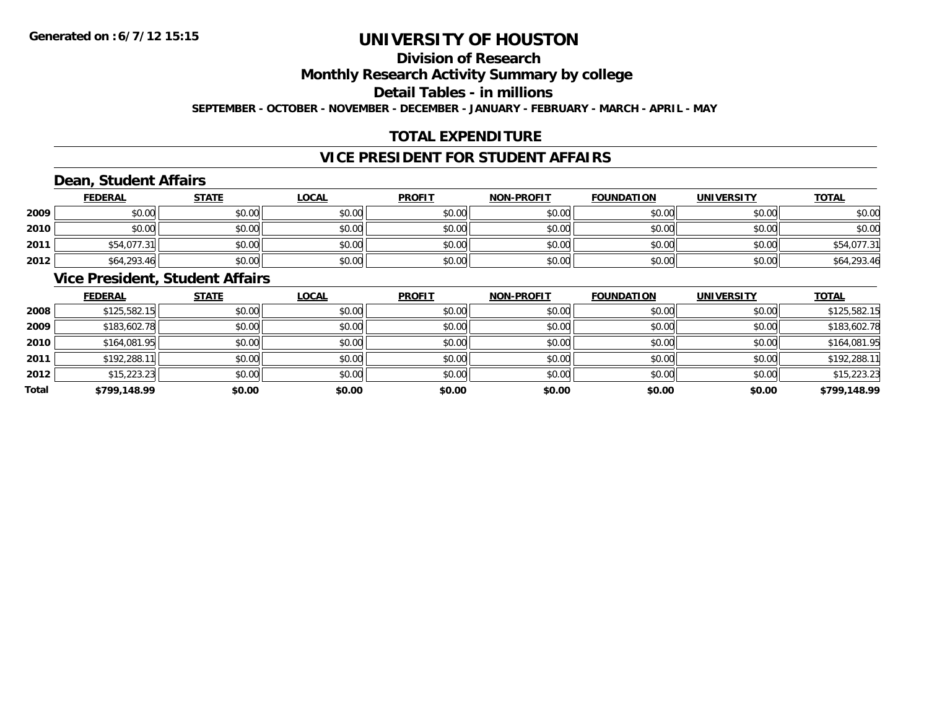### **Division of Research**

**Monthly Research Activity Summary by college**

**Detail Tables - in millions**

**SEPTEMBER - OCTOBER - NOVEMBER - DECEMBER - JANUARY - FEBRUARY - MARCH - APRIL - MAY**

### **TOTAL EXPENDITURE**

### **VICE PRESIDENT FOR STUDENT AFFAIRS**

### **Dean, Student Affairs**

|      | <b>FEDERAL</b> | <b>STATE</b> | <u>LOCAL</u> | <b>PROFIT</b> | <b>NON-PROFIT</b> | <b>FOUNDATION</b> | <b>UNIVERSITY</b> | <u>TOTAL</u> |
|------|----------------|--------------|--------------|---------------|-------------------|-------------------|-------------------|--------------|
| 2009 | \$0.00         | \$0.00       | \$0.00       | \$0.00        | \$0.00            | \$0.00            | \$0.00            | \$0.00       |
| 2010 | \$0.00         | \$0.00       | \$0.00       | \$0.00        | \$0.00            | \$0.00            | \$0.00            | \$0.00       |
| 2011 | \$54,077.31    | \$0.00       | \$0.00       | \$0.00        | \$0.00            | \$0.00            | \$0.00            | \$54,077.31  |
| 2012 | \$64,293.46    | \$0.00       | \$0.00       | \$0.00        | \$0.00            | \$0.00            | \$0.00            | \$64,293.46  |

### **Vice President, Student Affairs**

|       | <b>FEDERAL</b> | <b>STATE</b> | <b>LOCAL</b> | <b>PROFIT</b> | <b>NON-PROFIT</b> | <b>FOUNDATION</b> | <b>UNIVERSITY</b> | <b>TOTAL</b> |
|-------|----------------|--------------|--------------|---------------|-------------------|-------------------|-------------------|--------------|
| 2008  | \$125,582.15   | \$0.00       | \$0.00       | \$0.00        | \$0.00            | \$0.00            | \$0.00            | \$125,582.15 |
| 2009  | \$183,602.78   | \$0.00       | \$0.00       | \$0.00        | \$0.00            | \$0.00            | \$0.00            | \$183,602.78 |
| 2010  | \$164,081.95   | \$0.00       | \$0.00       | \$0.00        | \$0.00            | \$0.00            | \$0.00            | \$164,081.95 |
| 2011  | \$192,288.11   | \$0.00       | \$0.00       | \$0.00        | \$0.00            | \$0.00            | \$0.00            | \$192,288.11 |
| 2012  | \$15,223.23    | \$0.00       | \$0.00       | \$0.00        | \$0.00            | \$0.00            | \$0.00            | \$15,223.23  |
| Total | \$799,148.99   | \$0.00       | \$0.00       | \$0.00        | \$0.00            | \$0.00            | \$0.00            | \$799,148.99 |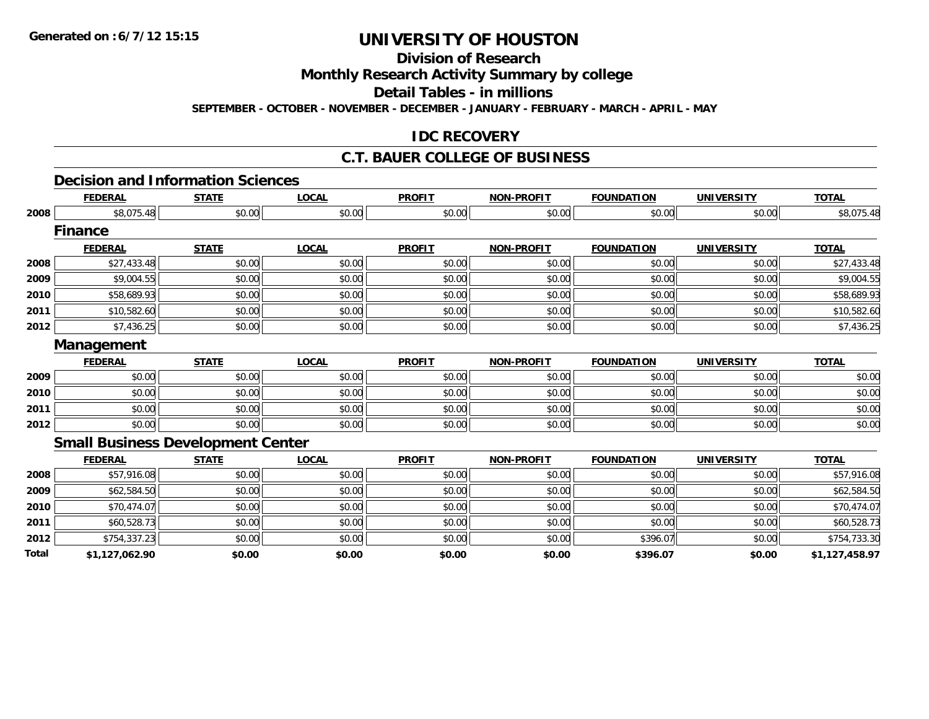**Division of Research**

**Monthly Research Activity Summary by college**

**Detail Tables - in millions**

**SEPTEMBER - OCTOBER - NOVEMBER - DECEMBER - JANUARY - FEBRUARY - MARCH - APRIL - MAY**

### **IDC RECOVERY**

#### **C.T. BAUER COLLEGE OF BUSINESS**

#### **Decision and Information Sciences**

|       | <b>FEDERAL</b> | <b>STATE</b>                             | <b>LOCAL</b> | <b>PROFIT</b> | <b>NON-PROFIT</b> | <b>FOUNDATION</b> | <b>UNIVERSITY</b> | <b>TOTAL</b>   |  |  |  |
|-------|----------------|------------------------------------------|--------------|---------------|-------------------|-------------------|-------------------|----------------|--|--|--|
| 2008  | \$8,075.48     | \$0.00                                   | \$0.00       | \$0.00        | \$0.00            | \$0.00            | \$0.00            | \$8,075.48     |  |  |  |
|       | <b>Finance</b> |                                          |              |               |                   |                   |                   |                |  |  |  |
|       | <b>FEDERAL</b> | <b>STATE</b>                             | <b>LOCAL</b> | <b>PROFIT</b> | <b>NON-PROFIT</b> | <b>FOUNDATION</b> | <b>UNIVERSITY</b> | <b>TOTAL</b>   |  |  |  |
| 2008  | \$27,433.48    | \$0.00                                   | \$0.00       | \$0.00        | \$0.00            | \$0.00            | \$0.00            | \$27,433.48    |  |  |  |
| 2009  | \$9,004.55     | \$0.00                                   | \$0.00       | \$0.00        | \$0.00            | \$0.00            | \$0.00            | \$9,004.55     |  |  |  |
| 2010  | \$58,689.93    | \$0.00                                   | \$0.00       | \$0.00        | \$0.00            | \$0.00            | \$0.00            | \$58,689.93    |  |  |  |
| 2011  | \$10,582.60    | \$0.00                                   | \$0.00       | \$0.00        | \$0.00            | \$0.00            | \$0.00            | \$10,582.60    |  |  |  |
| 2012  | \$7,436.25     | \$0.00                                   | \$0.00       | \$0.00        | \$0.00            | \$0.00            | \$0.00            | \$7,436.25     |  |  |  |
|       | Management     |                                          |              |               |                   |                   |                   |                |  |  |  |
|       | <b>FEDERAL</b> | <b>STATE</b>                             | <b>LOCAL</b> | <b>PROFIT</b> | <b>NON-PROFIT</b> | <b>FOUNDATION</b> | <b>UNIVERSITY</b> | <b>TOTAL</b>   |  |  |  |
| 2009  | \$0.00         | \$0.00                                   | \$0.00       | \$0.00        | \$0.00            | \$0.00            | \$0.00            | \$0.00         |  |  |  |
| 2010  | \$0.00         | \$0.00                                   | \$0.00       | \$0.00        | \$0.00            | \$0.00            | \$0.00            | \$0.00         |  |  |  |
| 2011  | \$0.00         | \$0.00                                   | \$0.00       | \$0.00        | \$0.00            | \$0.00            | \$0.00            | \$0.00         |  |  |  |
| 2012  | \$0.00         | \$0.00                                   | \$0.00       | \$0.00        | \$0.00            | \$0.00            | \$0.00            | \$0.00         |  |  |  |
|       |                | <b>Small Business Development Center</b> |              |               |                   |                   |                   |                |  |  |  |
|       | <b>FEDERAL</b> | <b>STATE</b>                             | <b>LOCAL</b> | <b>PROFIT</b> | <b>NON-PROFIT</b> | <b>FOUNDATION</b> | <b>UNIVERSITY</b> | <b>TOTAL</b>   |  |  |  |
| 2008  | \$57,916.08    | \$0.00                                   | \$0.00       | \$0.00        | \$0.00            | \$0.00            | \$0.00            | \$57,916.08    |  |  |  |
| 2009  | \$62,584.50    | \$0.00                                   | \$0.00       | \$0.00        | \$0.00            | \$0.00            | \$0.00            | \$62,584.50    |  |  |  |
| 2010  | \$70,474.07    | \$0.00                                   | \$0.00       | \$0.00        | \$0.00            | \$0.00            | \$0.00            | \$70,474.07    |  |  |  |
| 2011  | \$60,528.73    | \$0.00                                   | \$0.00       | \$0.00        | \$0.00            | \$0.00            | \$0.00            | \$60,528.73    |  |  |  |
| 2012  | \$754,337.23   | \$0.00                                   | \$0.00       | \$0.00        | \$0.00            | \$396.07          | \$0.00            | \$754,733.30   |  |  |  |
| Total | \$1,127,062.90 | \$0.00                                   | \$0.00       | \$0.00        | \$0.00            | \$396.07          | \$0.00            | \$1,127,458.97 |  |  |  |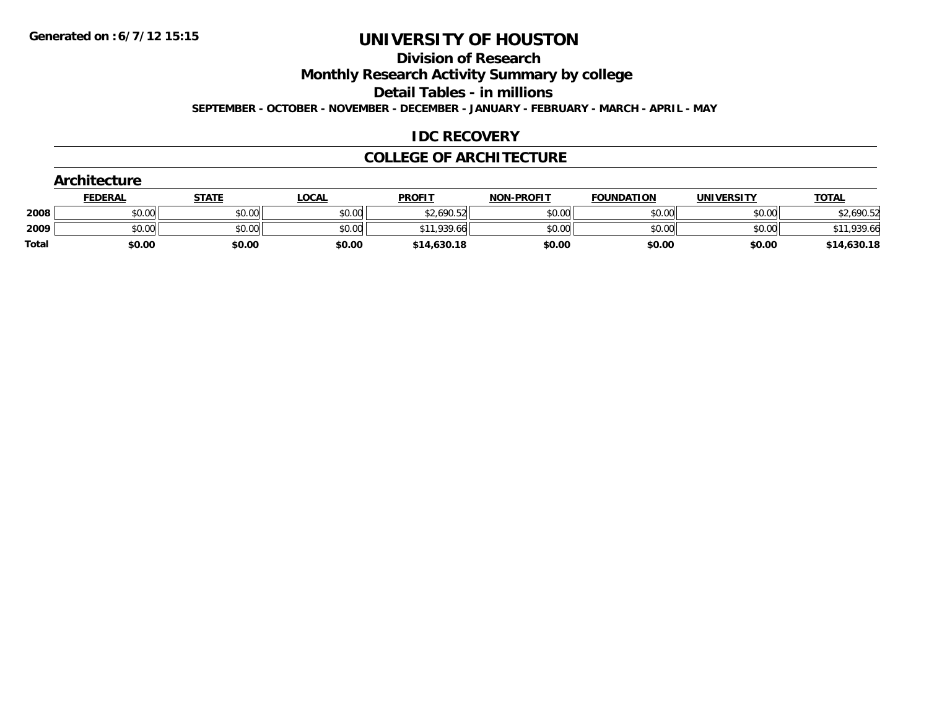#### **Division of Research**

**Monthly Research Activity Summary by college**

**Detail Tables - in millions**

**SEPTEMBER - OCTOBER - NOVEMBER - DECEMBER - JANUARY - FEBRUARY - MARCH - APRIL - MAY**

### **IDC RECOVERY**

### **COLLEGE OF ARCHITECTURE**

|       | Architecture   |              |              |               |                   |                   |                   |              |  |  |  |
|-------|----------------|--------------|--------------|---------------|-------------------|-------------------|-------------------|--------------|--|--|--|
|       | <b>FEDERAL</b> | <u>STATE</u> | <u>LOCAL</u> | <b>PROFIT</b> | <b>NON-PROFIT</b> | <b>FOUNDATION</b> | <b>UNIVERSITY</b> | <b>TOTAL</b> |  |  |  |
| 2008  | \$0.00         | \$0.00       | \$0.00       | \$2,690.52    | \$0.00            | \$0.00            | \$0.00            | \$2,690.52   |  |  |  |
| 2009  | \$0.00         | \$0.00       | \$0.00       | \$11,939.66   | \$0.00            | \$0.00            | \$0.00            | \$11,939.66  |  |  |  |
| Total | \$0.00         | \$0.00       | \$0.00       | \$14,630.18   | \$0.00            | \$0.00            | \$0.00            | \$14,630.18  |  |  |  |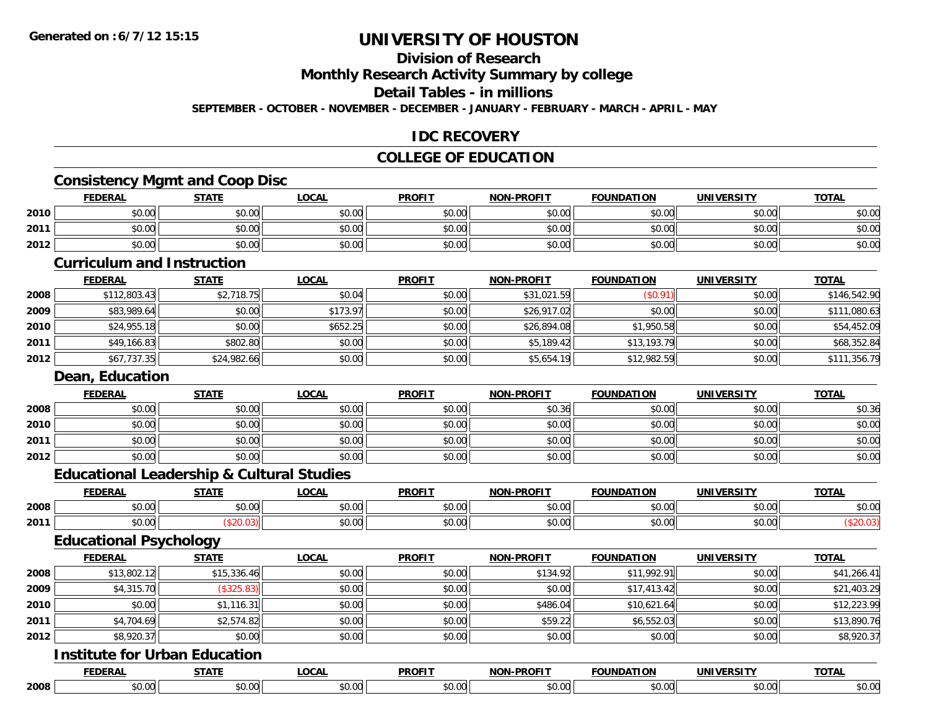### **Division of Research**

**Monthly Research Activity Summary by college**

**Detail Tables - in millions**

**SEPTEMBER - OCTOBER - NOVEMBER - DECEMBER - JANUARY - FEBRUARY - MARCH - APRIL - MAY**

### **IDC RECOVERY**

### **COLLEGE OF EDUCATION**

### **Consistency Mgmt and Coop Disc**

|        | <b>FEDERAL</b>                    | <b>STATE</b> | <b>LOCAL</b>                   | <b>PROFIT</b>                         | <b>NON-PROFIT</b> | <b>FOUNDATION</b> | <b>UNIVERSITY</b> | <b>TOTAL</b> |
|--------|-----------------------------------|--------------|--------------------------------|---------------------------------------|-------------------|-------------------|-------------------|--------------|
| 2010   | \$0.00                            | \$0.00       | \$0.00                         | \$0.00                                | \$0.00            | \$0.00            | \$0.00            | \$0.00       |
| 2011   | \$0.00                            | \$0.00       | \$0.00                         | \$0.00                                | \$0.00            | \$0.00            | \$0.00            | \$0.00       |
| 2012   | \$0.00                            | \$0.00       | \$0.00                         | \$0.00                                | \$0.00            | \$0.00            | \$0.00            | \$0.00       |
|        | <b>Curriculum and Instruction</b> |              |                                |                                       |                   |                   |                   |              |
|        | <b>FEDERAL</b>                    | <b>STATE</b> | <b>LOCAL</b>                   | <b>PROFIT</b>                         | <b>NON-PROFIT</b> | <b>FOUNDATION</b> | <b>UNIVERSITY</b> | <b>TOTAL</b> |
| ∘ ס∩מכ | 0.112002                          | \$21071      | $\mathfrak{e}\cap\mathfrak{a}$ | $\mathfrak{e} \cap \mathfrak{e} \cap$ | 2101              | (40.01)           | $\epsilon$ n noll | \$1165120    |

| 2008 | \$112,803.43 | \$2,718.75  | \$0.04   | \$0.00 | \$31,021.59 | /¢ሰ 01)<br>ΨU. | \$0.00 | \$146,542.90 |
|------|--------------|-------------|----------|--------|-------------|----------------|--------|--------------|
| 2009 | \$83,989.64  | \$0.00      | \$173.97 | \$0.00 | \$26,917.02 | \$0.00         | \$0.00 | \$111,080.63 |
| 2010 | \$24,955.18  | \$0.00      | \$652.25 | \$0.00 | \$26,894.08 | \$1,950.58     | \$0.00 | \$54,452.09  |
| 2011 | \$49,166.83  | \$802.80    | \$0.00   | \$0.00 | \$5,189.42  | \$13,193.79    | \$0.00 | \$68,352.84  |
| 2012 | \$67,737.35  | \$24,982.66 | \$0.00   | \$0.00 | \$5,654.19  | \$12,982.59    | \$0.00 | \$111,356.79 |

#### **Dean, Education**

|      | <b>FEDERAL</b> | <b>STATE</b> | <u>LOCAL</u> | <b>PROFIT</b> | <b>NON-PROFIT</b> | <b>FOUNDATION</b> | <b>UNIVERSITY</b> | <b>TOTAL</b> |
|------|----------------|--------------|--------------|---------------|-------------------|-------------------|-------------------|--------------|
| 2008 | \$0.00         | \$0.00       | \$0.00       | \$0.00        | \$0.36            | \$0.00            | \$0.00            | \$0.36       |
| 2010 | \$0.00         | \$0.00       | \$0.00       | \$0.00        | \$0.00            | \$0.00            | \$0.00            | \$0.00       |
| 2011 | \$0.00         | \$0.00       | \$0.00       | \$0.00        | \$0.00            | \$0.00            | \$0.00            | \$0.00       |
| 2012 | \$0.00         | \$0.00       | \$0.00       | \$0.00        | \$0.00            | \$0.00            | \$0.00            | \$0.00       |

### **Educational Leadership & Cultural Studies**

|      | EENEDA<br>. IN F | <b>STATE</b>  | .OCAL  | <b>PROFIT</b>                                                 | <b>-PROFIT</b><br><b>NON</b>               | ֿארוו<br>.<br><b>FAUR</b> | . <i></i> .   | <b>TOTAL</b><br><b>VIA</b> |
|------|------------------|---------------|--------|---------------------------------------------------------------|--------------------------------------------|---------------------------|---------------|----------------------------|
| 2008 | 0000<br>JU.UU    | 0.00<br>JU.UU | \$0.00 | $\uparrow$ $\uparrow$ $\uparrow$ $\uparrow$ $\uparrow$<br>ww. | $\mathsf{A} \cap \mathsf{A} \cap$<br>JU.UL | 0000<br>JU.UU             | 0.00<br>JU.UU | \$0.00                     |
| 2011 | ტი იი<br>vu.uu   |               | \$0.00 | $\uparrow$ $\uparrow$ $\uparrow$                              | 0000<br>JU.UL                              | 0000<br>JU.UU             | 0000<br>JU.UU |                            |
|      | $ -$<br>___      | ____          |        |                                                               |                                            |                           |               |                            |

### **Educational Psychology**

|      | <b>FEDERAL</b> | <b>STATE</b> | <b>LOCAL</b> | <b>PROFIT</b> | <b>NON-PROFIT</b> | <b>FOUNDATION</b> | <b>UNIVERSITY</b> | <b>TOTAL</b> |
|------|----------------|--------------|--------------|---------------|-------------------|-------------------|-------------------|--------------|
| 2008 | \$13,802.12    | \$15,336.46  | \$0.00       | \$0.00        | \$134.92          | \$11,992.91       | \$0.00            | \$41,266.41  |
| 2009 | \$4,315.70     | (\$325.83)   | \$0.00       | \$0.00        | \$0.00            | \$17,413.42       | \$0.00            | \$21,403.29  |
| 2010 | \$0.00         | \$1,116.31   | \$0.00       | \$0.00        | \$486.04          | \$10,621.64       | \$0.00            | \$12,223.99  |
| 2011 | \$4,704.69     | \$2,574.82   | \$0.00       | \$0.00        | \$59.22           | \$6,552.03        | \$0.00            | \$13,890.76  |
| 2012 | \$8,920.37     | \$0.00       | \$0.00       | \$0.00        | \$0.00            | \$0.00            | \$0.00            | \$8,920.37   |

#### **Institute for Urban Education**

|      | <b>FEBERAL</b>          | -----                       | 20.1 | <b>DDAEL1</b> | .             | .<br>.       | <b>JNIV</b><br>$- - - - - -$ | $-2 - 1$ |
|------|-------------------------|-----------------------------|------|---------------|---------------|--------------|------------------------------|----------|
| 2008 | 0 <sup>n</sup><br>וש.טע | $\sim$<br>$\mathbf{u}$<br>՝ |      | ``<br>.       | 0.00<br>טט.טע | $ -$<br>ww.s | $\sim$ 00<br>JU.UU           | DU.UL    |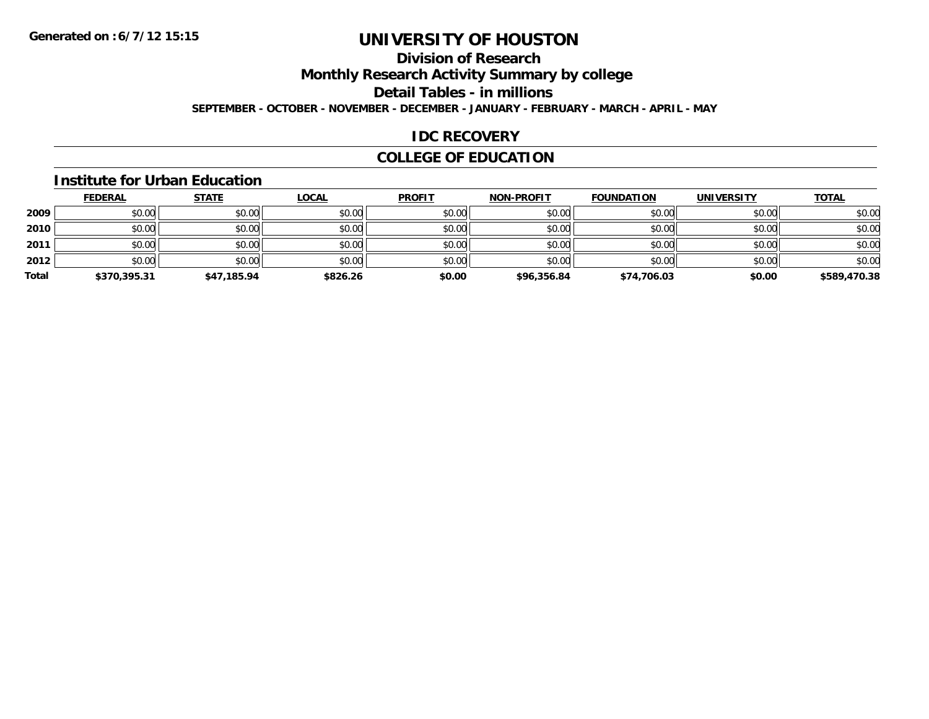### **Division of Research**

**Monthly Research Activity Summary by college**

**Detail Tables - in millions**

**SEPTEMBER - OCTOBER - NOVEMBER - DECEMBER - JANUARY - FEBRUARY - MARCH - APRIL - MAY**

### **IDC RECOVERY**

### **COLLEGE OF EDUCATION**

#### **Institute for Urban Education**

|       | <b>FEDERAL</b> | <b>STATE</b> | <u>LOCAL</u> | <b>PROFIT</b> | <b>NON-PROFIT</b> | <b>FOUNDATION</b> | <b>UNIVERSITY</b> | <b>TOTAL</b> |
|-------|----------------|--------------|--------------|---------------|-------------------|-------------------|-------------------|--------------|
| 2009  | \$0.00         | \$0.00       | \$0.00       | \$0.00        | \$0.00            | \$0.00            | \$0.00            | \$0.00       |
| 2010  | \$0.00         | \$0.00       | \$0.00       | \$0.00        | \$0.00            | \$0.00            | \$0.00            | \$0.00       |
| 2011  | \$0.00         | \$0.00       | \$0.00       | \$0.00        | \$0.00            | \$0.00            | \$0.00            | \$0.00       |
| 2012  | \$0.00         | \$0.00       | \$0.00       | \$0.00        | \$0.00            | \$0.00            | \$0.00            | \$0.00       |
| Total | \$370,395.31   | \$47,185.94  | \$826.26     | \$0.00        | \$96,356.84       | \$74,706.03       | \$0.00            | \$589,470.38 |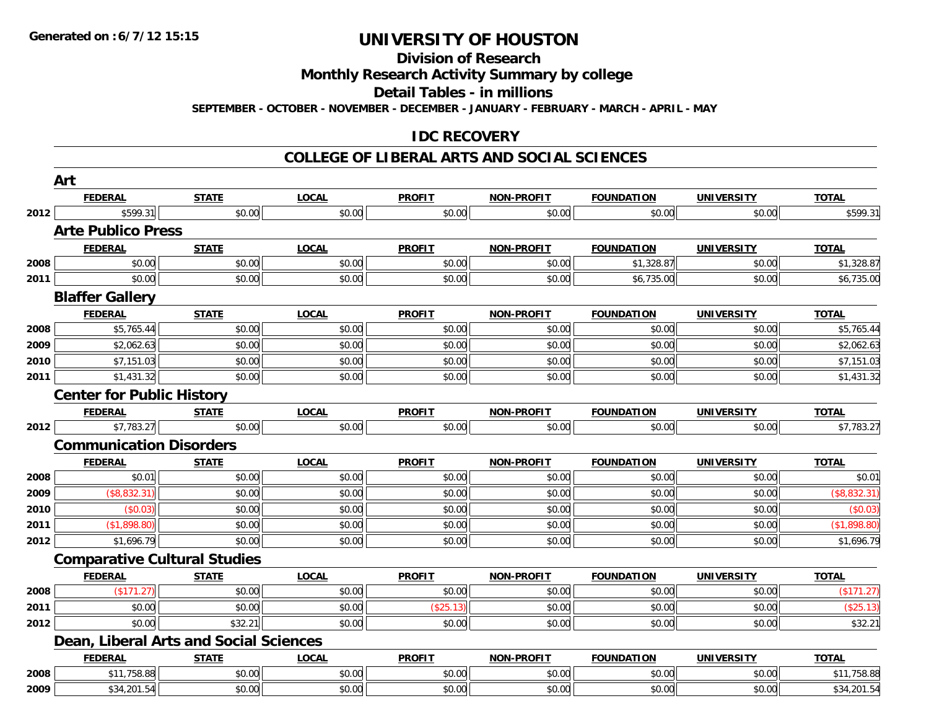#### **Division of Research**

**Monthly Research Activity Summary by college**

**Detail Tables - in millions**

**SEPTEMBER - OCTOBER - NOVEMBER - DECEMBER - JANUARY - FEBRUARY - MARCH - APRIL - MAY**

### **IDC RECOVERY**

#### **COLLEGE OF LIBERAL ARTS AND SOCIAL SCIENCES**

|      | Art                              |                                        |              |               |                   |                   |                   |              |
|------|----------------------------------|----------------------------------------|--------------|---------------|-------------------|-------------------|-------------------|--------------|
|      | <b>FEDERAL</b>                   | <b>STATE</b>                           | <b>LOCAL</b> | <b>PROFIT</b> | <b>NON-PROFIT</b> | <b>FOUNDATION</b> | <b>UNIVERSITY</b> | <b>TOTAL</b> |
| 2012 | \$599.31                         | \$0.00                                 | \$0.00       | \$0.00        | \$0.00            | \$0.00            | \$0.00            | \$599.31     |
|      | <b>Arte Publico Press</b>        |                                        |              |               |                   |                   |                   |              |
|      | <b>FEDERAL</b>                   | <b>STATE</b>                           | <b>LOCAL</b> | <b>PROFIT</b> | <b>NON-PROFIT</b> | <b>FOUNDATION</b> | <b>UNIVERSITY</b> | <b>TOTAL</b> |
| 2008 | \$0.00                           | \$0.00                                 | \$0.00       | \$0.00        | \$0.00            | \$1,328.87        | \$0.00            | \$1,328.87   |
| 2011 | \$0.00                           | \$0.00                                 | \$0.00       | \$0.00        | \$0.00            | \$6,735.00        | \$0.00            | \$6,735.00   |
|      | <b>Blaffer Gallery</b>           |                                        |              |               |                   |                   |                   |              |
|      | <b>FEDERAL</b>                   | <b>STATE</b>                           | <b>LOCAL</b> | <b>PROFIT</b> | NON-PROFIT        | <b>FOUNDATION</b> | <b>UNIVERSITY</b> | <b>TOTAL</b> |
| 2008 | \$5,765.44                       | \$0.00                                 | \$0.00       | \$0.00        | \$0.00            | \$0.00            | \$0.00            | \$5,765.44   |
| 2009 | \$2,062.63                       | \$0.00                                 | \$0.00       | \$0.00        | \$0.00            | \$0.00            | \$0.00            | \$2,062.63   |
| 2010 | \$7,151.03                       | \$0.00                                 | \$0.00       | \$0.00        | \$0.00            | \$0.00            | \$0.00            | \$7,151.03   |
| 2011 | \$1,431.32                       | \$0.00                                 | \$0.00       | \$0.00        | \$0.00            | \$0.00            | \$0.00            | \$1,431.32   |
|      | <b>Center for Public History</b> |                                        |              |               |                   |                   |                   |              |
|      | <b>FEDERAL</b>                   | <b>STATE</b>                           | <b>LOCAL</b> | <b>PROFIT</b> | NON-PROFIT        | <b>FOUNDATION</b> | <b>UNIVERSITY</b> | <b>TOTAL</b> |
| 2012 | \$7,783.27                       | \$0.00                                 | \$0.00       | \$0.00        | \$0.00            | \$0.00            | \$0.00            | \$7,783.27   |
|      | <b>Communication Disorders</b>   |                                        |              |               |                   |                   |                   |              |
|      | <b>FEDERAL</b>                   | <b>STATE</b>                           | <b>LOCAL</b> | <b>PROFIT</b> | NON-PROFIT        | <b>FOUNDATION</b> | <b>UNIVERSITY</b> | <b>TOTAL</b> |
| 2008 | \$0.01                           | \$0.00                                 | \$0.00       | \$0.00        | \$0.00            | \$0.00            | \$0.00            | \$0.01       |
| 2009 | $($ \$8,832.31)                  | \$0.00                                 | \$0.00       | \$0.00        | \$0.00            | \$0.00            | \$0.00            | (\$8,832.31) |
| 2010 | (\$0.03)                         | \$0.00                                 | \$0.00       | \$0.00        | \$0.00            | \$0.00            | \$0.00            | (\$0.03)     |
| 2011 | (\$1,898.80)                     | \$0.00                                 | \$0.00       | \$0.00        | \$0.00            | \$0.00            | \$0.00            | (\$1,898.80) |
| 2012 | \$1,696.79                       | \$0.00                                 | \$0.00       | \$0.00        | \$0.00            | \$0.00            | \$0.00            | \$1,696.79   |
|      |                                  | <b>Comparative Cultural Studies</b>    |              |               |                   |                   |                   |              |
|      | <b>FEDERAL</b>                   | <b>STATE</b>                           | <b>LOCAL</b> | <b>PROFIT</b> | NON-PROFIT        | <b>FOUNDATION</b> | <b>UNIVERSITY</b> | <b>TOTAL</b> |
| 2008 | (\$171.27)                       | \$0.00                                 | \$0.00       | \$0.00        | \$0.00            | \$0.00            | \$0.00            | (\$171.27)   |
| 2011 | \$0.00                           | \$0.00                                 | \$0.00       | (\$25.13)     | \$0.00            | \$0.00            | \$0.00            | (\$25.13)    |
| 2012 | \$0.00                           | \$32.21                                | \$0.00       | \$0.00        | \$0.00            | \$0.00            | \$0.00            | \$32.21      |
|      |                                  | Dean, Liberal Arts and Social Sciences |              |               |                   |                   |                   |              |
|      | <b>FEDERAL</b>                   | <b>STATE</b>                           | <b>LOCAL</b> | <b>PROFIT</b> | NON-PROFIT        | <b>FOUNDATION</b> | <b>UNIVERSITY</b> | <b>TOTAL</b> |
| 2008 | \$11,758.88                      | \$0.00                                 | \$0.00       | \$0.00        | \$0.00            | \$0.00            | \$0.00            | \$11,758.88  |
| 2009 | \$34,201.54                      | \$0.00                                 | \$0.00       | \$0.00        | \$0.00            | \$0.00            | \$0.00            | \$34,201.54  |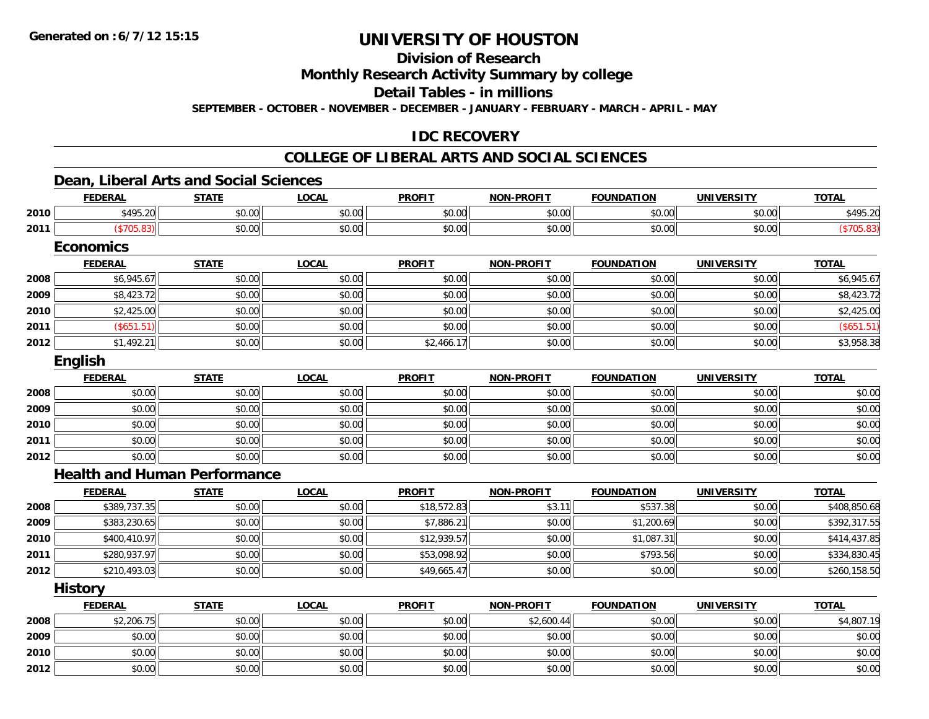**Division of Research**

**Monthly Research Activity Summary by college**

**Detail Tables - in millions**

**SEPTEMBER - OCTOBER - NOVEMBER - DECEMBER - JANUARY - FEBRUARY - MARCH - APRIL - MAY**

### **IDC RECOVERY**

### **COLLEGE OF LIBERAL ARTS AND SOCIAL SCIENCES**

### **Dean, Liberal Arts and Social Sciences**

|      | <b>FEDERAL</b>                      | <b>STATE</b> | <b>LOCAL</b> | <b>PROFIT</b> | <b>NON-PROFIT</b> | <b>FOUNDATION</b> | <b>UNIVERSITY</b> | <b>TOTAL</b> |
|------|-------------------------------------|--------------|--------------|---------------|-------------------|-------------------|-------------------|--------------|
| 2010 | \$495.20                            | \$0.00       | \$0.00       | \$0.00        | \$0.00            | \$0.00            | \$0.00            | \$495.20     |
| 2011 | (\$705.83)                          | \$0.00       | \$0.00       | \$0.00        | \$0.00            | \$0.00            | \$0.00            | (\$705.83)   |
|      | <b>Economics</b>                    |              |              |               |                   |                   |                   |              |
|      | <b>FEDERAL</b>                      | <b>STATE</b> | <b>LOCAL</b> | <b>PROFIT</b> | <b>NON-PROFIT</b> | <b>FOUNDATION</b> | <b>UNIVERSITY</b> | <b>TOTAL</b> |
| 2008 | \$6,945.67                          | \$0.00       | \$0.00       | \$0.00        | \$0.00            | \$0.00            | \$0.00            | \$6,945.67   |
| 2009 | \$8,423.72                          | \$0.00       | \$0.00       | \$0.00        | \$0.00            | \$0.00            | \$0.00            | \$8,423.72   |
| 2010 | \$2,425.00                          | \$0.00       | \$0.00       | \$0.00        | \$0.00            | \$0.00            | \$0.00            | \$2,425.00   |
| 2011 | (\$651.51)                          | \$0.00       | \$0.00       | \$0.00        | \$0.00            | \$0.00            | \$0.00            | (\$651.51)   |
| 2012 | \$1,492.21                          | \$0.00       | \$0.00       | \$2,466.17    | \$0.00            | \$0.00            | \$0.00            | \$3,958.38   |
|      | English                             |              |              |               |                   |                   |                   |              |
|      | <b>FEDERAL</b>                      | <b>STATE</b> | <b>LOCAL</b> | <b>PROFIT</b> | <b>NON-PROFIT</b> | <b>FOUNDATION</b> | <b>UNIVERSITY</b> | <b>TOTAL</b> |
| 2008 | \$0.00                              | \$0.00       | \$0.00       | \$0.00        | \$0.00            | \$0.00            | \$0.00            | \$0.00       |
| 2009 | \$0.00                              | \$0.00       | \$0.00       | \$0.00        | \$0.00            | \$0.00            | \$0.00            | \$0.00       |
| 2010 | \$0.00                              | \$0.00       | \$0.00       | \$0.00        | \$0.00            | \$0.00            | \$0.00            | \$0.00       |
| 2011 | \$0.00                              | \$0.00       | \$0.00       | \$0.00        | \$0.00            | \$0.00            | \$0.00            | \$0.00       |
| 2012 | \$0.00                              | \$0.00       | \$0.00       | \$0.00        | \$0.00            | \$0.00            | \$0.00            | \$0.00       |
|      | <b>Health and Human Performance</b> |              |              |               |                   |                   |                   |              |
|      | <b>FEDERAL</b>                      | <b>STATE</b> | <b>LOCAL</b> | <b>PROFIT</b> | <b>NON-PROFIT</b> | <b>FOUNDATION</b> | <b>UNIVERSITY</b> | <b>TOTAL</b> |
| 2008 | \$389,737.35                        | \$0.00       | \$0.00       | \$18,572.83   | \$3.11            | \$537.38          | \$0.00            | \$408,850.68 |
| 2009 | \$383,230.65                        | \$0.00       | \$0.00       | \$7,886.21    | \$0.00            | \$1,200.69        | \$0.00            | \$392,317.55 |
| 2010 | \$400,410.97                        | \$0.00       | \$0.00       | \$12,939.57   | \$0.00            | \$1,087.31        | \$0.00            | \$414,437.85 |
| 2011 | \$280,937.97                        | \$0.00       | \$0.00       | \$53,098.92   | \$0.00            | \$793.56          | \$0.00            | \$334,830.45 |
| 2012 | \$210,493.03                        | \$0.00       | \$0.00       | \$49,665.47   | \$0.00            | \$0.00            | \$0.00            | \$260,158.50 |
|      | <b>History</b>                      |              |              |               |                   |                   |                   |              |
|      | <b>FEDERAL</b>                      | <b>STATE</b> | <b>LOCAL</b> | <b>PROFIT</b> | <b>NON-PROFIT</b> | <b>FOUNDATION</b> | <b>UNIVERSITY</b> | <b>TOTAL</b> |
| 2008 | \$2,206.75                          | \$0.00       | \$0.00       | \$0.00        | \$2,600.44        | \$0.00            | \$0.00            | \$4,807.19   |
| 2009 | \$0.00                              | \$0.00       | \$0.00       | \$0.00        | \$0.00            | \$0.00            | \$0.00            | \$0.00       |
| 2010 | \$0.00                              | \$0.00       | \$0.00       | \$0.00        | \$0.00            | \$0.00            | \$0.00            | \$0.00       |
| 2012 | \$0.00                              | \$0.00       | \$0.00       | \$0.00        | \$0.00            | \$0.00            | \$0.00            | \$0.00       |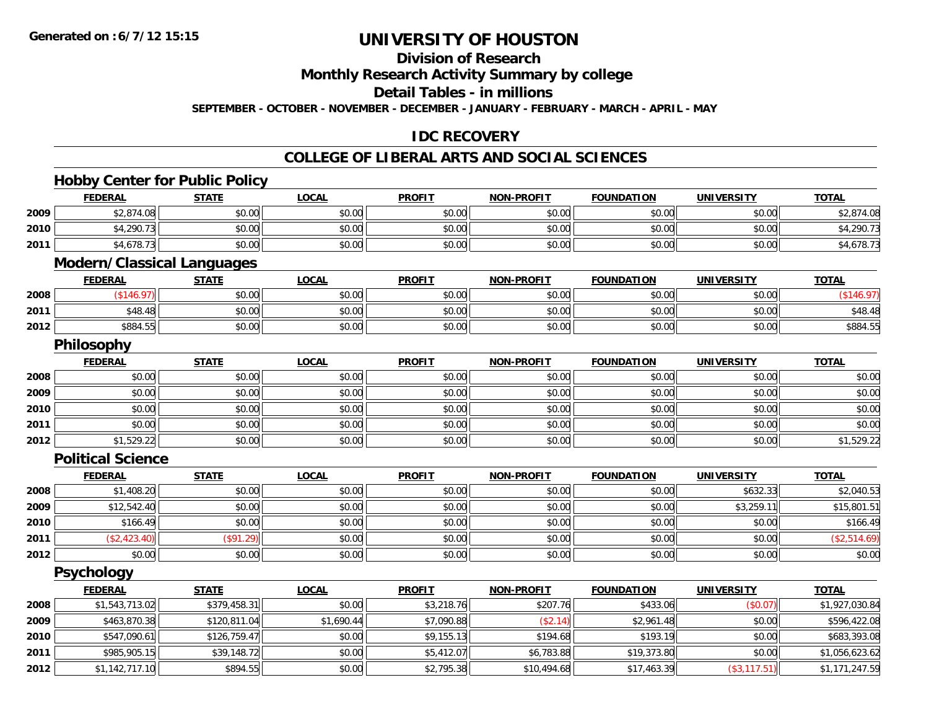### **Division of Research**

**Monthly Research Activity Summary by college**

**Detail Tables - in millions**

**SEPTEMBER - OCTOBER - NOVEMBER - DECEMBER - JANUARY - FEBRUARY - MARCH - APRIL - MAY**

### **IDC RECOVERY**

#### **COLLEGE OF LIBERAL ARTS AND SOCIAL SCIENCES**

|      | <b>Hobby Center for Public Policy</b> |              |              |               |                   |                   |                   |                |
|------|---------------------------------------|--------------|--------------|---------------|-------------------|-------------------|-------------------|----------------|
|      | <b>FEDERAL</b>                        | <b>STATE</b> | <b>LOCAL</b> | <b>PROFIT</b> | <b>NON-PROFIT</b> | <b>FOUNDATION</b> | <b>UNIVERSITY</b> | <b>TOTAL</b>   |
| 2009 | \$2,874.08                            | \$0.00       | \$0.00       | \$0.00        | \$0.00            | \$0.00            | \$0.00            | \$2,874.08     |
| 2010 | \$4,290.73                            | \$0.00       | \$0.00       | \$0.00        | \$0.00            | \$0.00            | \$0.00            | \$4,290.73     |
| 2011 | \$4,678.73                            | \$0.00       | \$0.00       | \$0.00        | \$0.00            | \$0.00            | \$0.00            | \$4,678.73     |
|      | <b>Modern/Classical Languages</b>     |              |              |               |                   |                   |                   |                |
|      | <b>FEDERAL</b>                        | <b>STATE</b> | <b>LOCAL</b> | <b>PROFIT</b> | <b>NON-PROFIT</b> | <b>FOUNDATION</b> | <b>UNIVERSITY</b> | <b>TOTAL</b>   |
| 2008 | (\$146.97)                            | \$0.00       | \$0.00       | \$0.00        | \$0.00            | \$0.00            | \$0.00            | (\$146.97)     |
| 2011 | \$48.48                               | \$0.00       | \$0.00       | \$0.00        | \$0.00            | \$0.00            | \$0.00            | \$48.48        |
| 2012 | \$884.55                              | \$0.00       | \$0.00       | \$0.00        | \$0.00            | \$0.00            | \$0.00            | \$884.55       |
|      | <b>Philosophy</b>                     |              |              |               |                   |                   |                   |                |
|      | <b>FEDERAL</b>                        | <b>STATE</b> | <b>LOCAL</b> | <b>PROFIT</b> | <b>NON-PROFIT</b> | <b>FOUNDATION</b> | <b>UNIVERSITY</b> | <b>TOTAL</b>   |
| 2008 | \$0.00                                | \$0.00       | \$0.00       | \$0.00        | \$0.00            | \$0.00            | \$0.00            | \$0.00         |
| 2009 | \$0.00                                | \$0.00       | \$0.00       | \$0.00        | \$0.00            | \$0.00            | \$0.00            | \$0.00         |
| 2010 | \$0.00                                | \$0.00       | \$0.00       | \$0.00        | \$0.00            | \$0.00            | \$0.00            | \$0.00         |
| 2011 | \$0.00                                | \$0.00       | \$0.00       | \$0.00        | \$0.00            | \$0.00            | \$0.00            | \$0.00         |
| 2012 | \$1,529.22                            | \$0.00       | \$0.00       | \$0.00        | \$0.00            | \$0.00            | \$0.00            | \$1,529.22     |
|      | <b>Political Science</b>              |              |              |               |                   |                   |                   |                |
|      | <b>FEDERAL</b>                        | <b>STATE</b> | <b>LOCAL</b> | <b>PROFIT</b> | <b>NON-PROFIT</b> | <b>FOUNDATION</b> | <b>UNIVERSITY</b> | <b>TOTAL</b>   |
| 2008 | \$1,408.20                            | \$0.00       | \$0.00       | \$0.00        | \$0.00            | \$0.00            | \$632.33          | \$2,040.53     |
| 2009 | \$12,542.40                           | \$0.00       | \$0.00       | \$0.00        | \$0.00            | \$0.00            | \$3,259.11        | \$15,801.51    |
| 2010 | \$166.49                              | \$0.00       | \$0.00       | \$0.00        | \$0.00            | \$0.00            | \$0.00            | \$166.49       |
| 2011 | (\$2,423.40)                          | (\$91.29)    | \$0.00       | \$0.00        | \$0.00            | \$0.00            | \$0.00            | (\$2,514.69)   |
| 2012 | \$0.00                                | \$0.00       | \$0.00       | \$0.00        | \$0.00            | \$0.00            | \$0.00            | \$0.00         |
|      | Psychology                            |              |              |               |                   |                   |                   |                |
|      | <b>FEDERAL</b>                        | <b>STATE</b> | <b>LOCAL</b> | <b>PROFIT</b> | <b>NON-PROFIT</b> | <b>FOUNDATION</b> | <b>UNIVERSITY</b> | <b>TOTAL</b>   |
| 2008 | \$1,543,713.02                        | \$379,458.31 | \$0.00       | \$3,218.76    | \$207.76          | \$433.06          | (\$0.07)          | \$1,927,030.84 |
| 2009 | \$463,870.38                          | \$120,811.04 | \$1,690.44   | \$7,090.88    | (\$2.14)          | \$2,961.48        | \$0.00            | \$596,422.08   |
| 2010 | \$547,090.61                          | \$126,759.47 | \$0.00       | \$9,155.13    | \$194.68          | \$193.19          | \$0.00            | \$683,393.08   |
| 2011 | \$985,905.15                          | \$39,148.72  | \$0.00       | \$5,412.07    | \$6,783.88        | \$19,373.80       | \$0.00            | \$1,056,623.62 |
| 2012 | \$1,142,717.10                        | \$894.55     | \$0.00       | \$2,795.38    | \$10,494.68       | \$17,463.39       | (\$3, 117.51)     | \$1,171,247.59 |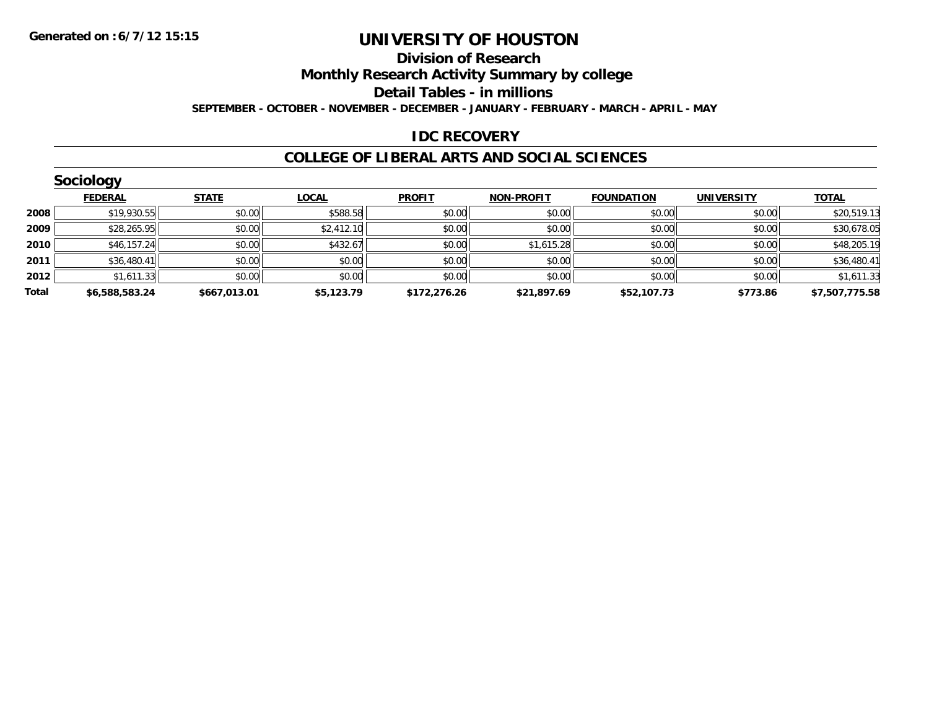#### **Division of Research**

**Monthly Research Activity Summary by college**

**Detail Tables - in millions**

**SEPTEMBER - OCTOBER - NOVEMBER - DECEMBER - JANUARY - FEBRUARY - MARCH - APRIL - MAY**

### **IDC RECOVERY**

#### **COLLEGE OF LIBERAL ARTS AND SOCIAL SCIENCES**

|       | Sociology      |              |              |               |                   |                   |                   |                |
|-------|----------------|--------------|--------------|---------------|-------------------|-------------------|-------------------|----------------|
|       | <b>FEDERAL</b> | <b>STATE</b> | <b>LOCAL</b> | <b>PROFIT</b> | <b>NON-PROFIT</b> | <b>FOUNDATION</b> | <b>UNIVERSITY</b> | <b>TOTAL</b>   |
| 2008  | \$19,930.55    | \$0.00       | \$588.58     | \$0.00        | \$0.00            | \$0.00            | \$0.00            | \$20,519.13    |
| 2009  | \$28,265.95    | \$0.00       | \$2,412.10   | \$0.00        | \$0.00            | \$0.00            | \$0.00            | \$30,678.05    |
| 2010  | \$46,157.24    | \$0.00       | \$432.67     | \$0.00        | \$1,615.28        | \$0.00            | \$0.00            | \$48,205.19    |
| 2011  | \$36,480.41    | \$0.00       | \$0.00       | \$0.00        | \$0.00            | \$0.00            | \$0.00            | \$36,480.41    |
| 2012  | \$1,611.33     | \$0.00       | \$0.00       | \$0.00        | \$0.00            | \$0.00            | \$0.00            | \$1,611.33     |
| Total | \$6,588,583.24 | \$667,013.01 | \$5,123.79   | \$172,276.26  | \$21,897.69       | \$52,107.73       | \$773.86          | \$7,507,775.58 |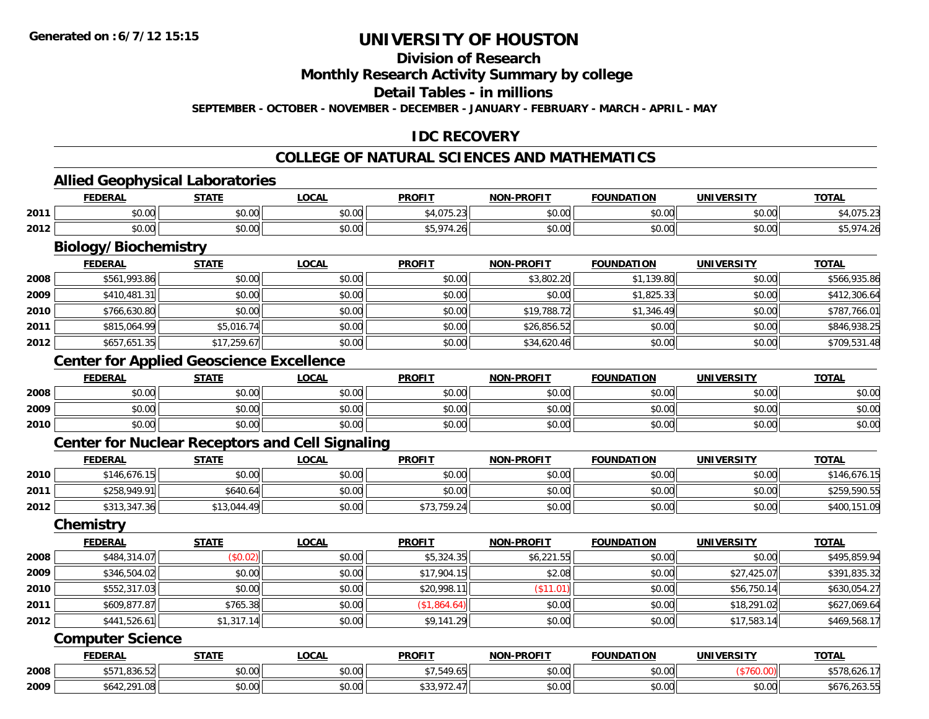#### **Division of Research**

**Monthly Research Activity Summary by college**

**Detail Tables - in millions**

**SEPTEMBER - OCTOBER - NOVEMBER - DECEMBER - JANUARY - FEBRUARY - MARCH - APRIL - MAY**

### **IDC RECOVERY**

#### **COLLEGE OF NATURAL SCIENCES AND MATHEMATICS**

**TOTAL** 

**TOTAL** 

**TOTAL** 

#### **Allied Geophysical Laboratories FEDERAL STATE LOCAL PROFIT NON-PROFIT FOUNDATION UNIVERSITY TOTAL2011** \$0.00 \$0.00 \$0.00 \$4,075.23 \$0.00 \$0.00 \$0.00 \$4,075.23 **2012** \$0.00 \$0.00 \$0.00 \$5,974.26 \$0.00 \$0.00 \$0.00 \$5,974.26 **Biology/Biochemistry FEDERAL STATE LOCAL PROFIT NON-PROFIT FOUNDATION UNIVERSITY TOTAL2008**8 \$561,993.86 \$0.00 \$0.00 \$0.00 \$0.00 \$0.00 \$0.00 \$0.00 \$3,802.20 \$3,802.20 \$1,139.80 \$1,139.80 \$566,935.86 **2009**9│ \$410,481.31│ \$0.00│ \$0.00│ \$0.00│ \$0.00│ \$1,825.33∣ \$0.00│ \$412,306.64∣ **2010** \$766,630.80 \$0.00 \$0.00 \$0.00 \$19,788.72 \$1,346.49 \$0.00 \$787,766.01 **2011** \$815,064.99 \$5,016.74 \$0.00 \$0.00 \$26,856.52 \$0.00 \$0.00 \$846,938.25 **2012** \$657,651.35 \$17,259.67 \$0.00 \$0.00 \$34,620.46 \$0.00 \$0.00 \$709,531.48 **Center for Applied Geoscience Excellence FEDERAL STATE LOCAL PROFIT NON-PROFIT FOUNDATION UNIVERSITY TOTAL2008**8 \$0.00 \$0.00 \$0.00 \$0.00 \$0.00 \$0.00 \$0.00 \$0.00 \$0.00 \$0.00 \$0.00 \$0.00 \$0.00 \$0.00 \$0.00 \$0.00 \$0.00 **2009** \$0.00 \$0.00 \$0.00 \$0.00 \$0.00 \$0.00 \$0.00 \$0.00 **2010**0 \$0.00 \$0.00 \$0.00 \$0.00 \$0.00 \$0.00 \$0.00 \$0.00 \$0.00 \$0.00 \$0.00 \$0.00 \$0.00 \$0.00 \$0.00 \$0.00 \$0.00 **Center for Nuclear Receptors and Cell Signaling FEDERAL STATE LOCAL PROFIT NON-PROFIT FOUNDATION UNIVERSITY TOTAL2010** \$146,676.15 \$0.00 \$0.00 \$0.00 \$0.00 \$0.00 \$0.00 \$146,676.15 **2011**1 \$258,949.91|| \$640.64|| \$0.00|| \$0.00|| \$0.00|| \$0.00|| \$0.00|| \$0.00|| \$259,590.55 **2012**2 \$313,347.36 \$13,044.49 \$13,044.49 \$0.00 \$0.00 \$73,759.24 \$0.00 \$0.00 \$0.00 \$0.00 \$10.00 \$400,151.09 **Chemistry**

|      | <b>FEDERAL</b> | <u>STATE</u> | <u>LOCAL</u> | <b>PROFIT</b> | <b>NON-PROFIT</b> | <b>FOUNDATION</b> | UNIVERSITY  | <u>TOTAL</u> |
|------|----------------|--------------|--------------|---------------|-------------------|-------------------|-------------|--------------|
| 2008 | \$484,314.07   | \$0.02\$     | \$0.00       | \$5,324.35    | \$6,221.55        | \$0.00            | \$0.00      | \$495,859.94 |
| 2009 | \$346,504.02   | \$0.00       | \$0.00       | \$17,904.15   | \$2.08            | \$0.00            | \$27,425.07 | \$391,835.32 |
| 2010 | \$552,317.03   | \$0.00       | \$0.00       | \$20,998.11   | (S11.01)          | \$0.00            | \$56,750.14 | \$630,054.27 |
| 2011 | \$609,877.87   | \$765.38     | \$0.00       | (\$1,864.64)  | \$0.00            | \$0.00            | \$18,291.02 | \$627,069.64 |
| 2012 | \$441,526.61   | \$1,317.14   | \$0.00       | \$9,141.29    | \$0.00            | \$0.00            | \$17,583.14 | \$469,568.17 |

#### **Computer Science**

|      | <b>FEDERAL</b>               | <b>STATE</b>            | <b>_OCAL</b>       | <b>PROFIT</b> | <b>-PROFIT</b><br><b>NIONI</b> | <b>FOUNDATION</b> | <b>UNIVERSITY</b> | <b>TOTAL</b>     |
|------|------------------------------|-------------------------|--------------------|---------------|--------------------------------|-------------------|-------------------|------------------|
| 2008 | $A - I$<br>$\sim$<br>,000.02 | $\sim$<br>vu.uu         | $\sim$ 00<br>PU.UU | F A           | 0.00<br><b>JU.UU</b>           | vv.vv             |                   | ,,,,,,,,         |
| 2009 | วด1<br>טש.ו                  | $\overline{a}$<br>JU.UU | 0.00<br>DU.UG      | JJJ,          | 0000<br><b>JU.UU</b>           | JU.UU             | 0.00<br>. JU.UU   | 6,263.55<br>٬۵۱٬ |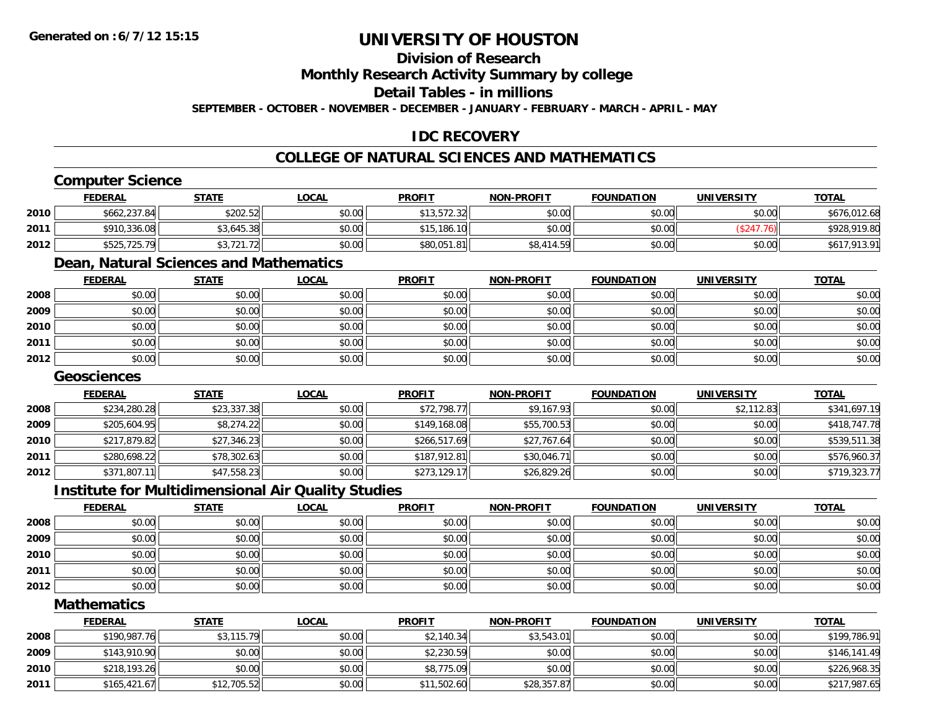### **Division of Research**

**Monthly Research Activity Summary by college**

**Detail Tables - in millions**

**SEPTEMBER - OCTOBER - NOVEMBER - DECEMBER - JANUARY - FEBRUARY - MARCH - APRIL - MAY**

### **IDC RECOVERY**

### **COLLEGE OF NATURAL SCIENCES AND MATHEMATICS**

### **Computer Science**

|      | <b>FEDERAL</b> | <u>STATE</u> | <b>LOCAL</b> | <b>PROFIT</b> | <b>NON-PROFIT</b> | <b>FOUNDATION</b> | UNIVERSITY | <b>TOTAL</b> |
|------|----------------|--------------|--------------|---------------|-------------------|-------------------|------------|--------------|
| 2010 | \$662,237.84   | \$202.52     | \$0.00       | \$13,572.32   | \$0.00            | \$0.00            | \$0.00     | \$676,012.68 |
| 2011 | \$910,336.08   | \$3,645.38   | \$0.00       | \$15,186.10   | \$0.00            | \$0.00            | 76)        | \$928,919.80 |
| 2012 | \$525,725.79   | 3,721.72     | \$0.00       | \$80,051.81   | \$8,414.59        | \$0.00            | \$0.00     | \$617,913.91 |

### **Dean, Natural Sciences and Mathematics**

|      | <b>FEDERAL</b> | <b>STATE</b> | <b>LOCAL</b> | <b>PROFIT</b> | <b>NON-PROFIT</b> | <b>FOUNDATION</b> | <b>UNIVERSITY</b> | <b>TOTAL</b> |
|------|----------------|--------------|--------------|---------------|-------------------|-------------------|-------------------|--------------|
| 2008 | \$0.00         | \$0.00       | \$0.00       | \$0.00        | \$0.00            | \$0.00            | \$0.00            | \$0.00       |
| 2009 | \$0.00         | \$0.00       | \$0.00       | \$0.00        | \$0.00            | \$0.00            | \$0.00            | \$0.00       |
| 2010 | \$0.00         | \$0.00       | \$0.00       | \$0.00        | \$0.00            | \$0.00            | \$0.00            | \$0.00       |
| 2011 | \$0.00         | \$0.00       | \$0.00       | \$0.00        | \$0.00            | \$0.00            | \$0.00            | \$0.00       |
| 2012 | \$0.00         | \$0.00       | \$0.00       | \$0.00        | \$0.00            | \$0.00            | \$0.00            | \$0.00       |

#### **Geosciences**

|      | <b>FEDERAL</b> | <b>STATE</b> | <u>LOCAL</u> | <b>PROFIT</b> | <b>NON-PROFIT</b> | <b>FOUNDATION</b> | <b>UNIVERSITY</b> | <b>TOTAL</b> |
|------|----------------|--------------|--------------|---------------|-------------------|-------------------|-------------------|--------------|
| 2008 | \$234,280.28   | \$23,337.38  | \$0.00       | \$72,798.77   | \$9,167.93        | \$0.00            | \$2,112.83        | \$341,697.19 |
| 2009 | \$205,604.95   | \$8,274.22   | \$0.00       | \$149,168.08  | \$55,700.53       | \$0.00            | \$0.00            | \$418,747.78 |
| 2010 | \$217,879.82   | \$27,346.23  | \$0.00       | \$266,517.69  | \$27,767.64       | \$0.00            | \$0.00            | \$539,511.38 |
| 2011 | \$280,698.22   | \$78,302.63  | \$0.00       | \$187,912.81  | \$30,046.71       | \$0.00            | \$0.00            | \$576,960.37 |
| 2012 | \$371,807.11   | \$47,558.23  | \$0.00       | \$273,129.17  | \$26,829.26       | \$0.00            | \$0.00            | \$719,323.77 |

#### **Institute for Multidimensional Air Quality Studies**

|      | <u>FEDERAL</u> | <b>STATE</b> | <b>LOCAL</b> | <b>PROFIT</b> | <b>NON-PROFIT</b> | <b>FOUNDATION</b> | <b>UNIVERSITY</b> | <b>TOTAL</b> |
|------|----------------|--------------|--------------|---------------|-------------------|-------------------|-------------------|--------------|
| 2008 | \$0.00         | \$0.00       | \$0.00       | \$0.00        | \$0.00            | \$0.00            | \$0.00            | \$0.00       |
| 2009 | \$0.00         | \$0.00       | \$0.00       | \$0.00        | \$0.00            | \$0.00            | \$0.00            | \$0.00       |
| 2010 | \$0.00         | \$0.00       | \$0.00       | \$0.00        | \$0.00            | \$0.00            | \$0.00            | \$0.00       |
| 2011 | \$0.00         | \$0.00       | \$0.00       | \$0.00        | \$0.00            | \$0.00            | \$0.00            | \$0.00       |
| 2012 | \$0.00         | \$0.00       | \$0.00       | \$0.00        | \$0.00            | \$0.00            | \$0.00            | \$0.00       |

#### **Mathematics**

|      | <b>FEDERAL</b> | <b>STATE</b> | <u>LOCAL</u> | <b>PROFIT</b> | <b>NON-PROFIT</b> | <b>FOUNDATION</b> | <b>UNIVERSITY</b> | <b>TOTAL</b> |
|------|----------------|--------------|--------------|---------------|-------------------|-------------------|-------------------|--------------|
| 2008 | \$190,987.76   | \$3,115.79   | \$0.00       | \$2,140.34    | \$3.543.01        | \$0.00            | \$0.00            | \$199,786.91 |
| 2009 | \$143,910.90   | \$0.00       | \$0.00       | \$2,230.59    | \$0.00            | \$0.00            | \$0.00            | \$146,141.49 |
| 2010 | \$218,193.26   | \$0.00       | \$0.00       | \$8,775.09    | \$0.00            | \$0.00            | \$0.00            | \$226,968.35 |
| 2011 | \$165,421.67   | \$12,705.52  | \$0.00       | \$11,502.60   | \$28,357.87       | \$0.00            | \$0.00            | \$217,987.65 |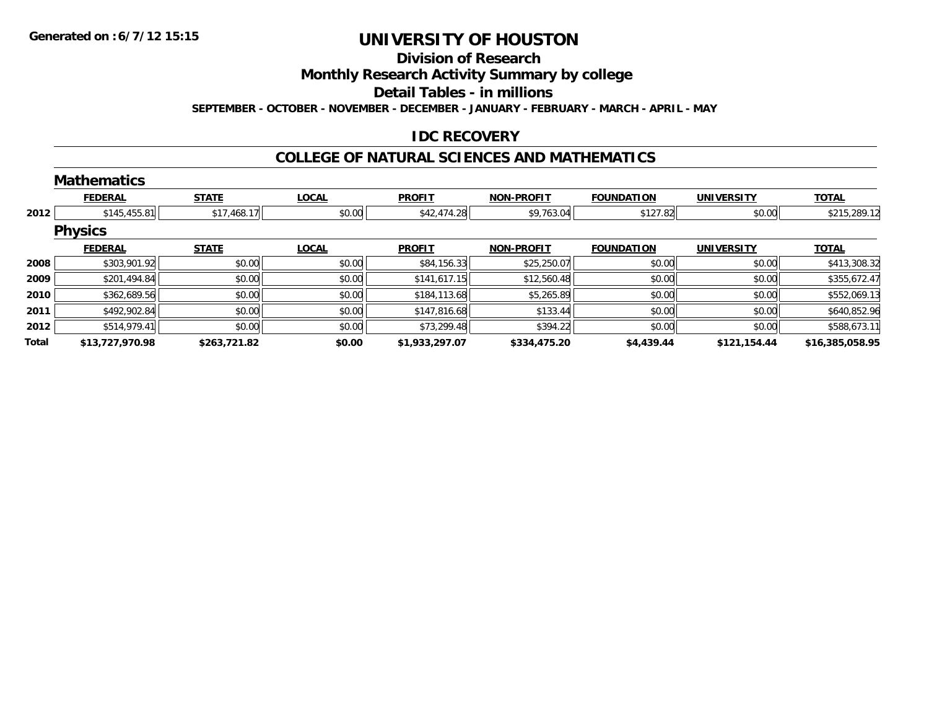### **Division of Research**

**Monthly Research Activity Summary by college**

**Detail Tables - in millions**

**SEPTEMBER - OCTOBER - NOVEMBER - DECEMBER - JANUARY - FEBRUARY - MARCH - APRIL - MAY**

### **IDC RECOVERY**

#### **COLLEGE OF NATURAL SCIENCES AND MATHEMATICS**

|       | <b>Mathematics</b> |              |              |                |                   |                   |                   |                 |
|-------|--------------------|--------------|--------------|----------------|-------------------|-------------------|-------------------|-----------------|
|       | <b>FEDERAL</b>     | <b>STATE</b> | <b>LOCAL</b> | <b>PROFIT</b>  | <b>NON-PROFIT</b> | <b>FOUNDATION</b> | <b>UNIVERSITY</b> | <b>TOTAL</b>    |
| 2012  | \$145,455.81       | \$17,468.17  | \$0.00       | \$42,474.28    | \$9,763.04        | \$127.82          | \$0.00            | \$215,289.12    |
|       | <b>Physics</b>     |              |              |                |                   |                   |                   |                 |
|       | <b>FEDERAL</b>     | <b>STATE</b> | <b>LOCAL</b> | <b>PROFIT</b>  | <b>NON-PROFIT</b> | <b>FOUNDATION</b> | <b>UNIVERSITY</b> | <b>TOTAL</b>    |
| 2008  | \$303,901.92       | \$0.00       | \$0.00       | \$84,156.33    | \$25,250.07       | \$0.00            | \$0.00            | \$413,308.32    |
| 2009  | \$201,494.84       | \$0.00       | \$0.00       | \$141,617.15   | \$12,560.48       | \$0.00            | \$0.00            | \$355,672.47    |
| 2010  | \$362,689.56       | \$0.00       | \$0.00       | \$184,113.68   | \$5,265.89        | \$0.00            | \$0.00            | \$552,069.13    |
| 2011  | \$492,902.84       | \$0.00       | \$0.00       | \$147,816.68   | \$133.44          | \$0.00            | \$0.00            | \$640,852.96    |
| 2012  | \$514,979.41       | \$0.00       | \$0.00       | \$73,299.48    | \$394.22          | \$0.00            | \$0.00            | \$588,673.11    |
| Total | \$13,727,970.98    | \$263,721.82 | \$0.00       | \$1,933,297.07 | \$334,475.20      | \$4,439.44        | \$121,154.44      | \$16,385,058.95 |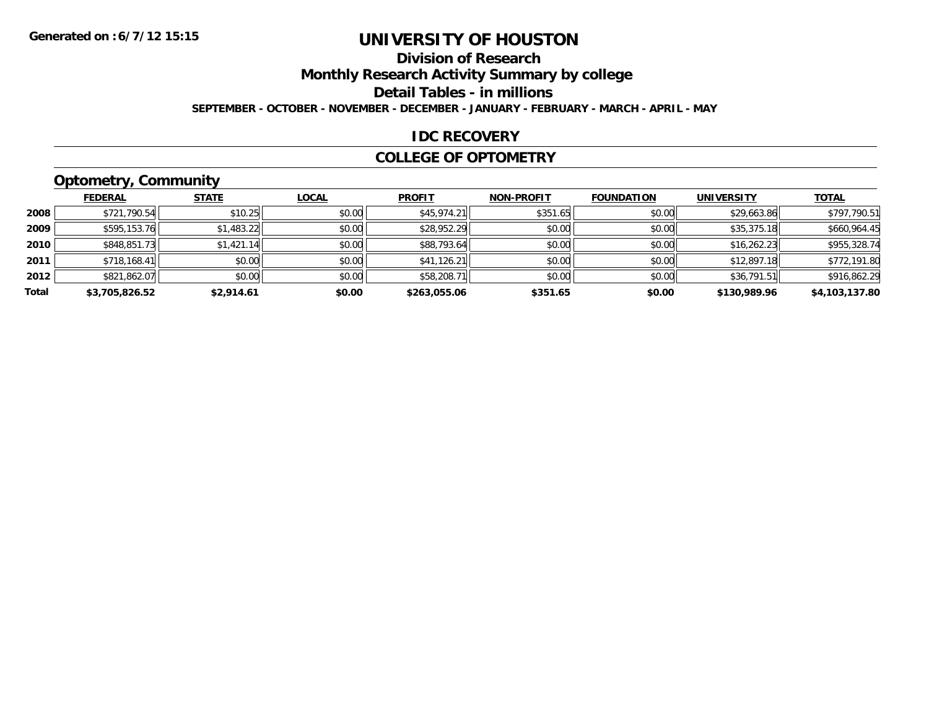### **Division of Research**

**Monthly Research Activity Summary by college**

**Detail Tables - in millions**

**SEPTEMBER - OCTOBER - NOVEMBER - DECEMBER - JANUARY - FEBRUARY - MARCH - APRIL - MAY**

#### **IDC RECOVERY**

#### **COLLEGE OF OPTOMETRY**

### **Optometry, Community**

|       | .              |              |              |               |                   |                   |                   |                |
|-------|----------------|--------------|--------------|---------------|-------------------|-------------------|-------------------|----------------|
|       | <b>FEDERAL</b> | <b>STATE</b> | <b>LOCAL</b> | <b>PROFIT</b> | <b>NON-PROFIT</b> | <b>FOUNDATION</b> | <b>UNIVERSITY</b> | <b>TOTAL</b>   |
| 2008  | \$721,790.54   | \$10.25      | \$0.00       | \$45,974.21   | \$351.65          | \$0.00            | \$29,663.86       | \$797,790.51   |
| 2009  | \$595,153.76   | \$1,483.22   | \$0.00       | \$28,952.29   | \$0.00            | \$0.00            | \$35,375.18       | \$660,964.45   |
| 2010  | \$848,851.73   | \$1,421.14   | \$0.00       | \$88,793.64   | \$0.00            | \$0.00            | \$16,262.23       | \$955,328.74   |
| 2011  | \$718,168.41   | \$0.00       | \$0.00       | \$41,126.21   | \$0.00            | \$0.00            | \$12,897.18       | \$772,191.80   |
| 2012  | \$821,862.07   | \$0.00       | \$0.00       | \$58,208.71   | \$0.00            | \$0.00            | \$36,791.51       | \$916,862.29   |
| Total | \$3,705,826.52 | \$2,914.61   | \$0.00       | \$263.055.06  | \$351.65          | \$0.00            | \$130,989.96      | \$4,103,137.80 |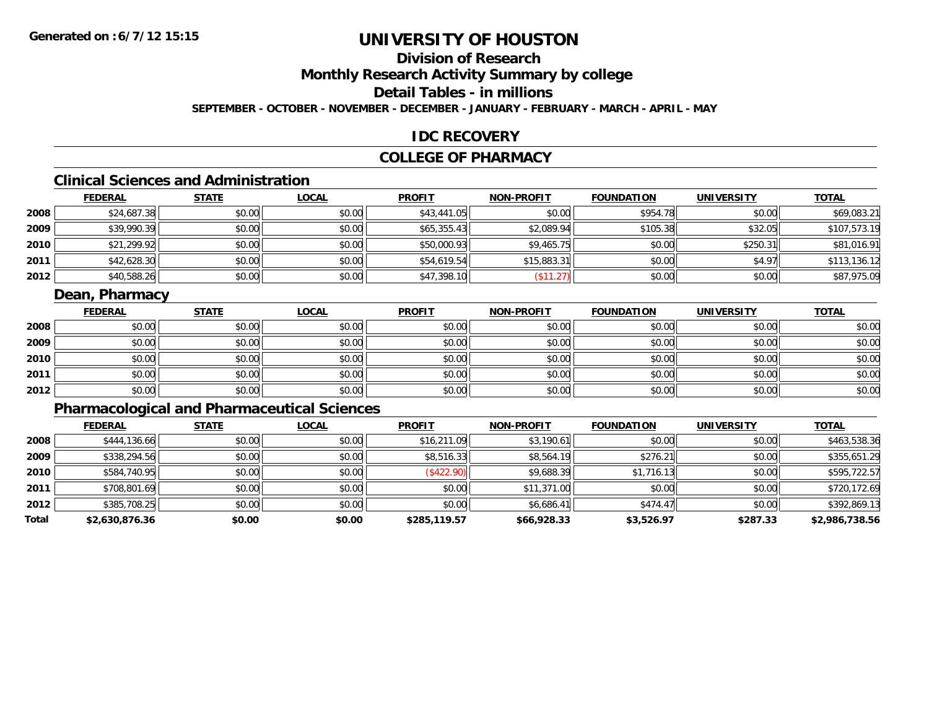### **Division of Research**

**Monthly Research Activity Summary by college**

**Detail Tables - in millions**

**SEPTEMBER - OCTOBER - NOVEMBER - DECEMBER - JANUARY - FEBRUARY - MARCH - APRIL - MAY**

### **IDC RECOVERY**

### **COLLEGE OF PHARMACY**

### **Clinical Sciences and Administration**

|      | <b>FEDERAL</b> | <b>STATE</b> | <b>LOCAL</b> | <b>PROFIT</b> | <b>NON-PROFIT</b> | <b>FOUNDATION</b> | <b>UNIVERSITY</b> | <b>TOTAL</b> |
|------|----------------|--------------|--------------|---------------|-------------------|-------------------|-------------------|--------------|
| 2008 | \$24,687.38    | \$0.00       | \$0.00       | \$43,441.05   | \$0.00            | \$954.78          | \$0.00            | \$69,083.21  |
| 2009 | \$39,990.39    | \$0.00       | \$0.00       | \$65,355.43   | \$2,089.94        | \$105.38          | \$32.05           | \$107,573.19 |
| 2010 | \$21,299.92    | \$0.00       | \$0.00       | \$50,000.93   | \$9,465.75        | \$0.00            | \$250.31          | \$81,016.91  |
| 2011 | \$42,628.30    | \$0.00       | \$0.00       | \$54,619.54   | \$15,883.31       | \$0.00            | \$4.97            | \$113,136.12 |
| 2012 | \$40,588.26    | \$0.00       | \$0.00       | \$47,398.10   | \$11.27           | \$0.00            | \$0.00            | \$87,975.09  |

### **Dean, Pharmacy**

|      | <u>FEDERAL</u> | <b>STATE</b> | <u>LOCAL</u> | <b>PROFIT</b> | <b>NON-PROFIT</b> | <b>FOUNDATION</b> | <b>UNIVERSITY</b> | <b>TOTAL</b> |
|------|----------------|--------------|--------------|---------------|-------------------|-------------------|-------------------|--------------|
| 2008 | \$0.00         | \$0.00       | \$0.00       | \$0.00        | \$0.00            | \$0.00            | \$0.00            | \$0.00       |
| 2009 | \$0.00         | \$0.00       | \$0.00       | \$0.00        | \$0.00            | \$0.00            | \$0.00            | \$0.00       |
| 2010 | \$0.00         | \$0.00       | \$0.00       | \$0.00        | \$0.00            | \$0.00            | \$0.00            | \$0.00       |
| 2011 | \$0.00         | \$0.00       | \$0.00       | \$0.00        | \$0.00            | \$0.00            | \$0.00            | \$0.00       |
| 2012 | \$0.00         | \$0.00       | \$0.00       | \$0.00        | \$0.00            | \$0.00            | \$0.00            | \$0.00       |

### **Pharmacological and Pharmaceutical Sciences**

|       | <b>FEDERAL</b> | <b>STATE</b> | <b>LOCAL</b> | <b>PROFIT</b> | <b>NON-PROFIT</b> | <b>FOUNDATION</b> | <b>UNIVERSITY</b> | <b>TOTAL</b>   |
|-------|----------------|--------------|--------------|---------------|-------------------|-------------------|-------------------|----------------|
| 2008  | \$444,136.66   | \$0.00       | \$0.00       | \$16,211.09   | \$3,190.61        | \$0.00            | \$0.00            | \$463,538.36   |
| 2009  | \$338,294.56   | \$0.00       | \$0.00       | \$8,516.33    | \$8,564.19        | \$276.21          | \$0.00            | \$355,651.29   |
| 2010  | \$584,740.95   | \$0.00       | \$0.00       | (S422.90)     | \$9,688.39        | \$1,716.13        | \$0.00            | \$595,722.57   |
| 2011  | \$708,801.69   | \$0.00       | \$0.00       | \$0.00        | \$11,371.00       | \$0.00            | \$0.00            | \$720,172.69   |
| 2012  | \$385,708.25   | \$0.00       | \$0.00       | \$0.00        | \$6,686.41        | \$474.47          | \$0.00            | \$392,869.13   |
| Total | \$2,630,876.36 | \$0.00       | \$0.00       | \$285,119.57  | \$66,928.33       | \$3,526.97        | \$287.33          | \$2,986,738.56 |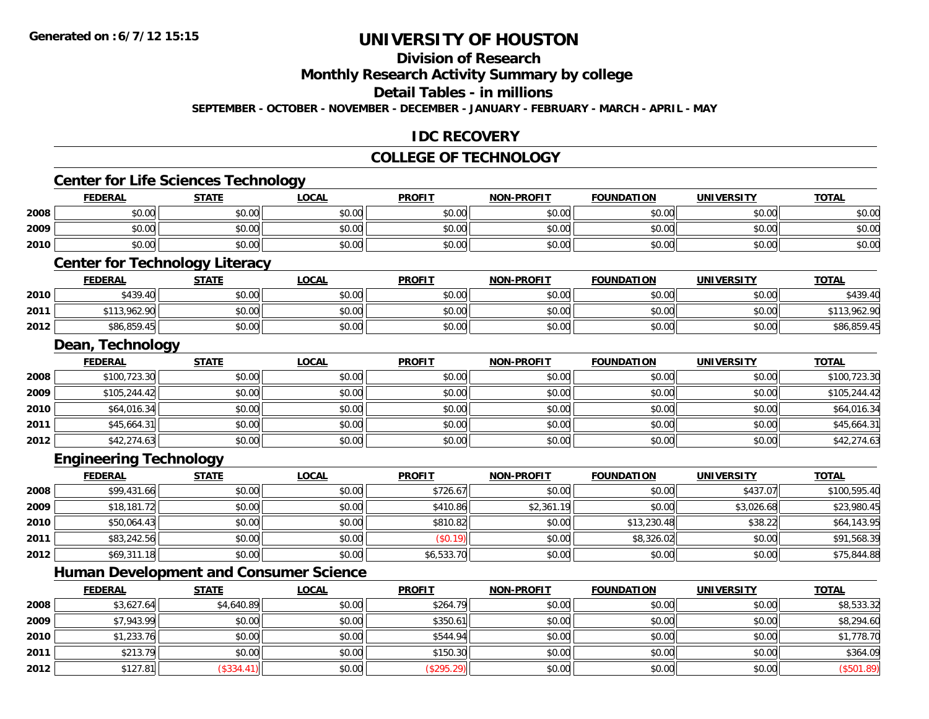**2010**

**2011**

**2012**

## **UNIVERSITY OF HOUSTON**

### **Division of Research**

**Monthly Research Activity Summary by college**

**Detail Tables - in millions**

**SEPTEMBER - OCTOBER - NOVEMBER - DECEMBER - JANUARY - FEBRUARY - MARCH - APRIL - MAY**

### **IDC RECOVERY**

### **COLLEGE OF TECHNOLOGY**

|      | <b>Center for Life Sciences Technology</b> |              |                                               |               |                   |                   |                   |                          |
|------|--------------------------------------------|--------------|-----------------------------------------------|---------------|-------------------|-------------------|-------------------|--------------------------|
|      | <b>FEDERAL</b>                             | <b>STATE</b> | <b>LOCAL</b>                                  | <b>PROFIT</b> | <b>NON-PROFIT</b> | <b>FOUNDATION</b> | <b>UNIVERSITY</b> | <b>TOTAL</b>             |
| 2008 | \$0.00                                     | \$0.00       | \$0.00                                        | \$0.00        | \$0.00            | \$0.00            | \$0.00            | \$0.00                   |
| 2009 | \$0.00                                     | \$0.00       | \$0.00                                        | \$0.00        | \$0.00            | \$0.00            | \$0.00            | \$0.00                   |
| 2010 | \$0.00                                     | \$0.00       | \$0.00                                        | \$0.00        | \$0.00            | \$0.00            | \$0.00            | \$0.00                   |
|      | <b>Center for Technology Literacy</b>      |              |                                               |               |                   |                   |                   |                          |
|      | <b>FEDERAL</b>                             | <b>STATE</b> | <b>LOCAL</b>                                  | <b>PROFIT</b> | <b>NON-PROFIT</b> | <b>FOUNDATION</b> | <b>UNIVERSITY</b> | <b>TOTAL</b>             |
| 2010 | \$439.40                                   | \$0.00       | \$0.00                                        | \$0.00        | \$0.00            | \$0.00            | \$0.00            | \$439.40                 |
| 2011 | \$113,962.90                               | \$0.00       | \$0.00                                        | \$0.00        | \$0.00            | \$0.00            | \$0.00            | \$113,962.90             |
| 2012 | \$86,859.45                                | \$0.00       | \$0.00                                        | \$0.00        | \$0.00            | \$0.00            | \$0.00            | \$86,859.45              |
|      | Dean, Technology                           |              |                                               |               |                   |                   |                   |                          |
|      | <b>FEDERAL</b>                             | <b>STATE</b> | <b>LOCAL</b>                                  | <b>PROFIT</b> | <b>NON-PROFIT</b> | <b>FOUNDATION</b> | <b>UNIVERSITY</b> | <b>TOTAL</b>             |
| 2008 | \$100,723.30                               | \$0.00       | \$0.00                                        | \$0.00        | \$0.00            | \$0.00            | \$0.00            | $\overline{$100,723.30}$ |
| 2009 | \$105,244.42                               | \$0.00       | \$0.00                                        | \$0.00        | \$0.00            | \$0.00            | \$0.00            | \$105,244.42             |
| 2010 | \$64,016.34                                | \$0.00       | \$0.00                                        | \$0.00        | \$0.00            | \$0.00            | \$0.00            | \$64,016.34              |
| 2011 | \$45,664.31                                | \$0.00       | \$0.00                                        | \$0.00        | \$0.00            | \$0.00            | \$0.00            | \$45,664.31              |
| 2012 | \$42,274.63                                | \$0.00       | \$0.00                                        | \$0.00        | \$0.00            | \$0.00            | \$0.00            | \$42,274.63              |
|      | <b>Engineering Technology</b>              |              |                                               |               |                   |                   |                   |                          |
|      | <b>FEDERAL</b>                             | <b>STATE</b> | <b>LOCAL</b>                                  | <b>PROFIT</b> | <b>NON-PROFIT</b> | <b>FOUNDATION</b> | <b>UNIVERSITY</b> | <b>TOTAL</b>             |
| 2008 | \$99,431.66                                | \$0.00       | \$0.00                                        | \$726.67      | \$0.00            | \$0.00            | \$437.07          | \$100,595.40             |
| 2009 | \$18,181.72                                | \$0.00       | \$0.00                                        | \$410.86      | \$2,361.19        | \$0.00            | \$3,026.68        | \$23,980.45              |
| 2010 | \$50,064.43                                | \$0.00       | \$0.00                                        | \$810.82      | \$0.00            | \$13,230.48       | \$38.22           | \$64,143.95              |
| 2011 | \$83,242.56                                | \$0.00       | \$0.00                                        | (\$0.19)      | \$0.00            | \$8,326.02        | \$0.00            | \$91,568.39              |
| 2012 | \$69,311.18                                | \$0.00       | \$0.00                                        | \$6,533.70    | \$0.00            | \$0.00            | \$0.00            | \$75,844.88              |
|      |                                            |              | <b>Human Development and Consumer Science</b> |               |                   |                   |                   |                          |
|      | <b>FEDERAL</b>                             | <b>STATE</b> | <b>LOCAL</b>                                  | <b>PROFIT</b> | <b>NON-PROFIT</b> | <b>FOUNDATION</b> | <b>UNIVERSITY</b> | <b>TOTAL</b>             |
| 2008 | \$3,627.64                                 | \$4,640.89   | \$0.00                                        | \$264.79      | \$0.00            | \$0.00            | \$0.00            | \$8,533.32               |
| 2009 | \$7,943.99                                 | \$0.00       | \$0.00                                        | \$350.61      | \$0.00            | \$0.00            | \$0.00            | \$8,294.60               |

\$1,233.76 \$0.00 \$0.00 \$544.94 \$0.00 \$0.00 \$0.00 \$1,778.70

1 \$213.79 \$20.00 \$0.00 \$0.00 \$0.00 \$150.30 \$150.30 \$0.00 \$0.00 \$0.00 \$0.00 \$0.00 \$0.00 \$364.09

2 | \$127.81|| (\$334.41)|| \$0.00|| (\$295.29)|| \$0.00|| \$0.00|| \$0.00|| \$0.00|| (\$501.89)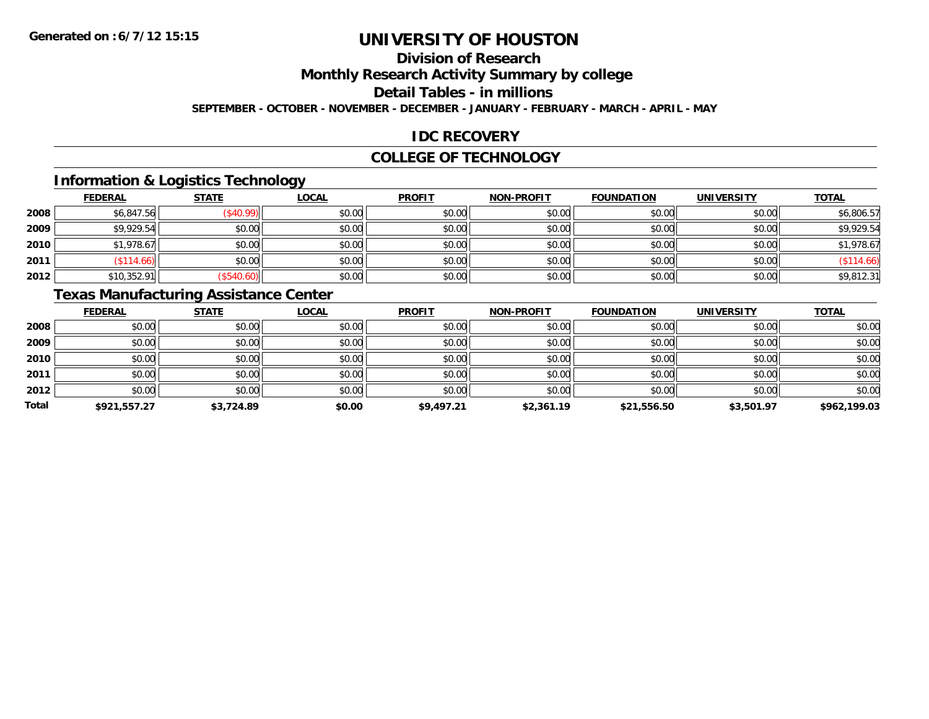### **Division of Research**

**Monthly Research Activity Summary by college**

**Detail Tables - in millions**

**SEPTEMBER - OCTOBER - NOVEMBER - DECEMBER - JANUARY - FEBRUARY - MARCH - APRIL - MAY**

### **IDC RECOVERY**

#### **COLLEGE OF TECHNOLOGY**

### **Information & Logistics Technology**

|      | <b>FEDERAL</b> | <b>STATE</b> | <u>LOCAL</u> | <b>PROFIT</b> | <b>NON-PROFIT</b> | <b>FOUNDATION</b> | <b>UNIVERSITY</b> | <b>TOTAL</b> |
|------|----------------|--------------|--------------|---------------|-------------------|-------------------|-------------------|--------------|
| 2008 | \$6,847.56     | \$40.99      | \$0.00       | \$0.00        | \$0.00            | \$0.00            | \$0.00            | \$6,806.57   |
| 2009 | \$9,929.54     | \$0.00       | \$0.00       | \$0.00        | \$0.00            | \$0.00            | \$0.00            | \$9,929.54   |
| 2010 | \$1,978.67     | \$0.00       | \$0.00       | \$0.00        | \$0.00            | \$0.00            | \$0.00            | \$1,978.67   |
| 2011 | (\$114.66)     | \$0.00       | \$0.00       | \$0.00        | \$0.00            | \$0.00            | \$0.00            | (\$114.66)   |
| 2012 | \$10,352.91    | (\$540.60)   | \$0.00       | \$0.00        | \$0.00            | \$0.00            | \$0.00            | \$9,812.31   |

### **Texas Manufacturing Assistance Center**

|       | <b>FEDERAL</b> | <b>STATE</b> | <b>LOCAL</b> | <b>PROFIT</b> | <b>NON-PROFIT</b> | <b>FOUNDATION</b> | <b>UNIVERSITY</b> | <b>TOTAL</b> |
|-------|----------------|--------------|--------------|---------------|-------------------|-------------------|-------------------|--------------|
| 2008  | \$0.00         | \$0.00       | \$0.00       | \$0.00        | \$0.00            | \$0.00            | \$0.00            | \$0.00       |
| 2009  | \$0.00         | \$0.00       | \$0.00       | \$0.00        | \$0.00            | \$0.00            | \$0.00            | \$0.00       |
| 2010  | \$0.00         | \$0.00       | \$0.00       | \$0.00        | \$0.00            | \$0.00            | \$0.00            | \$0.00       |
| 2011  | \$0.00         | \$0.00       | \$0.00       | \$0.00        | \$0.00            | \$0.00            | \$0.00            | \$0.00       |
| 2012  | \$0.00         | \$0.00       | \$0.00       | \$0.00        | \$0.00            | \$0.00            | \$0.00            | \$0.00       |
| Total | \$921,557.27   | \$3,724.89   | \$0.00       | \$9,497.21    | \$2,361.19        | \$21,556.50       | \$3,501.97        | \$962,199.03 |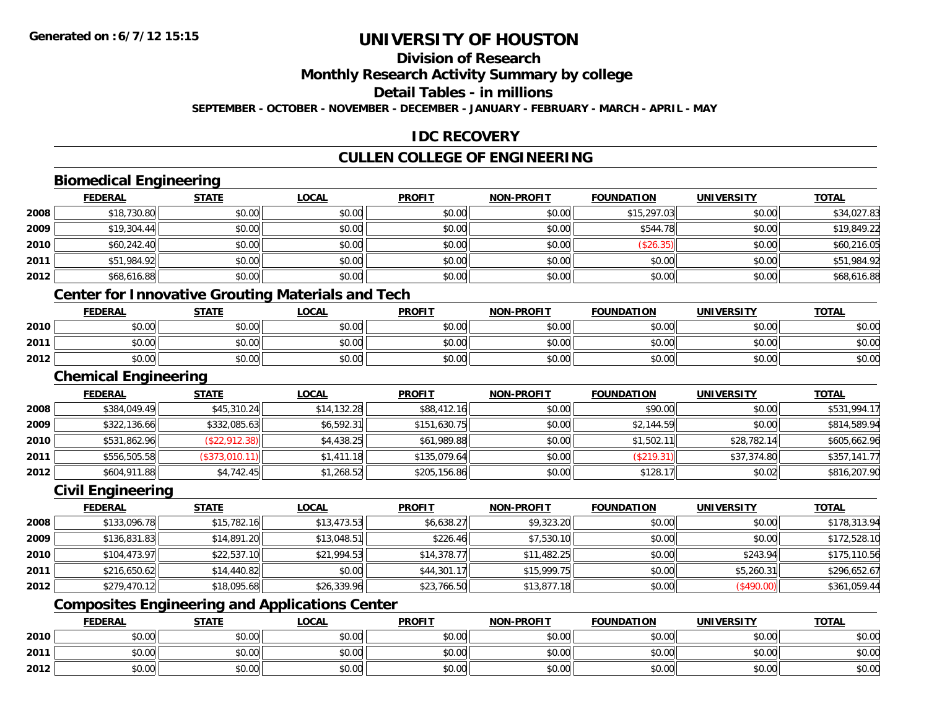### **Division of Research**

**Monthly Research Activity Summary by college**

**Detail Tables - in millions**

**SEPTEMBER - OCTOBER - NOVEMBER - DECEMBER - JANUARY - FEBRUARY - MARCH - APRIL - MAY**

### **IDC RECOVERY**

### **CULLEN COLLEGE OF ENGINEERING**

### **Biomedical Engineering**

|      | <b>FEDERAL</b> | <b>STATE</b> | <u>LOCAL</u> | <b>PROFIT</b> | <b>NON-PROFIT</b> | <b>FOUNDATION</b> | <b>UNIVERSITY</b> | <b>TOTAL</b> |
|------|----------------|--------------|--------------|---------------|-------------------|-------------------|-------------------|--------------|
| 2008 | \$18,730.80    | \$0.00       | \$0.00       | \$0.00        | \$0.00            | \$15,297.03       | \$0.00            | \$34,027.83  |
| 2009 | \$19,304.44    | \$0.00       | \$0.00       | \$0.00        | \$0.00            | \$544.78          | \$0.00            | \$19,849.22  |
| 2010 | \$60,242.40    | \$0.00       | \$0.00       | \$0.00        | \$0.00            | (\$26.35)         | \$0.00            | \$60,216.05  |
| 2011 | \$51,984.92    | \$0.00       | \$0.00       | \$0.00        | \$0.00            | \$0.00            | \$0.00            | \$51,984.92  |
| 2012 | \$68,616.88    | \$0.00       | \$0.00       | \$0.00        | \$0.00            | \$0.00            | \$0.00            | \$68,616.88  |
|      | ______         | $ -$         |              | - - -         |                   |                   |                   |              |

#### **Center for Innovative Grouting Materials and Tech**

|      | <b>FEDERAL</b> | <b>STATE</b>  | <b>_OCAL</b>                          | <b>PROFIT</b>                                       | <b>NON-PROFIT</b> | <b>FOUNDATION</b> | <b>UNIVERSITY</b> | <b>TOTAL</b> |
|------|----------------|---------------|---------------------------------------|-----------------------------------------------------|-------------------|-------------------|-------------------|--------------|
| 2010 | 0000<br>יש.טי  | n v<br>JU.U   | ቀስ ስስ<br>JU.UU                        | 0.00<br>JU.                                         | 0000<br>JU.UU     | \$0.00            | \$0.00            | \$0.00       |
| 2011 | 0000<br>ט.טע   | 40.00<br>JU.U | $\uparrow$ $\wedge$ $\wedge$<br>DU.UG | $\mathsf{A} \cap \mathsf{A} \cap \mathsf{A}$<br>JU. | \$0.00            | \$0.00            | \$0.00            | \$0.00       |
| 2012 | 0000<br>O.UU   | 40.00<br>JU.U | \$0.00                                | 0.00<br>JU.UU                                       | \$0.00            | \$0.00            | \$0.00            | \$0.OC       |

<u> 1980 - Johann Stoff, deutscher Stoff, der Stoff, der Stoff, der Stoff, der Stoff, der Stoff, der Stoff, der S</u>

#### **Chemical Engineering**

|      | <b>FEDERAL</b> | <u>STATE</u>   | <u>LOCAL</u> | <b>PROFIT</b> | <b>NON-PROFIT</b> | <b>FOUNDATION</b> | <b>UNIVERSITY</b> | <b>TOTAL</b> |
|------|----------------|----------------|--------------|---------------|-------------------|-------------------|-------------------|--------------|
| 2008 | \$384,049.49   | \$45,310.24    | \$14,132.28  | \$88,412.16   | \$0.00            | \$90.00           | \$0.00            | \$531,994.17 |
| 2009 | \$322,136.66   | \$332,085.63   | \$6,592.31   | \$151,630.75  | \$0.00            | \$2,144.59        | \$0.00            | \$814,589.94 |
| 2010 | \$531,862.96   | (\$22,912.38)  | \$4,438.25   | \$61,989.88   | \$0.00            | \$1,502.11        | \$28,782.14       | \$605,662.96 |
| 2011 | \$556,505.58   | (\$373,010.11) | \$1,411.18   | \$135,079.64  | \$0.00            | (\$219.31)        | \$37,374.80       | \$357,141.77 |
| 2012 | \$604,911.88   | \$4,742.45     | \$1,268.52   | \$205,156.86  | \$0.00            | \$128.17          | \$0.02            | \$816,207.90 |

### **Civil Engineering**

|      | <b>FEDERAL</b> | <b>STATE</b> | <b>LOCAL</b> | <b>PROFIT</b> | <b>NON-PROFIT</b> | <b>FOUNDATION</b> | <b>UNIVERSITY</b> | <b>TOTAL</b> |
|------|----------------|--------------|--------------|---------------|-------------------|-------------------|-------------------|--------------|
| 2008 | \$133,096.78   | \$15,782.16  | \$13,473.53  | \$6,638.27    | \$9,323.20        | \$0.00            | \$0.00            | \$178,313.94 |
| 2009 | \$136,831.83   | \$14,891.20  | \$13,048.51  | \$226.46      | \$7,530.10        | \$0.00            | \$0.00            | \$172,528.10 |
| 2010 | \$104,473.97   | \$22,537.10  | \$21,994.53  | \$14,378.77   | \$11,482.25       | \$0.00            | \$243.94          | \$175,110.56 |
| 2011 | \$216,650.62   | \$14,440.82  | \$0.00       | \$44,301.17   | \$15,999.75       | \$0.00            | \$5,260.31        | \$296,652.67 |
| 2012 | \$279,470.12   | \$18,095.68  | \$26,339.96  | \$23,766.50   | \$13,877.18       | \$0.00            | (\$490.00)        | \$361,059.44 |

### **Composites Engineering and Applications Center**

|      | <b>FEDERAL</b>               | <b>STATE</b> | _OCAL          | <b>PROFIT</b> | <b>NON-PROFIT</b> | <b>FOUNDATION</b> | <b>UNIVERSITY</b> | <b>TOTAL</b> |
|------|------------------------------|--------------|----------------|---------------|-------------------|-------------------|-------------------|--------------|
| 2010 | $\sim$<br>טע.טע              | \$0.00       | ስስ ስስ<br>JU.UU | \$0.00        | \$0.00            | \$0.00            | \$0.00            | \$0.00       |
| 2011 | <b>↑∩</b><br>$\sim$<br>וטטוע | \$0.00       | ስስ ስስ<br>DU.UU | \$0.00        | \$0.00            | \$0.00            | \$0.00            | \$0.00       |
| 2012 | <b>↑^</b><br>$\sim$<br>וטטוע | \$0.00       | \$0.00         | \$0.00        | \$0.00            | \$0.00            | \$0.00            | \$0.00       |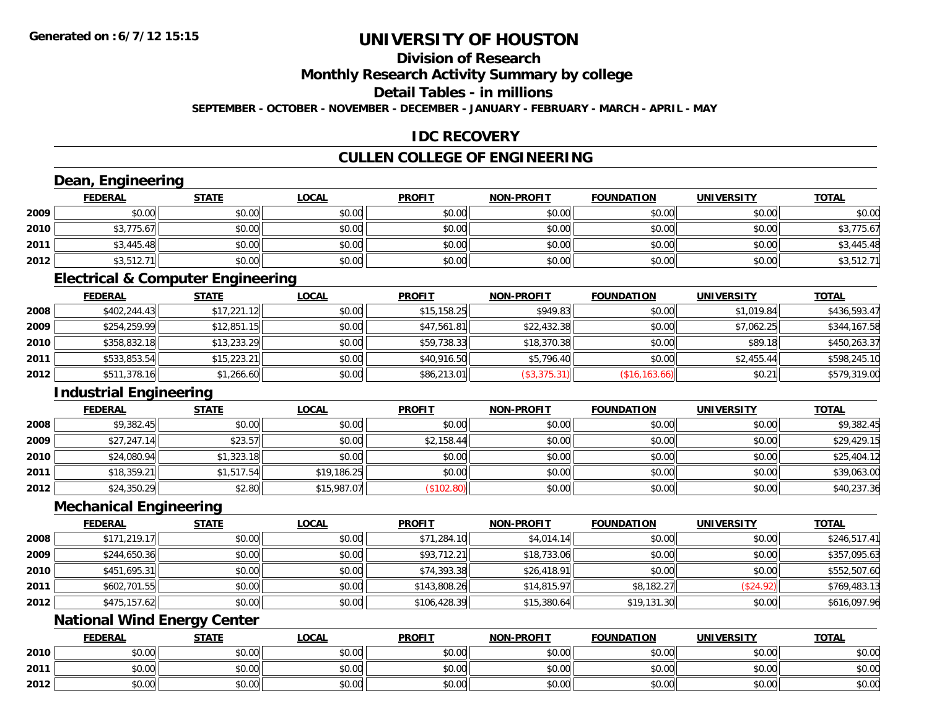**2012**

## **UNIVERSITY OF HOUSTON**

### **Division of Research**

**Monthly Research Activity Summary by college**

**Detail Tables - in millions**

**SEPTEMBER - OCTOBER - NOVEMBER - DECEMBER - JANUARY - FEBRUARY - MARCH - APRIL - MAY**

### **IDC RECOVERY**

### **CULLEN COLLEGE OF ENGINEERING**

|      | Dean, Engineering             |                                              |              |               |                   |                   |                   |              |
|------|-------------------------------|----------------------------------------------|--------------|---------------|-------------------|-------------------|-------------------|--------------|
|      | <b>FEDERAL</b>                | <b>STATE</b>                                 | <b>LOCAL</b> | <b>PROFIT</b> | <b>NON-PROFIT</b> | <b>FOUNDATION</b> | <b>UNIVERSITY</b> | <b>TOTAL</b> |
| 2009 | \$0.00                        | \$0.00                                       | \$0.00       | \$0.00        | \$0.00            | \$0.00            | \$0.00            | \$0.00       |
| 2010 | \$3,775.67                    | \$0.00                                       | \$0.00       | \$0.00        | \$0.00            | \$0.00            | \$0.00            | \$3,775.67   |
| 2011 | \$3,445.48                    | \$0.00                                       | \$0.00       | \$0.00        | \$0.00            | \$0.00            | \$0.00            | \$3,445.48   |
| 2012 | \$3,512.71                    | \$0.00                                       | \$0.00       | \$0.00        | \$0.00            | \$0.00            | \$0.00            | \$3,512.71   |
|      |                               | <b>Electrical &amp; Computer Engineering</b> |              |               |                   |                   |                   |              |
|      | <b>FEDERAL</b>                | <b>STATE</b>                                 | <b>LOCAL</b> | <b>PROFIT</b> | <b>NON-PROFIT</b> | <b>FOUNDATION</b> | <b>UNIVERSITY</b> | <b>TOTAL</b> |
| 2008 | \$402,244.43                  | \$17,221.12                                  | \$0.00       | \$15,158.25   | \$949.83          | \$0.00            | \$1,019.84        | \$436,593.47 |
| 2009 | \$254,259.99                  | \$12,851.15                                  | \$0.00       | \$47,561.81   | \$22,432.38       | \$0.00            | \$7,062.25        | \$344,167.58 |
| 2010 | \$358,832.18                  | \$13,233.29                                  | \$0.00       | \$59,738.33   | \$18,370.38       | \$0.00            | \$89.18           | \$450,263.37 |
| 2011 | \$533,853.54                  | \$15,223.21                                  | \$0.00       | \$40,916.50   | \$5,796.40        | \$0.00            | \$2,455.44        | \$598,245.10 |
| 2012 | \$511,378.16                  | \$1,266.60                                   | \$0.00       | \$86,213.01   | (\$3,375.31)      | (\$16, 163.66)    | \$0.21            | \$579,319.00 |
|      | <b>Industrial Engineering</b> |                                              |              |               |                   |                   |                   |              |
|      | <b>FEDERAL</b>                | <b>STATE</b>                                 | <b>LOCAL</b> | <b>PROFIT</b> | <b>NON-PROFIT</b> | <b>FOUNDATION</b> | <b>UNIVERSITY</b> | <b>TOTAL</b> |
| 2008 | \$9,382.45                    | \$0.00                                       | \$0.00       | \$0.00        | \$0.00            | \$0.00            | \$0.00            | \$9,382.45   |
| 2009 | \$27,247.14                   | \$23.57                                      | \$0.00       | \$2,158.44    | \$0.00            | \$0.00            | \$0.00            | \$29,429.15  |
| 2010 | \$24,080.94                   | \$1,323.18                                   | \$0.00       | \$0.00        | \$0.00            | \$0.00            | \$0.00            | \$25,404.12  |
| 2011 | \$18,359.21                   | \$1,517.54                                   | \$19,186.25  | \$0.00        | \$0.00            | \$0.00            | \$0.00            | \$39,063.00  |
| 2012 | \$24,350.29                   | \$2.80                                       | \$15,987.07  | (\$102.80)    | \$0.00            | \$0.00            | \$0.00            | \$40,237.36  |
|      | <b>Mechanical Engineering</b> |                                              |              |               |                   |                   |                   |              |
|      | <b>FEDERAL</b>                | <b>STATE</b>                                 | <b>LOCAL</b> | <b>PROFIT</b> | <b>NON-PROFIT</b> | <b>FOUNDATION</b> | <b>UNIVERSITY</b> | <b>TOTAL</b> |
| 2008 | \$171,219.17                  | \$0.00                                       | \$0.00       | \$71,284.10   | \$4,014.14        | \$0.00            | \$0.00            | \$246,517.41 |
| 2009 | \$244,650.36                  | \$0.00                                       | \$0.00       | \$93,712.21   | \$18,733.06       | \$0.00            | \$0.00            | \$357,095.63 |
| 2010 | \$451,695.31                  | \$0.00                                       | \$0.00       | \$74,393.38   | \$26,418.91       | \$0.00            | \$0.00            | \$552,507.60 |
| 2011 | \$602,701.55                  | \$0.00                                       | \$0.00       | \$143,808.26  | \$14,815.97       | \$8,182.27        | (\$24.92)         | \$769,483.13 |
| 2012 | \$475,157.62                  | \$0.00                                       | \$0.00       | \$106,428.39  | \$15,380.64       | \$19,131.30       | \$0.00            | \$616,097.96 |
|      |                               | <b>National Wind Energy Center</b>           |              |               |                   |                   |                   |              |
|      | <b>FEDERAL</b>                | <b>STATE</b>                                 | <b>LOCAL</b> | <b>PROFIT</b> | <b>NON-PROFIT</b> | <b>FOUNDATION</b> | <b>UNIVERSITY</b> | <b>TOTAL</b> |
| 2010 | \$0.00                        | \$0.00                                       | \$0.00       | \$0.00        | \$0.00            | \$0.00            | \$0.00            | \$0.00       |
| 2011 | \$0.00                        | \$0.00                                       | \$0.00       | \$0.00        | \$0.00            | \$0.00            | \$0.00            | \$0.00       |

2 | \$0.00 \$0.00 \$0.00 \$0.00 \$0.00 \$0.00 \$0.00 \$0.00 \$0.00 \$0.00 \$0.00 \$0.00 \$0.00 \$0.00 \$0.00 \$0.00 \$0.00 \$0.00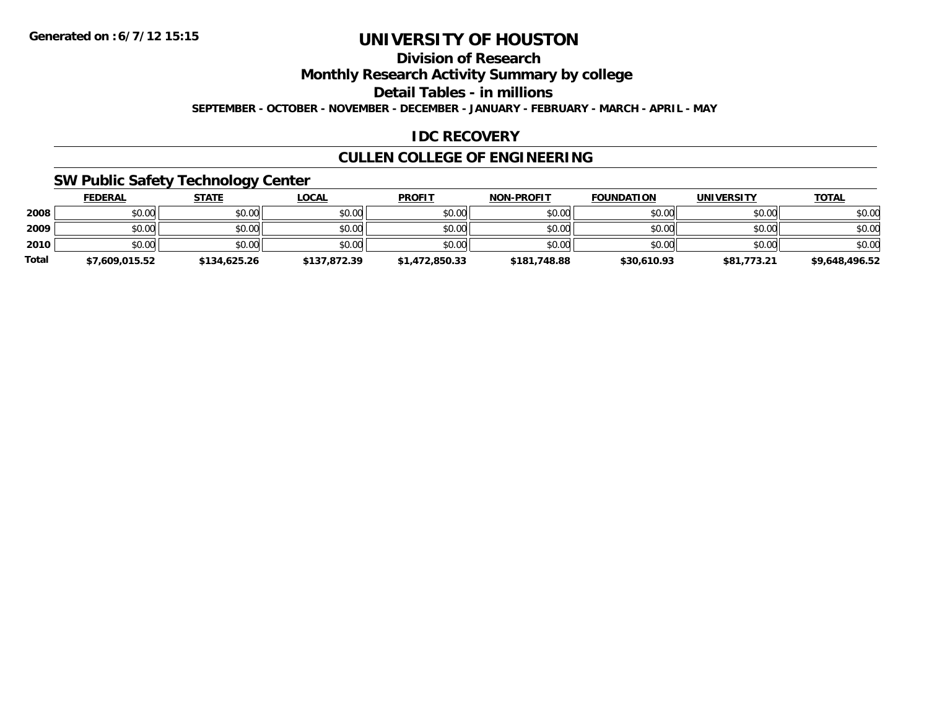### **Division of Research**

**Monthly Research Activity Summary by college**

**Detail Tables - in millions**

**SEPTEMBER - OCTOBER - NOVEMBER - DECEMBER - JANUARY - FEBRUARY - MARCH - APRIL - MAY**

### **IDC RECOVERY**

### **CULLEN COLLEGE OF ENGINEERING**

### **SW Public Safety Technology Center**

|              | <u>FEDERAL</u> | <u>STATE</u> | <u>LOCAL</u> | <b>PROFIT</b>  | <b>NON-PROFIT</b> | <b>FOUNDATION</b> | <b>UNIVERSITY</b> | <b>TOTAL</b>   |
|--------------|----------------|--------------|--------------|----------------|-------------------|-------------------|-------------------|----------------|
| 2008         | \$0.00         | \$0.00       | \$0.00       | \$0.00         | \$0.00            | \$0.00            | \$0.00            | \$0.00         |
| 2009         | \$0.00         | \$0.00       | \$0.00       | \$0.00         | \$0.00            | \$0.00            | \$0.00            | \$0.00         |
| 2010         | \$0.00         | \$0.00       | \$0.00       | \$0.00         | \$0.00            | \$0.00            | \$0.00            | \$0.00         |
| <b>Total</b> | \$7,609,015.52 | \$134,625.26 | \$137.872.39 | \$1,472,850.33 | \$181,748.88      | \$30,610.93       | \$81,773.21       | \$9,648,496.52 |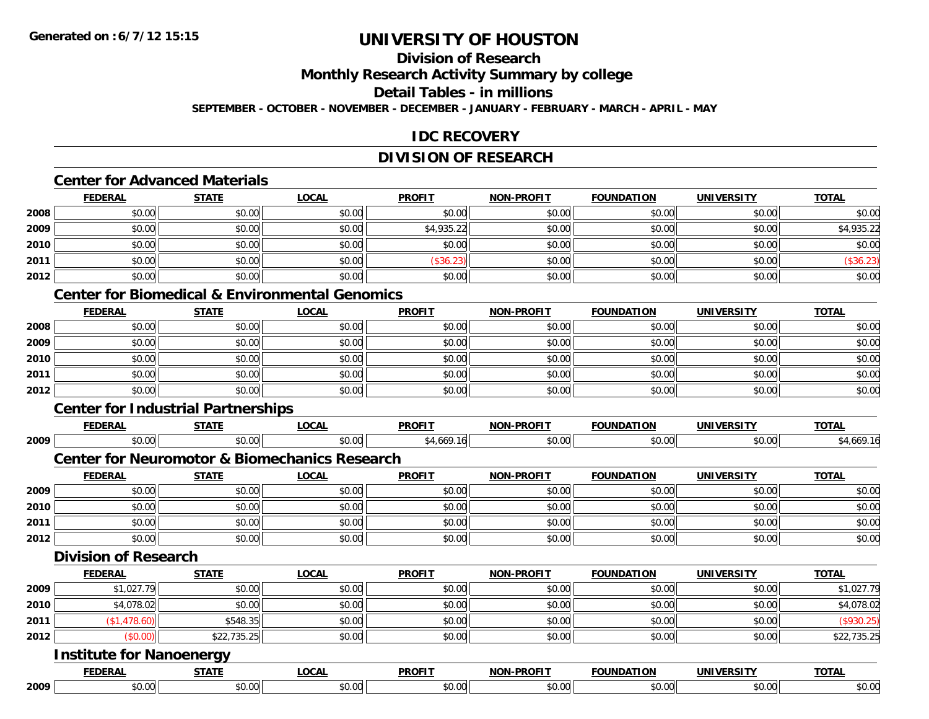### **Division of Research**

**Monthly Research Activity Summary by college**

**Detail Tables - in millions**

**SEPTEMBER - OCTOBER - NOVEMBER - DECEMBER - JANUARY - FEBRUARY - MARCH - APRIL - MAY**

### **IDC RECOVERY**

### **DIVISION OF RESEARCH**

### **Center for Advanced Materials**

|      | <b>FEDERAL</b> | <b>STATE</b> | <u>LOCAL</u> | <b>PROFIT</b> | <b>NON-PROFIT</b> | <b>FOUNDATION</b> | <b>UNIVERSITY</b> | <b>TOTAL</b> |
|------|----------------|--------------|--------------|---------------|-------------------|-------------------|-------------------|--------------|
| 2008 | \$0.00         | \$0.00       | \$0.00       | \$0.00        | \$0.00            | \$0.00            | \$0.00            | \$0.00       |
| 2009 | \$0.00         | \$0.00       | \$0.00       | \$4,935.22    | \$0.00            | \$0.00            | \$0.00            | \$4,935.22   |
| 2010 | \$0.00         | \$0.00       | \$0.00       | \$0.00        | \$0.00            | \$0.00            | \$0.00            | \$0.00       |
| 2011 | \$0.00         | \$0.00       | \$0.00       | (\$36.23)     | \$0.00            | \$0.00            | \$0.00            | (\$36.23)    |
| 2012 | \$0.00         | \$0.00       | \$0.00       | \$0.00        | \$0.00            | \$0.00            | \$0.00            | \$0.00       |

#### **Center for Biomedical & Environmental Genomics**

|      | <b>FEDERAL</b> | <b>STATE</b> | <b>LOCAL</b> | <b>PROFIT</b> | <b>NON-PROFIT</b> | <b>FOUNDATION</b> | <b>UNIVERSITY</b> | <b>TOTAL</b> |
|------|----------------|--------------|--------------|---------------|-------------------|-------------------|-------------------|--------------|
| 2008 | \$0.00         | \$0.00       | \$0.00       | \$0.00        | \$0.00            | \$0.00            | \$0.00            | \$0.00       |
| 2009 | \$0.00         | \$0.00       | \$0.00       | \$0.00        | \$0.00            | \$0.00            | \$0.00            | \$0.00       |
| 2010 | \$0.00         | \$0.00       | \$0.00       | \$0.00        | \$0.00            | \$0.00            | \$0.00            | \$0.00       |
| 2011 | \$0.00         | \$0.00       | \$0.00       | \$0.00        | \$0.00            | \$0.00            | \$0.00            | \$0.00       |
| 2012 | \$0.00         | \$0.00       | \$0.00       | \$0.00        | \$0.00            | \$0.00            | \$0.00            | \$0.00       |

#### **Center for Industrial Partnerships**

|      |                                 | Center for Industrial Partnerships                       |              |               |                   |                   |                   |              |
|------|---------------------------------|----------------------------------------------------------|--------------|---------------|-------------------|-------------------|-------------------|--------------|
|      | <b>FEDERAL</b>                  | <b>STATE</b>                                             | <b>LOCAL</b> | <b>PROFIT</b> | <b>NON-PROFIT</b> | <b>FOUNDATION</b> | <b>UNIVERSITY</b> | <b>TOTAL</b> |
| 2009 | \$0.00                          | \$0.00                                                   | \$0.00       | \$4,669.16    | \$0.00            | \$0.00            | \$0.00            | \$4,669.16   |
|      |                                 | <b>Center for Neuromotor &amp; Biomechanics Research</b> |              |               |                   |                   |                   |              |
|      | <b>FEDERAL</b>                  | <b>STATE</b>                                             | <u>LOCAL</u> | <b>PROFIT</b> | <b>NON-PROFIT</b> | <b>FOUNDATION</b> | <b>UNIVERSITY</b> | <b>TOTAL</b> |
| 2009 | \$0.00                          | \$0.00                                                   | \$0.00       | \$0.00        | \$0.00            | \$0.00            | \$0.00            | \$0.00       |
| 2010 | \$0.00                          | \$0.00                                                   | \$0.00       | \$0.00        | \$0.00            | \$0.00            | \$0.00            | \$0.00       |
| 2011 | \$0.00                          | \$0.00                                                   | \$0.00       | \$0.00        | \$0.00            | \$0.00            | \$0.00            | \$0.00       |
| 2012 | \$0.00                          | \$0.00                                                   | \$0.00       | \$0.00        | \$0.00            | \$0.00            | \$0.00            | \$0.00       |
|      | <b>Division of Research</b>     |                                                          |              |               |                   |                   |                   |              |
|      | <b>FEDERAL</b>                  | <b>STATE</b>                                             | <b>LOCAL</b> | <b>PROFIT</b> | <b>NON-PROFIT</b> | <b>FOUNDATION</b> | <b>UNIVERSITY</b> | <b>TOTAL</b> |
| 2009 | \$1,027.79                      | \$0.00                                                   | \$0.00       | \$0.00        | \$0.00            | \$0.00            | \$0.00            | \$1,027.79   |
| 2010 | \$4,078.02                      | \$0.00                                                   | \$0.00       | \$0.00        | \$0.00            | \$0.00            | \$0.00            | \$4,078.02   |
| 2011 | (\$1,478.60)                    | \$548.35                                                 | \$0.00       | \$0.00        | \$0.00            | \$0.00            | \$0.00            | (\$930.25)   |
| 2012 | (\$0.00)                        | \$22,735.25                                              | \$0.00       | \$0.00        | \$0.00            | \$0.00            | \$0.00            | \$22,735.25  |
|      | <b>Institute for Nanoenergy</b> |                                                          |              |               |                   |                   |                   |              |

|      |       | - - -                | DDAEI <sup>-</sup> | ----<br>יחוח  |        | INI                                  | $-0$ |
|------|-------|----------------------|--------------------|---------------|--------|--------------------------------------|------|
| 2009 | $  -$ | $\sim$ $\sim$ $\sim$ |                    | $\sim$ $\sim$ | $\sim$ | $\sim$ $\sim$<br>$\hat{ }$<br>ູນບ.ບ. | ັ.   |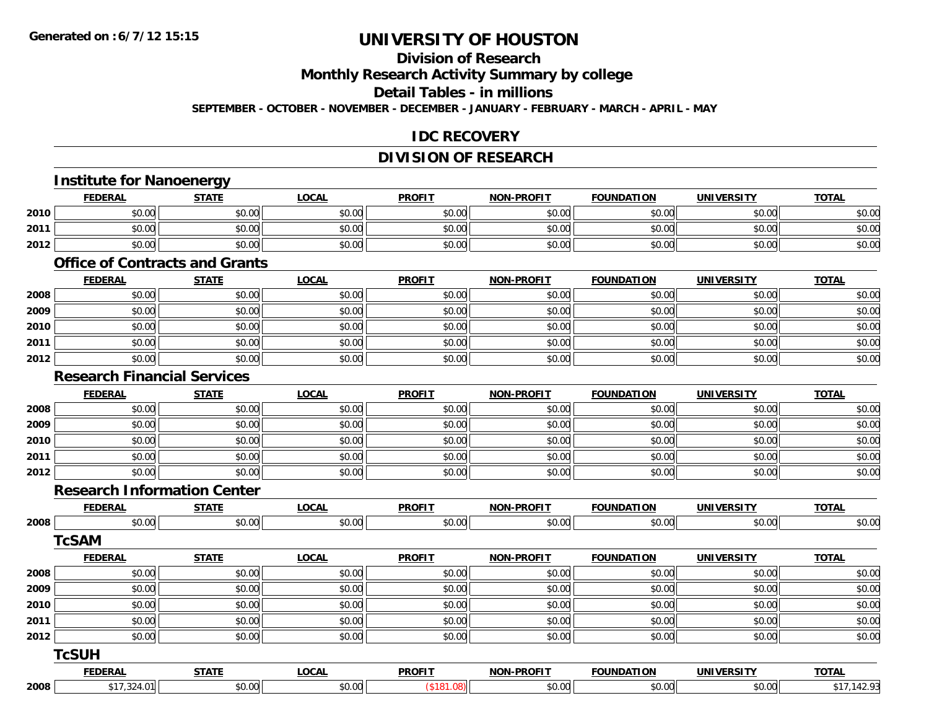### **Division of Research**

**Monthly Research Activity Summary by college**

**Detail Tables - in millions**

**SEPTEMBER - OCTOBER - NOVEMBER - DECEMBER - JANUARY - FEBRUARY - MARCH - APRIL - MAY**

### **IDC RECOVERY**

### **DIVISION OF RESEARCH**

### **Institute for Nanoenergy**

|      | ™EDERAL | <b>STATE</b>             | LOCAL  | <b>PROFIT</b> | <b>NON-PROFIT</b> | <b>FOUNDATION</b> | UNIVERSITY<br>וכת     | <b>TOTAL</b> |
|------|---------|--------------------------|--------|---------------|-------------------|-------------------|-----------------------|--------------|
| 2010 | \$0.00  | ⊄∩ ∩r<br>JU.UU           | \$0.00 | \$0.00        | \$0.00            | \$0.00            | <b>AO</b> UP<br>JU.UU | \$0.0C       |
| 2011 | \$0.00  | ልስ ሰሰ<br>$-40.66$        | \$0.00 | \$0.00        | \$0.00            | \$0.00            | \$0.00                | \$0.00       |
| 2012 | \$0.00  | <b>AO OO</b><br>$-40.00$ | \$0.00 | \$0.00        | \$0.00            | ტი იი             | \$0.00                | \$0.0C       |

#### **Office of Contracts and Grants**

|      | <u>FEDERAL</u> | <b>STATE</b> | <b>LOCAL</b> | <b>PROFIT</b> | <b>NON-PROFIT</b> | <b>FOUNDATION</b> | <b>UNIVERSITY</b> | <b>TOTAL</b> |
|------|----------------|--------------|--------------|---------------|-------------------|-------------------|-------------------|--------------|
| 2008 | \$0.00         | \$0.00       | \$0.00       | \$0.00        | \$0.00            | \$0.00            | \$0.00            | \$0.00       |
| 2009 | \$0.00         | \$0.00       | \$0.00       | \$0.00        | \$0.00            | \$0.00            | \$0.00            | \$0.00       |
| 2010 | \$0.00         | \$0.00       | \$0.00       | \$0.00        | \$0.00            | \$0.00            | \$0.00            | \$0.00       |
| 2011 | \$0.00         | \$0.00       | \$0.00       | \$0.00        | \$0.00            | \$0.00            | \$0.00            | \$0.00       |
| 2012 | \$0.00         | \$0.00       | \$0.00       | \$0.00        | \$0.00            | \$0.00            | \$0.00            | \$0.00       |

### **Research Financial Services**

|      | <b>FEDERAL</b> | <b>STATE</b> | <u>LOCAL</u> | <b>PROFIT</b> | <b>NON-PROFIT</b> | <b>FOUNDATION</b> | <b>UNIVERSITY</b> | <b>TOTAL</b> |
|------|----------------|--------------|--------------|---------------|-------------------|-------------------|-------------------|--------------|
| 2008 | \$0.00         | \$0.00       | \$0.00       | \$0.00        | \$0.00            | \$0.00            | \$0.00            | \$0.00       |
| 2009 | \$0.00         | \$0.00       | \$0.00       | \$0.00        | \$0.00            | \$0.00            | \$0.00            | \$0.00       |
| 2010 | \$0.00         | \$0.00       | \$0.00       | \$0.00        | \$0.00            | \$0.00            | \$0.00            | \$0.00       |
| 2011 | \$0.00         | \$0.00       | \$0.00       | \$0.00        | \$0.00            | \$0.00            | \$0.00            | \$0.00       |
| 2012 | \$0.00         | \$0.00       | \$0.00       | \$0.00        | \$0.00            | \$0.00            | \$0.00            | \$0.00       |

#### **Research Information Center**

|      | <b>FEDERAL</b> | <b>STATE</b> | <b>LOCAL</b> | <b>PROFIT</b> | <b>NON-PROFIT</b> | <b>FOUNDATION</b> | <b>UNIVERSITY</b> | <b>TOTAL</b> |
|------|----------------|--------------|--------------|---------------|-------------------|-------------------|-------------------|--------------|
| 2008 | \$0.00         | \$0.00       | \$0.00       | \$0.00        | \$0.00            | \$0.00            | \$0.00            | \$0.00       |
|      | <b>TcSAM</b>   |              |              |               |                   |                   |                   |              |
|      | <b>FEDERAL</b> | <b>STATE</b> | <b>LOCAL</b> | <b>PROFIT</b> | <b>NON-PROFIT</b> | <b>FOUNDATION</b> | <b>UNIVERSITY</b> | <b>TOTAL</b> |
| 2008 | \$0.00         | \$0.00       | \$0.00       | \$0.00        | \$0.00            | \$0.00            | \$0.00            | \$0.00       |
| 2009 | \$0.00         | \$0.00       | \$0.00       | \$0.00        | \$0.00            | \$0.00            | \$0.00            | \$0.00       |
| 2010 | \$0.00         | \$0.00       | \$0.00       | \$0.00        | \$0.00            | \$0.00            | \$0.00            | \$0.00       |
| 2011 | \$0.00         | \$0.00       | \$0.00       | \$0.00        | \$0.00            | \$0.00            | \$0.00            | \$0.00       |
| 2012 | \$0.00         | \$0.00       | \$0.00       | \$0.00        | \$0.00            | \$0.00            | \$0.00            | \$0.00       |
|      | <b>TcSUH</b>   |              |              |               |                   |                   |                   |              |
|      | <b>FEDERAL</b> | <b>STATE</b> | <b>LOCAL</b> | <b>PROFIT</b> | <b>NON-PROFIT</b> | <b>FOUNDATION</b> | <b>UNIVERSITY</b> | <b>TOTAL</b> |
| 2008 | \$17,324.01    | \$0.00       | \$0.00       | (\$181.08)    | \$0.00            | \$0.00            | \$0.00            | \$17,142.93  |
|      |                |              |              |               |                   |                   |                   |              |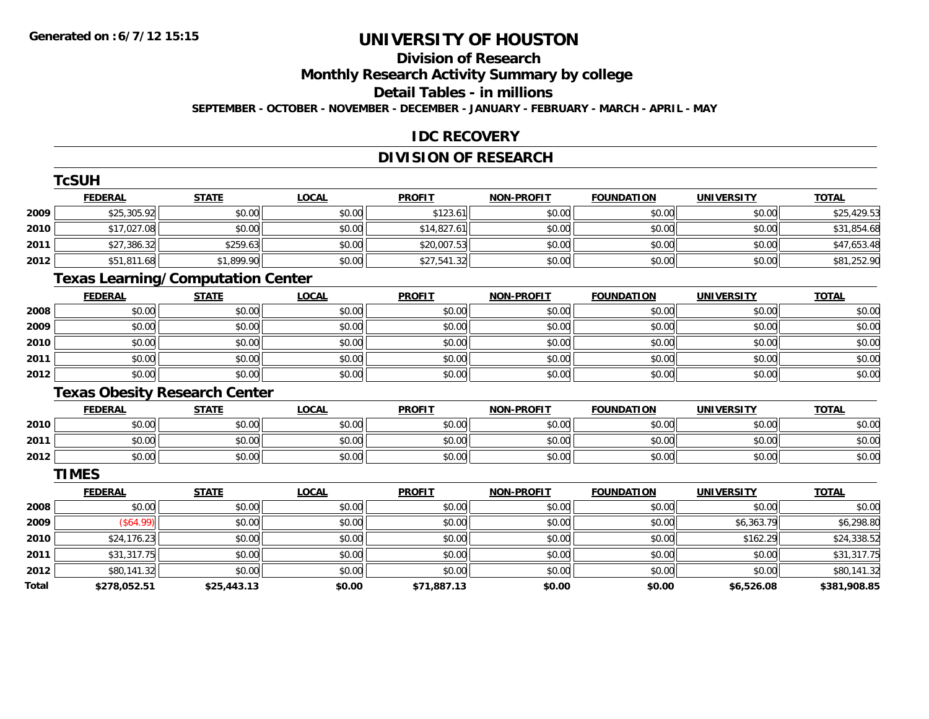**TCSUM** 

## **UNIVERSITY OF HOUSTON**

### **Division of Research**

**Monthly Research Activity Summary by college**

**Detail Tables - in millions**

**SEPTEMBER - OCTOBER - NOVEMBER - DECEMBER - JANUARY - FEBRUARY - MARCH - APRIL - MAY**

### **IDC RECOVERY**

### **DIVISION OF RESEARCH**

|              | I CSUH                                   |              |              |               |                   |                   |                   |              |
|--------------|------------------------------------------|--------------|--------------|---------------|-------------------|-------------------|-------------------|--------------|
|              | <b>FEDERAL</b>                           | <b>STATE</b> | <b>LOCAL</b> | <b>PROFIT</b> | <b>NON-PROFIT</b> | <b>FOUNDATION</b> | <b>UNIVERSITY</b> | <b>TOTAL</b> |
| 2009         | \$25,305.92                              | \$0.00       | \$0.00       | \$123.61      | \$0.00            | \$0.00            | \$0.00            | \$25,429.53  |
| 2010         | \$17,027.08                              | \$0.00       | \$0.00       | \$14,827.61   | \$0.00            | \$0.00            | \$0.00            | \$31,854.68  |
| 2011         | \$27,386.32                              | \$259.63     | \$0.00       | \$20,007.53   | \$0.00            | \$0.00            | \$0.00            | \$47,653.48  |
| 2012         | \$51,811.68                              | \$1,899.90   | \$0.00       | \$27,541.32   | \$0.00            | \$0.00            | \$0.00            | \$81,252.90  |
|              | <b>Texas Learning/Computation Center</b> |              |              |               |                   |                   |                   |              |
|              | <b>FEDERAL</b>                           | <b>STATE</b> | <b>LOCAL</b> | <b>PROFIT</b> | <b>NON-PROFIT</b> | <b>FOUNDATION</b> | <b>UNIVERSITY</b> | <b>TOTAL</b> |
| 2008         | \$0.00                                   | \$0.00       | \$0.00       | \$0.00        | \$0.00            | \$0.00            | \$0.00            | \$0.00       |
| 2009         | \$0.00                                   | \$0.00       | \$0.00       | \$0.00        | \$0.00            | \$0.00            | \$0.00            | \$0.00       |
| 2010         | \$0.00                                   | \$0.00       | \$0.00       | \$0.00        | \$0.00            | \$0.00            | \$0.00            | \$0.00       |
| 2011         | \$0.00                                   | \$0.00       | \$0.00       | \$0.00        | \$0.00            | \$0.00            | \$0.00            | \$0.00       |
| 2012         | \$0.00                                   | \$0.00       | \$0.00       | \$0.00        | \$0.00            | \$0.00            | \$0.00            | \$0.00       |
|              | <b>Texas Obesity Research Center</b>     |              |              |               |                   |                   |                   |              |
|              | <b>FEDERAL</b>                           | <b>STATE</b> | <b>LOCAL</b> | <b>PROFIT</b> | <b>NON-PROFIT</b> | <b>FOUNDATION</b> | <b>UNIVERSITY</b> | <b>TOTAL</b> |
| 2010         | \$0.00                                   | \$0.00       | \$0.00       | \$0.00        | \$0.00            | \$0.00            | \$0.00            | \$0.00       |
| 2011         | \$0.00                                   | \$0.00       | \$0.00       | \$0.00        | \$0.00            | \$0.00            | \$0.00            | \$0.00       |
| 2012         | \$0.00                                   | \$0.00       | \$0.00       | \$0.00        | \$0.00            | \$0.00            | \$0.00            | \$0.00       |
|              | <b>TIMES</b>                             |              |              |               |                   |                   |                   |              |
|              | <b>FEDERAL</b>                           | <b>STATE</b> | <b>LOCAL</b> | <b>PROFIT</b> | <b>NON-PROFIT</b> | <b>FOUNDATION</b> | <b>UNIVERSITY</b> | <b>TOTAL</b> |
| 2008         | \$0.00                                   | \$0.00       | \$0.00       | \$0.00        | \$0.00            | \$0.00            | \$0.00            | \$0.00       |
| 2009         | (\$64.99)                                | \$0.00       | \$0.00       | \$0.00        | \$0.00            | \$0.00            | \$6,363.79        | \$6,298.80   |
| 2010         | \$24,176.23                              | \$0.00       | \$0.00       | \$0.00        | \$0.00            | \$0.00            | \$162.29          | \$24,338.52  |
| 2011         | \$31,317.75                              | \$0.00       | \$0.00       | \$0.00        | \$0.00            | \$0.00            | \$0.00            | \$31,317.75  |
| 2012         | \$80,141.32                              | \$0.00       | \$0.00       | \$0.00        | \$0.00            | \$0.00            | \$0.00            | \$80,141.32  |
| <b>Total</b> | \$278,052.51                             | \$25,443.13  | \$0.00       | \$71,887.13   | \$0.00            | \$0.00            | \$6,526.08        | \$381,908.85 |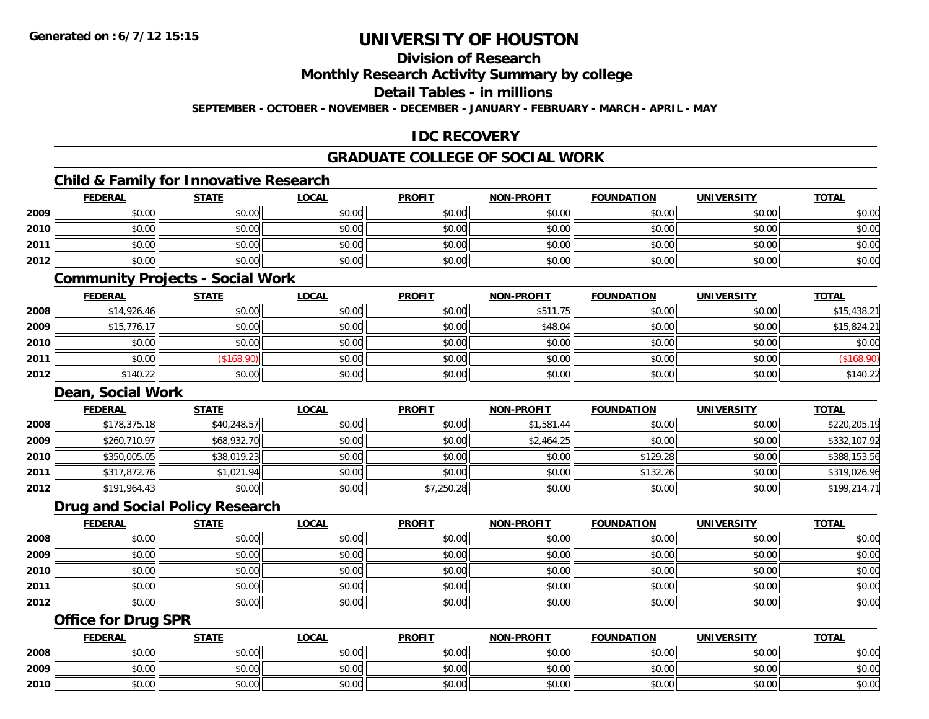### **Division of Research**

**Monthly Research Activity Summary by college**

**Detail Tables - in millions**

**SEPTEMBER - OCTOBER - NOVEMBER - DECEMBER - JANUARY - FEBRUARY - MARCH - APRIL - MAY**

### **IDC RECOVERY**

### **GRADUATE COLLEGE OF SOCIAL WORK**

### **Child & Family for Innovative Research**

|      | <b>FEDERAL</b> | <b>STATE</b> | <u>LOCAL</u> | <b>PROFIT</b> | <b>NON-PROFIT</b> | <b>FOUNDATION</b> | UNIVERSITY | <b>TOTAL</b> |
|------|----------------|--------------|--------------|---------------|-------------------|-------------------|------------|--------------|
| 2009 | \$0.00         | \$0.00       | \$0.00       | \$0.00        | \$0.00            | \$0.00            | \$0.00     | \$0.00       |
| 2010 | \$0.00         | \$0.00       | \$0.00       | \$0.00        | \$0.00            | \$0.00            | \$0.00     | \$0.00       |
| 2011 | \$0.00         | \$0.00       | \$0.00       | \$0.00        | \$0.00            | \$0.00            | \$0.00     | \$0.00       |
| 2012 | \$0.00         | \$0.00       | \$0.00       | \$0.00        | \$0.00            | \$0.00            | \$0.00     | \$0.00       |

### **Community Projects - Social Work**

|      | <u>FEDERAL</u> | <u>STATE</u> | <u>LOCAL</u> | <b>PROFIT</b> | <b>NON-PROFIT</b> | <b>FOUNDATION</b> | <b>UNIVERSITY</b> | <b>TOTAL</b> |
|------|----------------|--------------|--------------|---------------|-------------------|-------------------|-------------------|--------------|
| 2008 | \$14,926.46    | \$0.00       | \$0.00       | \$0.00        | \$511.75          | \$0.00            | \$0.00            | \$15,438.21  |
| 2009 | \$15,776.17    | \$0.00       | \$0.00       | \$0.00        | \$48.04           | \$0.00            | \$0.00            | \$15,824.21  |
| 2010 | \$0.00         | \$0.00       | \$0.00       | \$0.00        | \$0.00            | \$0.00            | \$0.00            | \$0.00       |
| 2011 | \$0.00         | \$168.90     | \$0.00       | \$0.00        | \$0.00            | \$0.00            | \$0.00            | (\$168.90)   |
| 2012 | \$140.22       | \$0.00       | \$0.00       | \$0.00        | \$0.00            | \$0.00            | \$0.00            | \$140.22     |

#### **Dean, Social Work**

|      | <b>FEDERAL</b> | <b>STATE</b> | <u>LOCAL</u> | <b>PROFIT</b> | <b>NON-PROFIT</b> | <b>FOUNDATION</b> | UNIVERSITY | <b>TOTAL</b> |
|------|----------------|--------------|--------------|---------------|-------------------|-------------------|------------|--------------|
| 2008 | \$178,375.18   | \$40,248.57  | \$0.00       | \$0.00        | \$1.581.44        | \$0.00            | \$0.00     | \$220,205.19 |
| 2009 | \$260,710.97   | \$68,932.70  | \$0.00       | \$0.00        | \$2,464.25        | \$0.00            | \$0.00     | \$332,107.92 |
| 2010 | \$350,005.05   | \$38,019.23  | \$0.00       | \$0.00        | \$0.00            | \$129.28          | \$0.00     | \$388,153.56 |
| 2011 | \$317,872.76   | \$1,021.94   | \$0.00       | \$0.00        | \$0.00            | \$132.26          | \$0.00     | \$319,026.96 |
| 2012 | \$191,964.43   | \$0.00       | \$0.00       | \$7,250.28    | \$0.00            | \$0.00            | \$0.00     | \$199,214.71 |

#### **Drug and Social Policy Research**

|      | <b>FEDERAL</b> | <b>STATE</b> | <u>LOCAL</u> | <b>PROFIT</b> | <b>NON-PROFIT</b> | <b>FOUNDATION</b> | <b>UNIVERSITY</b> | <b>TOTAL</b> |
|------|----------------|--------------|--------------|---------------|-------------------|-------------------|-------------------|--------------|
| 2008 | \$0.00         | \$0.00       | \$0.00       | \$0.00        | \$0.00            | \$0.00            | \$0.00            | \$0.00       |
| 2009 | \$0.00         | \$0.00       | \$0.00       | \$0.00        | \$0.00            | \$0.00            | \$0.00            | \$0.00       |
| 2010 | \$0.00         | \$0.00       | \$0.00       | \$0.00        | \$0.00            | \$0.00            | \$0.00            | \$0.00       |
| 2011 | \$0.00         | \$0.00       | \$0.00       | \$0.00        | \$0.00            | \$0.00            | \$0.00            | \$0.00       |
| 2012 | \$0.00         | \$0.00       | \$0.00       | \$0.00        | \$0.00            | \$0.00            | \$0.00            | \$0.00       |

### **Office for Drug SPR**

|      | <b>FEDERAL</b>     | <b>STATE</b> | <u>LOCAL</u>  | <b>PROFIT</b> | <b>I-PROFIT</b><br>NON- | <b>FOUNDATION</b> | <b>UNIVERSITY</b> | <b>TOTAL</b> |
|------|--------------------|--------------|---------------|---------------|-------------------------|-------------------|-------------------|--------------|
| 2008 | <b>00</b><br>JU.UU | \$0.00       | \$0.00        | \$0.00        | \$0.00                  | \$0.00            | \$0.00            | \$0.00       |
| 2009 | ሶስ ሰሰ<br>PU.UU     | \$0.00       | 0.00<br>ง∪.∪บ | \$0.00        | \$0.00                  | \$0.00            | \$0.00            | \$0.00       |
| 2010 | 0000<br>JU.UU      | \$0.00       | \$0.00        | \$0.00        | \$0.00                  | \$0.00            | \$0.00            | \$0.00       |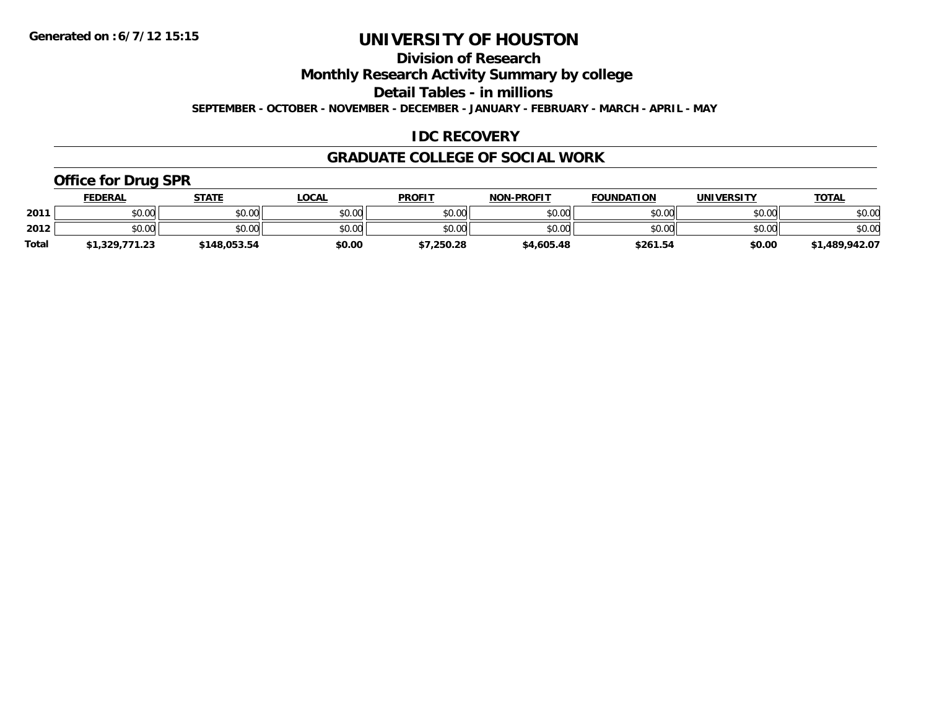**Division of Research**

**Monthly Research Activity Summary by college**

**Detail Tables - in millions**

**SEPTEMBER - OCTOBER - NOVEMBER - DECEMBER - JANUARY - FEBRUARY - MARCH - APRIL - MAY**

### **IDC RECOVERY**

#### **GRADUATE COLLEGE OF SOCIAL WORK**

### **Office for Drug SPR**

|              | FEDERAL        | <b>STATE</b> | <b>LOCAL</b> | <b>PROFIT</b> | <b>NON-PROFIT</b> | <b>FOUNDATION</b> | <b>UNIVERSITY</b> | <b>TOTAL</b>   |
|--------------|----------------|--------------|--------------|---------------|-------------------|-------------------|-------------------|----------------|
| 2011         | \$0.00         | \$0.00       | \$0.00       | \$0.00        | \$0.00            | \$0.00            | \$0.00            | \$0.00         |
| 2012         | \$0.00         | \$0.00       | \$0.00       | \$0.00        | \$0.00            | \$0.00            | \$0.00            | \$0.00         |
| <b>Total</b> | \$1,329,771.23 | \$148,053.54 | \$0.00       | \$7,250.28    | \$4,605.48        | \$261.54          | \$0.00            | \$1,489,942.07 |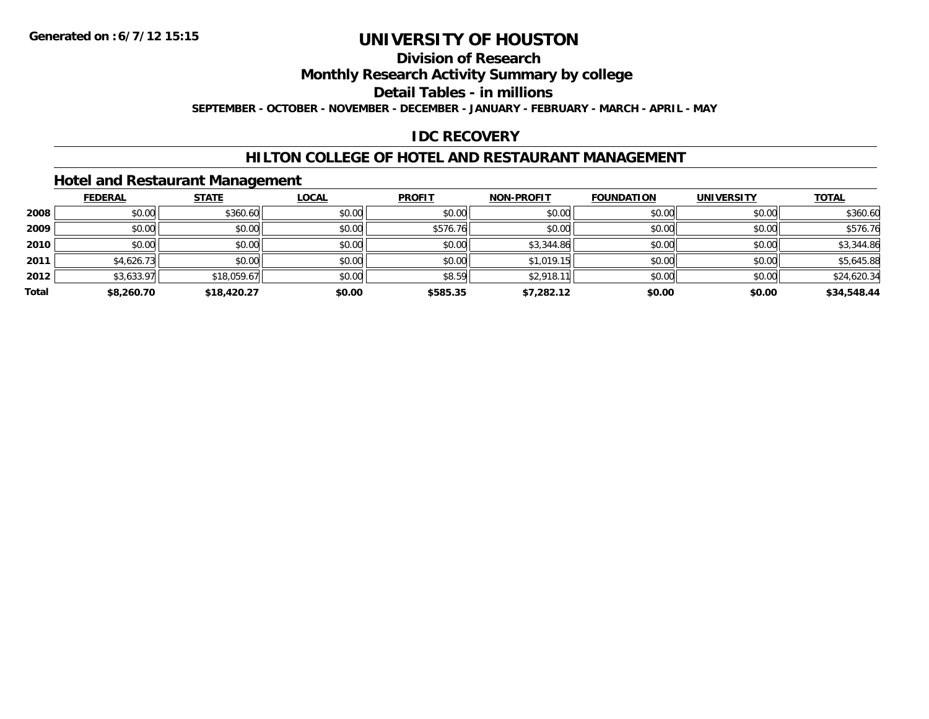### **Division of Research**

**Monthly Research Activity Summary by college**

**Detail Tables - in millions**

**SEPTEMBER - OCTOBER - NOVEMBER - DECEMBER - JANUARY - FEBRUARY - MARCH - APRIL - MAY**

### **IDC RECOVERY**

### **HILTON COLLEGE OF HOTEL AND RESTAURANT MANAGEMENT**

### **Hotel and Restaurant Management**

|       | <b>FEDERAL</b> | <b>STATE</b> | <b>LOCAL</b> | <b>PROFIT</b> | <b>NON-PROFIT</b> | <b>FOUNDATION</b> | <b>UNIVERSITY</b> | <b>TOTAL</b> |
|-------|----------------|--------------|--------------|---------------|-------------------|-------------------|-------------------|--------------|
| 2008  | \$0.00         | \$360.60     | \$0.00       | \$0.00        | \$0.00            | \$0.00            | \$0.00            | \$360.60     |
| 2009  | \$0.00         | \$0.00       | \$0.00       | \$576.76      | \$0.00            | \$0.00            | \$0.00            | \$576.76     |
| 2010  | \$0.00         | \$0.00       | \$0.00       | \$0.00        | \$3,344.86        | \$0.00            | \$0.00            | \$3,344.86   |
| 2011  | \$4,626.73     | \$0.00       | \$0.00       | \$0.00        | \$1,019.15        | \$0.00            | \$0.00            | \$5,645.88   |
| 2012  | \$3,633.97     | \$18,059.67  | \$0.00       | \$8.59        | \$2,918.1         | \$0.00            | \$0.00            | \$24,620.34  |
| Total | \$8,260.70     | \$18,420.27  | \$0.00       | \$585.35      | \$7,282.12        | \$0.00            | \$0.00            | \$34,548.44  |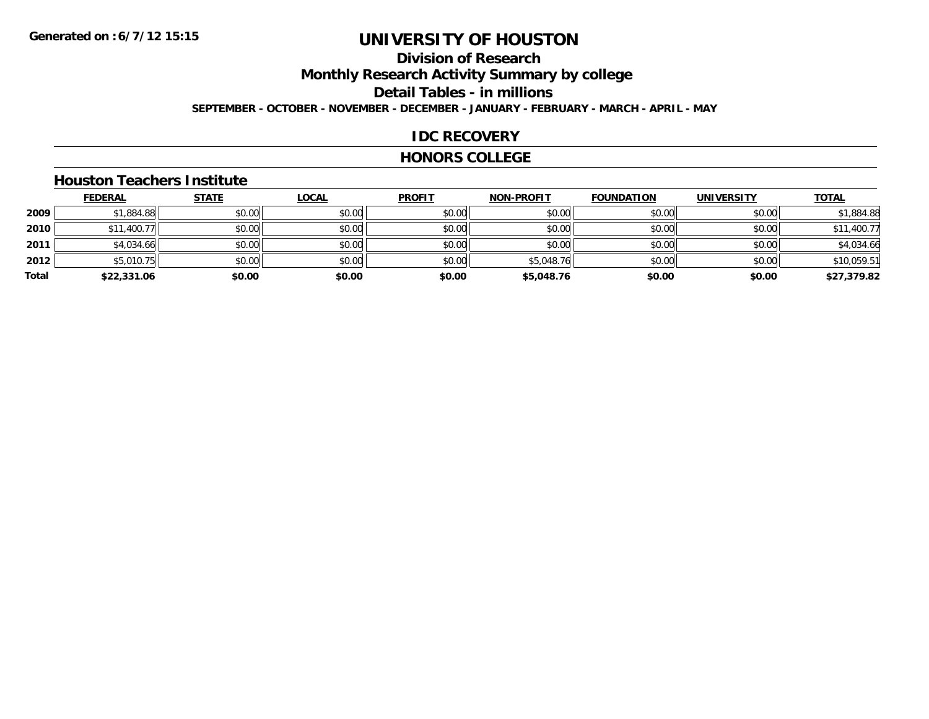# **Division of Research**

**Monthly Research Activity Summary by college**

**Detail Tables - in millions**

**SEPTEMBER - OCTOBER - NOVEMBER - DECEMBER - JANUARY - FEBRUARY - MARCH - APRIL - MAY**

### **IDC RECOVERY**

#### **HONORS COLLEGE**

#### **Houston Teachers Institute**

|       | <b>FEDERAL</b> | <b>STATE</b> | <u>LOCAL</u> | <b>PROFIT</b> | <b>NON-PROFIT</b> | <b>FOUNDATION</b> | <b>UNIVERSITY</b> | <b>TOTAL</b> |
|-------|----------------|--------------|--------------|---------------|-------------------|-------------------|-------------------|--------------|
| 2009  | \$1,884.88     | \$0.00       | \$0.00       | \$0.00        | \$0.00            | \$0.00            | \$0.00            | \$1,884.88   |
| 2010  | \$11,400.77    | \$0.00       | \$0.00       | \$0.00        | \$0.00            | \$0.00            | \$0.00            | \$11,400.77  |
| 2011  | \$4,034.66     | \$0.00       | \$0.00       | \$0.00        | \$0.00            | \$0.00            | \$0.00            | \$4,034.66   |
| 2012  | \$5,010.75     | \$0.00       | \$0.00       | \$0.00        | \$5,048.76        | \$0.00            | \$0.00            | \$10,059.51  |
| Total | \$22,331.06    | \$0.00       | \$0.00       | \$0.00        | \$5,048.76        | \$0.00            | \$0.00            | \$27,379.82  |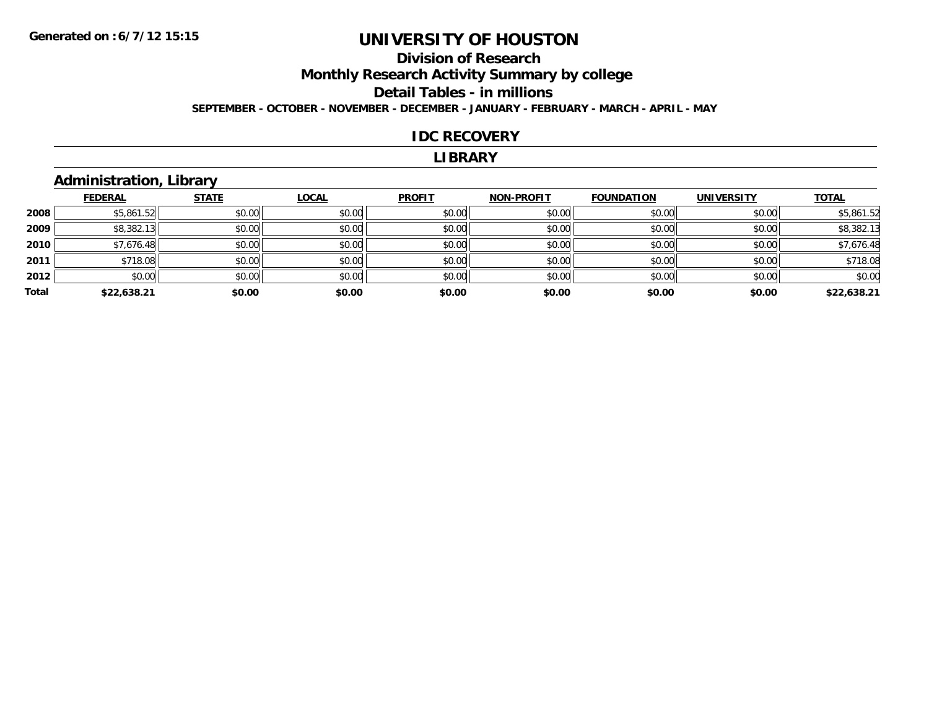### **Division of ResearchMonthly Research Activity Summary by college Detail Tables - in millions SEPTEMBER - OCTOBER - NOVEMBER - DECEMBER - JANUARY - FEBRUARY - MARCH - APRIL - MAY**

#### **IDC RECOVERY**

#### **LIBRARY**

### **Administration, Library**

|       | <b>FEDERAL</b> | <b>STATE</b> | <b>LOCAL</b> | <b>PROFIT</b> | <b>NON-PROFIT</b> | <b>FOUNDATION</b> | <b>UNIVERSITY</b> | <b>TOTAL</b> |
|-------|----------------|--------------|--------------|---------------|-------------------|-------------------|-------------------|--------------|
| 2008  | \$5,861.52     | \$0.00       | \$0.00       | \$0.00        | \$0.00            | \$0.00            | \$0.00            | \$5,861.52   |
| 2009  | \$8,382.13     | \$0.00       | \$0.00       | \$0.00        | \$0.00            | \$0.00            | \$0.00            | \$8,382.13   |
| 2010  | \$7,676.48     | \$0.00       | \$0.00       | \$0.00        | \$0.00            | \$0.00            | \$0.00            | \$7,676.48   |
| 2011  | \$718.08       | \$0.00       | \$0.00       | \$0.00        | \$0.00            | \$0.00            | \$0.00            | \$718.08     |
| 2012  | \$0.00         | \$0.00       | \$0.00       | \$0.00        | \$0.00            | \$0.00            | \$0.00            | \$0.00       |
| Total | \$22,638.21    | \$0.00       | \$0.00       | \$0.00        | \$0.00            | \$0.00            | \$0.00            | \$22,638.21  |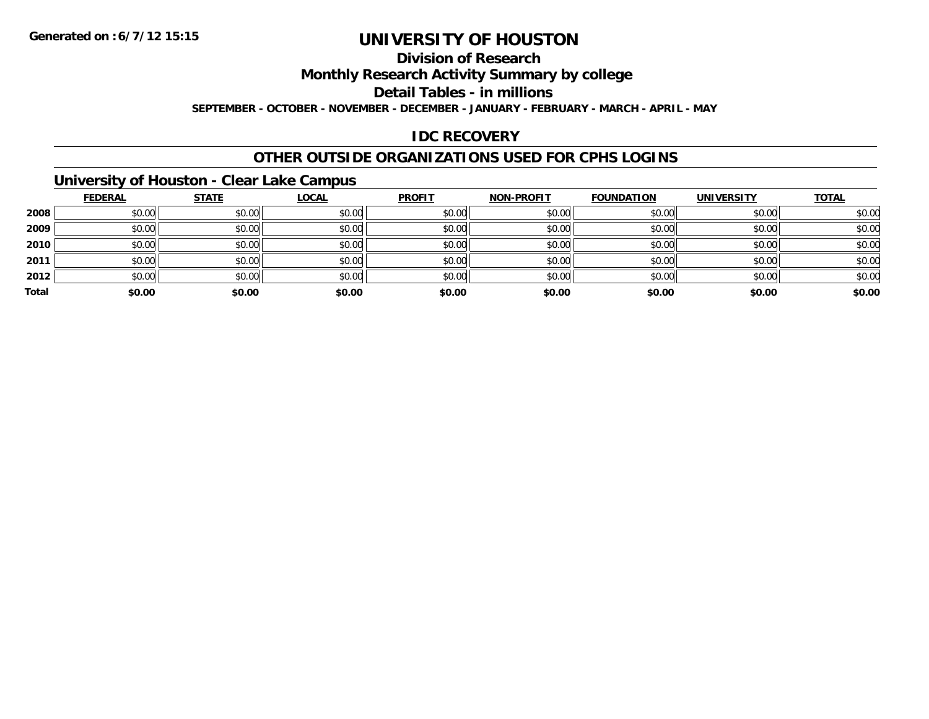### **Division of Research**

**Monthly Research Activity Summary by college**

**Detail Tables - in millions**

**SEPTEMBER - OCTOBER - NOVEMBER - DECEMBER - JANUARY - FEBRUARY - MARCH - APRIL - MAY**

### **IDC RECOVERY**

### **OTHER OUTSIDE ORGANIZATIONS USED FOR CPHS LOGINS**

### **University of Houston - Clear Lake Campus**

|       | <b>FEDERAL</b> | <b>STATE</b> | <b>LOCAL</b> | <b>PROFIT</b> | <b>NON-PROFIT</b> | <b>FOUNDATION</b> | <b>UNIVERSITY</b> | <b>TOTAL</b> |
|-------|----------------|--------------|--------------|---------------|-------------------|-------------------|-------------------|--------------|
| 2008  | \$0.00         | \$0.00       | \$0.00       | \$0.00        | \$0.00            | \$0.00            | \$0.00            | \$0.00       |
| 2009  | \$0.00         | \$0.00       | \$0.00       | \$0.00        | \$0.00            | \$0.00            | \$0.00            | \$0.00       |
| 2010  | \$0.00         | \$0.00       | \$0.00       | \$0.00        | \$0.00            | \$0.00            | \$0.00            | \$0.00       |
| 2011  | \$0.00         | \$0.00       | \$0.00       | \$0.00        | \$0.00            | \$0.00            | \$0.00            | \$0.00       |
| 2012  | \$0.00         | \$0.00       | \$0.00       | \$0.00        | \$0.00            | \$0.00            | \$0.00            | \$0.00       |
| Total | \$0.00         | \$0.00       | \$0.00       | \$0.00        | \$0.00            | \$0.00            | \$0.00            | \$0.00       |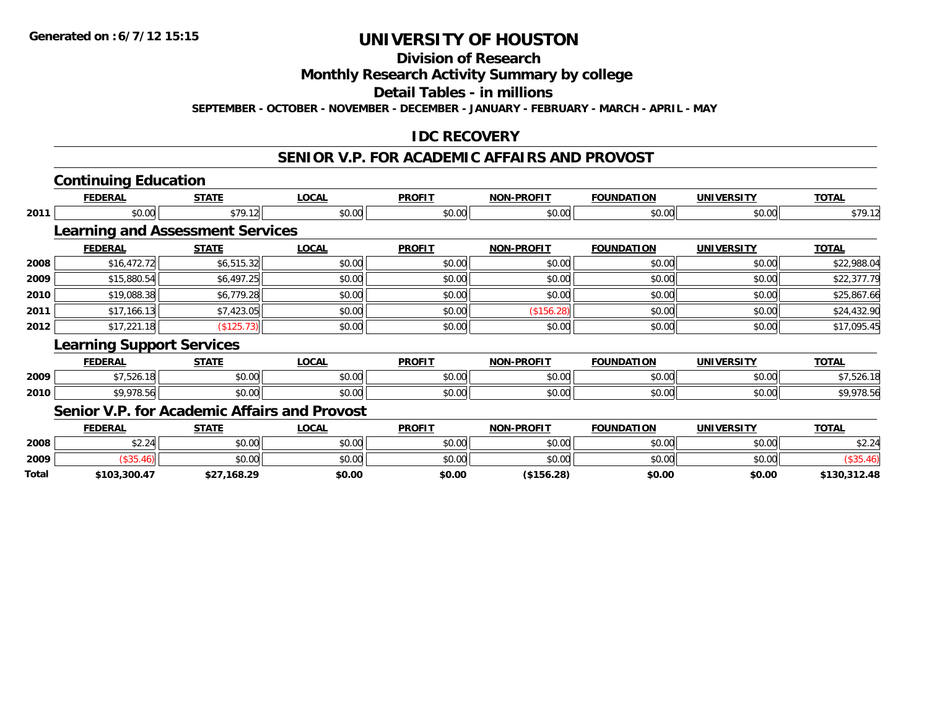**Division of Research**

**Monthly Research Activity Summary by college**

**Detail Tables - in millions**

**SEPTEMBER - OCTOBER - NOVEMBER - DECEMBER - JANUARY - FEBRUARY - MARCH - APRIL - MAY**

### **IDC RECOVERY**

#### **SENIOR V.P. FOR ACADEMIC AFFAIRS AND PROVOST**

|              | <b>Continuing Education</b>                  |              |              |               |                   |                   |                   |              |
|--------------|----------------------------------------------|--------------|--------------|---------------|-------------------|-------------------|-------------------|--------------|
|              | <b>FEDERAL</b>                               | <b>STATE</b> | <b>LOCAL</b> | <b>PROFIT</b> | <b>NON-PROFIT</b> | <b>FOUNDATION</b> | <b>UNIVERSITY</b> | <b>TOTAL</b> |
| 2011         | \$0.00                                       | \$79.12      | \$0.00       | \$0.00        | \$0.00            | \$0.00            | \$0.00            | \$79.12      |
|              | <b>Learning and Assessment Services</b>      |              |              |               |                   |                   |                   |              |
|              | <b>FEDERAL</b>                               | <b>STATE</b> | <b>LOCAL</b> | <b>PROFIT</b> | <b>NON-PROFIT</b> | <b>FOUNDATION</b> | <b>UNIVERSITY</b> | <b>TOTAL</b> |
| 2008         | \$16,472.72                                  | \$6,515.32   | \$0.00       | \$0.00        | \$0.00            | \$0.00            | \$0.00            | \$22,988.04  |
| 2009         | \$15,880.54                                  | \$6,497.25   | \$0.00       | \$0.00        | \$0.00            | \$0.00            | \$0.00            | \$22,377.79  |
| 2010         | \$19,088.38                                  | \$6,779.28   | \$0.00       | \$0.00        | \$0.00            | \$0.00            | \$0.00            | \$25,867.66  |
| 2011         | \$17,166.13                                  | \$7,423.05   | \$0.00       | \$0.00        | (\$156.28)        | \$0.00            | \$0.00            | \$24,432.90  |
| 2012         | \$17,221.18                                  | (\$125.73)   | \$0.00       | \$0.00        | \$0.00            | \$0.00            | \$0.00            | \$17,095.45  |
|              | <b>Learning Support Services</b>             |              |              |               |                   |                   |                   |              |
|              | <b>FEDERAL</b>                               | <b>STATE</b> | <b>LOCAL</b> | <b>PROFIT</b> | <b>NON-PROFIT</b> | <b>FOUNDATION</b> | <b>UNIVERSITY</b> | <b>TOTAL</b> |
| 2009         | \$7,526.18                                   | \$0.00       | \$0.00       | \$0.00        | \$0.00            | \$0.00            | \$0.00            | \$7,526.18   |
| 2010         | \$9,978.56                                   | \$0.00       | \$0.00       | \$0.00        | \$0.00            | \$0.00            | \$0.00            | \$9,978.56   |
|              | Senior V.P. for Academic Affairs and Provost |              |              |               |                   |                   |                   |              |
|              | <b>FEDERAL</b>                               | <b>STATE</b> | <b>LOCAL</b> | <b>PROFIT</b> | <b>NON-PROFIT</b> | <b>FOUNDATION</b> | <b>UNIVERSITY</b> | <b>TOTAL</b> |
| 2008         | \$2.24                                       | \$0.00       | \$0.00       | \$0.00        | \$0.00            | \$0.00            | \$0.00            | \$2.24       |
| 2009         | (\$35.46)                                    | \$0.00       | \$0.00       | \$0.00        | \$0.00            | \$0.00            | \$0.00            | (\$35.46)    |
| <b>Total</b> | \$103,300.47                                 | \$27,168.29  | \$0.00       | \$0.00        | (\$156.28)        | \$0.00            | \$0.00            | \$130,312.48 |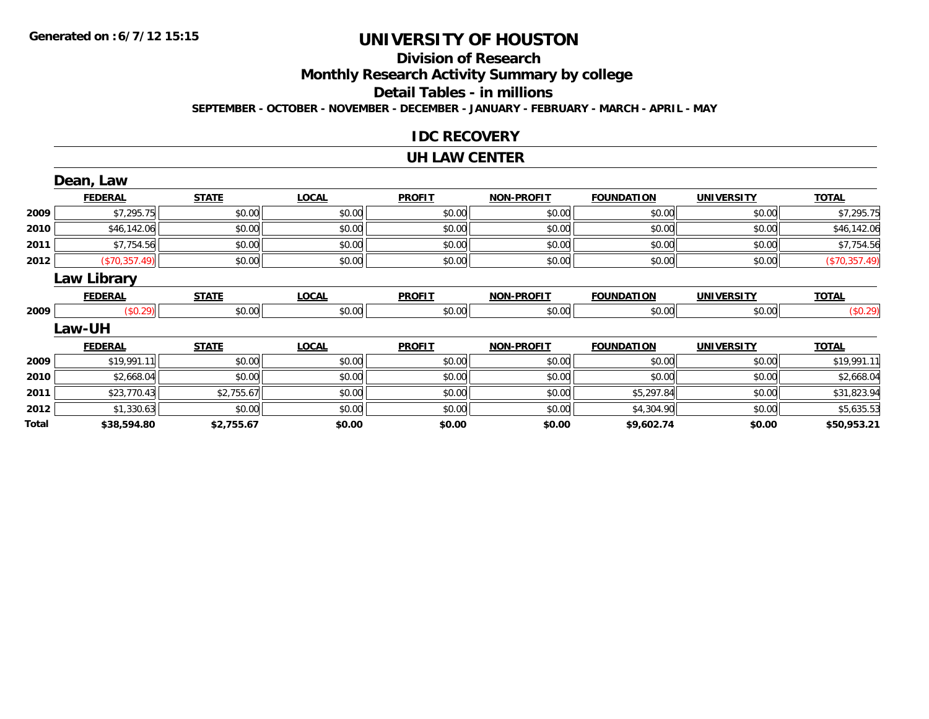#### **Division of Research**

**Monthly Research Activity Summary by college**

**Detail Tables - in millions**

**SEPTEMBER - OCTOBER - NOVEMBER - DECEMBER - JANUARY - FEBRUARY - MARCH - APRIL - MAY**

### **IDC RECOVERY**

#### **UH LAW CENTER**

|       | Dean, Law          |              |              |               |                   |                   |                   |               |
|-------|--------------------|--------------|--------------|---------------|-------------------|-------------------|-------------------|---------------|
|       | <b>FEDERAL</b>     | <b>STATE</b> | <b>LOCAL</b> | <b>PROFIT</b> | <b>NON-PROFIT</b> | <b>FOUNDATION</b> | <b>UNIVERSITY</b> | <b>TOTAL</b>  |
| 2009  | \$7,295.75         | \$0.00       | \$0.00       | \$0.00        | \$0.00            | \$0.00            | \$0.00            | \$7,295.75    |
| 2010  | \$46,142.06        | \$0.00       | \$0.00       | \$0.00        | \$0.00            | \$0.00            | \$0.00            | \$46,142.06   |
| 2011  | \$7,754.56         | \$0.00       | \$0.00       | \$0.00        | \$0.00            | \$0.00            | \$0.00            | \$7,754.56    |
| 2012  | (\$70,357.49)      | \$0.00       | \$0.00       | \$0.00        | \$0.00            | \$0.00            | \$0.00            | (\$70,357.49) |
|       | <b>Law Library</b> |              |              |               |                   |                   |                   |               |
|       | <b>FEDERAL</b>     | <b>STATE</b> | <b>LOCAL</b> | <b>PROFIT</b> | <b>NON-PROFIT</b> | <b>FOUNDATION</b> | <b>UNIVERSITY</b> | <b>TOTAL</b>  |
| 2009  | (\$0.29)           | \$0.00       | \$0.00       | \$0.00        | \$0.00            | \$0.00            | \$0.00            | (\$0.29)      |
|       | Law-UH             |              |              |               |                   |                   |                   |               |
|       | <b>FEDERAL</b>     | <b>STATE</b> | <b>LOCAL</b> | <b>PROFIT</b> | <b>NON-PROFIT</b> | <b>FOUNDATION</b> | <b>UNIVERSITY</b> | <b>TOTAL</b>  |
| 2009  | \$19,991.11        | \$0.00       | \$0.00       | \$0.00        | \$0.00            | \$0.00            | \$0.00            | \$19,991.11   |
| 2010  | \$2,668.04         | \$0.00       | \$0.00       | \$0.00        | \$0.00            | \$0.00            | \$0.00            | \$2,668.04    |
| 2011  | \$23,770.43        | \$2,755.67   | \$0.00       | \$0.00        | \$0.00            | \$5,297.84        | \$0.00            | \$31,823.94   |
| 2012  | \$1,330.63         | \$0.00       | \$0.00       | \$0.00        | \$0.00            | \$4,304.90        | \$0.00            | \$5,635.53    |
| Total | \$38,594.80        | \$2,755.67   | \$0.00       | \$0.00        | \$0.00            | \$9,602.74        | \$0.00            | \$50,953.21   |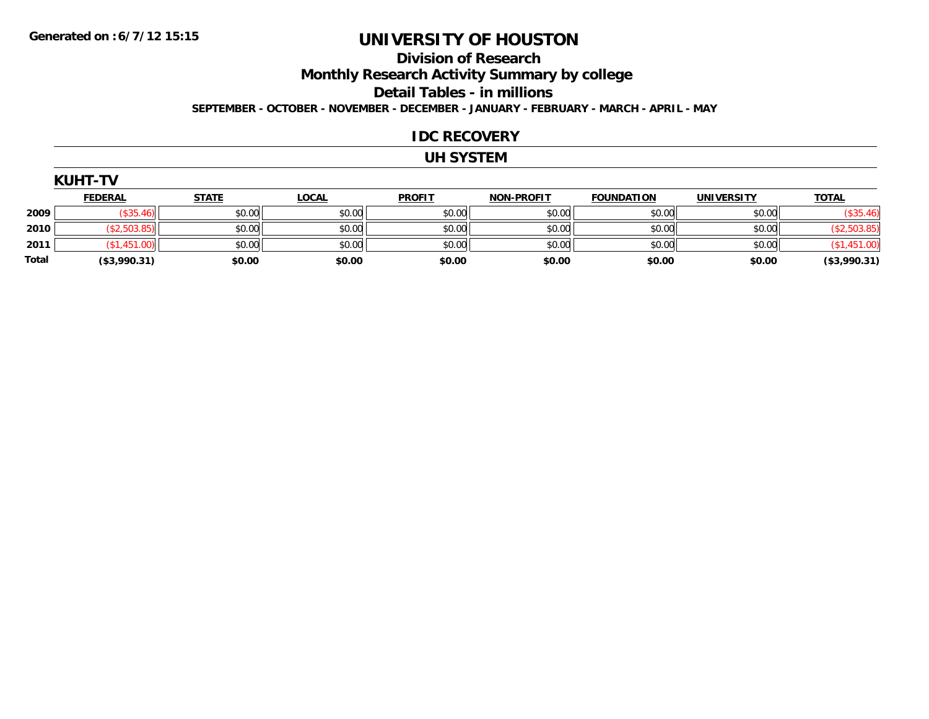### **Division of Research**

**Monthly Research Activity Summary by college**

**Detail Tables - in millions**

**SEPTEMBER - OCTOBER - NOVEMBER - DECEMBER - JANUARY - FEBRUARY - MARCH - APRIL - MAY**

### **IDC RECOVERY**

#### **UH SYSTEM**

|              | <b>KUHT-TV</b> |              |              |               |                   |                   |                   |              |
|--------------|----------------|--------------|--------------|---------------|-------------------|-------------------|-------------------|--------------|
|              | <b>FEDERAL</b> | <b>STATE</b> | <u>LOCAL</u> | <b>PROFIT</b> | <b>NON-PROFIT</b> | <b>FOUNDATION</b> | <b>UNIVERSITY</b> | <b>TOTAL</b> |
| 2009         | (\$35.46)      | \$0.00       | \$0.00       | \$0.00        | \$0.00            | \$0.00            | \$0.00            | (\$35.46)    |
| 2010         | (\$2,503.85)   | \$0.00       | \$0.00       | \$0.00        | \$0.00            | \$0.00            | \$0.00            | (\$2,503.85) |
| 2011         | (\$1,451.00)   | \$0.00       | \$0.00       | \$0.00        | \$0.00            | \$0.00            | \$0.00            | (\$1,451.00) |
| <b>Total</b> | (\$3,990.31)   | \$0.00       | \$0.00       | \$0.00        | \$0.00            | \$0.00            | \$0.00            | (\$3,990.31) |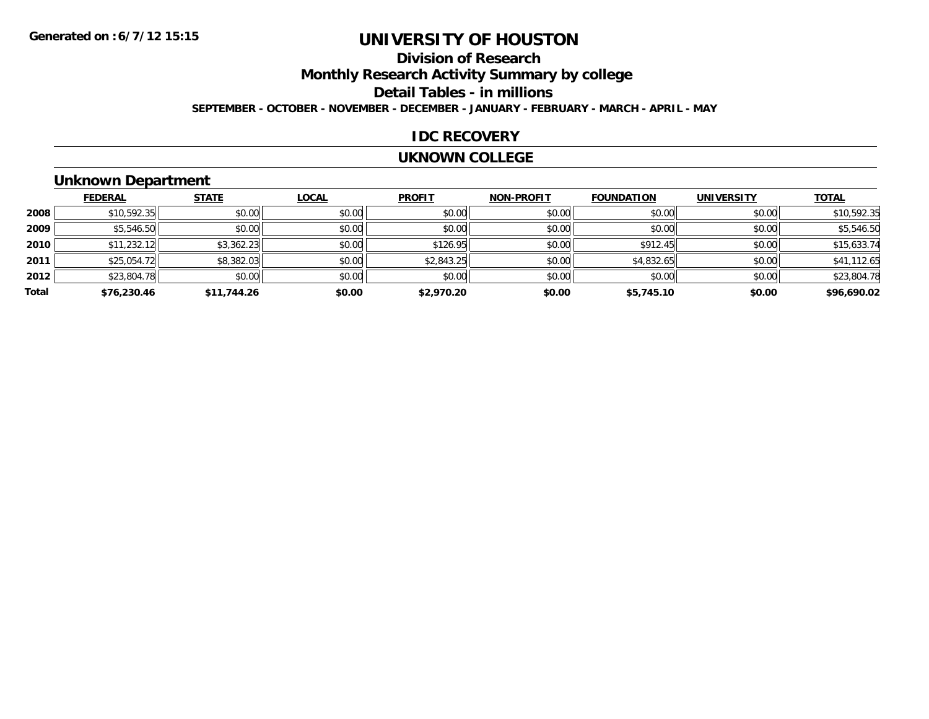## **Division of Research**

**Monthly Research Activity Summary by college**

**Detail Tables - in millions**

**SEPTEMBER - OCTOBER - NOVEMBER - DECEMBER - JANUARY - FEBRUARY - MARCH - APRIL - MAY**

#### **IDC RECOVERY**

#### **UKNOWN COLLEGE**

### **Unknown Department**

|       | <b>FEDERAL</b> | <b>STATE</b> | <b>LOCAL</b> | <b>PROFIT</b> | <b>NON-PROFIT</b> | <b>FOUNDATION</b> | <b>UNIVERSITY</b> | <b>TOTAL</b> |
|-------|----------------|--------------|--------------|---------------|-------------------|-------------------|-------------------|--------------|
| 2008  | \$10,592.35    | \$0.00       | \$0.00       | \$0.00        | \$0.00            | \$0.00            | \$0.00            | \$10,592.35  |
| 2009  | \$5,546.50     | \$0.00       | \$0.00       | \$0.00        | \$0.00            | \$0.00            | \$0.00            | \$5,546.50   |
| 2010  | \$11,232.12    | \$3,362.23   | \$0.00       | \$126.95      | \$0.00            | \$912.45          | \$0.00            | \$15,633.74  |
| 2011  | \$25,054.72    | \$8,382.03   | \$0.00       | \$2,843.25    | \$0.00            | \$4,832.65        | \$0.00            | \$41,112.65  |
| 2012  | \$23,804.78    | \$0.00       | \$0.00       | \$0.00        | \$0.00            | \$0.00            | \$0.00            | \$23,804.78  |
| Total | \$76,230.46    | \$11,744.26  | \$0.00       | \$2,970.20    | \$0.00            | \$5,745.10        | \$0.00            | \$96,690.02  |